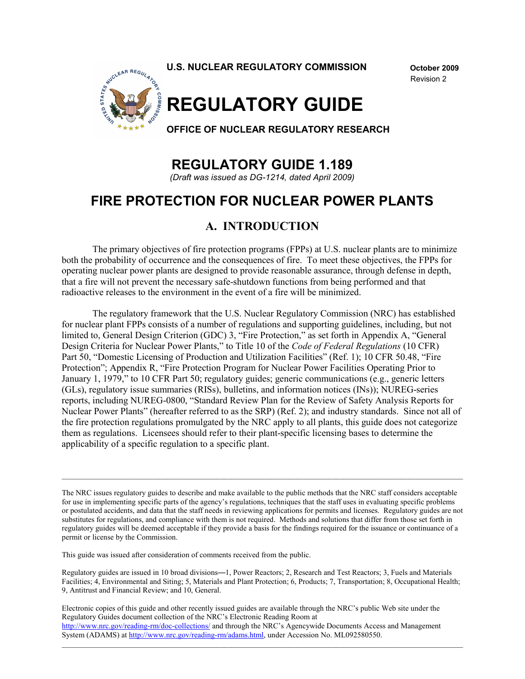

Revision 2



# **REGULATORY GUIDE 1.189**

*(Draft was issued as DG-1214, dated April 2009)* 

# **FIRE PROTECTION FOR NUCLEAR POWER PLANTS**

# **A. INTRODUCTION**

The primary objectives of fire protection programs (FPPs) at U.S. nuclear plants are to minimize both the probability of occurrence and the consequences of fire. To meet these objectives, the FPPs for operating nuclear power plants are designed to provide reasonable assurance, through defense in depth, that a fire will not prevent the necessary safe-shutdown functions from being performed and that radioactive releases to the environment in the event of a fire will be minimized.

The regulatory framework that the U.S. Nuclear Regulatory Commission (NRC) has established for nuclear plant FPPs consists of a number of regulations and supporting guidelines, including, but not limited to, General Design Criterion (GDC) 3, "Fire Protection," as set forth in Appendix A, "General Design Criteria for Nuclear Power Plants," to Title 10 of the *Code of Federal Regulations* (10 CFR) Part 50, "Domestic Licensing of Production and Utilization Facilities" (Ref. 1); 10 CFR 50.48, "Fire Protection"; Appendix R, "Fire Protection Program for Nuclear Power Facilities Operating Prior to January 1, 1979," to 10 CFR Part 50; regulatory guides; generic communications (e.g., generic letters (GLs), regulatory issue summaries (RISs), bulletins, and information notices (INs)); NUREG-series reports, including NUREG-0800, "Standard Review Plan for the Review of Safety Analysis Reports for Nuclear Power Plants" (hereafter referred to as the SRP) (Ref. 2); and industry standards. Since not all of the fire protection regulations promulgated by the NRC apply to all plants, this guide does not categorize them as regulations. Licensees should refer to their plant-specific licensing bases to determine the applicability of a specific regulation to a specific plant.

The NRC issues regulatory guides to describe and make available to the public methods that the NRC staff considers acceptable for use in implementing specific parts of the agency's regulations, techniques that the staff uses in evaluating specific problems or postulated accidents, and data that the staff needs in reviewing applications for permits and licenses. Regulatory guides are not substitutes for regulations, and compliance with them is not required. Methods and solutions that differ from those set forth in regulatory guides will be deemed acceptable if they provide a basis for the findings required for the issuance or continuance of a permit or license by the Commission.

This guide was issued after consideration of comments received from the public.

Regulatory guides are issued in 10 broad divisions—1, Power Reactors; 2, Research and Test Reactors; 3, Fuels and Materials Facilities; 4, Environmental and Siting; 5, Materials and Plant Protection; 6, Products; 7, Transportation; 8, Occupational Health; 9, Antitrust and Financial Review; and 10, General.

Electronic copies of this guide and other recently issued guides are available through the NRC's public Web site under the<br>Regulatory Cuides desument callection of the NRC's Electronic Beading Beam at Regulatory Guides document collection of the NRC's Electronic Reading Room at http://www.nrc.gov/reading-rm/doc-collections/ and through the NRC's Agencywide Documents Access and Management System (ADAMS) at http://www.nrc.gov/reading-rm/adams.html, under Accession No. ML092580550.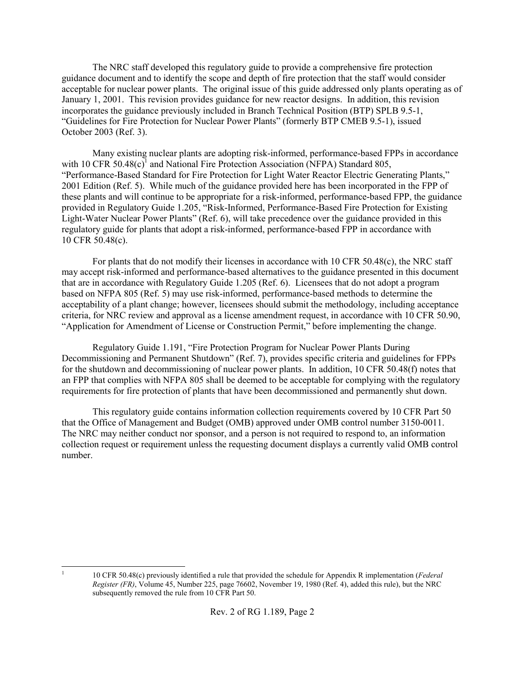The NRC staff developed this regulatory guide to provide a comprehensive fire protection guidance document and to identify the scope and depth of fire protection that the staff would consider acceptable for nuclear power plants. The original issue of this guide addressed only plants operating as of January 1, 2001. This revision provides guidance for new reactor designs. In addition, this revision incorporates the guidance previously included in Branch Technical Position (BTP) SPLB 9.5-1, "Guidelines for Fire Protection for Nuclear Power Plants" (formerly BTP CMEB 9.5-1), issued October 2003 (Ref. 3).

Many existing nuclear plants are adopting risk-informed, performance-based FPPs in accordance with 10 CFR  $50.48(c)^1$  and National Fire Protection Association (NFPA) Standard 805, "Performance-Based Standard for Fire Protection for Light Water Reactor Electric Generating Plants," 2001 Edition (Ref. 5). While much of the guidance provided here has been incorporated in the FPP of these plants and will continue to be appropriate for a risk-informed, performance-based FPP, the guidance provided in Regulatory Guide 1.205, "Risk-Informed, Performance-Based Fire Protection for Existing Light-Water Nuclear Power Plants" (Ref. 6), will take precedence over the guidance provided in this regulatory guide for plants that adopt a risk-informed, performance-based FPP in accordance with 10 CFR 50.48(c).

For plants that do not modify their licenses in accordance with 10 CFR 50.48(c), the NRC staff may accept risk-informed and performance-based alternatives to the guidance presented in this document that are in accordance with Regulatory Guide 1.205 (Ref. 6). Licensees that do not adopt a program based on NFPA 805 (Ref. 5) may use risk-informed, performance-based methods to determine the acceptability of a plant change; however, licensees should submit the methodology, including acceptance criteria, for NRC review and approval as a license amendment request, in accordance with 10 CFR 50.90, "Application for Amendment of License or Construction Permit," before implementing the change.

Regulatory Guide 1.191, "Fire Protection Program for Nuclear Power Plants During Decommissioning and Permanent Shutdown" (Ref. 7), provides specific criteria and guidelines for FPPs for the shutdown and decommissioning of nuclear power plants. In addition, 10 CFR 50.48(f) notes that an FPP that complies with NFPA 805 shall be deemed to be acceptable for complying with the regulatory requirements for fire protection of plants that have been decommissioned and permanently shut down.

This regulatory guide contains information collection requirements covered by 10 CFR Part 50 that the Office of Management and Budget (OMB) approved under OMB control number 3150-0011. The NRC may neither conduct nor sponsor, and a person is not required to respond to, an information collection request or requirement unless the requesting document displays a currently valid OMB control number.

 $\frac{1}{1}$ 

 <sup>10</sup> CFR 50.48(c) previously identified a rule that provided the schedule for Appendix R implementation (*Federal Register (FR)*, Volume 45, Number 225, page 76602, November 19, 1980 (Ref. 4), added this rule), but the NRC subsequently removed the rule from 10 CFR Part 50.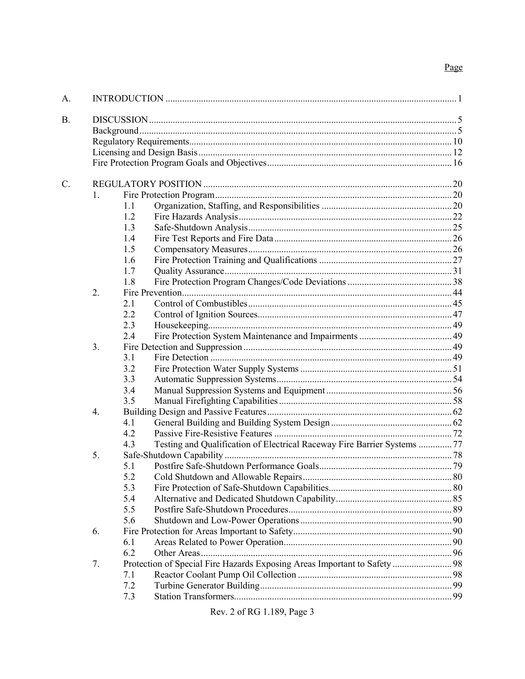# Page

| A.        |    |                                                                                 |  |  |  |
|-----------|----|---------------------------------------------------------------------------------|--|--|--|
| <b>B.</b> |    |                                                                                 |  |  |  |
|           |    |                                                                                 |  |  |  |
|           |    |                                                                                 |  |  |  |
|           |    |                                                                                 |  |  |  |
|           |    |                                                                                 |  |  |  |
| C.        |    |                                                                                 |  |  |  |
|           | 1. |                                                                                 |  |  |  |
|           |    | 1.1                                                                             |  |  |  |
|           |    | 1.2                                                                             |  |  |  |
|           |    | 1.3                                                                             |  |  |  |
|           |    | 1.4                                                                             |  |  |  |
|           |    | 1.5                                                                             |  |  |  |
|           |    | 1.6                                                                             |  |  |  |
|           |    | 1.7                                                                             |  |  |  |
|           |    | 1.8                                                                             |  |  |  |
|           | 2. |                                                                                 |  |  |  |
|           |    | 2.1                                                                             |  |  |  |
|           |    | 2.2                                                                             |  |  |  |
|           |    | 2.3                                                                             |  |  |  |
|           |    | 2.4                                                                             |  |  |  |
|           | 3. |                                                                                 |  |  |  |
|           |    | 3.1                                                                             |  |  |  |
|           |    | 3.2                                                                             |  |  |  |
|           |    | 3.3                                                                             |  |  |  |
|           |    | 3.4                                                                             |  |  |  |
|           |    | 3.5                                                                             |  |  |  |
|           | 4. |                                                                                 |  |  |  |
|           |    | 4.1                                                                             |  |  |  |
|           |    | 4.2                                                                             |  |  |  |
|           |    | Testing and Qualification of Electrical Raceway Fire Barrier Systems  77<br>4.3 |  |  |  |
|           | 5. |                                                                                 |  |  |  |
|           |    | 5.1                                                                             |  |  |  |
|           |    | 5.2                                                                             |  |  |  |
|           |    | 5.3                                                                             |  |  |  |
|           |    | 5.4                                                                             |  |  |  |
|           |    | 5.5                                                                             |  |  |  |
|           |    | 5.6                                                                             |  |  |  |
|           | 6. |                                                                                 |  |  |  |
|           |    | 6.1                                                                             |  |  |  |
|           |    | 6.2                                                                             |  |  |  |
|           | 7. | Protection of Special Fire Hazards Exposing Areas Important to Safety  98       |  |  |  |
|           |    | 7.1                                                                             |  |  |  |
|           |    | 7.2                                                                             |  |  |  |
|           |    | 7.3                                                                             |  |  |  |
|           |    |                                                                                 |  |  |  |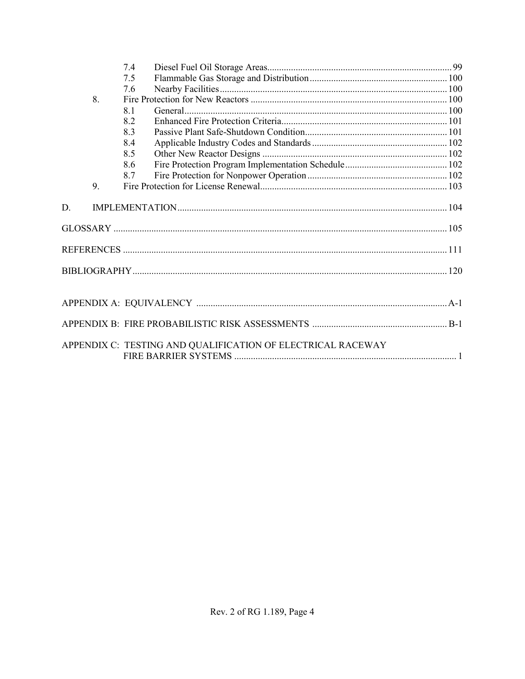|    |    | 7.4                                                         |  |  |  |
|----|----|-------------------------------------------------------------|--|--|--|
|    |    | 7.5                                                         |  |  |  |
|    |    | 7.6                                                         |  |  |  |
|    | 8. |                                                             |  |  |  |
|    |    | 8.1                                                         |  |  |  |
|    |    | 8.2                                                         |  |  |  |
|    |    | 8.3                                                         |  |  |  |
|    |    | 8.4                                                         |  |  |  |
|    |    | 8.5                                                         |  |  |  |
|    |    | 8.6                                                         |  |  |  |
|    |    | 8.7                                                         |  |  |  |
|    | 9. |                                                             |  |  |  |
| D. |    |                                                             |  |  |  |
|    |    |                                                             |  |  |  |
|    |    |                                                             |  |  |  |
|    |    |                                                             |  |  |  |
|    |    |                                                             |  |  |  |
|    |    |                                                             |  |  |  |
|    |    | APPENDIX C: TESTING AND QUALIFICATION OF ELECTRICAL RACEWAY |  |  |  |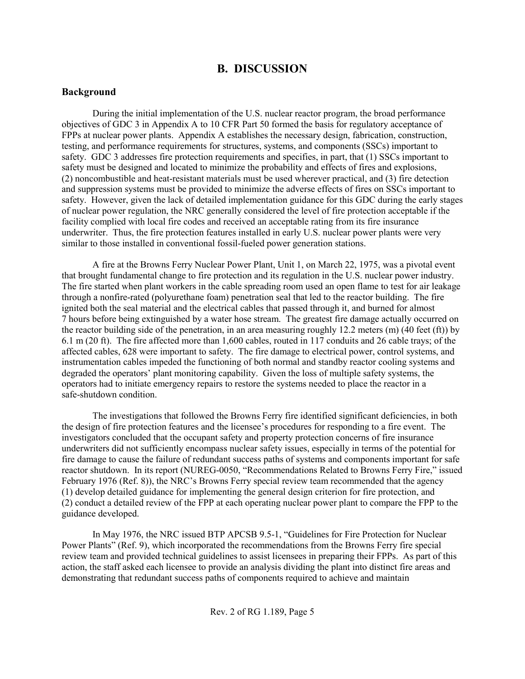# **B. DISCUSSION**

#### **Background**

During the initial implementation of the U.S. nuclear reactor program, the broad performance objectives of GDC 3 in Appendix A to 10 CFR Part 50 formed the basis for regulatory acceptance of FPPs at nuclear power plants. Appendix A establishes the necessary design, fabrication, construction, testing, and performance requirements for structures, systems, and components (SSCs) important to safety. GDC 3 addresses fire protection requirements and specifies, in part, that (1) SSCs important to safety must be designed and located to minimize the probability and effects of fires and explosions, (2) noncombustible and heat-resistant materials must be used wherever practical, and (3) fire detection and suppression systems must be provided to minimize the adverse effects of fires on SSCs important to safety. However, given the lack of detailed implementation guidance for this GDC during the early stages of nuclear power regulation, the NRC generally considered the level of fire protection acceptable if the facility complied with local fire codes and received an acceptable rating from its fire insurance underwriter. Thus, the fire protection features installed in early U.S. nuclear power plants were very similar to those installed in conventional fossil-fueled power generation stations.

A fire at the Browns Ferry Nuclear Power Plant, Unit 1, on March 22, 1975, was a pivotal event that brought fundamental change to fire protection and its regulation in the U.S. nuclear power industry. The fire started when plant workers in the cable spreading room used an open flame to test for air leakage through a nonfire-rated (polyurethane foam) penetration seal that led to the reactor building. The fire ignited both the seal material and the electrical cables that passed through it, and burned for almost 7 hours before being extinguished by a water hose stream. The greatest fire damage actually occurred on the reactor building side of the penetration, in an area measuring roughly 12.2 meters (m) (40 feet (ft)) by 6.1 m (20 ft). The fire affected more than 1,600 cables, routed in 117 conduits and 26 cable trays; of the affected cables, 628 were important to safety. The fire damage to electrical power, control systems, and instrumentation cables impeded the functioning of both normal and standby reactor cooling systems and degraded the operators' plant monitoring capability. Given the loss of multiple safety systems, the operators had to initiate emergency repairs to restore the systems needed to place the reactor in a safe-shutdown condition.

The investigations that followed the Browns Ferry fire identified significant deficiencies, in both the design of fire protection features and the licensee's procedures for responding to a fire event. The investigators concluded that the occupant safety and property protection concerns of fire insurance underwriters did not sufficiently encompass nuclear safety issues, especially in terms of the potential for fire damage to cause the failure of redundant success paths of systems and components important for safe reactor shutdown. In its report (NUREG-0050, "Recommendations Related to Browns Ferry Fire," issued February 1976 (Ref. 8)), the NRC's Browns Ferry special review team recommended that the agency (1) develop detailed guidance for implementing the general design criterion for fire protection, and (2) conduct a detailed review of the FPP at each operating nuclear power plant to compare the FPP to the guidance developed.

In May 1976, the NRC issued BTP APCSB 9.5-1, "Guidelines for Fire Protection for Nuclear Power Plants" (Ref. 9), which incorporated the recommendations from the Browns Ferry fire special review team and provided technical guidelines to assist licensees in preparing their FPPs. As part of this action, the staff asked each licensee to provide an analysis dividing the plant into distinct fire areas and demonstrating that redundant success paths of components required to achieve and maintain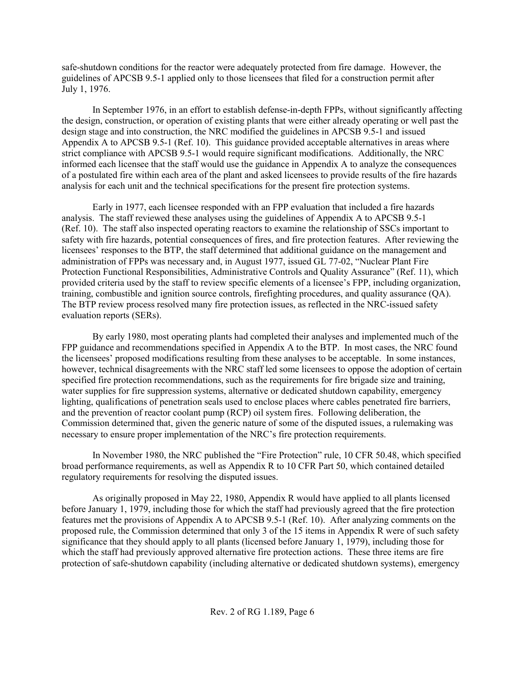safe-shutdown conditions for the reactor were adequately protected from fire damage. However, the guidelines of APCSB 9.5-1 applied only to those licensees that filed for a construction permit after July 1, 1976.

In September 1976, in an effort to establish defense-in-depth FPPs, without significantly affecting the design, construction, or operation of existing plants that were either already operating or well past the design stage and into construction, the NRC modified the guidelines in APCSB 9.5-1 and issued Appendix A to APCSB 9.5-1 (Ref. 10). This guidance provided acceptable alternatives in areas where strict compliance with APCSB 9.5-1 would require significant modifications. Additionally, the NRC informed each licensee that the staff would use the guidance in Appendix A to analyze the consequences of a postulated fire within each area of the plant and asked licensees to provide results of the fire hazards analysis for each unit and the technical specifications for the present fire protection systems.

Early in 1977, each licensee responded with an FPP evaluation that included a fire hazards analysis. The staff reviewed these analyses using the guidelines of Appendix A to APCSB 9.5-1 (Ref. 10). The staff also inspected operating reactors to examine the relationship of SSCs important to safety with fire hazards, potential consequences of fires, and fire protection features. After reviewing the licensees' responses to the BTP, the staff determined that additional guidance on the management and administration of FPPs was necessary and, in August 1977, issued GL 77-02, "Nuclear Plant Fire Protection Functional Responsibilities, Administrative Controls and Quality Assurance" (Ref. 11), which provided criteria used by the staff to review specific elements of a licensee's FPP, including organization, training, combustible and ignition source controls, firefighting procedures, and quality assurance (QA). The BTP review process resolved many fire protection issues, as reflected in the NRC-issued safety evaluation reports (SERs).

By early 1980, most operating plants had completed their analyses and implemented much of the FPP guidance and recommendations specified in Appendix A to the BTP. In most cases, the NRC found the licensees' proposed modifications resulting from these analyses to be acceptable. In some instances, however, technical disagreements with the NRC staff led some licensees to oppose the adoption of certain specified fire protection recommendations, such as the requirements for fire brigade size and training, water supplies for fire suppression systems, alternative or dedicated shutdown capability, emergency lighting, qualifications of penetration seals used to enclose places where cables penetrated fire barriers, and the prevention of reactor coolant pump (RCP) oil system fires. Following deliberation, the Commission determined that, given the generic nature of some of the disputed issues, a rulemaking was necessary to ensure proper implementation of the NRC's fire protection requirements.

In November 1980, the NRC published the "Fire Protection" rule, 10 CFR 50.48, which specified broad performance requirements, as well as Appendix R to 10 CFR Part 50, which contained detailed regulatory requirements for resolving the disputed issues.

As originally proposed in May 22, 1980, Appendix R would have applied to all plants licensed before January 1, 1979, including those for which the staff had previously agreed that the fire protection features met the provisions of Appendix A to APCSB 9.5-1 (Ref. 10). After analyzing comments on the proposed rule, the Commission determined that only 3 of the 15 items in Appendix R were of such safety significance that they should apply to all plants (licensed before January 1, 1979), including those for which the staff had previously approved alternative fire protection actions. These three items are fire protection of safe-shutdown capability (including alternative or dedicated shutdown systems), emergency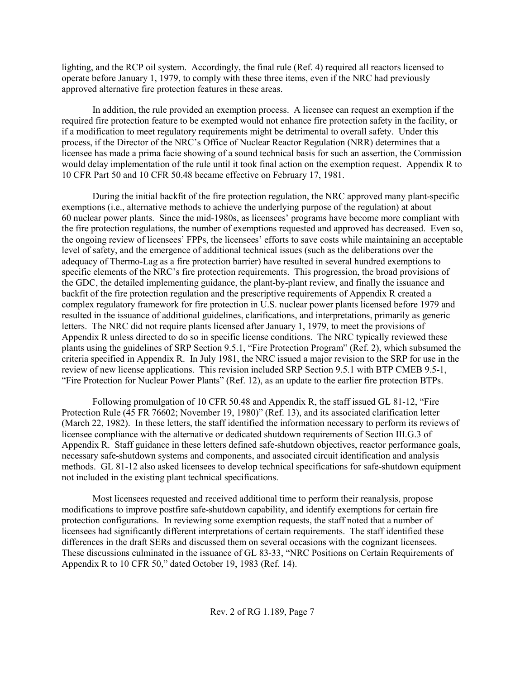lighting, and the RCP oil system. Accordingly, the final rule (Ref. 4) required all reactors licensed to operate before January 1, 1979, to comply with these three items, even if the NRC had previously approved alternative fire protection features in these areas.

In addition, the rule provided an exemption process. A licensee can request an exemption if the required fire protection feature to be exempted would not enhance fire protection safety in the facility, or if a modification to meet regulatory requirements might be detrimental to overall safety. Under this process, if the Director of the NRC's Office of Nuclear Reactor Regulation (NRR) determines that a licensee has made a prima facie showing of a sound technical basis for such an assertion, the Commission would delay implementation of the rule until it took final action on the exemption request. Appendix R to 10 CFR Part 50 and 10 CFR 50.48 became effective on February 17, 1981.

During the initial backfit of the fire protection regulation, the NRC approved many plant-specific exemptions (i.e., alternative methods to achieve the underlying purpose of the regulation) at about 60 nuclear power plants. Since the mid-1980s, as licensees' programs have become more compliant with the fire protection regulations, the number of exemptions requested and approved has decreased. Even so, the ongoing review of licensees' FPPs, the licensees' efforts to save costs while maintaining an acceptable level of safety, and the emergence of additional technical issues (such as the deliberations over the adequacy of Thermo-Lag as a fire protection barrier) have resulted in several hundred exemptions to specific elements of the NRC's fire protection requirements. This progression, the broad provisions of the GDC, the detailed implementing guidance, the plant-by-plant review, and finally the issuance and backfit of the fire protection regulation and the prescriptive requirements of Appendix R created a complex regulatory framework for fire protection in U.S. nuclear power plants licensed before 1979 and resulted in the issuance of additional guidelines, clarifications, and interpretations, primarily as generic letters. The NRC did not require plants licensed after January 1, 1979, to meet the provisions of Appendix R unless directed to do so in specific license conditions. The NRC typically reviewed these plants using the guidelines of SRP Section 9.5.1, "Fire Protection Program" (Ref. 2), which subsumed the criteria specified in Appendix R. In July 1981, the NRC issued a major revision to the SRP for use in the review of new license applications. This revision included SRP Section 9.5.1 with BTP CMEB 9.5-1, "Fire Protection for Nuclear Power Plants" (Ref. 12), as an update to the earlier fire protection BTPs.

Following promulgation of 10 CFR 50.48 and Appendix R, the staff issued GL 81-12, "Fire Protection Rule (45 FR 76602; November 19, 1980)" (Ref. 13), and its associated clarification letter (March 22, 1982). In these letters, the staff identified the information necessary to perform its reviews of licensee compliance with the alternative or dedicated shutdown requirements of Section III.G.3 of Appendix R. Staff guidance in these letters defined safe-shutdown objectives, reactor performance goals, necessary safe-shutdown systems and components, and associated circuit identification and analysis methods. GL 81-12 also asked licensees to develop technical specifications for safe-shutdown equipment not included in the existing plant technical specifications.

Most licensees requested and received additional time to perform their reanalysis, propose modifications to improve postfire safe-shutdown capability, and identify exemptions for certain fire protection configurations. In reviewing some exemption requests, the staff noted that a number of licensees had significantly different interpretations of certain requirements. The staff identified these differences in the draft SERs and discussed them on several occasions with the cognizant licensees. These discussions culminated in the issuance of GL 83-33, "NRC Positions on Certain Requirements of Appendix R to 10 CFR 50," dated October 19, 1983 (Ref. 14).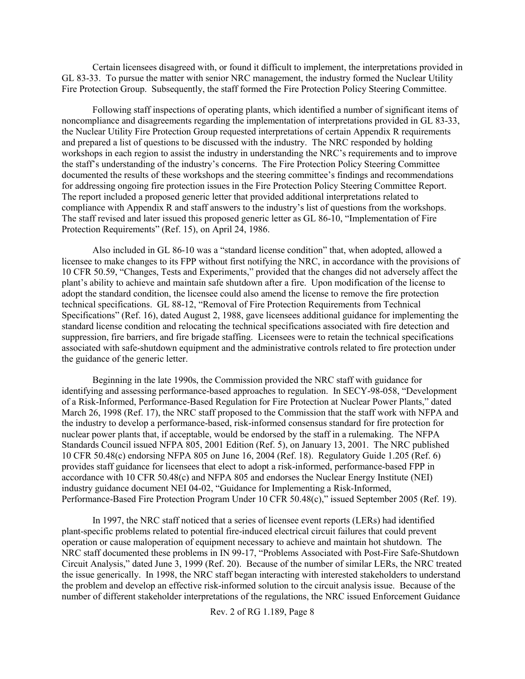Certain licensees disagreed with, or found it difficult to implement, the interpretations provided in GL 83-33. To pursue the matter with senior NRC management, the industry formed the Nuclear Utility Fire Protection Group. Subsequently, the staff formed the Fire Protection Policy Steering Committee.

Following staff inspections of operating plants, which identified a number of significant items of noncompliance and disagreements regarding the implementation of interpretations provided in GL 83-33, the Nuclear Utility Fire Protection Group requested interpretations of certain Appendix R requirements and prepared a list of questions to be discussed with the industry. The NRC responded by holding workshops in each region to assist the industry in understanding the NRC's requirements and to improve the staff's understanding of the industry's concerns. The Fire Protection Policy Steering Committee documented the results of these workshops and the steering committee's findings and recommendations for addressing ongoing fire protection issues in the Fire Protection Policy Steering Committee Report. The report included a proposed generic letter that provided additional interpretations related to compliance with Appendix R and staff answers to the industry's list of questions from the workshops. The staff revised and later issued this proposed generic letter as GL 86-10, "Implementation of Fire Protection Requirements" (Ref. 15), on April 24, 1986.

Also included in GL 86-10 was a "standard license condition" that, when adopted, allowed a licensee to make changes to its FPP without first notifying the NRC, in accordance with the provisions of 10 CFR 50.59, "Changes, Tests and Experiments," provided that the changes did not adversely affect the plant's ability to achieve and maintain safe shutdown after a fire. Upon modification of the license to adopt the standard condition, the licensee could also amend the license to remove the fire protection technical specifications. GL 88-12, "Removal of Fire Protection Requirements from Technical Specifications" (Ref. 16), dated August 2, 1988, gave licensees additional guidance for implementing the standard license condition and relocating the technical specifications associated with fire detection and suppression, fire barriers, and fire brigade staffing. Licensees were to retain the technical specifications associated with safe-shutdown equipment and the administrative controls related to fire protection under the guidance of the generic letter.

Beginning in the late 1990s, the Commission provided the NRC staff with guidance for identifying and assessing performance-based approaches to regulation. In SECY-98-058, "Development of a Risk-Informed, Performance-Based Regulation for Fire Protection at Nuclear Power Plants," dated March 26, 1998 (Ref. 17), the NRC staff proposed to the Commission that the staff work with NFPA and the industry to develop a performance-based, risk-informed consensus standard for fire protection for nuclear power plants that, if acceptable, would be endorsed by the staff in a rulemaking. The NFPA Standards Council issued NFPA 805, 2001 Edition (Ref. 5), on January 13, 2001. The NRC published 10 CFR 50.48(c) endorsing NFPA 805 on June 16, 2004 (Ref. 18). Regulatory Guide 1.205 (Ref. 6) provides staff guidance for licensees that elect to adopt a risk-informed, performance-based FPP in accordance with 10 CFR 50.48(c) and NFPA 805 and endorses the Nuclear Energy Institute (NEI) industry guidance document NEI 04-02, "Guidance for Implementing a Risk-Informed, Performance-Based Fire Protection Program Under 10 CFR 50.48(c)," issued September 2005 (Ref. 19).

In 1997, the NRC staff noticed that a series of licensee event reports (LERs) had identified plant-specific problems related to potential fire-induced electrical circuit failures that could prevent operation or cause maloperation of equipment necessary to achieve and maintain hot shutdown. The NRC staff documented these problems in IN 99-17, "Problems Associated with Post-Fire Safe-Shutdown Circuit Analysis," dated June 3, 1999 (Ref. 20). Because of the number of similar LERs, the NRC treated the issue generically. In 1998, the NRC staff began interacting with interested stakeholders to understand the problem and develop an effective risk-informed solution to the circuit analysis issue. Because of the number of different stakeholder interpretations of the regulations, the NRC issued Enforcement Guidance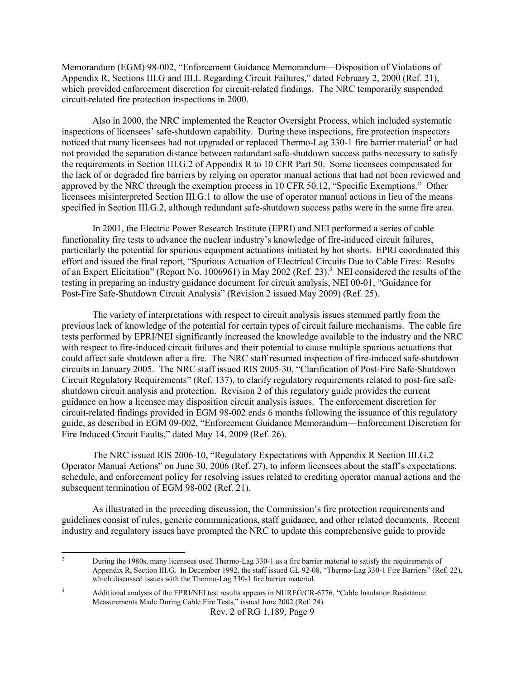Memorandum (EGM) 98-002, "Enforcement Guidance Memorandum—Disposition of Violations of Appendix R, Sections III.G and III.L Regarding Circuit Failures," dated February 2, 2000 (Ref. 21), which provided enforcement discretion for circuit-related findings. The NRC temporarily suspended circuit-related fire protection inspections in 2000.

Also in 2000, the NRC implemented the Reactor Oversight Process, which included systematic inspections of licensees' safe-shutdown capability. During these inspections, fire protection inspectors noticed that many licensees had not upgraded or replaced Thermo-Lag 330-1 fire barrier material<sup>2</sup> or had not provided the separation distance between redundant safe-shutdown success paths necessary to satisfy the requirements in Section III.G.2 of Appendix R to 10 CFR Part 50. Some licensees compensated for the lack of or degraded fire barriers by relying on operator manual actions that had not been reviewed and approved by the NRC through the exemption process in 10 CFR 50.12, "Specific Exemptions." Other licensees misinterpreted Section III.G.1 to allow the use of operator manual actions in lieu of the means specified in Section III.G.2, although redundant safe-shutdown success paths were in the same fire area.

In 2001, the Electric Power Research Institute (EPRI) and NEI performed a series of cable functionality fire tests to advance the nuclear industry's knowledge of fire-induced circuit failures, particularly the potential for spurious equipment actuations initiated by hot shorts. EPRI coordinated this effort and issued the final report, "Spurious Actuation of Electrical Circuits Due to Cable Fires: Results of an Expert Elicitation" (Report No. 1006961) in May 2002 (Ref. 23).<sup>3</sup> NEI considered the results of the testing in preparing an industry guidance document for circuit analysis, NEI 00-01, "Guidance for Post-Fire Safe-Shutdown Circuit Analysis" (Revision 2 issued May 2009) (Ref. 25).

The variety of interpretations with respect to circuit analysis issues stemmed partly from the previous lack of knowledge of the potential for certain types of circuit failure mechanisms. The cable fire tests performed by EPRI/NEI significantly increased the knowledge available to the industry and the NRC with respect to fire-induced circuit failures and their potential to cause multiple spurious actuations that could affect safe shutdown after a fire. The NRC staff resumed inspection of fire-induced safe-shutdown circuits in January 2005. The NRC staff issued RIS 2005-30, "Clarification of Post-Fire Safe-Shutdown Circuit Regulatory Requirements" (Ref. 137), to clarify regulatory requirements related to post-fire safeshutdown circuit analysis and protection. Revision 2 of this regulatory guide provides the current guidance on how a licensee may disposition circuit analysis issues. The enforcement discretion for circuit-related findings provided in EGM 98-002 ends 6 months following the issuance of this regulatory guide, as described in EGM 09-002, "Enforcement Guidance Memorandum—Enforcement Discretion for Fire Induced Circuit Faults," dated May 14, 2009 (Ref. 26).

The NRC issued RIS 2006-10, "Regulatory Expectations with Appendix R Section III.G.2 Operator Manual Actions" on June 30, 2006 (Ref. 27), to inform licensees about the staff's expectations, schedule, and enforcement policy for resolving issues related to crediting operator manual actions and the subsequent termination of EGM 98-002 (Ref. 21).

As illustrated in the preceding discussion, the Commission's fire protection requirements and guidelines consist of rules, generic communications, staff guidance, and other related documents. Recent industry and regulatory issues have prompted the NRC to update this comprehensive guide to provide

 $\frac{1}{2}$  During the 1980s, many licensees used Thermo-Lag 330-1 as a fire barrier material to satisfy the requirements of Appendix R, Section III.G. In December 1992, the staff issued GL 92-08, "Thermo-Lag 330-1 Fire Barriers" (Ref. 22), which discussed issues with the Thermo-Lag 330-1 fire barrier material.

Rev. 2 of RG 1.189, Page 9 3 Additional analysis of the EPRI/NEI test results appears in NUREG/CR-6776, "Cable Insulation Resistance Measurements Made During Cable Fire Tests," issued June 2002 (Ref. 24).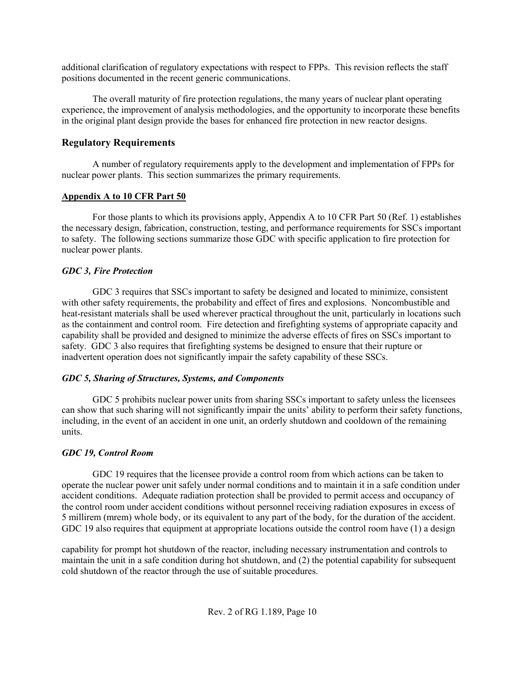additional clarification of regulatory expectations with respect to FPPs. This revision reflects the staff positions documented in the recent generic communications.

The overall maturity of fire protection regulations, the many years of nuclear plant operating experience, the improvement of analysis methodologies, and the opportunity to incorporate these benefits in the original plant design provide the bases for enhanced fire protection in new reactor designs.

## **Regulatory Requirements**

A number of regulatory requirements apply to the development and implementation of FPPs for nuclear power plants. This section summarizes the primary requirements.

#### **Appendix A to 10 CFR Part 50**

For those plants to which its provisions apply, Appendix A to 10 CFR Part 50 (Ref. 1) establishes the necessary design, fabrication, construction, testing, and performance requirements for SSCs important to safety. The following sections summarize those GDC with specific application to fire protection for nuclear power plants.

## *GDC 3, Fire Protection*

GDC 3 requires that SSCs important to safety be designed and located to minimize, consistent with other safety requirements, the probability and effect of fires and explosions. Noncombustible and heat-resistant materials shall be used wherever practical throughout the unit, particularly in locations such as the containment and control room. Fire detection and firefighting systems of appropriate capacity and capability shall be provided and designed to minimize the adverse effects of fires on SSCs important to safety. GDC 3 also requires that firefighting systems be designed to ensure that their rupture or inadvertent operation does not significantly impair the safety capability of these SSCs.

#### *GDC 5, Sharing of Structures, Systems, and Components*

GDC 5 prohibits nuclear power units from sharing SSCs important to safety unless the licensees can show that such sharing will not significantly impair the units' ability to perform their safety functions, including, in the event of an accident in one unit, an orderly shutdown and cooldown of the remaining units.

# *GDC 19, Control Room*

GDC 19 requires that the licensee provide a control room from which actions can be taken to operate the nuclear power unit safely under normal conditions and to maintain it in a safe condition under accident conditions. Adequate radiation protection shall be provided to permit access and occupancy of the control room under accident conditions without personnel receiving radiation exposures in excess of 5 millirem (mrem) whole body, or its equivalent to any part of the body, for the duration of the accident. GDC 19 also requires that equipment at appropriate locations outside the control room have (1) a design

capability for prompt hot shutdown of the reactor, including necessary instrumentation and controls to maintain the unit in a safe condition during hot shutdown, and (2) the potential capability for subsequent cold shutdown of the reactor through the use of suitable procedures.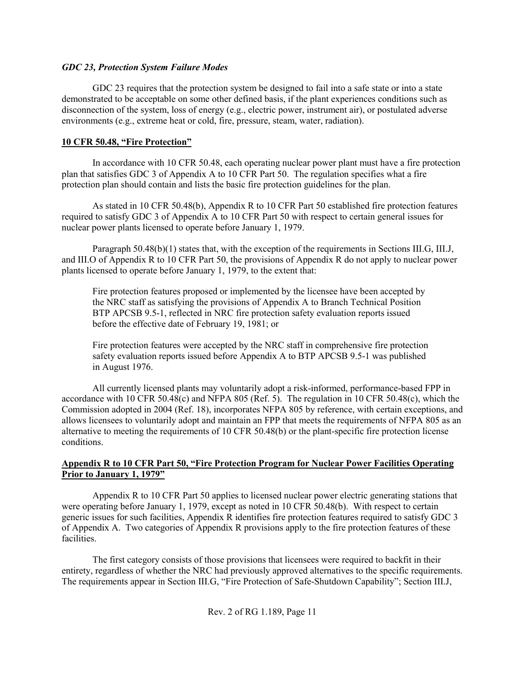#### *GDC 23, Protection System Failure Modes*

GDC 23 requires that the protection system be designed to fail into a safe state or into a state demonstrated to be acceptable on some other defined basis, if the plant experiences conditions such as disconnection of the system, loss of energy (e.g., electric power, instrument air), or postulated adverse environments (e.g., extreme heat or cold, fire, pressure, steam, water, radiation).

#### **10 CFR 50.48, "Fire Protection"**

In accordance with 10 CFR 50.48, each operating nuclear power plant must have a fire protection plan that satisfies GDC 3 of Appendix A to 10 CFR Part 50. The regulation specifies what a fire protection plan should contain and lists the basic fire protection guidelines for the plan.

As stated in 10 CFR 50.48(b), Appendix R to 10 CFR Part 50 established fire protection features required to satisfy GDC 3 of Appendix A to 10 CFR Part 50 with respect to certain general issues for nuclear power plants licensed to operate before January 1, 1979.

Paragraph 50.48(b)(1) states that, with the exception of the requirements in Sections III.G, III.J, and III.O of Appendix R to 10 CFR Part 50, the provisions of Appendix R do not apply to nuclear power plants licensed to operate before January 1, 1979, to the extent that:

Fire protection features proposed or implemented by the licensee have been accepted by the NRC staff as satisfying the provisions of Appendix A to Branch Technical Position BTP APCSB 9.5-1, reflected in NRC fire protection safety evaluation reports issued before the effective date of February 19, 1981; or

Fire protection features were accepted by the NRC staff in comprehensive fire protection safety evaluation reports issued before Appendix A to BTP APCSB 9.5-1 was published in August 1976.

All currently licensed plants may voluntarily adopt a risk-informed, performance-based FPP in accordance with 10 CFR 50.48 $(c)$  and NFPA 805 (Ref. 5). The regulation in 10 CFR 50.48 $(c)$ , which the Commission adopted in 2004 (Ref. 18), incorporates NFPA 805 by reference, with certain exceptions, and allows licensees to voluntarily adopt and maintain an FPP that meets the requirements of NFPA 805 as an alternative to meeting the requirements of 10 CFR 50.48(b) or the plant-specific fire protection license conditions.

#### **Appendix R to 10 CFR Part 50, "Fire Protection Program for Nuclear Power Facilities Operating Prior to January 1, 1979"**

Appendix R to 10 CFR Part 50 applies to licensed nuclear power electric generating stations that were operating before January 1, 1979, except as noted in 10 CFR 50.48(b). With respect to certain generic issues for such facilities, Appendix R identifies fire protection features required to satisfy GDC 3 of Appendix A. Two categories of Appendix R provisions apply to the fire protection features of these facilities.

The first category consists of those provisions that licensees were required to backfit in their entirety, regardless of whether the NRC had previously approved alternatives to the specific requirements. The requirements appear in Section III.G, "Fire Protection of Safe-Shutdown Capability"; Section III.J,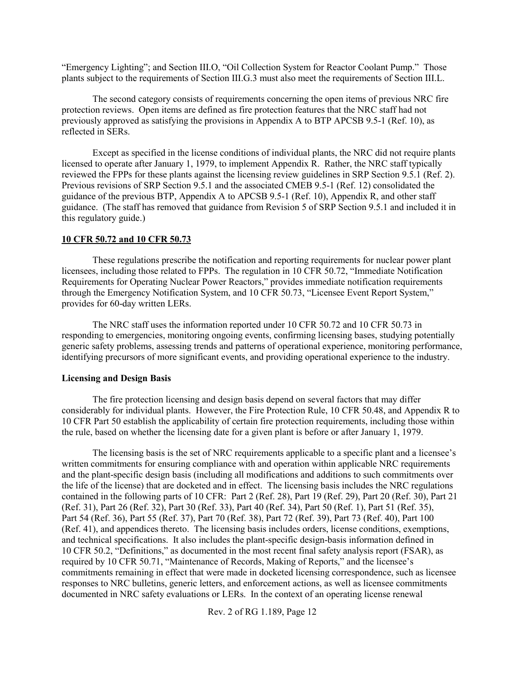"Emergency Lighting"; and Section III.O, "Oil Collection System for Reactor Coolant Pump." Those plants subject to the requirements of Section III.G.3 must also meet the requirements of Section III.L.

The second category consists of requirements concerning the open items of previous NRC fire protection reviews. Open items are defined as fire protection features that the NRC staff had not previously approved as satisfying the provisions in Appendix A to BTP APCSB 9.5-1 (Ref. 10), as reflected in SERs.

Except as specified in the license conditions of individual plants, the NRC did not require plants licensed to operate after January 1, 1979, to implement Appendix R. Rather, the NRC staff typically reviewed the FPPs for these plants against the licensing review guidelines in SRP Section 9.5.1 (Ref. 2). Previous revisions of SRP Section 9.5.1 and the associated CMEB 9.5-1 (Ref. 12) consolidated the guidance of the previous BTP, Appendix A to APCSB 9.5-1 (Ref. 10), Appendix R, and other staff guidance. (The staff has removed that guidance from Revision 5 of SRP Section 9.5.1 and included it in this regulatory guide.)

#### **10 CFR 50.72 and 10 CFR 50.73**

These regulations prescribe the notification and reporting requirements for nuclear power plant licensees, including those related to FPPs. The regulation in 10 CFR 50.72, "Immediate Notification Requirements for Operating Nuclear Power Reactors," provides immediate notification requirements through the Emergency Notification System, and 10 CFR 50.73, "Licensee Event Report System," provides for 60-day written LERs.

The NRC staff uses the information reported under 10 CFR 50.72 and 10 CFR 50.73 in responding to emergencies, monitoring ongoing events, confirming licensing bases, studying potentially generic safety problems, assessing trends and patterns of operational experience, monitoring performance, identifying precursors of more significant events, and providing operational experience to the industry.

#### **Licensing and Design Basis**

The fire protection licensing and design basis depend on several factors that may differ considerably for individual plants. However, the Fire Protection Rule, 10 CFR 50.48, and Appendix R to 10 CFR Part 50 establish the applicability of certain fire protection requirements, including those within the rule, based on whether the licensing date for a given plant is before or after January 1, 1979.

The licensing basis is the set of NRC requirements applicable to a specific plant and a licensee's written commitments for ensuring compliance with and operation within applicable NRC requirements and the plant-specific design basis (including all modifications and additions to such commitments over the life of the license) that are docketed and in effect. The licensing basis includes the NRC regulations contained in the following parts of 10 CFR: Part 2 (Ref. 28), Part 19 (Ref. 29), Part 20 (Ref. 30), Part 21 (Ref. 31), Part 26 (Ref. 32), Part 30 (Ref. 33), Part 40 (Ref. 34), Part 50 (Ref. 1), Part 51 (Ref. 35), Part 54 (Ref. 36), Part 55 (Ref. 37), Part 70 (Ref. 38), Part 72 (Ref. 39), Part 73 (Ref. 40), Part 100 (Ref. 41), and appendices thereto. The licensing basis includes orders, license conditions, exemptions, and technical specifications. It also includes the plant-specific design-basis information defined in 10 CFR 50.2, "Definitions," as documented in the most recent final safety analysis report (FSAR), as required by 10 CFR 50.71, "Maintenance of Records, Making of Reports," and the licensee's commitments remaining in effect that were made in docketed licensing correspondence, such as licensee responses to NRC bulletins, generic letters, and enforcement actions, as well as licensee commitments documented in NRC safety evaluations or LERs. In the context of an operating license renewal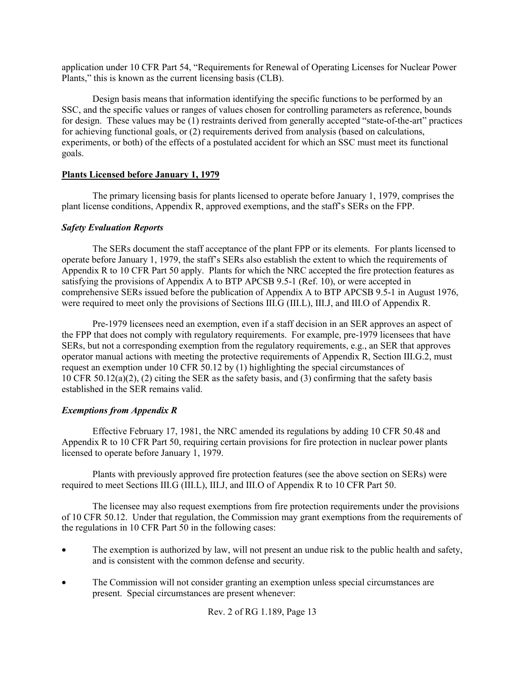application under 10 CFR Part 54, "Requirements for Renewal of Operating Licenses for Nuclear Power Plants," this is known as the current licensing basis (CLB).

Design basis means that information identifying the specific functions to be performed by an SSC, and the specific values or ranges of values chosen for controlling parameters as reference, bounds for design. These values may be (1) restraints derived from generally accepted "state-of-the-art" practices for achieving functional goals, or (2) requirements derived from analysis (based on calculations, experiments, or both) of the effects of a postulated accident for which an SSC must meet its functional goals.

#### **Plants Licensed before January 1, 1979**

The primary licensing basis for plants licensed to operate before January 1, 1979, comprises the plant license conditions, Appendix R, approved exemptions, and the staff's SERs on the FPP.

#### *Safety Evaluation Reports*

The SERs document the staff acceptance of the plant FPP or its elements. For plants licensed to operate before January 1, 1979, the staff's SERs also establish the extent to which the requirements of Appendix R to 10 CFR Part 50 apply. Plants for which the NRC accepted the fire protection features as satisfying the provisions of Appendix A to BTP APCSB 9.5-1 (Ref. 10), or were accepted in comprehensive SERs issued before the publication of Appendix A to BTP APCSB 9.5-1 in August 1976, were required to meet only the provisions of Sections III.G (III.L), III.J, and III.O of Appendix R.

Pre-1979 licensees need an exemption, even if a staff decision in an SER approves an aspect of the FPP that does not comply with regulatory requirements. For example, pre-1979 licensees that have SERs, but not a corresponding exemption from the regulatory requirements, e.g., an SER that approves operator manual actions with meeting the protective requirements of Appendix R, Section III.G.2, must request an exemption under 10 CFR 50.12 by (1) highlighting the special circumstances of 10 CFR 50.12(a)(2), (2) citing the SER as the safety basis, and (3) confirming that the safety basis established in the SER remains valid.

#### *Exemptions from Appendix R*

Effective February 17, 1981, the NRC amended its regulations by adding 10 CFR 50.48 and Appendix R to 10 CFR Part 50, requiring certain provisions for fire protection in nuclear power plants licensed to operate before January 1, 1979.

Plants with previously approved fire protection features (see the above section on SERs) were required to meet Sections III.G (III.L), III.J, and III.O of Appendix R to 10 CFR Part 50.

The licensee may also request exemptions from fire protection requirements under the provisions of 10 CFR 50.12. Under that regulation, the Commission may grant exemptions from the requirements of the regulations in 10 CFR Part 50 in the following cases:

- The exemption is authorized by law, will not present an undue risk to the public health and safety, and is consistent with the common defense and security.
- The Commission will not consider granting an exemption unless special circumstances are present. Special circumstances are present whenever:

Rev. 2 of RG 1.189, Page 13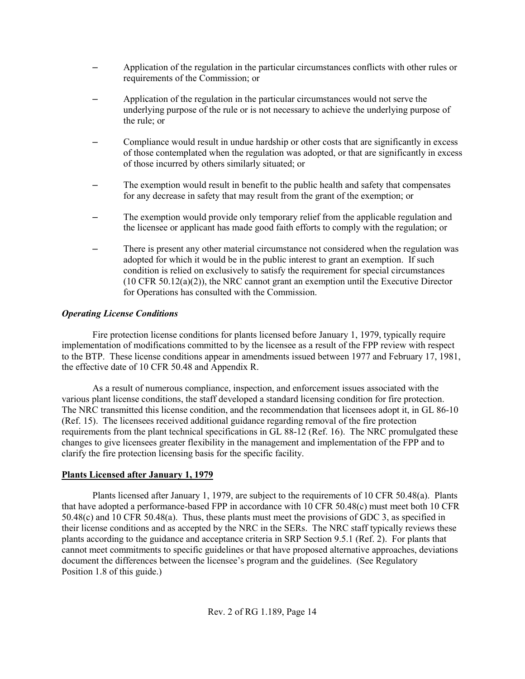- Application of the regulation in the particular circumstances conflicts with other rules or requirements of the Commission; or
- Application of the regulation in the particular circumstances would not serve the underlying purpose of the rule or is not necessary to achieve the underlying purpose of the rule; or
- Compliance would result in undue hardship or other costs that are significantly in excess of those contemplated when the regulation was adopted, or that are significantly in excess of those incurred by others similarly situated; or
- The exemption would result in benefit to the public health and safety that compensates for any decrease in safety that may result from the grant of the exemption; or
- The exemption would provide only temporary relief from the applicable regulation and the licensee or applicant has made good faith efforts to comply with the regulation; or
- There is present any other material circumstance not considered when the regulation was adopted for which it would be in the public interest to grant an exemption. If such condition is relied on exclusively to satisfy the requirement for special circumstances  $(10 \text{ CFR } 50.12(a)(2))$ , the NRC cannot grant an exemption until the Executive Director for Operations has consulted with the Commission.

## *Operating License Conditions*

Fire protection license conditions for plants licensed before January 1, 1979, typically require implementation of modifications committed to by the licensee as a result of the FPP review with respect to the BTP. These license conditions appear in amendments issued between 1977 and February 17, 1981, the effective date of 10 CFR 50.48 and Appendix R.

As a result of numerous compliance, inspection, and enforcement issues associated with the various plant license conditions, the staff developed a standard licensing condition for fire protection. The NRC transmitted this license condition, and the recommendation that licensees adopt it, in GL 86-10 (Ref. 15). The licensees received additional guidance regarding removal of the fire protection requirements from the plant technical specifications in GL 88-12 (Ref. 16). The NRC promulgated these changes to give licensees greater flexibility in the management and implementation of the FPP and to clarify the fire protection licensing basis for the specific facility.

#### **Plants Licensed after January 1, 1979**

Plants licensed after January 1, 1979, are subject to the requirements of 10 CFR 50.48(a). Plants that have adopted a performance-based FPP in accordance with 10 CFR 50.48(c) must meet both 10 CFR 50.48(c) and 10 CFR 50.48(a). Thus, these plants must meet the provisions of GDC 3, as specified in their license conditions and as accepted by the NRC in the SERs. The NRC staff typically reviews these plants according to the guidance and acceptance criteria in SRP Section 9.5.1 (Ref. 2). For plants that cannot meet commitments to specific guidelines or that have proposed alternative approaches, deviations document the differences between the licensee's program and the guidelines. (See Regulatory Position 1.8 of this guide.)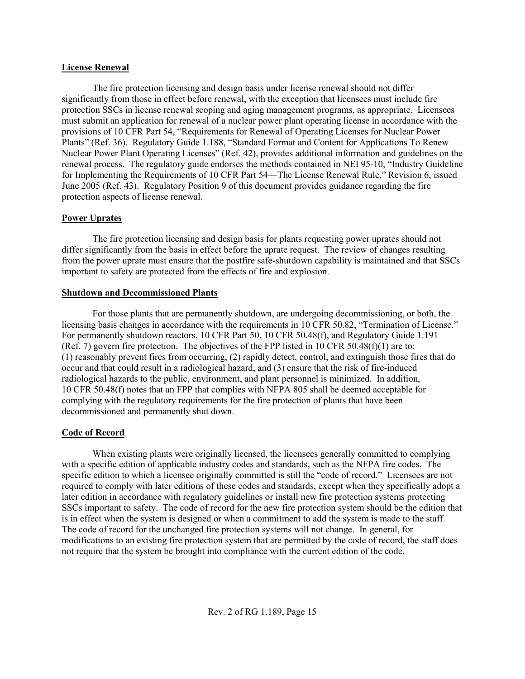#### **License Renewal**

The fire protection licensing and design basis under license renewal should not differ significantly from those in effect before renewal, with the exception that licensees must include fire protection SSCs in license renewal scoping and aging management programs, as appropriate. Licensees must submit an application for renewal of a nuclear power plant operating license in accordance with the provisions of 10 CFR Part 54, "Requirements for Renewal of Operating Licenses for Nuclear Power Plants" (Ref. 36). Regulatory Guide 1.188, "Standard Format and Content for Applications To Renew Nuclear Power Plant Operating Licenses" (Ref. 42), provides additional information and guidelines on the renewal process. The regulatory guide endorses the methods contained in NEI 95-10, "Industry Guideline for Implementing the Requirements of 10 CFR Part 54—The License Renewal Rule," Revision 6, issued June 2005 (Ref. 43). Regulatory Position 9 of this document provides guidance regarding the fire protection aspects of license renewal.

#### **Power Uprates**

The fire protection licensing and design basis for plants requesting power uprates should not differ significantly from the basis in effect before the uprate request. The review of changes resulting from the power uprate must ensure that the postfire safe-shutdown capability is maintained and that SSCs important to safety are protected from the effects of fire and explosion.

#### **Shutdown and Decommissioned Plants**

For those plants that are permanently shutdown, are undergoing decommissioning, or both, the licensing basis changes in accordance with the requirements in 10 CFR 50.82, "Termination of License." For permanently shutdown reactors, 10 CFR Part 50, 10 CFR 50.48(f), and Regulatory Guide 1.191 (Ref. 7) govern fire protection. The objectives of the FPP listed in 10 CFR 50.48(f)(1) are to: (1) reasonably prevent fires from occurring, (2) rapidly detect, control, and extinguish those fires that do occur and that could result in a radiological hazard, and (3) ensure that the risk of fire-induced radiological hazards to the public, environment, and plant personnel is minimized. In addition, 10 CFR 50.48(f) notes that an FPP that complies with NFPA 805 shall be deemed acceptable for complying with the regulatory requirements for the fire protection of plants that have been decommissioned and permanently shut down.

#### **Code of Record**

When existing plants were originally licensed, the licensees generally committed to complying with a specific edition of applicable industry codes and standards, such as the NFPA fire codes. The specific edition to which a licensee originally committed is still the "code of record." Licensees are not required to comply with later editions of these codes and standards, except when they specifically adopt a later edition in accordance with regulatory guidelines or install new fire protection systems protecting SSCs important to safety. The code of record for the new fire protection system should be the edition that is in effect when the system is designed or when a commitment to add the system is made to the staff. The code of record for the unchanged fire protection systems will not change. In general, for modifications to an existing fire protection system that are permitted by the code of record, the staff does not require that the system be brought into compliance with the current edition of the code.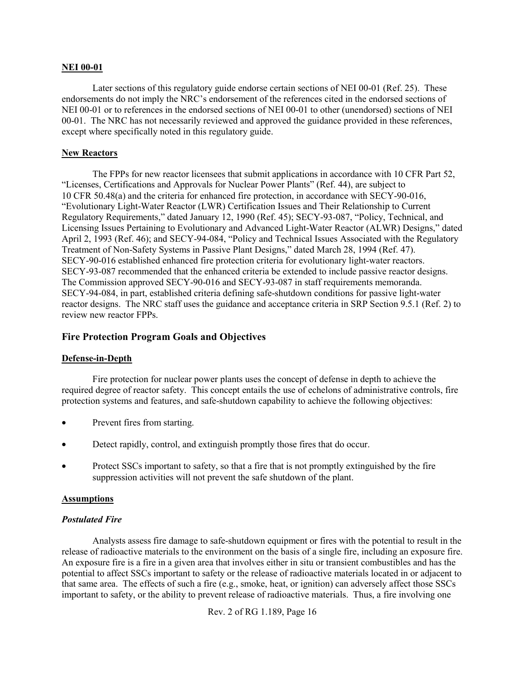#### **NEI 00-01**

Later sections of this regulatory guide endorse certain sections of NEI 00-01 (Ref. 25). These endorsements do not imply the NRC's endorsement of the references cited in the endorsed sections of NEI 00-01 or to references in the endorsed sections of NEI 00-01 to other (unendorsed) sections of NEI 00-01. The NRC has not necessarily reviewed and approved the guidance provided in these references, except where specifically noted in this regulatory guide.

#### **New Reactors**

The FPPs for new reactor licensees that submit applications in accordance with 10 CFR Part 52, "Licenses, Certifications and Approvals for Nuclear Power Plants" (Ref. 44), are subject to 10 CFR 50.48(a) and the criteria for enhanced fire protection, in accordance with SECY-90-016, "Evolutionary Light-Water Reactor (LWR) Certification Issues and Their Relationship to Current Regulatory Requirements," dated January 12, 1990 (Ref. 45); SECY-93-087, "Policy, Technical, and Licensing Issues Pertaining to Evolutionary and Advanced Light-Water Reactor (ALWR) Designs," dated April 2, 1993 (Ref. 46); and SECY-94-084, "Policy and Technical Issues Associated with the Regulatory Treatment of Non-Safety Systems in Passive Plant Designs," dated March 28, 1994 (Ref. 47). SECY-90-016 established enhanced fire protection criteria for evolutionary light-water reactors. SECY-93-087 recommended that the enhanced criteria be extended to include passive reactor designs. The Commission approved SECY-90-016 and SECY-93-087 in staff requirements memoranda. SECY-94-084, in part, established criteria defining safe-shutdown conditions for passive light-water reactor designs. The NRC staff uses the guidance and acceptance criteria in SRP Section 9.5.1 (Ref. 2) to review new reactor FPPs.

#### **Fire Protection Program Goals and Objectives**

#### **Defense-in-Depth**

Fire protection for nuclear power plants uses the concept of defense in depth to achieve the required degree of reactor safety. This concept entails the use of echelons of administrative controls, fire protection systems and features, and safe-shutdown capability to achieve the following objectives:

- Prevent fires from starting.
- Detect rapidly, control, and extinguish promptly those fires that do occur.
- Protect SSCs important to safety, so that a fire that is not promptly extinguished by the fire suppression activities will not prevent the safe shutdown of the plant.

#### **Assumptions**

#### *Postulated Fire*

Analysts assess fire damage to safe-shutdown equipment or fires with the potential to result in the release of radioactive materials to the environment on the basis of a single fire, including an exposure fire. An exposure fire is a fire in a given area that involves either in situ or transient combustibles and has the potential to affect SSCs important to safety or the release of radioactive materials located in or adjacent to that same area. The effects of such a fire (e.g., smoke, heat, or ignition) can adversely affect those SSCs important to safety, or the ability to prevent release of radioactive materials. Thus, a fire involving one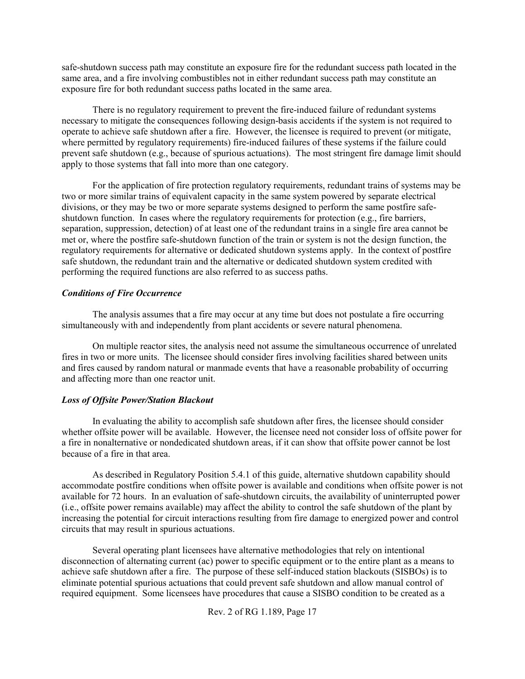safe-shutdown success path may constitute an exposure fire for the redundant success path located in the same area, and a fire involving combustibles not in either redundant success path may constitute an exposure fire for both redundant success paths located in the same area.

There is no regulatory requirement to prevent the fire-induced failure of redundant systems necessary to mitigate the consequences following design-basis accidents if the system is not required to operate to achieve safe shutdown after a fire. However, the licensee is required to prevent (or mitigate, where permitted by regulatory requirements) fire-induced failures of these systems if the failure could prevent safe shutdown (e.g., because of spurious actuations). The most stringent fire damage limit should apply to those systems that fall into more than one category.

For the application of fire protection regulatory requirements, redundant trains of systems may be two or more similar trains of equivalent capacity in the same system powered by separate electrical divisions, or they may be two or more separate systems designed to perform the same postfire safeshutdown function. In cases where the regulatory requirements for protection (e.g., fire barriers, separation, suppression, detection) of at least one of the redundant trains in a single fire area cannot be met or, where the postfire safe-shutdown function of the train or system is not the design function, the regulatory requirements for alternative or dedicated shutdown systems apply. In the context of postfire safe shutdown, the redundant train and the alternative or dedicated shutdown system credited with performing the required functions are also referred to as success paths.

#### *Conditions of Fire Occurrence*

The analysis assumes that a fire may occur at any time but does not postulate a fire occurring simultaneously with and independently from plant accidents or severe natural phenomena.

On multiple reactor sites, the analysis need not assume the simultaneous occurrence of unrelated fires in two or more units. The licensee should consider fires involving facilities shared between units and fires caused by random natural or manmade events that have a reasonable probability of occurring and affecting more than one reactor unit.

#### *Loss of Offsite Power/Station Blackout*

In evaluating the ability to accomplish safe shutdown after fires, the licensee should consider whether offsite power will be available. However, the licensee need not consider loss of offsite power for a fire in nonalternative or nondedicated shutdown areas, if it can show that offsite power cannot be lost because of a fire in that area.

As described in Regulatory Position 5.4.1 of this guide, alternative shutdown capability should accommodate postfire conditions when offsite power is available and conditions when offsite power is not available for 72 hours. In an evaluation of safe-shutdown circuits, the availability of uninterrupted power (i.e., offsite power remains available) may affect the ability to control the safe shutdown of the plant by increasing the potential for circuit interactions resulting from fire damage to energized power and control circuits that may result in spurious actuations.

Several operating plant licensees have alternative methodologies that rely on intentional disconnection of alternating current (ac) power to specific equipment or to the entire plant as a means to achieve safe shutdown after a fire. The purpose of these self-induced station blackouts (SISBOs) is to eliminate potential spurious actuations that could prevent safe shutdown and allow manual control of required equipment. Some licensees have procedures that cause a SISBO condition to be created as a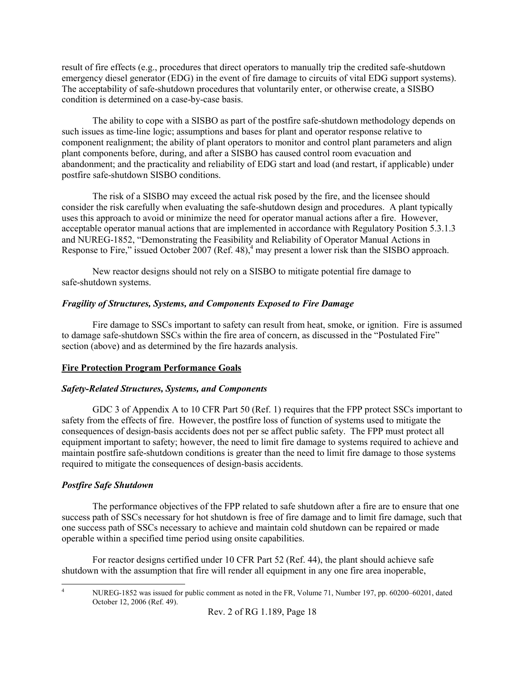result of fire effects (e.g., procedures that direct operators to manually trip the credited safe-shutdown emergency diesel generator (EDG) in the event of fire damage to circuits of vital EDG support systems). The acceptability of safe-shutdown procedures that voluntarily enter, or otherwise create, a SISBO condition is determined on a case-by-case basis.

The ability to cope with a SISBO as part of the postfire safe-shutdown methodology depends on such issues as time-line logic; assumptions and bases for plant and operator response relative to component realignment; the ability of plant operators to monitor and control plant parameters and align plant components before, during, and after a SISBO has caused control room evacuation and abandonment; and the practicality and reliability of EDG start and load (and restart, if applicable) under postfire safe-shutdown SISBO conditions.

The risk of a SISBO may exceed the actual risk posed by the fire, and the licensee should consider the risk carefully when evaluating the safe-shutdown design and procedures. A plant typically uses this approach to avoid or minimize the need for operator manual actions after a fire. However, acceptable operator manual actions that are implemented in accordance with Regulatory Position 5.3.1.3 and NUREG-1852, "Demonstrating the Feasibility and Reliability of Operator Manual Actions in Response to Fire," issued October 2007 (Ref. 48),<sup>4</sup> may present a lower risk than the SISBO approach.

New reactor designs should not rely on a SISBO to mitigate potential fire damage to safe-shutdown systems.

#### *Fragility of Structures, Systems, and Components Exposed to Fire Damage*

Fire damage to SSCs important to safety can result from heat, smoke, or ignition. Fire is assumed to damage safe-shutdown SSCs within the fire area of concern, as discussed in the "Postulated Fire" section (above) and as determined by the fire hazards analysis.

#### **Fire Protection Program Performance Goals**

#### *Safety-Related Structures, Systems, and Components*

GDC 3 of Appendix A to 10 CFR Part 50 (Ref. 1) requires that the FPP protect SSCs important to safety from the effects of fire. However, the postfire loss of function of systems used to mitigate the consequences of design-basis accidents does not per se affect public safety. The FPP must protect all equipment important to safety; however, the need to limit fire damage to systems required to achieve and maintain postfire safe-shutdown conditions is greater than the need to limit fire damage to those systems required to mitigate the consequences of design-basis accidents.

#### *Postfire Safe Shutdown*

The performance objectives of the FPP related to safe shutdown after a fire are to ensure that one success path of SSCs necessary for hot shutdown is free of fire damage and to limit fire damage, such that one success path of SSCs necessary to achieve and maintain cold shutdown can be repaired or made operable within a specified time period using onsite capabilities.

For reactor designs certified under 10 CFR Part 52 (Ref. 44), the plant should achieve safe shutdown with the assumption that fire will render all equipment in any one fire area inoperable,

 $\frac{1}{4}$ 

NUREG-1852 was issued for public comment as noted in the FR, Volume 71, Number 197, pp. 60200–60201, dated October 12, 2006 (Ref. 49).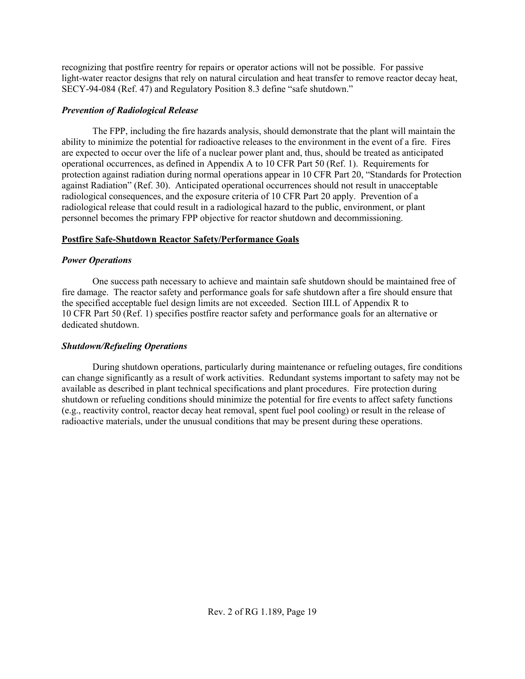recognizing that postfire reentry for repairs or operator actions will not be possible. For passive light-water reactor designs that rely on natural circulation and heat transfer to remove reactor decay heat, SECY-94-084 (Ref. 47) and Regulatory Position 8.3 define "safe shutdown."

#### *Prevention of Radiological Release*

The FPP, including the fire hazards analysis, should demonstrate that the plant will maintain the ability to minimize the potential for radioactive releases to the environment in the event of a fire. Fires are expected to occur over the life of a nuclear power plant and, thus, should be treated as anticipated operational occurrences, as defined in Appendix A to 10 CFR Part 50 (Ref. 1). Requirements for protection against radiation during normal operations appear in 10 CFR Part 20, "Standards for Protection against Radiation" (Ref. 30). Anticipated operational occurrences should not result in unacceptable radiological consequences, and the exposure criteria of 10 CFR Part 20 apply. Prevention of a radiological release that could result in a radiological hazard to the public, environment, or plant personnel becomes the primary FPP objective for reactor shutdown and decommissioning.

#### **Postfire Safe-Shutdown Reactor Safety/Performance Goals**

#### *Power Operations*

One success path necessary to achieve and maintain safe shutdown should be maintained free of fire damage. The reactor safety and performance goals for safe shutdown after a fire should ensure that the specified acceptable fuel design limits are not exceeded. Section III.L of Appendix R to 10 CFR Part 50 (Ref. 1) specifies postfire reactor safety and performance goals for an alternative or dedicated shutdown.

#### *Shutdown/Refueling Operations*

During shutdown operations, particularly during maintenance or refueling outages, fire conditions can change significantly as a result of work activities. Redundant systems important to safety may not be available as described in plant technical specifications and plant procedures. Fire protection during shutdown or refueling conditions should minimize the potential for fire events to affect safety functions (e.g., reactivity control, reactor decay heat removal, spent fuel pool cooling) or result in the release of radioactive materials, under the unusual conditions that may be present during these operations.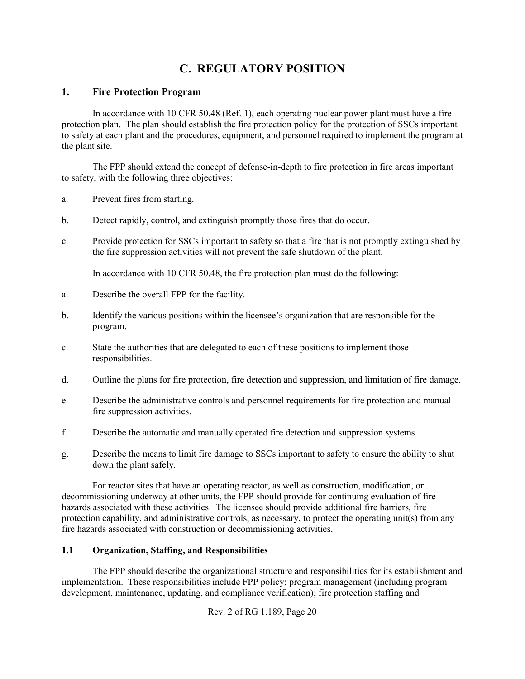# **C. REGULATORY POSITION**

## **1. Fire Protection Program**

In accordance with 10 CFR 50.48 (Ref. 1), each operating nuclear power plant must have a fire protection plan. The plan should establish the fire protection policy for the protection of SSCs important to safety at each plant and the procedures, equipment, and personnel required to implement the program at the plant site.

The FPP should extend the concept of defense-in-depth to fire protection in fire areas important to safety, with the following three objectives:

- a. Prevent fires from starting.
- b. Detect rapidly, control, and extinguish promptly those fires that do occur.
- c. Provide protection for SSCs important to safety so that a fire that is not promptly extinguished by the fire suppression activities will not prevent the safe shutdown of the plant.

In accordance with 10 CFR 50.48, the fire protection plan must do the following:

- a. Describe the overall FPP for the facility.
- b. Identify the various positions within the licensee's organization that are responsible for the program.
- c. State the authorities that are delegated to each of these positions to implement those responsibilities.
- d. Outline the plans for fire protection, fire detection and suppression, and limitation of fire damage.
- e. Describe the administrative controls and personnel requirements for fire protection and manual fire suppression activities.
- f. Describe the automatic and manually operated fire detection and suppression systems.
- g. Describe the means to limit fire damage to SSCs important to safety to ensure the ability to shut down the plant safely.

For reactor sites that have an operating reactor, as well as construction, modification, or decommissioning underway at other units, the FPP should provide for continuing evaluation of fire hazards associated with these activities. The licensee should provide additional fire barriers, fire protection capability, and administrative controls, as necessary, to protect the operating unit(s) from any fire hazards associated with construction or decommissioning activities.

#### **1.1 Organization, Staffing, and Responsibilities**

The FPP should describe the organizational structure and responsibilities for its establishment and implementation. These responsibilities include FPP policy; program management (including program development, maintenance, updating, and compliance verification); fire protection staffing and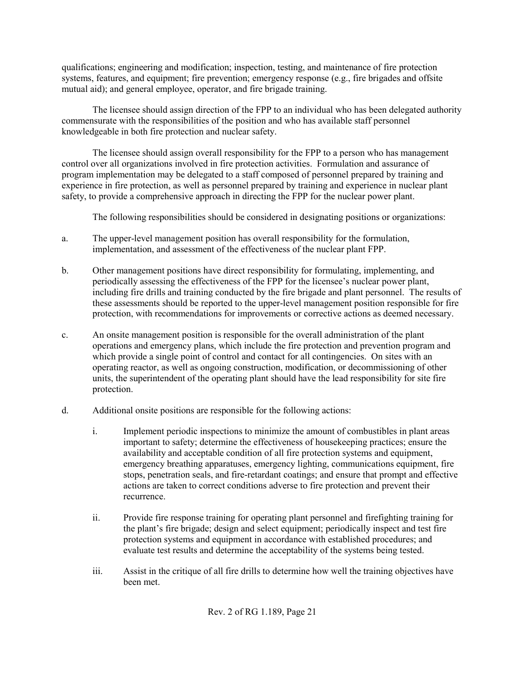qualifications; engineering and modification; inspection, testing, and maintenance of fire protection systems, features, and equipment; fire prevention; emergency response (e.g., fire brigades and offsite mutual aid); and general employee, operator, and fire brigade training.

The licensee should assign direction of the FPP to an individual who has been delegated authority commensurate with the responsibilities of the position and who has available staff personnel knowledgeable in both fire protection and nuclear safety.

The licensee should assign overall responsibility for the FPP to a person who has management control over all organizations involved in fire protection activities. Formulation and assurance of program implementation may be delegated to a staff composed of personnel prepared by training and experience in fire protection, as well as personnel prepared by training and experience in nuclear plant safety, to provide a comprehensive approach in directing the FPP for the nuclear power plant.

The following responsibilities should be considered in designating positions or organizations:

- a. The upper-level management position has overall responsibility for the formulation, implementation, and assessment of the effectiveness of the nuclear plant FPP.
- b. Other management positions have direct responsibility for formulating, implementing, and periodically assessing the effectiveness of the FPP for the licensee's nuclear power plant, including fire drills and training conducted by the fire brigade and plant personnel. The results of these assessments should be reported to the upper-level management position responsible for fire protection, with recommendations for improvements or corrective actions as deemed necessary.
- c. An onsite management position is responsible for the overall administration of the plant operations and emergency plans, which include the fire protection and prevention program and which provide a single point of control and contact for all contingencies. On sites with an operating reactor, as well as ongoing construction, modification, or decommissioning of other units, the superintendent of the operating plant should have the lead responsibility for site fire protection.
- d. Additional onsite positions are responsible for the following actions:
	- i. Implement periodic inspections to minimize the amount of combustibles in plant areas important to safety; determine the effectiveness of housekeeping practices; ensure the availability and acceptable condition of all fire protection systems and equipment, emergency breathing apparatuses, emergency lighting, communications equipment, fire stops, penetration seals, and fire-retardant coatings; and ensure that prompt and effective actions are taken to correct conditions adverse to fire protection and prevent their recurrence.
	- ii. Provide fire response training for operating plant personnel and firefighting training for the plant's fire brigade; design and select equipment; periodically inspect and test fire protection systems and equipment in accordance with established procedures; and evaluate test results and determine the acceptability of the systems being tested.
	- iii. Assist in the critique of all fire drills to determine how well the training objectives have been met.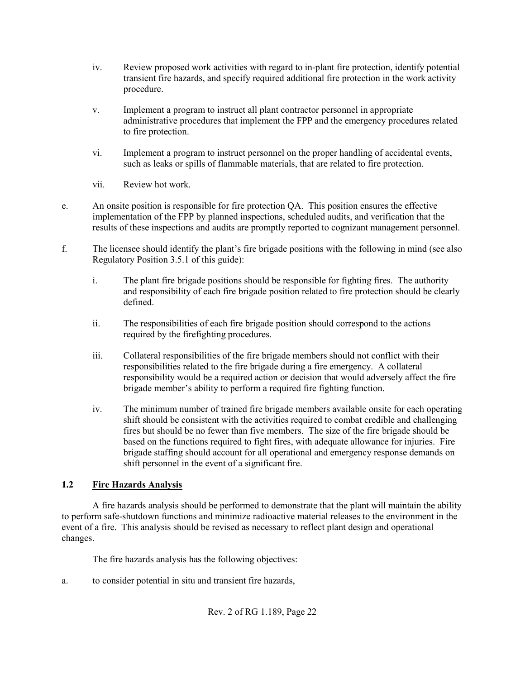- iv. Review proposed work activities with regard to in-plant fire protection, identify potential transient fire hazards, and specify required additional fire protection in the work activity procedure.
- v. Implement a program to instruct all plant contractor personnel in appropriate administrative procedures that implement the FPP and the emergency procedures related to fire protection.
- vi. Implement a program to instruct personnel on the proper handling of accidental events, such as leaks or spills of flammable materials, that are related to fire protection.
- vii. Review hot work.
- e. An onsite position is responsible for fire protection QA. This position ensures the effective implementation of the FPP by planned inspections, scheduled audits, and verification that the results of these inspections and audits are promptly reported to cognizant management personnel.
- f. The licensee should identify the plant's fire brigade positions with the following in mind (see also Regulatory Position 3.5.1 of this guide):
	- i. The plant fire brigade positions should be responsible for fighting fires. The authority and responsibility of each fire brigade position related to fire protection should be clearly defined.
	- ii. The responsibilities of each fire brigade position should correspond to the actions required by the firefighting procedures.
	- iii. Collateral responsibilities of the fire brigade members should not conflict with their responsibilities related to the fire brigade during a fire emergency. A collateral responsibility would be a required action or decision that would adversely affect the fire brigade member's ability to perform a required fire fighting function.
	- iv. The minimum number of trained fire brigade members available onsite for each operating shift should be consistent with the activities required to combat credible and challenging fires but should be no fewer than five members. The size of the fire brigade should be based on the functions required to fight fires, with adequate allowance for injuries. Fire brigade staffing should account for all operational and emergency response demands on shift personnel in the event of a significant fire.

# **1.2 Fire Hazards Analysis**

A fire hazards analysis should be performed to demonstrate that the plant will maintain the ability to perform safe-shutdown functions and minimize radioactive material releases to the environment in the event of a fire. This analysis should be revised as necessary to reflect plant design and operational changes.

The fire hazards analysis has the following objectives:

a. to consider potential in situ and transient fire hazards,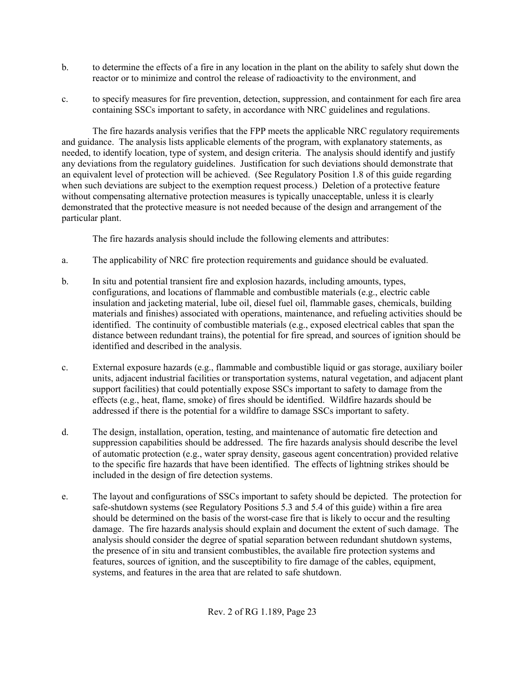- b. to determine the effects of a fire in any location in the plant on the ability to safely shut down the reactor or to minimize and control the release of radioactivity to the environment, and
- c. to specify measures for fire prevention, detection, suppression, and containment for each fire area containing SSCs important to safety, in accordance with NRC guidelines and regulations.

The fire hazards analysis verifies that the FPP meets the applicable NRC regulatory requirements and guidance. The analysis lists applicable elements of the program, with explanatory statements, as needed, to identify location, type of system, and design criteria. The analysis should identify and justify any deviations from the regulatory guidelines. Justification for such deviations should demonstrate that an equivalent level of protection will be achieved. (See Regulatory Position 1.8 of this guide regarding when such deviations are subject to the exemption request process.) Deletion of a protective feature without compensating alternative protection measures is typically unacceptable, unless it is clearly demonstrated that the protective measure is not needed because of the design and arrangement of the particular plant.

The fire hazards analysis should include the following elements and attributes:

- a. The applicability of NRC fire protection requirements and guidance should be evaluated.
- b. In situ and potential transient fire and explosion hazards, including amounts, types, configurations, and locations of flammable and combustible materials (e.g., electric cable insulation and jacketing material, lube oil, diesel fuel oil, flammable gases, chemicals, building materials and finishes) associated with operations, maintenance, and refueling activities should be identified. The continuity of combustible materials (e.g., exposed electrical cables that span the distance between redundant trains), the potential for fire spread, and sources of ignition should be identified and described in the analysis.
- c. External exposure hazards (e.g., flammable and combustible liquid or gas storage, auxiliary boiler units, adjacent industrial facilities or transportation systems, natural vegetation, and adjacent plant support facilities) that could potentially expose SSCs important to safety to damage from the effects (e.g., heat, flame, smoke) of fires should be identified. Wildfire hazards should be addressed if there is the potential for a wildfire to damage SSCs important to safety.
- d. The design, installation, operation, testing, and maintenance of automatic fire detection and suppression capabilities should be addressed. The fire hazards analysis should describe the level of automatic protection (e.g., water spray density, gaseous agent concentration) provided relative to the specific fire hazards that have been identified. The effects of lightning strikes should be included in the design of fire detection systems.
- e. The layout and configurations of SSCs important to safety should be depicted. The protection for safe-shutdown systems (see Regulatory Positions 5.3 and 5.4 of this guide) within a fire area should be determined on the basis of the worst-case fire that is likely to occur and the resulting damage. The fire hazards analysis should explain and document the extent of such damage. The analysis should consider the degree of spatial separation between redundant shutdown systems, the presence of in situ and transient combustibles, the available fire protection systems and features, sources of ignition, and the susceptibility to fire damage of the cables, equipment, systems, and features in the area that are related to safe shutdown.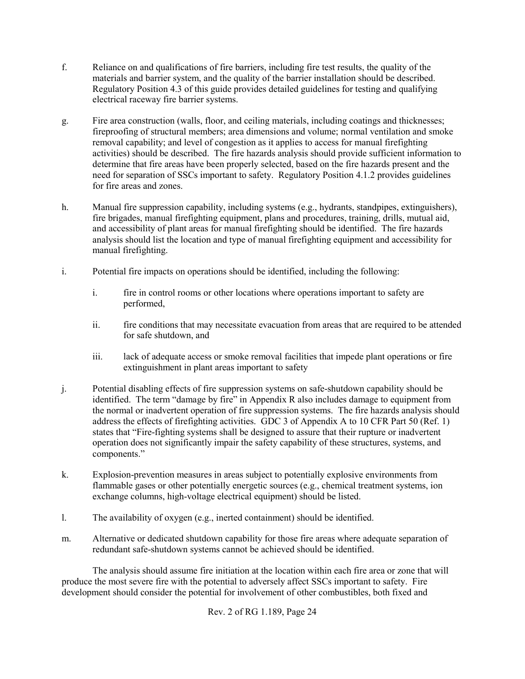- f. Reliance on and qualifications of fire barriers, including fire test results, the quality of the materials and barrier system, and the quality of the barrier installation should be described. Regulatory Position 4.3 of this guide provides detailed guidelines for testing and qualifying electrical raceway fire barrier systems.
- g. Fire area construction (walls, floor, and ceiling materials, including coatings and thicknesses; fireproofing of structural members; area dimensions and volume; normal ventilation and smoke removal capability; and level of congestion as it applies to access for manual firefighting activities) should be described. The fire hazards analysis should provide sufficient information to determine that fire areas have been properly selected, based on the fire hazards present and the need for separation of SSCs important to safety. Regulatory Position 4.1.2 provides guidelines for fire areas and zones.
- h. Manual fire suppression capability, including systems (e.g., hydrants, standpipes, extinguishers), fire brigades, manual firefighting equipment, plans and procedures, training, drills, mutual aid, and accessibility of plant areas for manual firefighting should be identified. The fire hazards analysis should list the location and type of manual firefighting equipment and accessibility for manual firefighting.
- i. Potential fire impacts on operations should be identified, including the following:
	- i. fire in control rooms or other locations where operations important to safety are performed,
	- ii. fire conditions that may necessitate evacuation from areas that are required to be attended for safe shutdown, and
	- iii. lack of adequate access or smoke removal facilities that impede plant operations or fire extinguishment in plant areas important to safety
- j. Potential disabling effects of fire suppression systems on safe-shutdown capability should be identified. The term "damage by fire" in Appendix R also includes damage to equipment from the normal or inadvertent operation of fire suppression systems. The fire hazards analysis should address the effects of firefighting activities. GDC 3 of Appendix A to 10 CFR Part 50 (Ref. 1) states that "Fire-fighting systems shall be designed to assure that their rupture or inadvertent operation does not significantly impair the safety capability of these structures, systems, and components."
- k. Explosion-prevention measures in areas subject to potentially explosive environments from flammable gases or other potentially energetic sources (e.g., chemical treatment systems, ion exchange columns, high-voltage electrical equipment) should be listed.
- l. The availability of oxygen (e.g., inerted containment) should be identified.
- m. Alternative or dedicated shutdown capability for those fire areas where adequate separation of redundant safe-shutdown systems cannot be achieved should be identified.

The analysis should assume fire initiation at the location within each fire area or zone that will produce the most severe fire with the potential to adversely affect SSCs important to safety. Fire development should consider the potential for involvement of other combustibles, both fixed and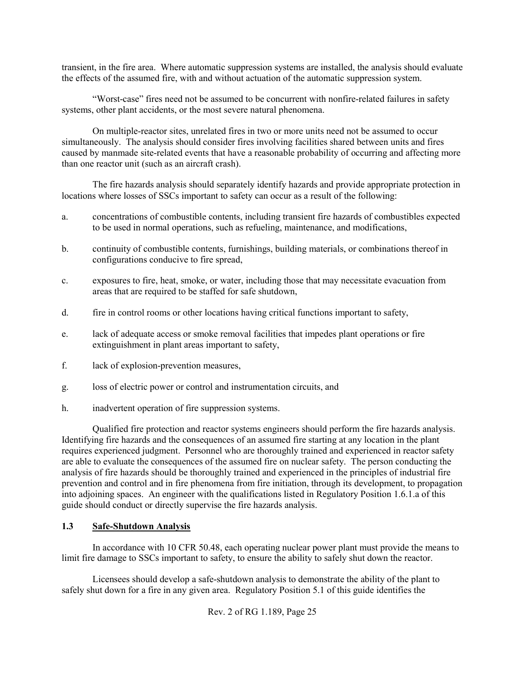transient, in the fire area. Where automatic suppression systems are installed, the analysis should evaluate the effects of the assumed fire, with and without actuation of the automatic suppression system.

"Worst-case" fires need not be assumed to be concurrent with nonfire-related failures in safety systems, other plant accidents, or the most severe natural phenomena.

On multiple-reactor sites, unrelated fires in two or more units need not be assumed to occur simultaneously. The analysis should consider fires involving facilities shared between units and fires caused by manmade site-related events that have a reasonable probability of occurring and affecting more than one reactor unit (such as an aircraft crash).

The fire hazards analysis should separately identify hazards and provide appropriate protection in locations where losses of SSCs important to safety can occur as a result of the following:

- a. concentrations of combustible contents, including transient fire hazards of combustibles expected to be used in normal operations, such as refueling, maintenance, and modifications,
- b. continuity of combustible contents, furnishings, building materials, or combinations thereof in configurations conducive to fire spread,
- c. exposures to fire, heat, smoke, or water, including those that may necessitate evacuation from areas that are required to be staffed for safe shutdown,
- d. fire in control rooms or other locations having critical functions important to safety,
- e. lack of adequate access or smoke removal facilities that impedes plant operations or fire extinguishment in plant areas important to safety,
- f. lack of explosion-prevention measures,
- g. loss of electric power or control and instrumentation circuits, and
- h. inadvertent operation of fire suppression systems.

Qualified fire protection and reactor systems engineers should perform the fire hazards analysis. Identifying fire hazards and the consequences of an assumed fire starting at any location in the plant requires experienced judgment. Personnel who are thoroughly trained and experienced in reactor safety are able to evaluate the consequences of the assumed fire on nuclear safety. The person conducting the analysis of fire hazards should be thoroughly trained and experienced in the principles of industrial fire prevention and control and in fire phenomena from fire initiation, through its development, to propagation into adjoining spaces. An engineer with the qualifications listed in Regulatory Position 1.6.1.a of this guide should conduct or directly supervise the fire hazards analysis.

#### **1.3 Safe-Shutdown Analysis**

In accordance with 10 CFR 50.48, each operating nuclear power plant must provide the means to limit fire damage to SSCs important to safety, to ensure the ability to safely shut down the reactor.

Licensees should develop a safe-shutdown analysis to demonstrate the ability of the plant to safely shut down for a fire in any given area. Regulatory Position 5.1 of this guide identifies the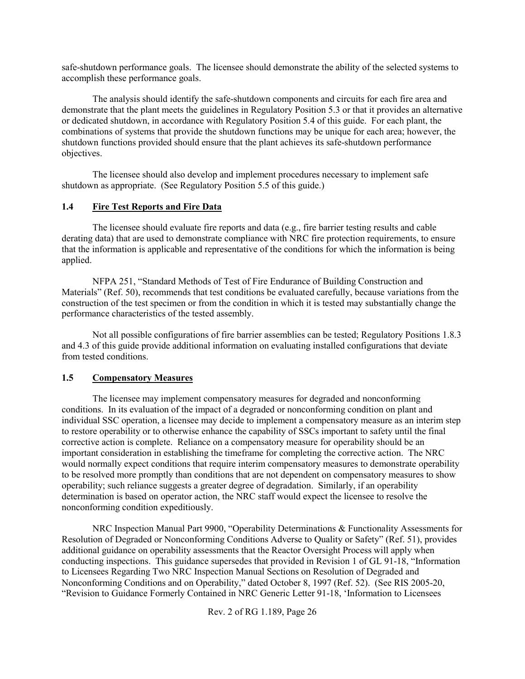safe-shutdown performance goals. The licensee should demonstrate the ability of the selected systems to accomplish these performance goals.

The analysis should identify the safe-shutdown components and circuits for each fire area and demonstrate that the plant meets the guidelines in Regulatory Position 5.3 or that it provides an alternative or dedicated shutdown, in accordance with Regulatory Position 5.4 of this guide. For each plant, the combinations of systems that provide the shutdown functions may be unique for each area; however, the shutdown functions provided should ensure that the plant achieves its safe-shutdown performance objectives.

The licensee should also develop and implement procedures necessary to implement safe shutdown as appropriate. (See Regulatory Position 5.5 of this guide.)

#### **1.4 Fire Test Reports and Fire Data**

The licensee should evaluate fire reports and data (e.g., fire barrier testing results and cable derating data) that are used to demonstrate compliance with NRC fire protection requirements, to ensure that the information is applicable and representative of the conditions for which the information is being applied.

NFPA 251, "Standard Methods of Test of Fire Endurance of Building Construction and Materials" (Ref. 50), recommends that test conditions be evaluated carefully, because variations from the construction of the test specimen or from the condition in which it is tested may substantially change the performance characteristics of the tested assembly.

Not all possible configurations of fire barrier assemblies can be tested; Regulatory Positions 1.8.3 and 4.3 of this guide provide additional information on evaluating installed configurations that deviate from tested conditions.

#### **1.5 Compensatory Measures**

The licensee may implement compensatory measures for degraded and nonconforming conditions. In its evaluation of the impact of a degraded or nonconforming condition on plant and individual SSC operation, a licensee may decide to implement a compensatory measure as an interim step to restore operability or to otherwise enhance the capability of SSCs important to safety until the final corrective action is complete. Reliance on a compensatory measure for operability should be an important consideration in establishing the timeframe for completing the corrective action. The NRC would normally expect conditions that require interim compensatory measures to demonstrate operability to be resolved more promptly than conditions that are not dependent on compensatory measures to show operability; such reliance suggests a greater degree of degradation. Similarly, if an operability determination is based on operator action, the NRC staff would expect the licensee to resolve the nonconforming condition expeditiously.

NRC Inspection Manual Part 9900, "Operability Determinations & Functionality Assessments for Resolution of Degraded or Nonconforming Conditions Adverse to Quality or Safety" (Ref. 51), provides additional guidance on operability assessments that the Reactor Oversight Process will apply when conducting inspections. This guidance supersedes that provided in Revision 1 of GL 91-18, "Information to Licensees Regarding Two NRC Inspection Manual Sections on Resolution of Degraded and Nonconforming Conditions and on Operability," dated October 8, 1997 (Ref. 52). (See RIS 2005-20, "Revision to Guidance Formerly Contained in NRC Generic Letter 91-18, 'Information to Licensees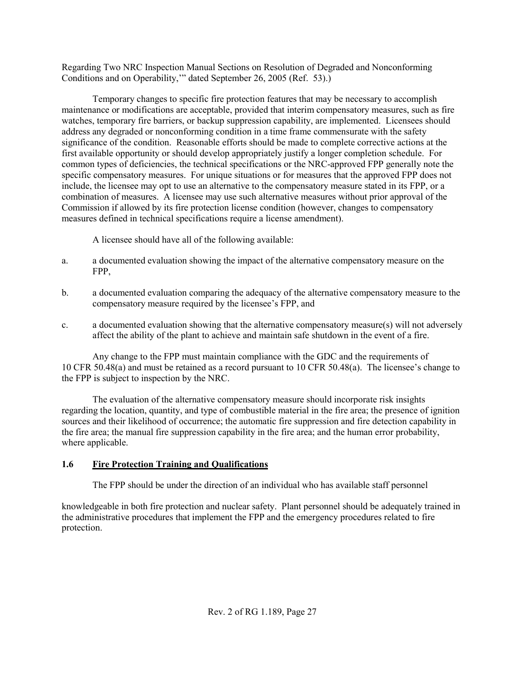Regarding Two NRC Inspection Manual Sections on Resolution of Degraded and Nonconforming Conditions and on Operability,'" dated September 26, 2005 (Ref. 53).)

Temporary changes to specific fire protection features that may be necessary to accomplish maintenance or modifications are acceptable, provided that interim compensatory measures, such as fire watches, temporary fire barriers, or backup suppression capability, are implemented. Licensees should address any degraded or nonconforming condition in a time frame commensurate with the safety significance of the condition. Reasonable efforts should be made to complete corrective actions at the first available opportunity or should develop appropriately justify a longer completion schedule. For common types of deficiencies, the technical specifications or the NRC-approved FPP generally note the specific compensatory measures. For unique situations or for measures that the approved FPP does not include, the licensee may opt to use an alternative to the compensatory measure stated in its FPP, or a combination of measures. A licensee may use such alternative measures without prior approval of the Commission if allowed by its fire protection license condition (however, changes to compensatory measures defined in technical specifications require a license amendment).

A licensee should have all of the following available:

- a. a documented evaluation showing the impact of the alternative compensatory measure on the FPP,
- b. a documented evaluation comparing the adequacy of the alternative compensatory measure to the compensatory measure required by the licensee's FPP, and
- c. a documented evaluation showing that the alternative compensatory measure(s) will not adversely affect the ability of the plant to achieve and maintain safe shutdown in the event of a fire.

Any change to the FPP must maintain compliance with the GDC and the requirements of 10 CFR 50.48(a) and must be retained as a record pursuant to 10 CFR 50.48(a). The licensee's change to the FPP is subject to inspection by the NRC.

The evaluation of the alternative compensatory measure should incorporate risk insights regarding the location, quantity, and type of combustible material in the fire area; the presence of ignition sources and their likelihood of occurrence; the automatic fire suppression and fire detection capability in the fire area; the manual fire suppression capability in the fire area; and the human error probability, where applicable.

# **1.6 Fire Protection Training and Qualifications**

The FPP should be under the direction of an individual who has available staff personnel

knowledgeable in both fire protection and nuclear safety. Plant personnel should be adequately trained in the administrative procedures that implement the FPP and the emergency procedures related to fire protection.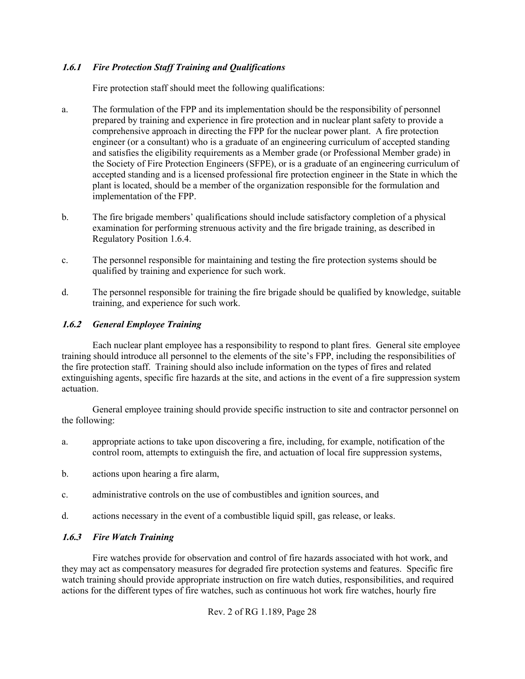#### **1.6.1** *Fire Protection Staff Training and Qualifications*

Fire protection staff should meet the following qualifications:

- a. The formulation of the FPP and its implementation should be the responsibility of personnel prepared by training and experience in fire protection and in nuclear plant safety to provide a comprehensive approach in directing the FPP for the nuclear power plant. A fire protection engineer (or a consultant) who is a graduate of an engineering curriculum of accepted standing and satisfies the eligibility requirements as a Member grade (or Professional Member grade) in the Society of Fire Protection Engineers (SFPE), or is a graduate of an engineering curriculum of accepted standing and is a licensed professional fire protection engineer in the State in which the plant is located, should be a member of the organization responsible for the formulation and implementation of the FPP.
- b. The fire brigade members' qualifications should include satisfactory completion of a physical examination for performing strenuous activity and the fire brigade training, as described in Regulatory Position 1.6.4.
- c. The personnel responsible for maintaining and testing the fire protection systems should be qualified by training and experience for such work.
- d. The personnel responsible for training the fire brigade should be qualified by knowledge, suitable training, and experience for such work.

#### **1.6.2** *General Employee Training*

Each nuclear plant employee has a responsibility to respond to plant fires. General site employee training should introduce all personnel to the elements of the site's FPP, including the responsibilities of the fire protection staff. Training should also include information on the types of fires and related extinguishing agents, specific fire hazards at the site, and actions in the event of a fire suppression system actuation.

General employee training should provide specific instruction to site and contractor personnel on the following:

- a. appropriate actions to take upon discovering a fire, including, for example, notification of the control room, attempts to extinguish the fire, and actuation of local fire suppression systems,
- b. actions upon hearing a fire alarm,
- c. administrative controls on the use of combustibles and ignition sources, and
- d. actions necessary in the event of a combustible liquid spill, gas release, or leaks.

#### **1.6.3** *Fire Watch Training*

Fire watches provide for observation and control of fire hazards associated with hot work, and they may act as compensatory measures for degraded fire protection systems and features. Specific fire watch training should provide appropriate instruction on fire watch duties, responsibilities, and required actions for the different types of fire watches, such as continuous hot work fire watches, hourly fire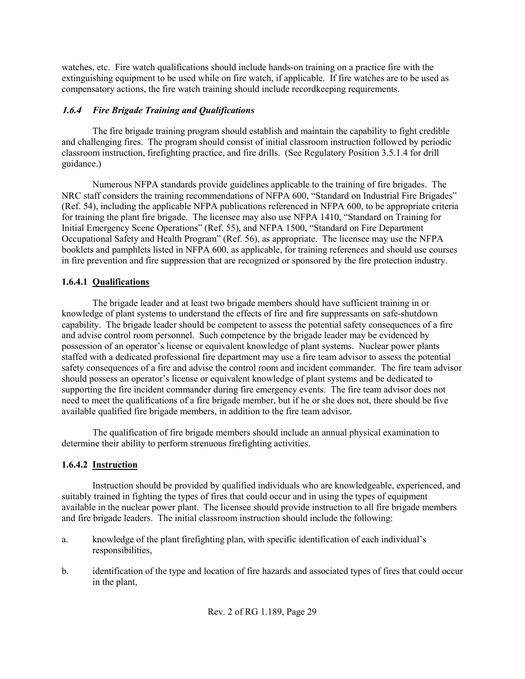watches, etc. Fire watch qualifications should include hands-on training on a practice fire with the extinguishing equipment to be used while on fire watch, if applicable. If fire watches are to be used as compensatory actions, the fire watch training should include recordkeeping requirements.

# **1.6.4** *Fire Brigade Training and Qualifications*

The fire brigade training program should establish and maintain the capability to fight credible and challenging fires. The program should consist of initial classroom instruction followed by periodic classroom instruction, firefighting practice, and fire drills. (See Regulatory Position 3.5.1.4 for drill guidance.)

Numerous NFPA standards provide guidelines applicable to the training of fire brigades. The NRC staff considers the training recommendations of NFPA 600, "Standard on Industrial Fire Brigades" (Ref. 54), including the applicable NFPA publications referenced in NFPA 600, to be appropriate criteria for training the plant fire brigade. The licensee may also use NFPA 1410, "Standard on Training for Initial Emergency Scene Operations" (Ref. 55), and NFPA 1500, "Standard on Fire Department Occupational Safety and Health Program" (Ref. 56), as appropriate. The licensee may use the NFPA booklets and pamphlets listed in NFPA 600, as applicable, for training references and should use courses in fire prevention and fire suppression that are recognized or sponsored by the fire protection industry.

# **1.6.4.1 Qualifications**

The brigade leader and at least two brigade members should have sufficient training in or knowledge of plant systems to understand the effects of fire and fire suppressants on safe-shutdown capability. The brigade leader should be competent to assess the potential safety consequences of a fire and advise control room personnel. Such competence by the brigade leader may be evidenced by possession of an operator's license or equivalent knowledge of plant systems. Nuclear power plants staffed with a dedicated professional fire department may use a fire team advisor to assess the potential safety consequences of a fire and advise the control room and incident commander. The fire team advisor should possess an operator's license or equivalent knowledge of plant systems and be dedicated to supporting the fire incident commander during fire emergency events. The fire team advisor does not need to meet the qualifications of a fire brigade member, but if he or she does not, there should be five available qualified fire brigade members, in addition to the fire team advisor.

The qualification of fire brigade members should include an annual physical examination to determine their ability to perform strenuous firefighting activities.

# **1.6.4.2 Instruction**

Instruction should be provided by qualified individuals who are knowledgeable, experienced, and suitably trained in fighting the types of fires that could occur and in using the types of equipment available in the nuclear power plant. The licensee should provide instruction to all fire brigade members and fire brigade leaders. The initial classroom instruction should include the following:

- a. knowledge of the plant firefighting plan, with specific identification of each individual's responsibilities,
- b. identification of the type and location of fire hazards and associated types of fires that could occur in the plant,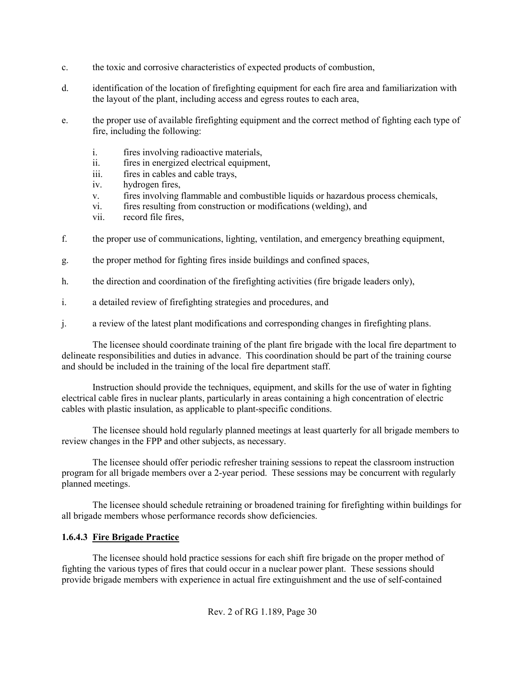- c. the toxic and corrosive characteristics of expected products of combustion,
- d. identification of the location of firefighting equipment for each fire area and familiarization with the layout of the plant, including access and egress routes to each area,
- e. the proper use of available firefighting equipment and the correct method of fighting each type of fire, including the following:
	- i. fires involving radioactive materials,
	- ii. fires in energized electrical equipment,
	- iii. fires in cables and cable trays,
	- iv. hydrogen fires,
	- v. fires involving flammable and combustible liquids or hazardous process chemicals,
	- vi. fires resulting from construction or modifications (welding), and
	- vii. record file fires,
- f. the proper use of communications, lighting, ventilation, and emergency breathing equipment,
- g. the proper method for fighting fires inside buildings and confined spaces,
- h. the direction and coordination of the firefighting activities (fire brigade leaders only),
- i. a detailed review of firefighting strategies and procedures, and
- j. a review of the latest plant modifications and corresponding changes in firefighting plans.

The licensee should coordinate training of the plant fire brigade with the local fire department to delineate responsibilities and duties in advance. This coordination should be part of the training course and should be included in the training of the local fire department staff.

Instruction should provide the techniques, equipment, and skills for the use of water in fighting electrical cable fires in nuclear plants, particularly in areas containing a high concentration of electric cables with plastic insulation, as applicable to plant-specific conditions.

The licensee should hold regularly planned meetings at least quarterly for all brigade members to review changes in the FPP and other subjects, as necessary.

The licensee should offer periodic refresher training sessions to repeat the classroom instruction program for all brigade members over a 2-year period. These sessions may be concurrent with regularly planned meetings.

The licensee should schedule retraining or broadened training for firefighting within buildings for all brigade members whose performance records show deficiencies.

# **1.6.4.3 Fire Brigade Practice**

The licensee should hold practice sessions for each shift fire brigade on the proper method of fighting the various types of fires that could occur in a nuclear power plant. These sessions should provide brigade members with experience in actual fire extinguishment and the use of self-contained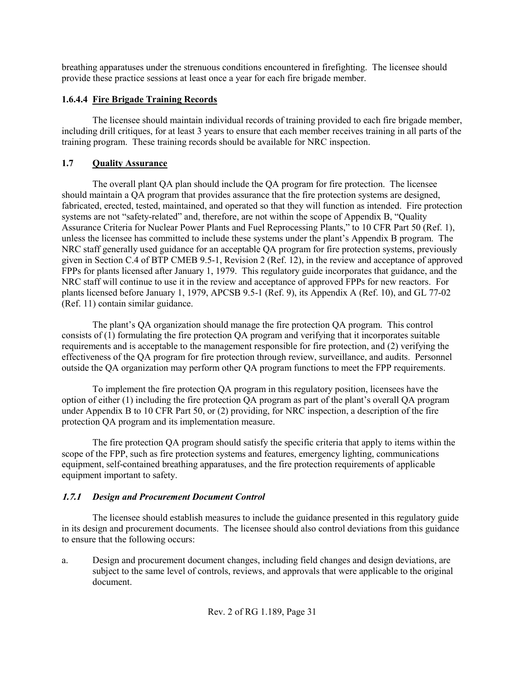breathing apparatuses under the strenuous conditions encountered in firefighting. The licensee should provide these practice sessions at least once a year for each fire brigade member.

# **1.6.4.4 Fire Brigade Training Records**

The licensee should maintain individual records of training provided to each fire brigade member, including drill critiques, for at least 3 years to ensure that each member receives training in all parts of the training program. These training records should be available for NRC inspection.

# **1.7 Quality Assurance**

The overall plant QA plan should include the QA program for fire protection. The licensee should maintain a QA program that provides assurance that the fire protection systems are designed, fabricated, erected, tested, maintained, and operated so that they will function as intended. Fire protection systems are not "safety-related" and, therefore, are not within the scope of Appendix B, "Quality Assurance Criteria for Nuclear Power Plants and Fuel Reprocessing Plants," to 10 CFR Part 50 (Ref. 1), unless the licensee has committed to include these systems under the plant's Appendix B program. The NRC staff generally used guidance for an acceptable QA program for fire protection systems, previously given in Section C.4 of BTP CMEB 9.5-1, Revision 2 (Ref. 12), in the review and acceptance of approved FPPs for plants licensed after January 1, 1979. This regulatory guide incorporates that guidance, and the NRC staff will continue to use it in the review and acceptance of approved FPPs for new reactors. For plants licensed before January 1, 1979, APCSB 9.5-1 (Ref. 9), its Appendix A (Ref. 10), and GL 77-02 (Ref. 11) contain similar guidance.

The plant's QA organization should manage the fire protection QA program. This control consists of (1) formulating the fire protection QA program and verifying that it incorporates suitable requirements and is acceptable to the management responsible for fire protection, and (2) verifying the effectiveness of the QA program for fire protection through review, surveillance, and audits. Personnel outside the QA organization may perform other QA program functions to meet the FPP requirements.

To implement the fire protection QA program in this regulatory position, licensees have the option of either (1) including the fire protection QA program as part of the plant's overall QA program under Appendix B to 10 CFR Part 50, or (2) providing, for NRC inspection, a description of the fire protection QA program and its implementation measure.

The fire protection QA program should satisfy the specific criteria that apply to items within the scope of the FPP, such as fire protection systems and features, emergency lighting, communications equipment, self-contained breathing apparatuses, and the fire protection requirements of applicable equipment important to safety.

# **1.7.1** *Design and Procurement Document Control*

The licensee should establish measures to include the guidance presented in this regulatory guide in its design and procurement documents. The licensee should also control deviations from this guidance to ensure that the following occurs:

a. Design and procurement document changes, including field changes and design deviations, are subject to the same level of controls, reviews, and approvals that were applicable to the original document.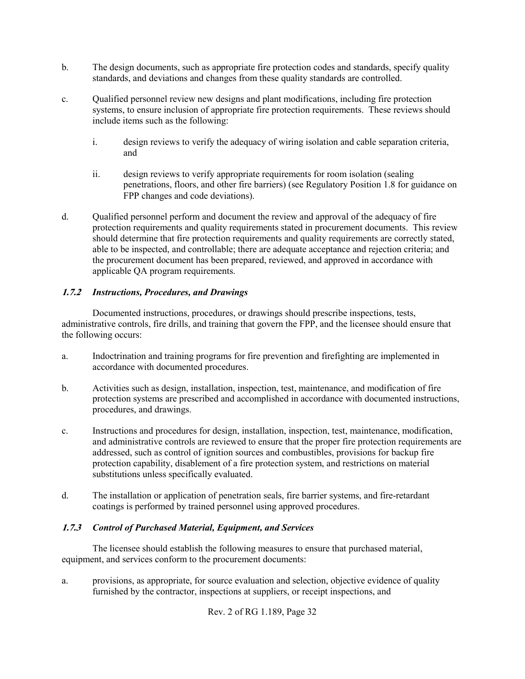- b. The design documents, such as appropriate fire protection codes and standards, specify quality standards, and deviations and changes from these quality standards are controlled.
- c. Qualified personnel review new designs and plant modifications, including fire protection systems, to ensure inclusion of appropriate fire protection requirements. These reviews should include items such as the following:
	- i. design reviews to verify the adequacy of wiring isolation and cable separation criteria, and
	- ii. design reviews to verify appropriate requirements for room isolation (sealing penetrations, floors, and other fire barriers) (see Regulatory Position 1.8 for guidance on FPP changes and code deviations).
- d. Qualified personnel perform and document the review and approval of the adequacy of fire protection requirements and quality requirements stated in procurement documents. This review should determine that fire protection requirements and quality requirements are correctly stated, able to be inspected, and controllable; there are adequate acceptance and rejection criteria; and the procurement document has been prepared, reviewed, and approved in accordance with applicable QA program requirements.

#### **1.7.2** *Instructions, Procedures, and Drawings*

Documented instructions, procedures, or drawings should prescribe inspections, tests, administrative controls, fire drills, and training that govern the FPP, and the licensee should ensure that the following occurs:

- a. Indoctrination and training programs for fire prevention and firefighting are implemented in accordance with documented procedures.
- b. Activities such as design, installation, inspection, test, maintenance, and modification of fire protection systems are prescribed and accomplished in accordance with documented instructions, procedures, and drawings.
- c. Instructions and procedures for design, installation, inspection, test, maintenance, modification, and administrative controls are reviewed to ensure that the proper fire protection requirements are addressed, such as control of ignition sources and combustibles, provisions for backup fire protection capability, disablement of a fire protection system, and restrictions on material substitutions unless specifically evaluated.
- d. The installation or application of penetration seals, fire barrier systems, and fire-retardant coatings is performed by trained personnel using approved procedures.

#### **1.7.3** *Control of Purchased Material, Equipment, and Services*

The licensee should establish the following measures to ensure that purchased material, equipment, and services conform to the procurement documents:

a. provisions, as appropriate, for source evaluation and selection, objective evidence of quality furnished by the contractor, inspections at suppliers, or receipt inspections, and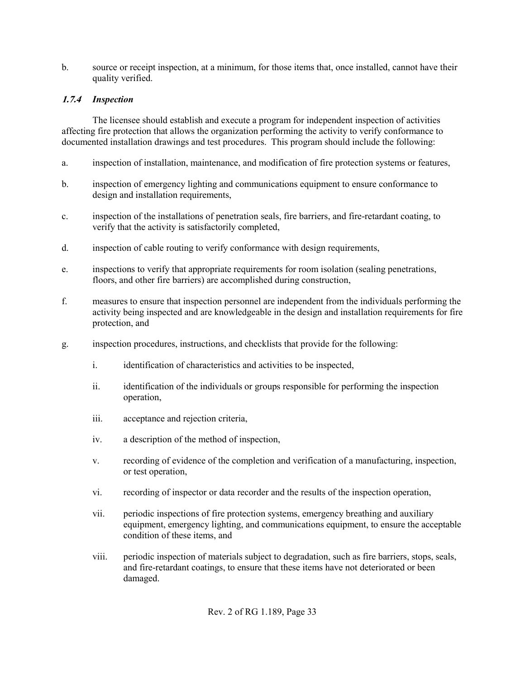b. source or receipt inspection, at a minimum, for those items that, once installed, cannot have their quality verified.

## **1.7.4** *Inspection*

The licensee should establish and execute a program for independent inspection of activities affecting fire protection that allows the organization performing the activity to verify conformance to documented installation drawings and test procedures. This program should include the following:

- a. inspection of installation, maintenance, and modification of fire protection systems or features,
- b. inspection of emergency lighting and communications equipment to ensure conformance to design and installation requirements,
- c. inspection of the installations of penetration seals, fire barriers, and fire-retardant coating, to verify that the activity is satisfactorily completed,
- d. inspection of cable routing to verify conformance with design requirements,
- e. inspections to verify that appropriate requirements for room isolation (sealing penetrations, floors, and other fire barriers) are accomplished during construction,
- f. measures to ensure that inspection personnel are independent from the individuals performing the activity being inspected and are knowledgeable in the design and installation requirements for fire protection, and
- g. inspection procedures, instructions, and checklists that provide for the following:
	- i. identification of characteristics and activities to be inspected,
	- ii. identification of the individuals or groups responsible for performing the inspection operation,
	- iii. acceptance and rejection criteria,
	- iv. a description of the method of inspection,
	- v. recording of evidence of the completion and verification of a manufacturing, inspection, or test operation,
	- vi. recording of inspector or data recorder and the results of the inspection operation,
	- vii. periodic inspections of fire protection systems, emergency breathing and auxiliary equipment, emergency lighting, and communications equipment, to ensure the acceptable condition of these items, and
	- viii. periodic inspection of materials subject to degradation, such as fire barriers, stops, seals, and fire-retardant coatings, to ensure that these items have not deteriorated or been damaged.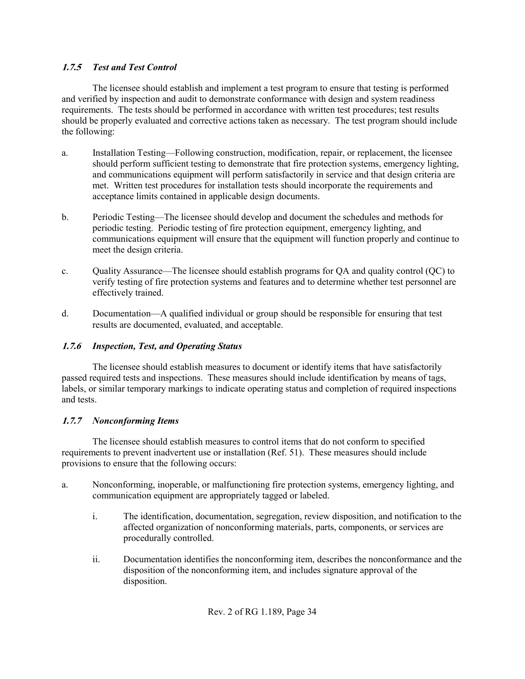## **1.7.5** *Test and Test Control*

The licensee should establish and implement a test program to ensure that testing is performed and verified by inspection and audit to demonstrate conformance with design and system readiness requirements. The tests should be performed in accordance with written test procedures; test results should be properly evaluated and corrective actions taken as necessary. The test program should include the following:

- a. Installation Testing—Following construction, modification, repair, or replacement, the licensee should perform sufficient testing to demonstrate that fire protection systems, emergency lighting, and communications equipment will perform satisfactorily in service and that design criteria are met. Written test procedures for installation tests should incorporate the requirements and acceptance limits contained in applicable design documents.
- b. Periodic Testing—The licensee should develop and document the schedules and methods for periodic testing. Periodic testing of fire protection equipment, emergency lighting, and communications equipment will ensure that the equipment will function properly and continue to meet the design criteria.
- c. Quality Assurance—The licensee should establish programs for QA and quality control (QC) to verify testing of fire protection systems and features and to determine whether test personnel are effectively trained.
- d. Documentation—A qualified individual or group should be responsible for ensuring that test results are documented, evaluated, and acceptable.

# **1.7.6** *Inspection, Test, and Operating Status*

The licensee should establish measures to document or identify items that have satisfactorily passed required tests and inspections. These measures should include identification by means of tags, labels, or similar temporary markings to indicate operating status and completion of required inspections and tests.

# **1.7.7** *Nonconforming Items*

The licensee should establish measures to control items that do not conform to specified requirements to prevent inadvertent use or installation (Ref. 51). These measures should include provisions to ensure that the following occurs:

- a. Nonconforming, inoperable, or malfunctioning fire protection systems, emergency lighting, and communication equipment are appropriately tagged or labeled.
	- i. The identification, documentation, segregation, review disposition, and notification to the affected organization of nonconforming materials, parts, components, or services are procedurally controlled.
	- ii. Documentation identifies the nonconforming item, describes the nonconformance and the disposition of the nonconforming item, and includes signature approval of the disposition.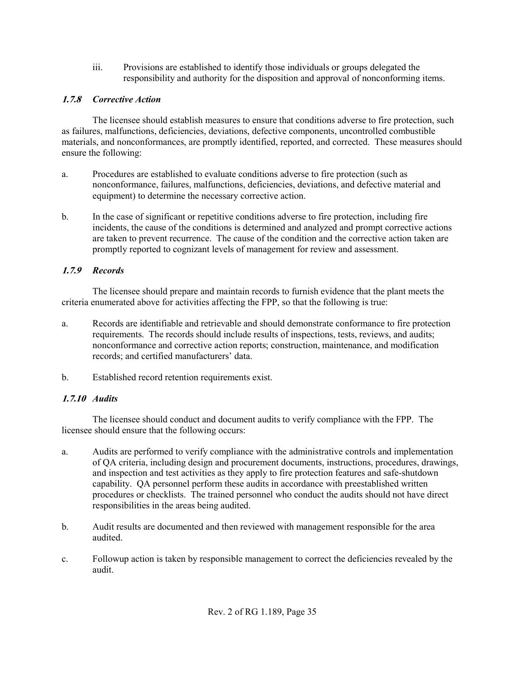iii. Provisions are established to identify those individuals or groups delegated the responsibility and authority for the disposition and approval of nonconforming items.

# **1.7.8** *Corrective Action*

The licensee should establish measures to ensure that conditions adverse to fire protection, such as failures, malfunctions, deficiencies, deviations, defective components, uncontrolled combustible materials, and nonconformances, are promptly identified, reported, and corrected. These measures should ensure the following:

- a. Procedures are established to evaluate conditions adverse to fire protection (such as nonconformance, failures, malfunctions, deficiencies, deviations, and defective material and equipment) to determine the necessary corrective action.
- b. In the case of significant or repetitive conditions adverse to fire protection, including fire incidents, the cause of the conditions is determined and analyzed and prompt corrective actions are taken to prevent recurrence. The cause of the condition and the corrective action taken are promptly reported to cognizant levels of management for review and assessment.

# **1.7.9** *Records*

The licensee should prepare and maintain records to furnish evidence that the plant meets the criteria enumerated above for activities affecting the FPP, so that the following is true:

- a. Records are identifiable and retrievable and should demonstrate conformance to fire protection requirements. The records should include results of inspections, tests, reviews, and audits; nonconformance and corrective action reports; construction, maintenance, and modification records; and certified manufacturers' data.
- b. Established record retention requirements exist.

# **1.7.10** *Audits*

The licensee should conduct and document audits to verify compliance with the FPP. The licensee should ensure that the following occurs:

- a. Audits are performed to verify compliance with the administrative controls and implementation of QA criteria, including design and procurement documents, instructions, procedures, drawings, and inspection and test activities as they apply to fire protection features and safe-shutdown capability. QA personnel perform these audits in accordance with preestablished written procedures or checklists. The trained personnel who conduct the audits should not have direct responsibilities in the areas being audited.
- b. Audit results are documented and then reviewed with management responsible for the area audited.
- c. Followup action is taken by responsible management to correct the deficiencies revealed by the audit.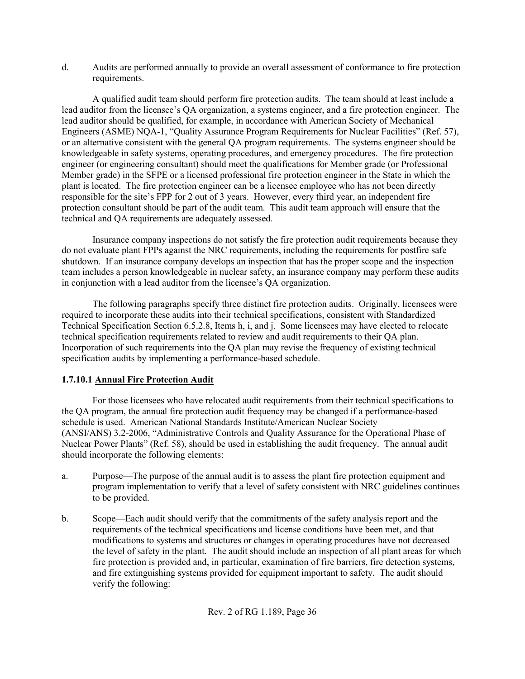d. Audits are performed annually to provide an overall assessment of conformance to fire protection requirements.

A qualified audit team should perform fire protection audits. The team should at least include a lead auditor from the licensee's QA organization, a systems engineer, and a fire protection engineer. The lead auditor should be qualified, for example, in accordance with American Society of Mechanical Engineers (ASME) NQA-1, "Quality Assurance Program Requirements for Nuclear Facilities" (Ref. 57), or an alternative consistent with the general QA program requirements. The systems engineer should be knowledgeable in safety systems, operating procedures, and emergency procedures. The fire protection engineer (or engineering consultant) should meet the qualifications for Member grade (or Professional Member grade) in the SFPE or a licensed professional fire protection engineer in the State in which the plant is located. The fire protection engineer can be a licensee employee who has not been directly responsible for the site's FPP for 2 out of 3 years. However, every third year, an independent fire protection consultant should be part of the audit team. This audit team approach will ensure that the technical and QA requirements are adequately assessed.

Insurance company inspections do not satisfy the fire protection audit requirements because they do not evaluate plant FPPs against the NRC requirements, including the requirements for postfire safe shutdown. If an insurance company develops an inspection that has the proper scope and the inspection team includes a person knowledgeable in nuclear safety, an insurance company may perform these audits in conjunction with a lead auditor from the licensee's QA organization.

The following paragraphs specify three distinct fire protection audits. Originally, licensees were required to incorporate these audits into their technical specifications, consistent with Standardized Technical Specification Section 6.5.2.8, Items h, i, and j. Some licensees may have elected to relocate technical specification requirements related to review and audit requirements to their QA plan. Incorporation of such requirements into the QA plan may revise the frequency of existing technical specification audits by implementing a performance-based schedule.

# **1.7.10.1 Annual Fire Protection Audit**

For those licensees who have relocated audit requirements from their technical specifications to the QA program, the annual fire protection audit frequency may be changed if a performance-based schedule is used. American National Standards Institute/American Nuclear Society (ANSI/ANS) 3.2-2006, "Administrative Controls and Quality Assurance for the Operational Phase of Nuclear Power Plants" (Ref. 58), should be used in establishing the audit frequency. The annual audit should incorporate the following elements:

- a. Purpose—The purpose of the annual audit is to assess the plant fire protection equipment and program implementation to verify that a level of safety consistent with NRC guidelines continues to be provided.
- b. Scope—Each audit should verify that the commitments of the safety analysis report and the requirements of the technical specifications and license conditions have been met, and that modifications to systems and structures or changes in operating procedures have not decreased the level of safety in the plant. The audit should include an inspection of all plant areas for which fire protection is provided and, in particular, examination of fire barriers, fire detection systems, and fire extinguishing systems provided for equipment important to safety. The audit should verify the following: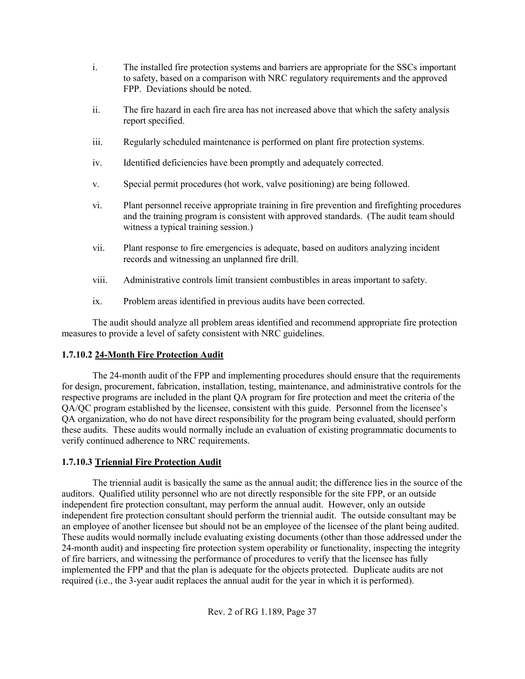- i. The installed fire protection systems and barriers are appropriate for the SSCs important to safety, based on a comparison with NRC regulatory requirements and the approved FPP. Deviations should be noted.
- ii. The fire hazard in each fire area has not increased above that which the safety analysis report specified.
- iii. Regularly scheduled maintenance is performed on plant fire protection systems.
- iv. Identified deficiencies have been promptly and adequately corrected.
- v. Special permit procedures (hot work, valve positioning) are being followed.
- vi. Plant personnel receive appropriate training in fire prevention and firefighting procedures and the training program is consistent with approved standards. (The audit team should witness a typical training session.)
- vii. Plant response to fire emergencies is adequate, based on auditors analyzing incident records and witnessing an unplanned fire drill.
- viii. Administrative controls limit transient combustibles in areas important to safety.
- ix. Problem areas identified in previous audits have been corrected.

The audit should analyze all problem areas identified and recommend appropriate fire protection measures to provide a level of safety consistent with NRC guidelines.

# **1.7.10.2 24-Month Fire Protection Audit**

The 24-month audit of the FPP and implementing procedures should ensure that the requirements for design, procurement, fabrication, installation, testing, maintenance, and administrative controls for the respective programs are included in the plant QA program for fire protection and meet the criteria of the QA/QC program established by the licensee, consistent with this guide. Personnel from the licensee's QA organization, who do not have direct responsibility for the program being evaluated, should perform these audits. These audits would normally include an evaluation of existing programmatic documents to verify continued adherence to NRC requirements.

# **1.7.10.3 Triennial Fire Protection Audit**

The triennial audit is basically the same as the annual audit; the difference lies in the source of the auditors. Qualified utility personnel who are not directly responsible for the site FPP, or an outside independent fire protection consultant, may perform the annual audit. However, only an outside independent fire protection consultant should perform the triennial audit. The outside consultant may be an employee of another licensee but should not be an employee of the licensee of the plant being audited. These audits would normally include evaluating existing documents (other than those addressed under the 24-month audit) and inspecting fire protection system operability or functionality, inspecting the integrity of fire barriers, and witnessing the performance of procedures to verify that the licensee has fully implemented the FPP and that the plan is adequate for the objects protected. Duplicate audits are not required (i.e., the 3-year audit replaces the annual audit for the year in which it is performed).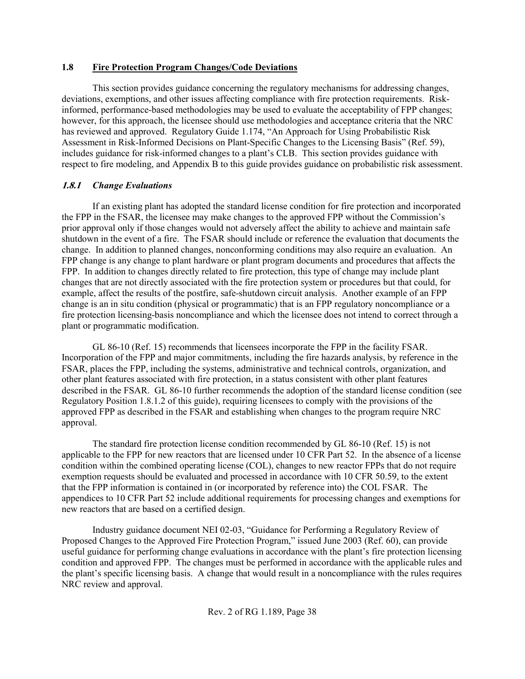### **1.8 Fire Protection Program Changes/Code Deviations**

This section provides guidance concerning the regulatory mechanisms for addressing changes, deviations, exemptions, and other issues affecting compliance with fire protection requirements. Riskinformed, performance-based methodologies may be used to evaluate the acceptability of FPP changes; however, for this approach, the licensee should use methodologies and acceptance criteria that the NRC has reviewed and approved. Regulatory Guide 1.174, "An Approach for Using Probabilistic Risk Assessment in Risk-Informed Decisions on Plant-Specific Changes to the Licensing Basis" (Ref. 59), includes guidance for risk-informed changes to a plant's CLB. This section provides guidance with respect to fire modeling, and Appendix B to this guide provides guidance on probabilistic risk assessment.

# **1.8.1** *Change Evaluations*

If an existing plant has adopted the standard license condition for fire protection and incorporated the FPP in the FSAR, the licensee may make changes to the approved FPP without the Commission's prior approval only if those changes would not adversely affect the ability to achieve and maintain safe shutdown in the event of a fire. The FSAR should include or reference the evaluation that documents the change. In addition to planned changes, nonconforming conditions may also require an evaluation. An FPP change is any change to plant hardware or plant program documents and procedures that affects the FPP. In addition to changes directly related to fire protection, this type of change may include plant changes that are not directly associated with the fire protection system or procedures but that could, for example, affect the results of the postfire, safe-shutdown circuit analysis. Another example of an FPP change is an in situ condition (physical or programmatic) that is an FPP regulatory noncompliance or a fire protection licensing-basis noncompliance and which the licensee does not intend to correct through a plant or programmatic modification.

GL 86-10 (Ref. 15) recommends that licensees incorporate the FPP in the facility FSAR. Incorporation of the FPP and major commitments, including the fire hazards analysis, by reference in the FSAR, places the FPP, including the systems, administrative and technical controls, organization, and other plant features associated with fire protection, in a status consistent with other plant features described in the FSAR. GL 86-10 further recommends the adoption of the standard license condition (see Regulatory Position 1.8.1.2 of this guide), requiring licensees to comply with the provisions of the approved FPP as described in the FSAR and establishing when changes to the program require NRC approval.

The standard fire protection license condition recommended by GL 86-10 (Ref. 15) is not applicable to the FPP for new reactors that are licensed under 10 CFR Part 52. In the absence of a license condition within the combined operating license (COL), changes to new reactor FPPs that do not require exemption requests should be evaluated and processed in accordance with 10 CFR 50.59, to the extent that the FPP information is contained in (or incorporated by reference into) the COL FSAR. The appendices to 10 CFR Part 52 include additional requirements for processing changes and exemptions for new reactors that are based on a certified design.

Industry guidance document NEI 02-03, "Guidance for Performing a Regulatory Review of Proposed Changes to the Approved Fire Protection Program," issued June 2003 (Ref. 60), can provide useful guidance for performing change evaluations in accordance with the plant's fire protection licensing condition and approved FPP. The changes must be performed in accordance with the applicable rules and the plant's specific licensing basis. A change that would result in a noncompliance with the rules requires NRC review and approval.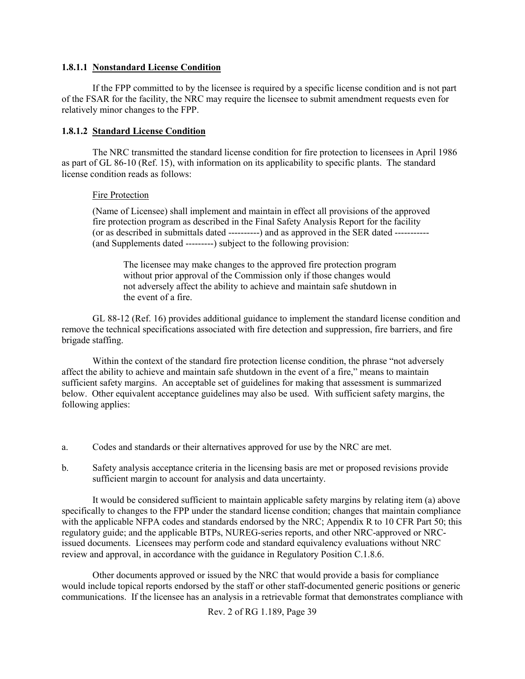#### **1.8.1.1 Nonstandard License Condition**

If the FPP committed to by the licensee is required by a specific license condition and is not part of the FSAR for the facility, the NRC may require the licensee to submit amendment requests even for relatively minor changes to the FPP.

### **1.8.1.2 Standard License Condition**

The NRC transmitted the standard license condition for fire protection to licensees in April 1986 as part of GL 86-10 (Ref. 15), with information on its applicability to specific plants. The standard license condition reads as follows:

### Fire Protection

(Name of Licensee) shall implement and maintain in effect all provisions of the approved fire protection program as described in the Final Safety Analysis Report for the facility (or as described in submittals dated ----------) and as approved in the SER dated ----------- (and Supplements dated ---------) subject to the following provision:

The licensee may make changes to the approved fire protection program without prior approval of the Commission only if those changes would not adversely affect the ability to achieve and maintain safe shutdown in the event of a fire.

GL 88-12 (Ref. 16) provides additional guidance to implement the standard license condition and remove the technical specifications associated with fire detection and suppression, fire barriers, and fire brigade staffing.

Within the context of the standard fire protection license condition, the phrase "not adversely affect the ability to achieve and maintain safe shutdown in the event of a fire," means to maintain sufficient safety margins. An acceptable set of guidelines for making that assessment is summarized below. Other equivalent acceptance guidelines may also be used. With sufficient safety margins, the following applies:

- a. Codes and standards or their alternatives approved for use by the NRC are met.
- b. Safety analysis acceptance criteria in the licensing basis are met or proposed revisions provide sufficient margin to account for analysis and data uncertainty.

It would be considered sufficient to maintain applicable safety margins by relating item (a) above specifically to changes to the FPP under the standard license condition; changes that maintain compliance with the applicable NFPA codes and standards endorsed by the NRC; Appendix R to 10 CFR Part 50; this regulatory guide; and the applicable BTPs, NUREG-series reports, and other NRC-approved or NRCissued documents. Licensees may perform code and standard equivalency evaluations without NRC review and approval, in accordance with the guidance in Regulatory Position C.1.8.6.

Other documents approved or issued by the NRC that would provide a basis for compliance would include topical reports endorsed by the staff or other staff-documented generic positions or generic communications. If the licensee has an analysis in a retrievable format that demonstrates compliance with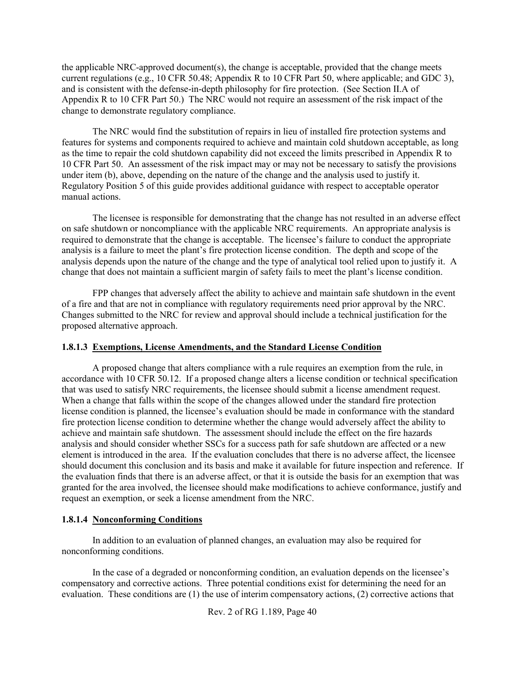the applicable NRC-approved document(s), the change is acceptable, provided that the change meets current regulations (e.g., 10 CFR 50.48; Appendix R to 10 CFR Part 50, where applicable; and GDC 3), and is consistent with the defense-in-depth philosophy for fire protection. (See Section II.A of Appendix R to 10 CFR Part 50.) The NRC would not require an assessment of the risk impact of the change to demonstrate regulatory compliance.

The NRC would find the substitution of repairs in lieu of installed fire protection systems and features for systems and components required to achieve and maintain cold shutdown acceptable, as long as the time to repair the cold shutdown capability did not exceed the limits prescribed in Appendix R to 10 CFR Part 50. An assessment of the risk impact may or may not be necessary to satisfy the provisions under item (b), above, depending on the nature of the change and the analysis used to justify it. Regulatory Position 5 of this guide provides additional guidance with respect to acceptable operator manual actions.

The licensee is responsible for demonstrating that the change has not resulted in an adverse effect on safe shutdown or noncompliance with the applicable NRC requirements. An appropriate analysis is required to demonstrate that the change is acceptable. The licensee's failure to conduct the appropriate analysis is a failure to meet the plant's fire protection license condition. The depth and scope of the analysis depends upon the nature of the change and the type of analytical tool relied upon to justify it. A change that does not maintain a sufficient margin of safety fails to meet the plant's license condition.

FPP changes that adversely affect the ability to achieve and maintain safe shutdown in the event of a fire and that are not in compliance with regulatory requirements need prior approval by the NRC. Changes submitted to the NRC for review and approval should include a technical justification for the proposed alternative approach.

### **1.8.1.3 Exemptions, License Amendments, and the Standard License Condition**

A proposed change that alters compliance with a rule requires an exemption from the rule, in accordance with 10 CFR 50.12. If a proposed change alters a license condition or technical specification that was used to satisfy NRC requirements, the licensee should submit a license amendment request. When a change that falls within the scope of the changes allowed under the standard fire protection license condition is planned, the licensee's evaluation should be made in conformance with the standard fire protection license condition to determine whether the change would adversely affect the ability to achieve and maintain safe shutdown. The assessment should include the effect on the fire hazards analysis and should consider whether SSCs for a success path for safe shutdown are affected or a new element is introduced in the area. If the evaluation concludes that there is no adverse affect, the licensee should document this conclusion and its basis and make it available for future inspection and reference. If the evaluation finds that there is an adverse affect, or that it is outside the basis for an exemption that was granted for the area involved, the licensee should make modifications to achieve conformance, justify and request an exemption, or seek a license amendment from the NRC.

### **1.8.1.4 Nonconforming Conditions**

In addition to an evaluation of planned changes, an evaluation may also be required for nonconforming conditions.

In the case of a degraded or nonconforming condition, an evaluation depends on the licensee's compensatory and corrective actions. Three potential conditions exist for determining the need for an evaluation. These conditions are (1) the use of interim compensatory actions, (2) corrective actions that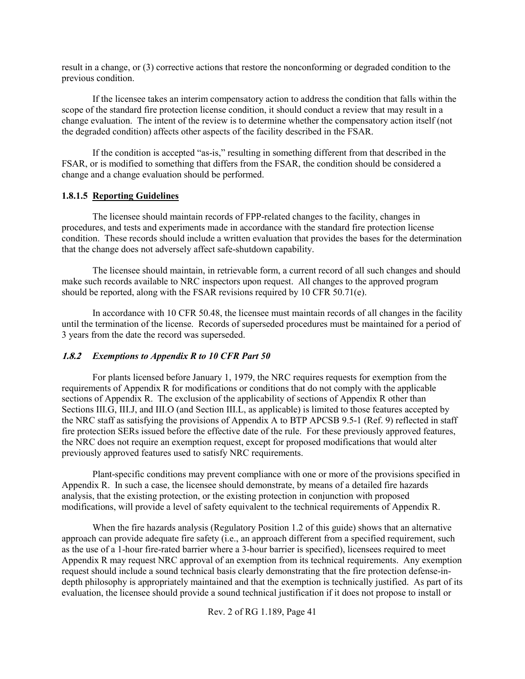result in a change, or (3) corrective actions that restore the nonconforming or degraded condition to the previous condition.

If the licensee takes an interim compensatory action to address the condition that falls within the scope of the standard fire protection license condition, it should conduct a review that may result in a change evaluation. The intent of the review is to determine whether the compensatory action itself (not the degraded condition) affects other aspects of the facility described in the FSAR.

If the condition is accepted "as-is," resulting in something different from that described in the FSAR, or is modified to something that differs from the FSAR, the condition should be considered a change and a change evaluation should be performed.

### **1.8.1.5 Reporting Guidelines**

The licensee should maintain records of FPP-related changes to the facility, changes in procedures, and tests and experiments made in accordance with the standard fire protection license condition. These records should include a written evaluation that provides the bases for the determination that the change does not adversely affect safe-shutdown capability.

The licensee should maintain, in retrievable form, a current record of all such changes and should make such records available to NRC inspectors upon request. All changes to the approved program should be reported, along with the FSAR revisions required by 10 CFR 50.71(e).

In accordance with 10 CFR 50.48, the licensee must maintain records of all changes in the facility until the termination of the license. Records of superseded procedures must be maintained for a period of 3 years from the date the record was superseded.

### **1.8.2** *Exemptions to Appendix R to 10 CFR Part 50*

For plants licensed before January 1, 1979, the NRC requires requests for exemption from the requirements of Appendix R for modifications or conditions that do not comply with the applicable sections of Appendix R. The exclusion of the applicability of sections of Appendix R other than Sections III.G, III.J, and III.O (and Section III.L, as applicable) is limited to those features accepted by the NRC staff as satisfying the provisions of Appendix A to BTP APCSB 9.5-1 (Ref. 9) reflected in staff fire protection SERs issued before the effective date of the rule. For these previously approved features, the NRC does not require an exemption request, except for proposed modifications that would alter previously approved features used to satisfy NRC requirements.

Plant-specific conditions may prevent compliance with one or more of the provisions specified in Appendix R. In such a case, the licensee should demonstrate, by means of a detailed fire hazards analysis, that the existing protection, or the existing protection in conjunction with proposed modifications, will provide a level of safety equivalent to the technical requirements of Appendix R.

When the fire hazards analysis (Regulatory Position 1.2 of this guide) shows that an alternative approach can provide adequate fire safety (i.e., an approach different from a specified requirement, such as the use of a 1-hour fire-rated barrier where a 3-hour barrier is specified), licensees required to meet Appendix R may request NRC approval of an exemption from its technical requirements. Any exemption request should include a sound technical basis clearly demonstrating that the fire protection defense-indepth philosophy is appropriately maintained and that the exemption is technically justified. As part of its evaluation, the licensee should provide a sound technical justification if it does not propose to install or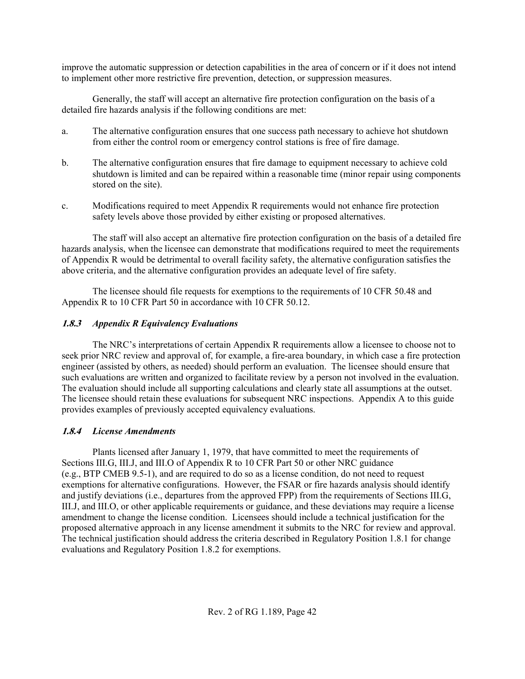improve the automatic suppression or detection capabilities in the area of concern or if it does not intend to implement other more restrictive fire prevention, detection, or suppression measures.

Generally, the staff will accept an alternative fire protection configuration on the basis of a detailed fire hazards analysis if the following conditions are met:

- a. The alternative configuration ensures that one success path necessary to achieve hot shutdown from either the control room or emergency control stations is free of fire damage.
- b. The alternative configuration ensures that fire damage to equipment necessary to achieve cold shutdown is limited and can be repaired within a reasonable time (minor repair using components stored on the site).
- c. Modifications required to meet Appendix R requirements would not enhance fire protection safety levels above those provided by either existing or proposed alternatives.

The staff will also accept an alternative fire protection configuration on the basis of a detailed fire hazards analysis, when the licensee can demonstrate that modifications required to meet the requirements of Appendix R would be detrimental to overall facility safety, the alternative configuration satisfies the above criteria, and the alternative configuration provides an adequate level of fire safety.

The licensee should file requests for exemptions to the requirements of 10 CFR 50.48 and Appendix R to 10 CFR Part 50 in accordance with 10 CFR 50.12.

# **1.8.3** *Appendix R Equivalency Evaluations*

The NRC's interpretations of certain Appendix R requirements allow a licensee to choose not to seek prior NRC review and approval of, for example, a fire-area boundary, in which case a fire protection engineer (assisted by others, as needed) should perform an evaluation. The licensee should ensure that such evaluations are written and organized to facilitate review by a person not involved in the evaluation. The evaluation should include all supporting calculations and clearly state all assumptions at the outset. The licensee should retain these evaluations for subsequent NRC inspections. Appendix A to this guide provides examples of previously accepted equivalency evaluations.

## **1.8.4** *License Amendments*

Plants licensed after January 1, 1979, that have committed to meet the requirements of Sections III.G, III.J, and III.O of Appendix R to 10 CFR Part 50 or other NRC guidance (e.g., BTP CMEB 9.5-1), and are required to do so as a license condition, do not need to request exemptions for alternative configurations. However, the FSAR or fire hazards analysis should identify and justify deviations (i.e., departures from the approved FPP) from the requirements of Sections III.G, III.J, and III.O, or other applicable requirements or guidance, and these deviations may require a license amendment to change the license condition. Licensees should include a technical justification for the proposed alternative approach in any license amendment it submits to the NRC for review and approval. The technical justification should address the criteria described in Regulatory Position 1.8.1 for change evaluations and Regulatory Position 1.8.2 for exemptions.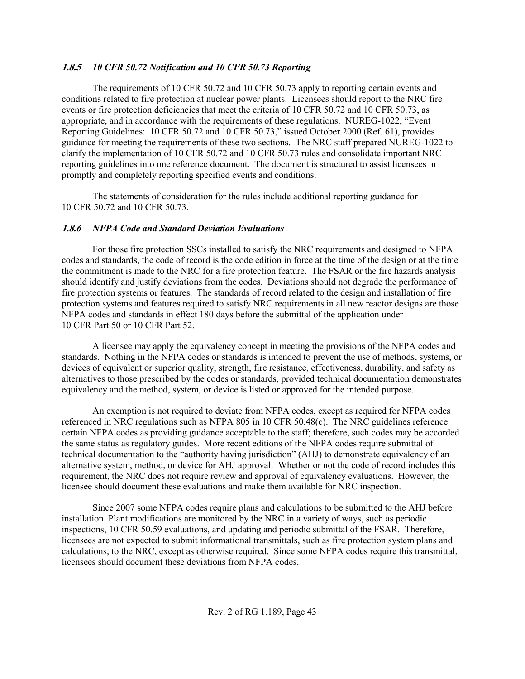## **1.8.5** *10 CFR 50.72 Notification and 10 CFR 50.73 Reporting*

The requirements of 10 CFR 50.72 and 10 CFR 50.73 apply to reporting certain events and conditions related to fire protection at nuclear power plants. Licensees should report to the NRC fire events or fire protection deficiencies that meet the criteria of 10 CFR 50.72 and 10 CFR 50.73, as appropriate, and in accordance with the requirements of these regulations. NUREG-1022, "Event Reporting Guidelines: 10 CFR 50.72 and 10 CFR 50.73," issued October 2000 (Ref. 61), provides guidance for meeting the requirements of these two sections. The NRC staff prepared NUREG-1022 to clarify the implementation of 10 CFR 50.72 and 10 CFR 50.73 rules and consolidate important NRC reporting guidelines into one reference document. The document is structured to assist licensees in promptly and completely reporting specified events and conditions.

The statements of consideration for the rules include additional reporting guidance for 10 CFR 50.72 and 10 CFR 50.73.

### **1.8.6** *NFPA Code and Standard Deviation Evaluations*

For those fire protection SSCs installed to satisfy the NRC requirements and designed to NFPA codes and standards, the code of record is the code edition in force at the time of the design or at the time the commitment is made to the NRC for a fire protection feature. The FSAR or the fire hazards analysis should identify and justify deviations from the codes. Deviations should not degrade the performance of fire protection systems or features. The standards of record related to the design and installation of fire protection systems and features required to satisfy NRC requirements in all new reactor designs are those NFPA codes and standards in effect 180 days before the submittal of the application under 10 CFR Part 50 or 10 CFR Part 52.

A licensee may apply the equivalency concept in meeting the provisions of the NFPA codes and standards. Nothing in the NFPA codes or standards is intended to prevent the use of methods, systems, or devices of equivalent or superior quality, strength, fire resistance, effectiveness, durability, and safety as alternatives to those prescribed by the codes or standards, provided technical documentation demonstrates equivalency and the method, system, or device is listed or approved for the intended purpose.

An exemption is not required to deviate from NFPA codes, except as required for NFPA codes referenced in NRC regulations such as NFPA 805 in 10 CFR 50.48(c). The NRC guidelines reference certain NFPA codes as providing guidance acceptable to the staff; therefore, such codes may be accorded the same status as regulatory guides. More recent editions of the NFPA codes require submittal of technical documentation to the "authority having jurisdiction" (AHJ) to demonstrate equivalency of an alternative system, method, or device for AHJ approval. Whether or not the code of record includes this requirement, the NRC does not require review and approval of equivalency evaluations. However, the licensee should document these evaluations and make them available for NRC inspection.

Since 2007 some NFPA codes require plans and calculations to be submitted to the AHJ before installation. Plant modifications are monitored by the NRC in a variety of ways, such as periodic inspections, 10 CFR 50.59 evaluations, and updating and periodic submittal of the FSAR. Therefore, licensees are not expected to submit informational transmittals, such as fire protection system plans and calculations, to the NRC, except as otherwise required. Since some NFPA codes require this transmittal, licensees should document these deviations from NFPA codes.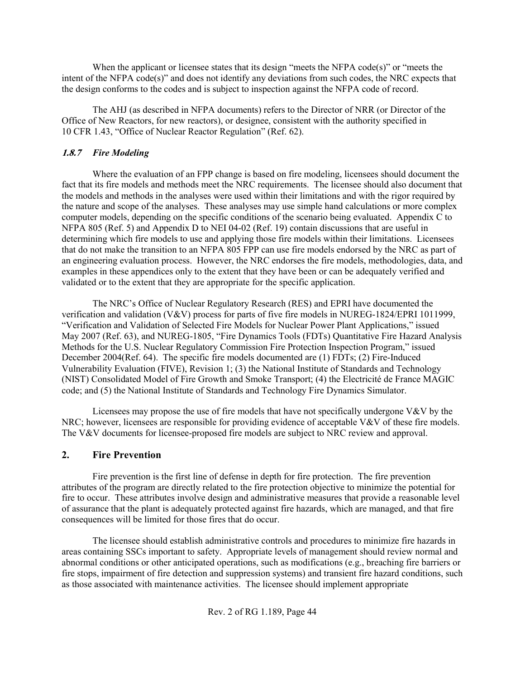When the applicant or licensee states that its design "meets the NFPA code(s)" or "meets the intent of the NFPA code(s)" and does not identify any deviations from such codes, the NRC expects that the design conforms to the codes and is subject to inspection against the NFPA code of record.

The AHJ (as described in NFPA documents) refers to the Director of NRR (or Director of the Office of New Reactors, for new reactors), or designee, consistent with the authority specified in 10 CFR 1.43, "Office of Nuclear Reactor Regulation" (Ref. 62).

# **1.8.7** *Fire Modeling*

Where the evaluation of an FPP change is based on fire modeling, licensees should document the fact that its fire models and methods meet the NRC requirements. The licensee should also document that the models and methods in the analyses were used within their limitations and with the rigor required by the nature and scope of the analyses. These analyses may use simple hand calculations or more complex computer models, depending on the specific conditions of the scenario being evaluated. Appendix C to NFPA 805 (Ref. 5) and Appendix D to NEI 04-02 (Ref. 19) contain discussions that are useful in determining which fire models to use and applying those fire models within their limitations. Licensees that do not make the transition to an NFPA 805 FPP can use fire models endorsed by the NRC as part of an engineering evaluation process. However, the NRC endorses the fire models, methodologies, data, and examples in these appendices only to the extent that they have been or can be adequately verified and validated or to the extent that they are appropriate for the specific application.

The NRC's Office of Nuclear Regulatory Research (RES) and EPRI have documented the verification and validation (V&V) process for parts of five fire models in NUREG-1824/EPRI 1011999, "Verification and Validation of Selected Fire Models for Nuclear Power Plant Applications," issued May 2007 (Ref. 63), and NUREG-1805, "Fire Dynamics Tools (FDTs) Quantitative Fire Hazard Analysis Methods for the U.S. Nuclear Regulatory Commission Fire Protection Inspection Program," issued December 2004(Ref. 64). The specific fire models documented are (1) FDTs; (2) Fire-Induced Vulnerability Evaluation (FIVE), Revision 1; (3) the National Institute of Standards and Technology (NIST) Consolidated Model of Fire Growth and Smoke Transport; (4) the Electricité de France MAGIC code; and (5) the National Institute of Standards and Technology Fire Dynamics Simulator.

Licensees may propose the use of fire models that have not specifically undergone V&V by the NRC; however, licensees are responsible for providing evidence of acceptable V&V of these fire models. The V&V documents for licensee-proposed fire models are subject to NRC review and approval.

# **2. Fire Prevention**

Fire prevention is the first line of defense in depth for fire protection. The fire prevention attributes of the program are directly related to the fire protection objective to minimize the potential for fire to occur. These attributes involve design and administrative measures that provide a reasonable level of assurance that the plant is adequately protected against fire hazards, which are managed, and that fire consequences will be limited for those fires that do occur.

The licensee should establish administrative controls and procedures to minimize fire hazards in areas containing SSCs important to safety. Appropriate levels of management should review normal and abnormal conditions or other anticipated operations, such as modifications (e.g., breaching fire barriers or fire stops, impairment of fire detection and suppression systems) and transient fire hazard conditions, such as those associated with maintenance activities. The licensee should implement appropriate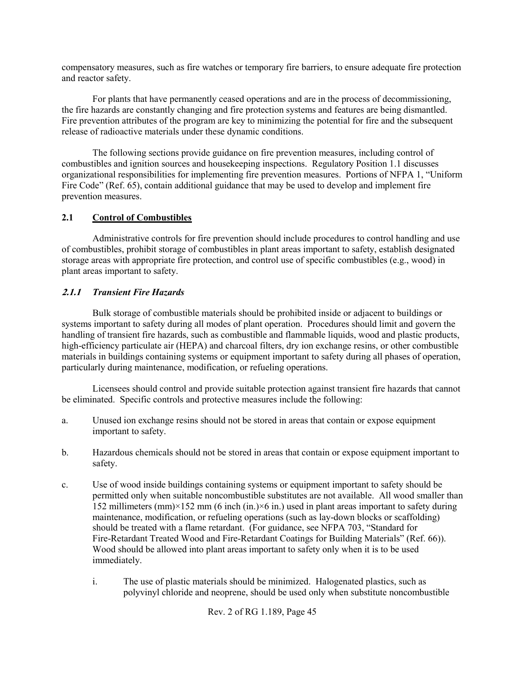compensatory measures, such as fire watches or temporary fire barriers, to ensure adequate fire protection and reactor safety.

For plants that have permanently ceased operations and are in the process of decommissioning, the fire hazards are constantly changing and fire protection systems and features are being dismantled. Fire prevention attributes of the program are key to minimizing the potential for fire and the subsequent release of radioactive materials under these dynamic conditions.

The following sections provide guidance on fire prevention measures, including control of combustibles and ignition sources and housekeeping inspections. Regulatory Position 1.1 discusses organizational responsibilities for implementing fire prevention measures. Portions of NFPA 1, "Uniform Fire Code" (Ref. 65), contain additional guidance that may be used to develop and implement fire prevention measures.

# **2.1 Control of Combustibles**

Administrative controls for fire prevention should include procedures to control handling and use of combustibles, prohibit storage of combustibles in plant areas important to safety, establish designated storage areas with appropriate fire protection, and control use of specific combustibles (e.g., wood) in plant areas important to safety.

# **2.1.1** *Transient Fire Hazards*

Bulk storage of combustible materials should be prohibited inside or adjacent to buildings or systems important to safety during all modes of plant operation. Procedures should limit and govern the handling of transient fire hazards, such as combustible and flammable liquids, wood and plastic products, high-efficiency particulate air (HEPA) and charcoal filters, dry ion exchange resins, or other combustible materials in buildings containing systems or equipment important to safety during all phases of operation, particularly during maintenance, modification, or refueling operations.

Licensees should control and provide suitable protection against transient fire hazards that cannot be eliminated. Specific controls and protective measures include the following:

- a. Unused ion exchange resins should not be stored in areas that contain or expose equipment important to safety.
- b. Hazardous chemicals should not be stored in areas that contain or expose equipment important to safety.
- c. Use of wood inside buildings containing systems or equipment important to safety should be permitted only when suitable noncombustible substitutes are not available. All wood smaller than 152 millimeters (mm) $\times$ 152 mm (6 inch (in.) $\times$ 6 in.) used in plant areas important to safety during maintenance, modification, or refueling operations (such as lay-down blocks or scaffolding) should be treated with a flame retardant. (For guidance, see NFPA 703, "Standard for Fire-Retardant Treated Wood and Fire-Retardant Coatings for Building Materials" (Ref. 66)). Wood should be allowed into plant areas important to safety only when it is to be used immediately.
	- i. The use of plastic materials should be minimized. Halogenated plastics, such as polyvinyl chloride and neoprene, should be used only when substitute noncombustible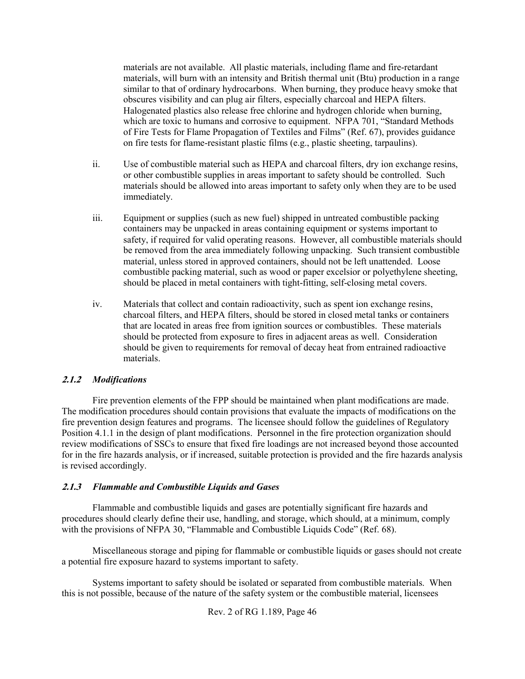materials are not available. All plastic materials, including flame and fire-retardant materials, will burn with an intensity and British thermal unit (Btu) production in a range similar to that of ordinary hydrocarbons. When burning, they produce heavy smoke that obscures visibility and can plug air filters, especially charcoal and HEPA filters. Halogenated plastics also release free chlorine and hydrogen chloride when burning, which are toxic to humans and corrosive to equipment. NFPA 701, "Standard Methods of Fire Tests for Flame Propagation of Textiles and Films" (Ref. 67), provides guidance on fire tests for flame-resistant plastic films (e.g., plastic sheeting, tarpaulins).

- ii. Use of combustible material such as HEPA and charcoal filters, dry ion exchange resins, or other combustible supplies in areas important to safety should be controlled. Such materials should be allowed into areas important to safety only when they are to be used immediately.
- iii. Equipment or supplies (such as new fuel) shipped in untreated combustible packing containers may be unpacked in areas containing equipment or systems important to safety, if required for valid operating reasons. However, all combustible materials should be removed from the area immediately following unpacking. Such transient combustible material, unless stored in approved containers, should not be left unattended. Loose combustible packing material, such as wood or paper excelsior or polyethylene sheeting, should be placed in metal containers with tight-fitting, self-closing metal covers.
- iv. Materials that collect and contain radioactivity, such as spent ion exchange resins, charcoal filters, and HEPA filters, should be stored in closed metal tanks or containers that are located in areas free from ignition sources or combustibles. These materials should be protected from exposure to fires in adjacent areas as well. Consideration should be given to requirements for removal of decay heat from entrained radioactive materials.

## **2.1.2** *Modifications*

Fire prevention elements of the FPP should be maintained when plant modifications are made. The modification procedures should contain provisions that evaluate the impacts of modifications on the fire prevention design features and programs. The licensee should follow the guidelines of Regulatory Position 4.1.1 in the design of plant modifications. Personnel in the fire protection organization should review modifications of SSCs to ensure that fixed fire loadings are not increased beyond those accounted for in the fire hazards analysis, or if increased, suitable protection is provided and the fire hazards analysis is revised accordingly.

### **2.1.3** *Flammable and Combustible Liquids and Gases*

Flammable and combustible liquids and gases are potentially significant fire hazards and procedures should clearly define their use, handling, and storage, which should, at a minimum, comply with the provisions of NFPA 30, "Flammable and Combustible Liquids Code" (Ref. 68).

Miscellaneous storage and piping for flammable or combustible liquids or gases should not create a potential fire exposure hazard to systems important to safety.

Systems important to safety should be isolated or separated from combustible materials. When this is not possible, because of the nature of the safety system or the combustible material, licensees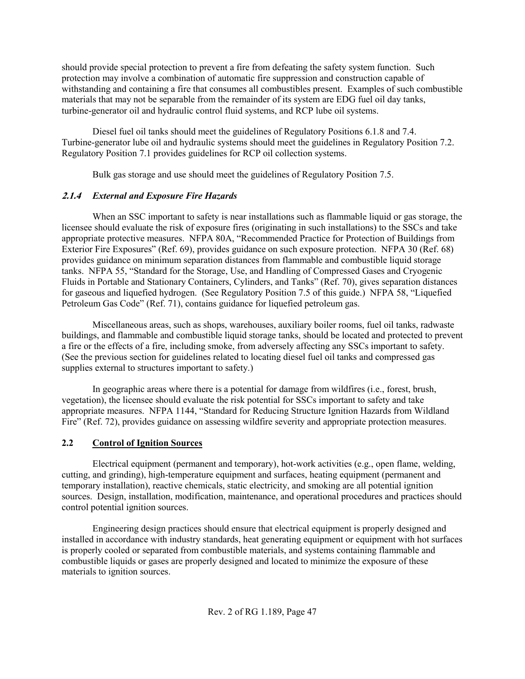should provide special protection to prevent a fire from defeating the safety system function. Such protection may involve a combination of automatic fire suppression and construction capable of withstanding and containing a fire that consumes all combustibles present. Examples of such combustible materials that may not be separable from the remainder of its system are EDG fuel oil day tanks, turbine-generator oil and hydraulic control fluid systems, and RCP lube oil systems.

Diesel fuel oil tanks should meet the guidelines of Regulatory Positions 6.1.8 and 7.4. Turbine-generator lube oil and hydraulic systems should meet the guidelines in Regulatory Position 7.2. Regulatory Position 7.1 provides guidelines for RCP oil collection systems.

Bulk gas storage and use should meet the guidelines of Regulatory Position 7.5.

# **2.1.4** *External and Exposure Fire Hazards*

When an SSC important to safety is near installations such as flammable liquid or gas storage, the licensee should evaluate the risk of exposure fires (originating in such installations) to the SSCs and take appropriate protective measures. NFPA 80A, "Recommended Practice for Protection of Buildings from Exterior Fire Exposures" (Ref. 69), provides guidance on such exposure protection. NFPA 30 (Ref. 68) provides guidance on minimum separation distances from flammable and combustible liquid storage tanks. NFPA 55, "Standard for the Storage, Use, and Handling of Compressed Gases and Cryogenic Fluids in Portable and Stationary Containers, Cylinders, and Tanks" (Ref. 70), gives separation distances for gaseous and liquefied hydrogen. (See Regulatory Position 7.5 of this guide.) NFPA 58, "Liquefied Petroleum Gas Code" (Ref. 71), contains guidance for liquefied petroleum gas.

Miscellaneous areas, such as shops, warehouses, auxiliary boiler rooms, fuel oil tanks, radwaste buildings, and flammable and combustible liquid storage tanks, should be located and protected to prevent a fire or the effects of a fire, including smoke, from adversely affecting any SSCs important to safety. (See the previous section for guidelines related to locating diesel fuel oil tanks and compressed gas supplies external to structures important to safety.)

In geographic areas where there is a potential for damage from wildfires (i.e., forest, brush, vegetation), the licensee should evaluate the risk potential for SSCs important to safety and take appropriate measures. NFPA 1144, "Standard for Reducing Structure Ignition Hazards from Wildland Fire" (Ref. 72), provides guidance on assessing wildfire severity and appropriate protection measures.

# **2.2 Control of Ignition Sources**

Electrical equipment (permanent and temporary), hot-work activities (e.g., open flame, welding, cutting, and grinding), high-temperature equipment and surfaces, heating equipment (permanent and temporary installation), reactive chemicals, static electricity, and smoking are all potential ignition sources. Design, installation, modification, maintenance, and operational procedures and practices should control potential ignition sources.

Engineering design practices should ensure that electrical equipment is properly designed and installed in accordance with industry standards, heat generating equipment or equipment with hot surfaces is properly cooled or separated from combustible materials, and systems containing flammable and combustible liquids or gases are properly designed and located to minimize the exposure of these materials to ignition sources.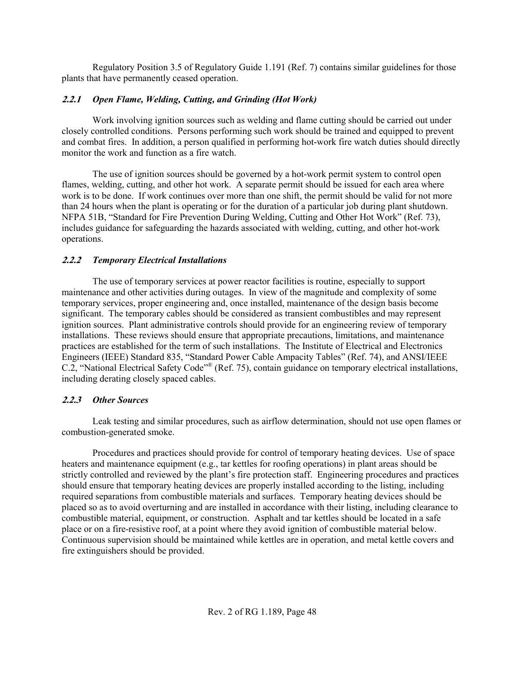Regulatory Position 3.5 of Regulatory Guide 1.191 (Ref. 7) contains similar guidelines for those plants that have permanently ceased operation.

# **2.2.1** *Open Flame, Welding, Cutting, and Grinding (Hot Work)*

Work involving ignition sources such as welding and flame cutting should be carried out under closely controlled conditions. Persons performing such work should be trained and equipped to prevent and combat fires. In addition, a person qualified in performing hot-work fire watch duties should directly monitor the work and function as a fire watch.

The use of ignition sources should be governed by a hot-work permit system to control open flames, welding, cutting, and other hot work. A separate permit should be issued for each area where work is to be done. If work continues over more than one shift, the permit should be valid for not more than 24 hours when the plant is operating or for the duration of a particular job during plant shutdown. NFPA 51B, "Standard for Fire Prevention During Welding, Cutting and Other Hot Work" (Ref. 73), includes guidance for safeguarding the hazards associated with welding, cutting, and other hot-work operations.

## **2.2.2** *Temporary Electrical Installations*

The use of temporary services at power reactor facilities is routine, especially to support maintenance and other activities during outages. In view of the magnitude and complexity of some temporary services, proper engineering and, once installed, maintenance of the design basis become significant. The temporary cables should be considered as transient combustibles and may represent ignition sources. Plant administrative controls should provide for an engineering review of temporary installations. These reviews should ensure that appropriate precautions, limitations, and maintenance practices are established for the term of such installations. The Institute of Electrical and Electronics Engineers (IEEE) Standard 835, "Standard Power Cable Ampacity Tables" (Ref. 74), and ANSI/IEEE C.2, "National Electrical Safety Code"® (Ref. 75), contain guidance on temporary electrical installations, including derating closely spaced cables.

# **2.2.3** *Other Sources*

Leak testing and similar procedures, such as airflow determination, should not use open flames or combustion-generated smoke.

Procedures and practices should provide for control of temporary heating devices. Use of space heaters and maintenance equipment (e.g., tar kettles for roofing operations) in plant areas should be strictly controlled and reviewed by the plant's fire protection staff. Engineering procedures and practices should ensure that temporary heating devices are properly installed according to the listing, including required separations from combustible materials and surfaces. Temporary heating devices should be placed so as to avoid overturning and are installed in accordance with their listing, including clearance to combustible material, equipment, or construction. Asphalt and tar kettles should be located in a safe place or on a fire-resistive roof, at a point where they avoid ignition of combustible material below. Continuous supervision should be maintained while kettles are in operation, and metal kettle covers and fire extinguishers should be provided.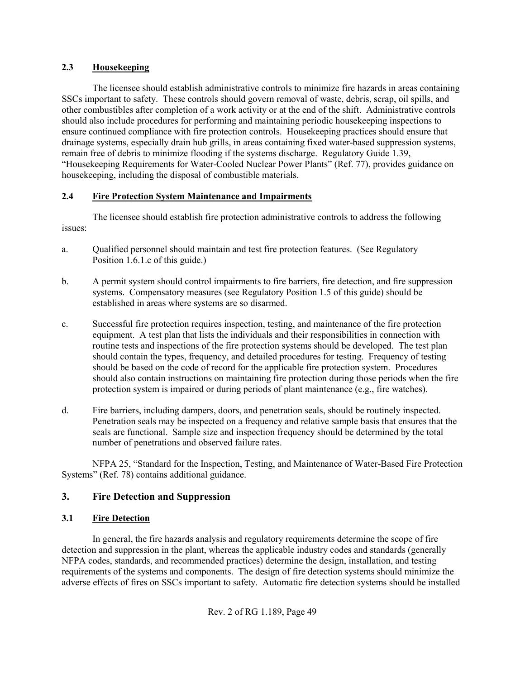# **2.3 Housekeeping**

The licensee should establish administrative controls to minimize fire hazards in areas containing SSCs important to safety. These controls should govern removal of waste, debris, scrap, oil spills, and other combustibles after completion of a work activity or at the end of the shift. Administrative controls should also include procedures for performing and maintaining periodic housekeeping inspections to ensure continued compliance with fire protection controls. Housekeeping practices should ensure that drainage systems, especially drain hub grills, in areas containing fixed water-based suppression systems, remain free of debris to minimize flooding if the systems discharge. Regulatory Guide 1.39, "Housekeeping Requirements for Water-Cooled Nuclear Power Plants" (Ref. 77), provides guidance on housekeeping, including the disposal of combustible materials.

# **2.4 Fire Protection System Maintenance and Impairments**

The licensee should establish fire protection administrative controls to address the following issues:

- a. Qualified personnel should maintain and test fire protection features. (See Regulatory Position 1.6.1.c of this guide.)
- b. A permit system should control impairments to fire barriers, fire detection, and fire suppression systems. Compensatory measures (see Regulatory Position 1.5 of this guide) should be established in areas where systems are so disarmed.
- c. Successful fire protection requires inspection, testing, and maintenance of the fire protection equipment. A test plan that lists the individuals and their responsibilities in connection with routine tests and inspections of the fire protection systems should be developed. The test plan should contain the types, frequency, and detailed procedures for testing. Frequency of testing should be based on the code of record for the applicable fire protection system. Procedures should also contain instructions on maintaining fire protection during those periods when the fire protection system is impaired or during periods of plant maintenance (e.g., fire watches).
- d. Fire barriers, including dampers, doors, and penetration seals, should be routinely inspected. Penetration seals may be inspected on a frequency and relative sample basis that ensures that the seals are functional. Sample size and inspection frequency should be determined by the total number of penetrations and observed failure rates.

NFPA 25, "Standard for the Inspection, Testing, and Maintenance of Water-Based Fire Protection Systems" (Ref. 78) contains additional guidance.

# **3. Fire Detection and Suppression**

## **3.1 Fire Detection**

In general, the fire hazards analysis and regulatory requirements determine the scope of fire detection and suppression in the plant, whereas the applicable industry codes and standards (generally NFPA codes, standards, and recommended practices) determine the design, installation, and testing requirements of the systems and components. The design of fire detection systems should minimize the adverse effects of fires on SSCs important to safety. Automatic fire detection systems should be installed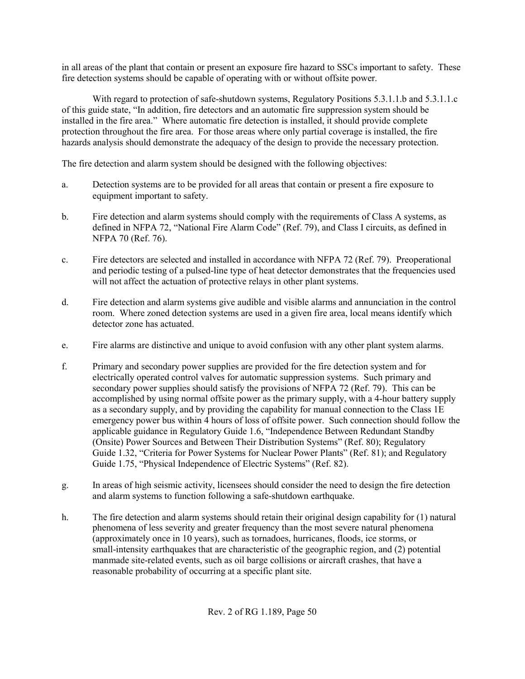in all areas of the plant that contain or present an exposure fire hazard to SSCs important to safety. These fire detection systems should be capable of operating with or without offsite power.

With regard to protection of safe-shutdown systems, Regulatory Positions 5.3.1.1.b and 5.3.1.1.c of this guide state, "In addition, fire detectors and an automatic fire suppression system should be installed in the fire area." Where automatic fire detection is installed, it should provide complete protection throughout the fire area. For those areas where only partial coverage is installed, the fire hazards analysis should demonstrate the adequacy of the design to provide the necessary protection.

The fire detection and alarm system should be designed with the following objectives:

- a. Detection systems are to be provided for all areas that contain or present a fire exposure to equipment important to safety.
- b. Fire detection and alarm systems should comply with the requirements of Class A systems, as defined in NFPA 72, "National Fire Alarm Code" (Ref. 79), and Class I circuits, as defined in NFPA 70 (Ref. 76).
- c. Fire detectors are selected and installed in accordance with NFPA 72 (Ref. 79). Preoperational and periodic testing of a pulsed-line type of heat detector demonstrates that the frequencies used will not affect the actuation of protective relays in other plant systems.
- d. Fire detection and alarm systems give audible and visible alarms and annunciation in the control room. Where zoned detection systems are used in a given fire area, local means identify which detector zone has actuated.
- e. Fire alarms are distinctive and unique to avoid confusion with any other plant system alarms.
- f. Primary and secondary power supplies are provided for the fire detection system and for electrically operated control valves for automatic suppression systems. Such primary and secondary power supplies should satisfy the provisions of NFPA 72 (Ref. 79). This can be accomplished by using normal offsite power as the primary supply, with a 4-hour battery supply as a secondary supply, and by providing the capability for manual connection to the Class 1E emergency power bus within 4 hours of loss of offsite power. Such connection should follow the applicable guidance in Regulatory Guide 1.6, "Independence Between Redundant Standby (Onsite) Power Sources and Between Their Distribution Systems" (Ref. 80); Regulatory Guide 1.32, "Criteria for Power Systems for Nuclear Power Plants" (Ref. 81); and Regulatory Guide 1.75, "Physical Independence of Electric Systems" (Ref. 82).
- g. In areas of high seismic activity, licensees should consider the need to design the fire detection and alarm systems to function following a safe-shutdown earthquake.
- h. The fire detection and alarm systems should retain their original design capability for (1) natural phenomena of less severity and greater frequency than the most severe natural phenomena (approximately once in 10 years), such as tornadoes, hurricanes, floods, ice storms, or small-intensity earthquakes that are characteristic of the geographic region, and (2) potential manmade site-related events, such as oil barge collisions or aircraft crashes, that have a reasonable probability of occurring at a specific plant site.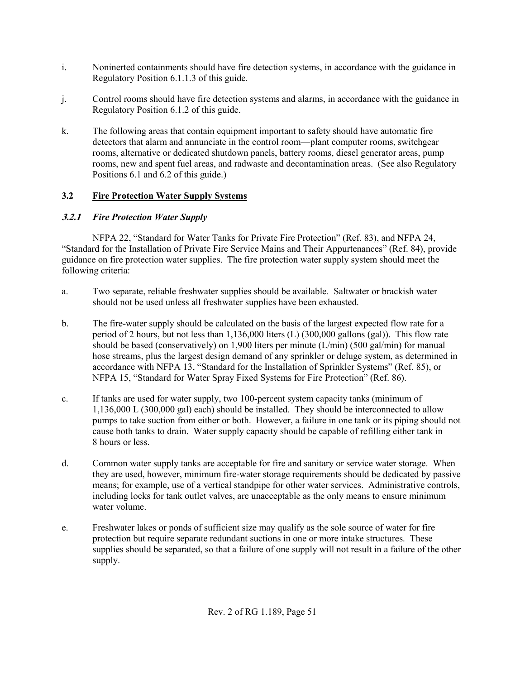- i. Noninerted containments should have fire detection systems, in accordance with the guidance in Regulatory Position 6.1.1.3 of this guide.
- j. Control rooms should have fire detection systems and alarms, in accordance with the guidance in Regulatory Position 6.1.2 of this guide.
- k. The following areas that contain equipment important to safety should have automatic fire detectors that alarm and annunciate in the control room—plant computer rooms, switchgear rooms, alternative or dedicated shutdown panels, battery rooms, diesel generator areas, pump rooms, new and spent fuel areas, and radwaste and decontamination areas. (See also Regulatory Positions 6.1 and 6.2 of this guide.)

# **3.2 Fire Protection Water Supply Systems**

# **3.2.1** *Fire Protection Water Supply*

NFPA 22, "Standard for Water Tanks for Private Fire Protection" (Ref. 83), and NFPA 24, "Standard for the Installation of Private Fire Service Mains and Their Appurtenances" (Ref. 84), provide guidance on fire protection water supplies. The fire protection water supply system should meet the following criteria:

- a. Two separate, reliable freshwater supplies should be available. Saltwater or brackish water should not be used unless all freshwater supplies have been exhausted.
- b. The fire-water supply should be calculated on the basis of the largest expected flow rate for a period of 2 hours, but not less than 1,136,000 liters (L) (300,000 gallons (gal)). This flow rate should be based (conservatively) on 1,900 liters per minute (L/min) (500 gal/min) for manual hose streams, plus the largest design demand of any sprinkler or deluge system, as determined in accordance with NFPA 13, "Standard for the Installation of Sprinkler Systems" (Ref. 85), or NFPA 15, "Standard for Water Spray Fixed Systems for Fire Protection" (Ref. 86).
- c. If tanks are used for water supply, two 100-percent system capacity tanks (minimum of 1,136,000 L (300,000 gal) each) should be installed. They should be interconnected to allow pumps to take suction from either or both. However, a failure in one tank or its piping should not cause both tanks to drain. Water supply capacity should be capable of refilling either tank in 8 hours or less.
- d. Common water supply tanks are acceptable for fire and sanitary or service water storage. When they are used, however, minimum fire-water storage requirements should be dedicated by passive means; for example, use of a vertical standpipe for other water services. Administrative controls, including locks for tank outlet valves, are unacceptable as the only means to ensure minimum water volume.
- e. Freshwater lakes or ponds of sufficient size may qualify as the sole source of water for fire protection but require separate redundant suctions in one or more intake structures. These supplies should be separated, so that a failure of one supply will not result in a failure of the other supply.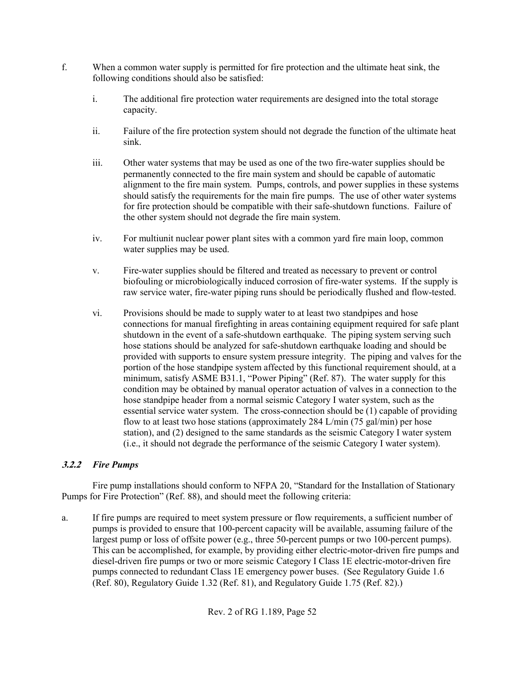- f. When a common water supply is permitted for fire protection and the ultimate heat sink, the following conditions should also be satisfied:
	- i. The additional fire protection water requirements are designed into the total storage capacity.
	- ii. Failure of the fire protection system should not degrade the function of the ultimate heat sink.
	- iii. Other water systems that may be used as one of the two fire-water supplies should be permanently connected to the fire main system and should be capable of automatic alignment to the fire main system. Pumps, controls, and power supplies in these systems should satisfy the requirements for the main fire pumps. The use of other water systems for fire protection should be compatible with their safe-shutdown functions. Failure of the other system should not degrade the fire main system.
	- iv. For multiunit nuclear power plant sites with a common yard fire main loop, common water supplies may be used.
	- v. Fire-water supplies should be filtered and treated as necessary to prevent or control biofouling or microbiologically induced corrosion of fire-water systems. If the supply is raw service water, fire-water piping runs should be periodically flushed and flow-tested.
	- vi. Provisions should be made to supply water to at least two standpipes and hose connections for manual firefighting in areas containing equipment required for safe plant shutdown in the event of a safe-shutdown earthquake. The piping system serving such hose stations should be analyzed for safe-shutdown earthquake loading and should be provided with supports to ensure system pressure integrity. The piping and valves for the portion of the hose standpipe system affected by this functional requirement should, at a minimum, satisfy ASME B31.1, "Power Piping" (Ref. 87). The water supply for this condition may be obtained by manual operator actuation of valves in a connection to the hose standpipe header from a normal seismic Category I water system, such as the essential service water system. The cross-connection should be (1) capable of providing flow to at least two hose stations (approximately 284 L/min (75 gal/min) per hose station), and (2) designed to the same standards as the seismic Category I water system (i.e., it should not degrade the performance of the seismic Category I water system).

# **3.2.2** *Fire Pumps*

Fire pump installations should conform to NFPA 20, "Standard for the Installation of Stationary Pumps for Fire Protection" (Ref. 88), and should meet the following criteria:

a. If fire pumps are required to meet system pressure or flow requirements, a sufficient number of pumps is provided to ensure that 100-percent capacity will be available, assuming failure of the largest pump or loss of offsite power (e.g., three 50-percent pumps or two 100-percent pumps). This can be accomplished, for example, by providing either electric-motor-driven fire pumps and diesel-driven fire pumps or two or more seismic Category I Class 1E electric-motor-driven fire pumps connected to redundant Class 1E emergency power buses. (See Regulatory Guide 1.6 (Ref. 80), Regulatory Guide 1.32 (Ref. 81), and Regulatory Guide 1.75 (Ref. 82).)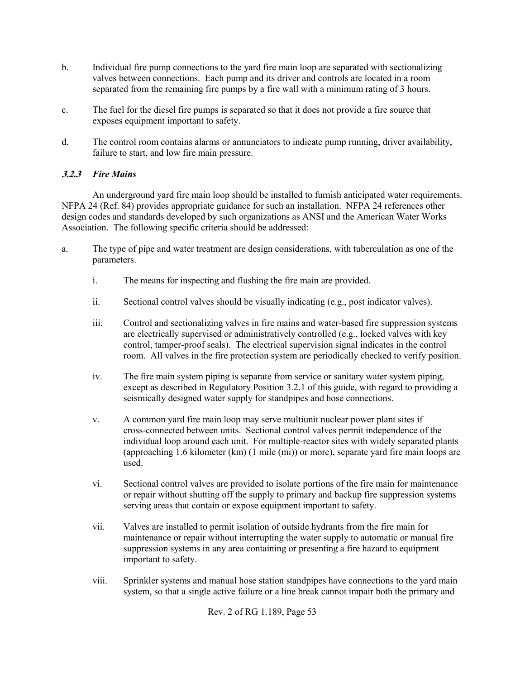- b. Individual fire pump connections to the yard fire main loop are separated with sectionalizing valves between connections. Each pump and its driver and controls are located in a room separated from the remaining fire pumps by a fire wall with a minimum rating of 3 hours.
- c. The fuel for the diesel fire pumps is separated so that it does not provide a fire source that exposes equipment important to safety.
- d. The control room contains alarms or annunciators to indicate pump running, driver availability, failure to start, and low fire main pressure.

# **3.2.3** *Fire Mains*

An underground yard fire main loop should be installed to furnish anticipated water requirements. NFPA 24 (Ref. 84) provides appropriate guidance for such an installation. NFPA 24 references other design codes and standards developed by such organizations as ANSI and the American Water Works Association. The following specific criteria should be addressed:

- a. The type of pipe and water treatment are design considerations, with tuberculation as one of the parameters.
	- i. The means for inspecting and flushing the fire main are provided.
	- ii. Sectional control valves should be visually indicating (e.g., post indicator valves).
	- iii. Control and sectionalizing valves in fire mains and water-based fire suppression systems are electrically supervised or administratively controlled (e.g., locked valves with key control, tamper-proof seals). The electrical supervision signal indicates in the control room. All valves in the fire protection system are periodically checked to verify position.
	- iv. The fire main system piping is separate from service or sanitary water system piping, except as described in Regulatory Position 3.2.1 of this guide, with regard to providing a seismically designed water supply for standpipes and hose connections.
	- v. A common yard fire main loop may serve multiunit nuclear power plant sites if cross-connected between units. Sectional control valves permit independence of the individual loop around each unit. For multiple-reactor sites with widely separated plants (approaching 1.6 kilometer (km) (1 mile (mi)) or more), separate yard fire main loops are used.
	- vi. Sectional control valves are provided to isolate portions of the fire main for maintenance or repair without shutting off the supply to primary and backup fire suppression systems serving areas that contain or expose equipment important to safety.
	- vii. Valves are installed to permit isolation of outside hydrants from the fire main for maintenance or repair without interrupting the water supply to automatic or manual fire suppression systems in any area containing or presenting a fire hazard to equipment important to safety.
	- viii. Sprinkler systems and manual hose station standpipes have connections to the yard main system, so that a single active failure or a line break cannot impair both the primary and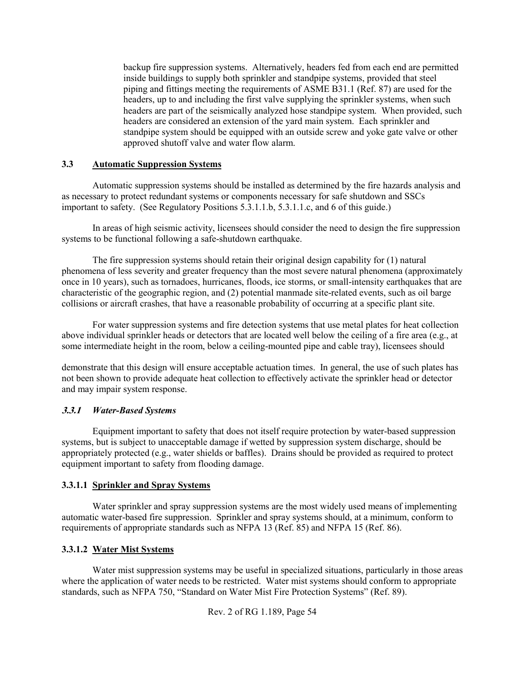backup fire suppression systems. Alternatively, headers fed from each end are permitted inside buildings to supply both sprinkler and standpipe systems, provided that steel piping and fittings meeting the requirements of ASME B31.1 (Ref. 87) are used for the headers, up to and including the first valve supplying the sprinkler systems, when such headers are part of the seismically analyzed hose standpipe system. When provided, such headers are considered an extension of the yard main system. Each sprinkler and standpipe system should be equipped with an outside screw and yoke gate valve or other approved shutoff valve and water flow alarm.

### **3.3 Automatic Suppression Systems**

Automatic suppression systems should be installed as determined by the fire hazards analysis and as necessary to protect redundant systems or components necessary for safe shutdown and SSCs important to safety. (See Regulatory Positions 5.3.1.1.b, 5.3.1.1.c, and 6 of this guide.)

In areas of high seismic activity, licensees should consider the need to design the fire suppression systems to be functional following a safe-shutdown earthquake.

The fire suppression systems should retain their original design capability for (1) natural phenomena of less severity and greater frequency than the most severe natural phenomena (approximately once in 10 years), such as tornadoes, hurricanes, floods, ice storms, or small-intensity earthquakes that are characteristic of the geographic region, and (2) potential manmade site-related events, such as oil barge collisions or aircraft crashes, that have a reasonable probability of occurring at a specific plant site.

For water suppression systems and fire detection systems that use metal plates for heat collection above individual sprinkler heads or detectors that are located well below the ceiling of a fire area (e.g., at some intermediate height in the room, below a ceiling-mounted pipe and cable tray), licensees should

demonstrate that this design will ensure acceptable actuation times. In general, the use of such plates has not been shown to provide adequate heat collection to effectively activate the sprinkler head or detector and may impair system response.

## **3.3.1** *Water-Based Systems*

Equipment important to safety that does not itself require protection by water-based suppression systems, but is subject to unacceptable damage if wetted by suppression system discharge, should be appropriately protected (e.g., water shields or baffles). Drains should be provided as required to protect equipment important to safety from flooding damage.

### **3.3.1.1 Sprinkler and Spray Systems**

Water sprinkler and spray suppression systems are the most widely used means of implementing automatic water-based fire suppression. Sprinkler and spray systems should, at a minimum, conform to requirements of appropriate standards such as NFPA 13 (Ref. 85) and NFPA 15 (Ref. 86).

## **3.3.1.2 Water Mist Systems**

Water mist suppression systems may be useful in specialized situations, particularly in those areas where the application of water needs to be restricted. Water mist systems should conform to appropriate standards, such as NFPA 750, "Standard on Water Mist Fire Protection Systems" (Ref. 89).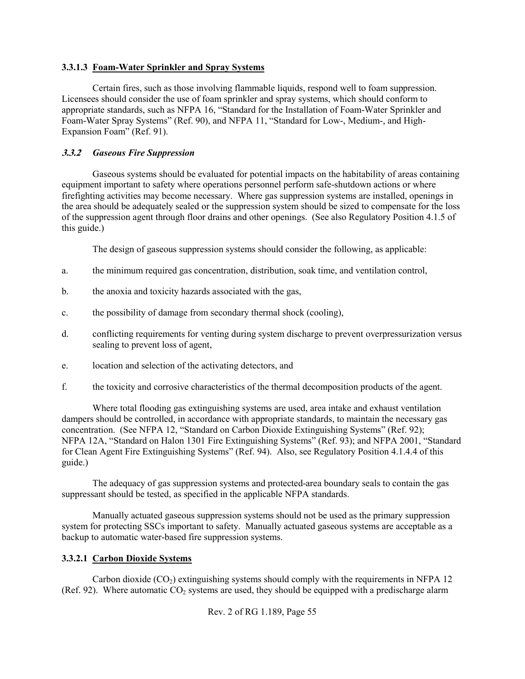### **3.3.1.3 Foam-Water Sprinkler and Spray Systems**

Certain fires, such as those involving flammable liquids, respond well to foam suppression. Licensees should consider the use of foam sprinkler and spray systems, which should conform to appropriate standards, such as NFPA 16, "Standard for the Installation of Foam-Water Sprinkler and Foam-Water Spray Systems" (Ref. 90), and NFPA 11, "Standard for Low-, Medium-, and High-Expansion Foam" (Ref. 91).

## **3.3.2** *Gaseous Fire Suppression*

Gaseous systems should be evaluated for potential impacts on the habitability of areas containing equipment important to safety where operations personnel perform safe-shutdown actions or where firefighting activities may become necessary. Where gas suppression systems are installed, openings in the area should be adequately sealed or the suppression system should be sized to compensate for the loss of the suppression agent through floor drains and other openings. (See also Regulatory Position 4.1.5 of this guide.)

The design of gaseous suppression systems should consider the following, as applicable:

- a. the minimum required gas concentration, distribution, soak time, and ventilation control,
- b. the anoxia and toxicity hazards associated with the gas,
- c. the possibility of damage from secondary thermal shock (cooling),
- d. conflicting requirements for venting during system discharge to prevent overpressurization versus sealing to prevent loss of agent,
- e. location and selection of the activating detectors, and
- f. the toxicity and corrosive characteristics of the thermal decomposition products of the agent.

Where total flooding gas extinguishing systems are used, area intake and exhaust ventilation dampers should be controlled, in accordance with appropriate standards, to maintain the necessary gas concentration. (See NFPA 12, "Standard on Carbon Dioxide Extinguishing Systems" (Ref. 92); NFPA 12A, "Standard on Halon 1301 Fire Extinguishing Systems" (Ref. 93); and NFPA 2001, "Standard for Clean Agent Fire Extinguishing Systems" (Ref. 94). Also, see Regulatory Position 4.1.4.4 of this guide.)

The adequacy of gas suppression systems and protected-area boundary seals to contain the gas suppressant should be tested, as specified in the applicable NFPA standards.

Manually actuated gaseous suppression systems should not be used as the primary suppression system for protecting SSCs important to safety. Manually actuated gaseous systems are acceptable as a backup to automatic water-based fire suppression systems.

## **3.3.2.1 Carbon Dioxide Systems**

Carbon dioxide  $(CO<sub>2</sub>)$  extinguishing systems should comply with the requirements in NFPA 12 (Ref. 92). Where automatic  $CO<sub>2</sub>$  systems are used, they should be equipped with a predischarge alarm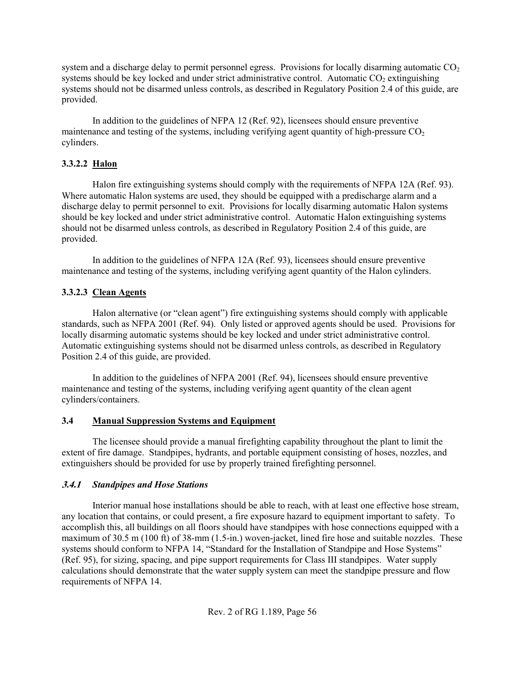system and a discharge delay to permit personnel egress. Provisions for locally disarming automatic  $CO<sub>2</sub>$ systems should be key locked and under strict administrative control. Automatic  $CO<sub>2</sub>$  extinguishing systems should not be disarmed unless controls, as described in Regulatory Position 2.4 of this guide, are provided.

In addition to the guidelines of NFPA 12 (Ref. 92), licensees should ensure preventive maintenance and testing of the systems, including verifying agent quantity of high-pressure  $CO<sub>2</sub>$ cylinders.

# **3.3.2.2 Halon**

Halon fire extinguishing systems should comply with the requirements of NFPA 12A (Ref. 93). Where automatic Halon systems are used, they should be equipped with a predischarge alarm and a discharge delay to permit personnel to exit. Provisions for locally disarming automatic Halon systems should be key locked and under strict administrative control. Automatic Halon extinguishing systems should not be disarmed unless controls, as described in Regulatory Position 2.4 of this guide, are provided.

In addition to the guidelines of NFPA 12A (Ref. 93), licensees should ensure preventive maintenance and testing of the systems, including verifying agent quantity of the Halon cylinders.

# **3.3.2.3 Clean Agents**

Halon alternative (or "clean agent") fire extinguishing systems should comply with applicable standards, such as NFPA 2001 (Ref. 94). Only listed or approved agents should be used. Provisions for locally disarming automatic systems should be key locked and under strict administrative control. Automatic extinguishing systems should not be disarmed unless controls, as described in Regulatory Position 2.4 of this guide, are provided.

In addition to the guidelines of NFPA 2001 (Ref. 94), licensees should ensure preventive maintenance and testing of the systems, including verifying agent quantity of the clean agent cylinders/containers.

## **3.4 Manual Suppression Systems and Equipment**

The licensee should provide a manual firefighting capability throughout the plant to limit the extent of fire damage. Standpipes, hydrants, and portable equipment consisting of hoses, nozzles, and extinguishers should be provided for use by properly trained firefighting personnel.

## **3.4.1** *Standpipes and Hose Stations*

Interior manual hose installations should be able to reach, with at least one effective hose stream, any location that contains, or could present, a fire exposure hazard to equipment important to safety. To accomplish this, all buildings on all floors should have standpipes with hose connections equipped with a maximum of 30.5 m (100 ft) of 38-mm (1.5-in.) woven-jacket, lined fire hose and suitable nozzles. These systems should conform to NFPA 14, "Standard for the Installation of Standpipe and Hose Systems" (Ref. 95), for sizing, spacing, and pipe support requirements for Class III standpipes. Water supply calculations should demonstrate that the water supply system can meet the standpipe pressure and flow requirements of NFPA 14.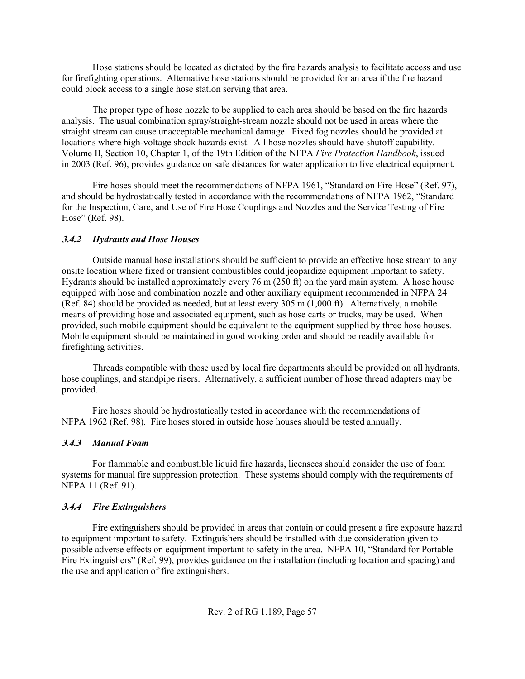Hose stations should be located as dictated by the fire hazards analysis to facilitate access and use for firefighting operations. Alternative hose stations should be provided for an area if the fire hazard could block access to a single hose station serving that area.

The proper type of hose nozzle to be supplied to each area should be based on the fire hazards analysis. The usual combination spray/straight-stream nozzle should not be used in areas where the straight stream can cause unacceptable mechanical damage. Fixed fog nozzles should be provided at locations where high-voltage shock hazards exist. All hose nozzles should have shutoff capability. Volume II, Section 10, Chapter 1, of the 19th Edition of the NFPA *Fire Protection Handbook*, issued in 2003 (Ref. 96), provides guidance on safe distances for water application to live electrical equipment.

Fire hoses should meet the recommendations of NFPA 1961, "Standard on Fire Hose" (Ref. 97), and should be hydrostatically tested in accordance with the recommendations of NFPA 1962, "Standard for the Inspection, Care, and Use of Fire Hose Couplings and Nozzles and the Service Testing of Fire Hose" (Ref. 98).

## **3.4.2** *Hydrants and Hose Houses*

Outside manual hose installations should be sufficient to provide an effective hose stream to any onsite location where fixed or transient combustibles could jeopardize equipment important to safety. Hydrants should be installed approximately every 76 m (250 ft) on the yard main system. A hose house equipped with hose and combination nozzle and other auxiliary equipment recommended in NFPA 24 (Ref. 84) should be provided as needed, but at least every 305 m (1,000 ft). Alternatively, a mobile means of providing hose and associated equipment, such as hose carts or trucks, may be used. When provided, such mobile equipment should be equivalent to the equipment supplied by three hose houses. Mobile equipment should be maintained in good working order and should be readily available for firefighting activities.

Threads compatible with those used by local fire departments should be provided on all hydrants, hose couplings, and standpipe risers. Alternatively, a sufficient number of hose thread adapters may be provided.

Fire hoses should be hydrostatically tested in accordance with the recommendations of NFPA 1962 (Ref. 98). Fire hoses stored in outside hose houses should be tested annually.

## **3.4.3** *Manual Foam*

For flammable and combustible liquid fire hazards, licensees should consider the use of foam systems for manual fire suppression protection. These systems should comply with the requirements of NFPA 11 (Ref. 91).

## **3.4.4** *Fire Extinguishers*

Fire extinguishers should be provided in areas that contain or could present a fire exposure hazard to equipment important to safety. Extinguishers should be installed with due consideration given to possible adverse effects on equipment important to safety in the area. NFPA 10, "Standard for Portable Fire Extinguishers" (Ref. 99), provides guidance on the installation (including location and spacing) and the use and application of fire extinguishers.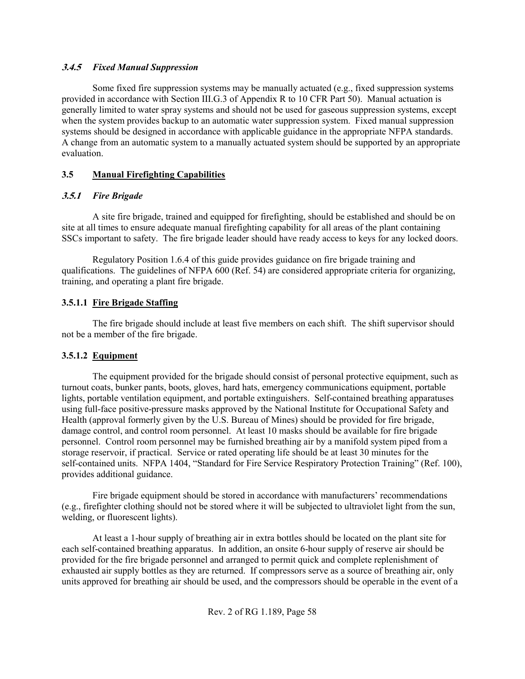### **3.4.5** *Fixed Manual Suppression*

Some fixed fire suppression systems may be manually actuated (e.g., fixed suppression systems provided in accordance with Section III.G.3 of Appendix R to 10 CFR Part 50). Manual actuation is generally limited to water spray systems and should not be used for gaseous suppression systems, except when the system provides backup to an automatic water suppression system. Fixed manual suppression systems should be designed in accordance with applicable guidance in the appropriate NFPA standards. A change from an automatic system to a manually actuated system should be supported by an appropriate evaluation.

# **3.5 Manual Firefighting Capabilities**

# **3.5.1** *Fire Brigade*

A site fire brigade, trained and equipped for firefighting, should be established and should be on site at all times to ensure adequate manual firefighting capability for all areas of the plant containing SSCs important to safety. The fire brigade leader should have ready access to keys for any locked doors.

Regulatory Position 1.6.4 of this guide provides guidance on fire brigade training and qualifications. The guidelines of NFPA 600 (Ref. 54) are considered appropriate criteria for organizing, training, and operating a plant fire brigade.

# **3.5.1.1 Fire Brigade Staffing**

The fire brigade should include at least five members on each shift. The shift supervisor should not be a member of the fire brigade.

# **3.5.1.2 Equipment**

The equipment provided for the brigade should consist of personal protective equipment, such as turnout coats, bunker pants, boots, gloves, hard hats, emergency communications equipment, portable lights, portable ventilation equipment, and portable extinguishers. Self-contained breathing apparatuses using full-face positive-pressure masks approved by the National Institute for Occupational Safety and Health (approval formerly given by the U.S. Bureau of Mines) should be provided for fire brigade, damage control, and control room personnel. At least 10 masks should be available for fire brigade personnel. Control room personnel may be furnished breathing air by a manifold system piped from a storage reservoir, if practical. Service or rated operating life should be at least 30 minutes for the self-contained units. NFPA 1404, "Standard for Fire Service Respiratory Protection Training" (Ref. 100), provides additional guidance.

Fire brigade equipment should be stored in accordance with manufacturers' recommendations (e.g., firefighter clothing should not be stored where it will be subjected to ultraviolet light from the sun, welding, or fluorescent lights).

At least a 1-hour supply of breathing air in extra bottles should be located on the plant site for each self-contained breathing apparatus. In addition, an onsite 6-hour supply of reserve air should be provided for the fire brigade personnel and arranged to permit quick and complete replenishment of exhausted air supply bottles as they are returned. If compressors serve as a source of breathing air, only units approved for breathing air should be used, and the compressors should be operable in the event of a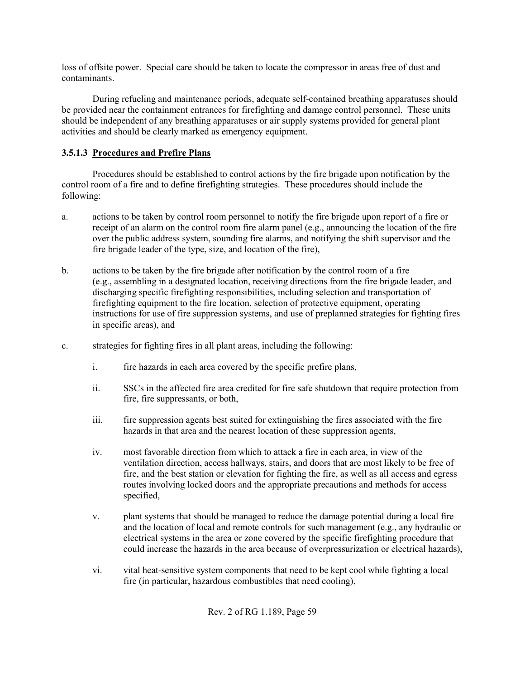loss of offsite power. Special care should be taken to locate the compressor in areas free of dust and contaminants.

During refueling and maintenance periods, adequate self-contained breathing apparatuses should be provided near the containment entrances for firefighting and damage control personnel. These units should be independent of any breathing apparatuses or air supply systems provided for general plant activities and should be clearly marked as emergency equipment.

# **3.5.1.3 Procedures and Prefire Plans**

Procedures should be established to control actions by the fire brigade upon notification by the control room of a fire and to define firefighting strategies. These procedures should include the following:

- a. actions to be taken by control room personnel to notify the fire brigade upon report of a fire or receipt of an alarm on the control room fire alarm panel (e.g., announcing the location of the fire over the public address system, sounding fire alarms, and notifying the shift supervisor and the fire brigade leader of the type, size, and location of the fire),
- b. actions to be taken by the fire brigade after notification by the control room of a fire (e.g., assembling in a designated location, receiving directions from the fire brigade leader, and discharging specific firefighting responsibilities, including selection and transportation of firefighting equipment to the fire location, selection of protective equipment, operating instructions for use of fire suppression systems, and use of preplanned strategies for fighting fires in specific areas), and
- c. strategies for fighting fires in all plant areas, including the following:
	- i. fire hazards in each area covered by the specific prefire plans,
	- ii. SSCs in the affected fire area credited for fire safe shutdown that require protection from fire, fire suppressants, or both,
	- iii. fire suppression agents best suited for extinguishing the fires associated with the fire hazards in that area and the nearest location of these suppression agents,
	- iv. most favorable direction from which to attack a fire in each area, in view of the ventilation direction, access hallways, stairs, and doors that are most likely to be free of fire, and the best station or elevation for fighting the fire, as well as all access and egress routes involving locked doors and the appropriate precautions and methods for access specified,
	- v. plant systems that should be managed to reduce the damage potential during a local fire and the location of local and remote controls for such management (e.g., any hydraulic or electrical systems in the area or zone covered by the specific firefighting procedure that could increase the hazards in the area because of overpressurization or electrical hazards),
	- vi. vital heat-sensitive system components that need to be kept cool while fighting a local fire (in particular, hazardous combustibles that need cooling),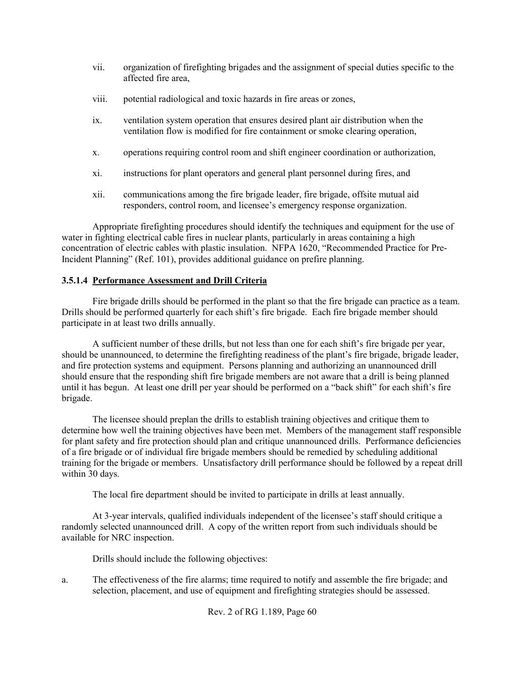- vii. organization of firefighting brigades and the assignment of special duties specific to the affected fire area,
- viii. potential radiological and toxic hazards in fire areas or zones,
- ix. ventilation system operation that ensures desired plant air distribution when the ventilation flow is modified for fire containment or smoke clearing operation,
- x. operations requiring control room and shift engineer coordination or authorization,
- xi. instructions for plant operators and general plant personnel during fires, and
- xii. communications among the fire brigade leader, fire brigade, offsite mutual aid responders, control room, and licensee's emergency response organization.

Appropriate firefighting procedures should identify the techniques and equipment for the use of water in fighting electrical cable fires in nuclear plants, particularly in areas containing a high concentration of electric cables with plastic insulation. NFPA 1620, "Recommended Practice for Pre-Incident Planning" (Ref. 101), provides additional guidance on prefire planning.

# **3.5.1.4 Performance Assessment and Drill Criteria**

Fire brigade drills should be performed in the plant so that the fire brigade can practice as a team. Drills should be performed quarterly for each shift's fire brigade. Each fire brigade member should participate in at least two drills annually.

A sufficient number of these drills, but not less than one for each shift's fire brigade per year, should be unannounced, to determine the firefighting readiness of the plant's fire brigade, brigade leader, and fire protection systems and equipment. Persons planning and authorizing an unannounced drill should ensure that the responding shift fire brigade members are not aware that a drill is being planned until it has begun. At least one drill per year should be performed on a "back shift" for each shift's fire brigade.

The licensee should preplan the drills to establish training objectives and critique them to determine how well the training objectives have been met. Members of the management staff responsible for plant safety and fire protection should plan and critique unannounced drills. Performance deficiencies of a fire brigade or of individual fire brigade members should be remedied by scheduling additional training for the brigade or members. Unsatisfactory drill performance should be followed by a repeat drill within 30 days.

The local fire department should be invited to participate in drills at least annually.

At 3-year intervals, qualified individuals independent of the licensee's staff should critique a randomly selected unannounced drill. A copy of the written report from such individuals should be available for NRC inspection.

Drills should include the following objectives:

a. The effectiveness of the fire alarms; time required to notify and assemble the fire brigade; and selection, placement, and use of equipment and firefighting strategies should be assessed.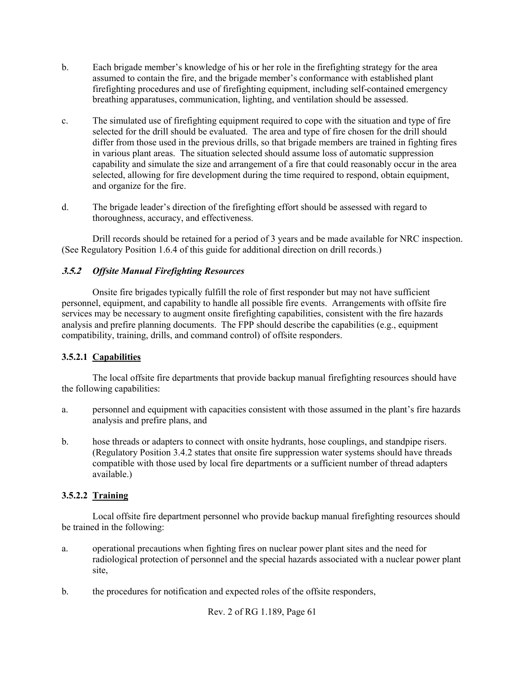- b. Each brigade member's knowledge of his or her role in the firefighting strategy for the area assumed to contain the fire, and the brigade member's conformance with established plant firefighting procedures and use of firefighting equipment, including self-contained emergency breathing apparatuses, communication, lighting, and ventilation should be assessed.
- c. The simulated use of firefighting equipment required to cope with the situation and type of fire selected for the drill should be evaluated. The area and type of fire chosen for the drill should differ from those used in the previous drills, so that brigade members are trained in fighting fires in various plant areas. The situation selected should assume loss of automatic suppression capability and simulate the size and arrangement of a fire that could reasonably occur in the area selected, allowing for fire development during the time required to respond, obtain equipment, and organize for the fire.
- d. The brigade leader's direction of the firefighting effort should be assessed with regard to thoroughness, accuracy, and effectiveness.

Drill records should be retained for a period of 3 years and be made available for NRC inspection. (See Regulatory Position 1.6.4 of this guide for additional direction on drill records.)

# **3.5.2** *Offsite Manual Firefighting Resources*

Onsite fire brigades typically fulfill the role of first responder but may not have sufficient personnel, equipment, and capability to handle all possible fire events. Arrangements with offsite fire services may be necessary to augment onsite firefighting capabilities, consistent with the fire hazards analysis and prefire planning documents. The FPP should describe the capabilities (e.g., equipment compatibility, training, drills, and command control) of offsite responders.

## **3.5.2.1 Capabilities**

The local offsite fire departments that provide backup manual firefighting resources should have the following capabilities:

- a. personnel and equipment with capacities consistent with those assumed in the plant's fire hazards analysis and prefire plans, and
- b. hose threads or adapters to connect with onsite hydrants, hose couplings, and standpipe risers. (Regulatory Position 3.4.2 states that onsite fire suppression water systems should have threads compatible with those used by local fire departments or a sufficient number of thread adapters available.)

## **3.5.2.2 Training**

Local offsite fire department personnel who provide backup manual firefighting resources should be trained in the following:

- a. operational precautions when fighting fires on nuclear power plant sites and the need for radiological protection of personnel and the special hazards associated with a nuclear power plant site,
- b. the procedures for notification and expected roles of the offsite responders,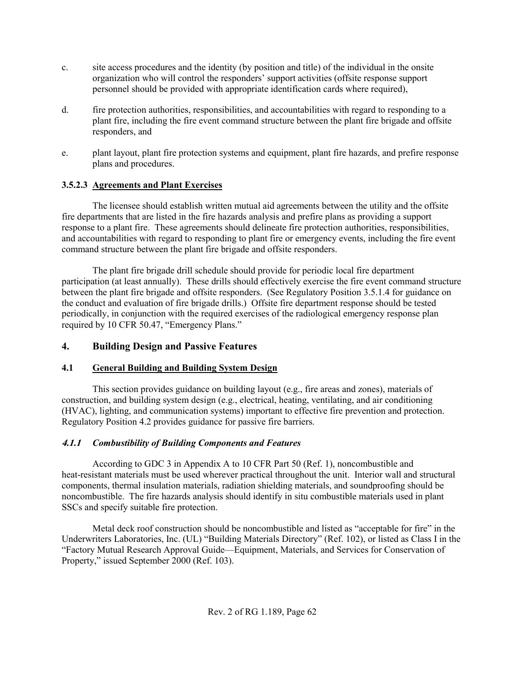- c. site access procedures and the identity (by position and title) of the individual in the onsite organization who will control the responders' support activities (offsite response support personnel should be provided with appropriate identification cards where required),
- d. fire protection authorities, responsibilities, and accountabilities with regard to responding to a plant fire, including the fire event command structure between the plant fire brigade and offsite responders, and
- e. plant layout, plant fire protection systems and equipment, plant fire hazards, and prefire response plans and procedures.

# **3.5.2.3 Agreements and Plant Exercises**

The licensee should establish written mutual aid agreements between the utility and the offsite fire departments that are listed in the fire hazards analysis and prefire plans as providing a support response to a plant fire. These agreements should delineate fire protection authorities, responsibilities, and accountabilities with regard to responding to plant fire or emergency events, including the fire event command structure between the plant fire brigade and offsite responders.

The plant fire brigade drill schedule should provide for periodic local fire department participation (at least annually). These drills should effectively exercise the fire event command structure between the plant fire brigade and offsite responders. (See Regulatory Position 3.5.1.4 for guidance on the conduct and evaluation of fire brigade drills.) Offsite fire department response should be tested periodically, in conjunction with the required exercises of the radiological emergency response plan required by 10 CFR 50.47, "Emergency Plans."

# **4. Building Design and Passive Features**

## **4.1 General Building and Building System Design**

This section provides guidance on building layout (e.g., fire areas and zones), materials of construction, and building system design (e.g., electrical, heating, ventilating, and air conditioning (HVAC), lighting, and communication systems) important to effective fire prevention and protection. Regulatory Position 4.2 provides guidance for passive fire barriers.

# **4.1.1** *Combustibility of Building Components and Features*

According to GDC 3 in Appendix A to 10 CFR Part 50 (Ref. 1), noncombustible and heat-resistant materials must be used wherever practical throughout the unit. Interior wall and structural components, thermal insulation materials, radiation shielding materials, and soundproofing should be noncombustible. The fire hazards analysis should identify in situ combustible materials used in plant SSCs and specify suitable fire protection.

Metal deck roof construction should be noncombustible and listed as "acceptable for fire" in the Underwriters Laboratories, Inc. (UL) "Building Materials Directory" (Ref. 102), or listed as Class I in the "Factory Mutual Research Approval Guide—Equipment, Materials, and Services for Conservation of Property," issued September 2000 (Ref. 103).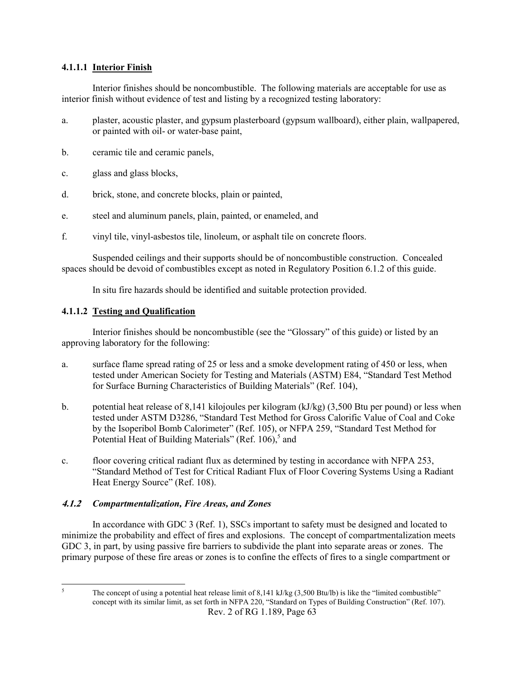### **4.1.1.1 Interior Finish**

Interior finishes should be noncombustible. The following materials are acceptable for use as interior finish without evidence of test and listing by a recognized testing laboratory:

- a. plaster, acoustic plaster, and gypsum plasterboard (gypsum wallboard), either plain, wallpapered, or painted with oil- or water-base paint,
- b. ceramic tile and ceramic panels,
- c. glass and glass blocks,
- d. brick, stone, and concrete blocks, plain or painted,
- e. steel and aluminum panels, plain, painted, or enameled, and
- f. vinyl tile, vinyl-asbestos tile, linoleum, or asphalt tile on concrete floors.

Suspended ceilings and their supports should be of noncombustible construction. Concealed spaces should be devoid of combustibles except as noted in Regulatory Position 6.1.2 of this guide.

In situ fire hazards should be identified and suitable protection provided.

### **4.1.1.2 Testing and Qualification**

Interior finishes should be noncombustible (see the "Glossary" of this guide) or listed by an approving laboratory for the following:

- a. surface flame spread rating of 25 or less and a smoke development rating of 450 or less, when tested under American Society for Testing and Materials (ASTM) E84, "Standard Test Method for Surface Burning Characteristics of Building Materials" (Ref. 104),
- b. potential heat release of 8,141 kilojoules per kilogram (kJ/kg) (3,500 Btu per pound) or less when tested under ASTM D3286, "Standard Test Method for Gross Calorific Value of Coal and Coke by the Isoperibol Bomb Calorimeter" (Ref. 105), or NFPA 259, "Standard Test Method for Potential Heat of Building Materials" (Ref.  $106$ ),  $5$  and
- c. floor covering critical radiant flux as determined by testing in accordance with NFPA 253, "Standard Method of Test for Critical Radiant Flux of Floor Covering Systems Using a Radiant Heat Energy Source" (Ref. 108).

## **4.1.2** *Compartmentalization, Fire Areas, and Zones*

In accordance with GDC 3 (Ref. 1), SSCs important to safety must be designed and located to minimize the probability and effect of fires and explosions. The concept of compartmentalization meets GDC 3, in part, by using passive fire barriers to subdivide the plant into separate areas or zones. The primary purpose of these fire areas or zones is to confine the effects of fires to a single compartment or

 $\frac{1}{5}$ 

Rev. 2 of RG 1.189, Page 63 The concept of using a potential heat release limit of 8,141 kJ/kg (3,500 Btu/lb) is like the "limited combustible" concept with its similar limit, as set forth in NFPA 220, "Standard on Types of Building Construction" (Ref. 107).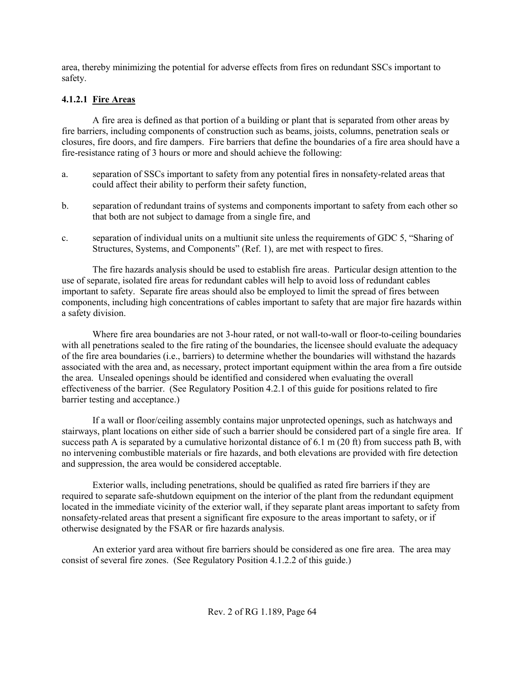area, thereby minimizing the potential for adverse effects from fires on redundant SSCs important to safety.

# **4.1.2.1 Fire Areas**

A fire area is defined as that portion of a building or plant that is separated from other areas by fire barriers, including components of construction such as beams, joists, columns, penetration seals or closures, fire doors, and fire dampers. Fire barriers that define the boundaries of a fire area should have a fire-resistance rating of 3 hours or more and should achieve the following:

- a. separation of SSCs important to safety from any potential fires in nonsafety-related areas that could affect their ability to perform their safety function,
- b. separation of redundant trains of systems and components important to safety from each other so that both are not subject to damage from a single fire, and
- c. separation of individual units on a multiunit site unless the requirements of GDC 5, "Sharing of Structures, Systems, and Components" (Ref. 1), are met with respect to fires.

The fire hazards analysis should be used to establish fire areas. Particular design attention to the use of separate, isolated fire areas for redundant cables will help to avoid loss of redundant cables important to safety. Separate fire areas should also be employed to limit the spread of fires between components, including high concentrations of cables important to safety that are major fire hazards within a safety division.

Where fire area boundaries are not 3-hour rated, or not wall-to-wall or floor-to-ceiling boundaries with all penetrations sealed to the fire rating of the boundaries, the licensee should evaluate the adequacy of the fire area boundaries (i.e., barriers) to determine whether the boundaries will withstand the hazards associated with the area and, as necessary, protect important equipment within the area from a fire outside the area. Unsealed openings should be identified and considered when evaluating the overall effectiveness of the barrier. (See Regulatory Position 4.2.1 of this guide for positions related to fire barrier testing and acceptance.)

If a wall or floor/ceiling assembly contains major unprotected openings, such as hatchways and stairways, plant locations on either side of such a barrier should be considered part of a single fire area. If success path A is separated by a cumulative horizontal distance of 6.1 m (20 ft) from success path B, with no intervening combustible materials or fire hazards, and both elevations are provided with fire detection and suppression, the area would be considered acceptable.

Exterior walls, including penetrations, should be qualified as rated fire barriers if they are required to separate safe-shutdown equipment on the interior of the plant from the redundant equipment located in the immediate vicinity of the exterior wall, if they separate plant areas important to safety from nonsafety-related areas that present a significant fire exposure to the areas important to safety, or if otherwise designated by the FSAR or fire hazards analysis.

An exterior yard area without fire barriers should be considered as one fire area. The area may consist of several fire zones. (See Regulatory Position 4.1.2.2 of this guide.)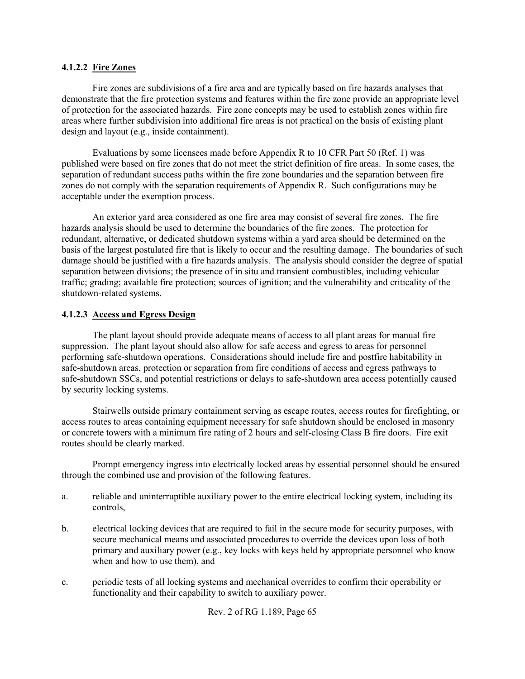### **4.1.2.2 Fire Zones**

Fire zones are subdivisions of a fire area and are typically based on fire hazards analyses that demonstrate that the fire protection systems and features within the fire zone provide an appropriate level of protection for the associated hazards. Fire zone concepts may be used to establish zones within fire areas where further subdivision into additional fire areas is not practical on the basis of existing plant design and layout (e.g., inside containment).

Evaluations by some licensees made before Appendix R to 10 CFR Part 50 (Ref. 1) was published were based on fire zones that do not meet the strict definition of fire areas. In some cases, the separation of redundant success paths within the fire zone boundaries and the separation between fire zones do not comply with the separation requirements of Appendix R. Such configurations may be acceptable under the exemption process.

An exterior yard area considered as one fire area may consist of several fire zones. The fire hazards analysis should be used to determine the boundaries of the fire zones. The protection for redundant, alternative, or dedicated shutdown systems within a yard area should be determined on the basis of the largest postulated fire that is likely to occur and the resulting damage. The boundaries of such damage should be justified with a fire hazards analysis. The analysis should consider the degree of spatial separation between divisions; the presence of in situ and transient combustibles, including vehicular traffic; grading; available fire protection; sources of ignition; and the vulnerability and criticality of the shutdown-related systems.

### **4.1.2.3 Access and Egress Design**

The plant layout should provide adequate means of access to all plant areas for manual fire suppression. The plant layout should also allow for safe access and egress to areas for personnel performing safe-shutdown operations. Considerations should include fire and postfire habitability in safe-shutdown areas, protection or separation from fire conditions of access and egress pathways to safe-shutdown SSCs, and potential restrictions or delays to safe-shutdown area access potentially caused by security locking systems.

Stairwells outside primary containment serving as escape routes, access routes for firefighting, or access routes to areas containing equipment necessary for safe shutdown should be enclosed in masonry or concrete towers with a minimum fire rating of 2 hours and self-closing Class B fire doors. Fire exit routes should be clearly marked.

Prompt emergency ingress into electrically locked areas by essential personnel should be ensured through the combined use and provision of the following features.

- a. reliable and uninterruptible auxiliary power to the entire electrical locking system, including its controls,
- b. electrical locking devices that are required to fail in the secure mode for security purposes, with secure mechanical means and associated procedures to override the devices upon loss of both primary and auxiliary power (e.g., key locks with keys held by appropriate personnel who know when and how to use them), and
- c. periodic tests of all locking systems and mechanical overrides to confirm their operability or functionality and their capability to switch to auxiliary power.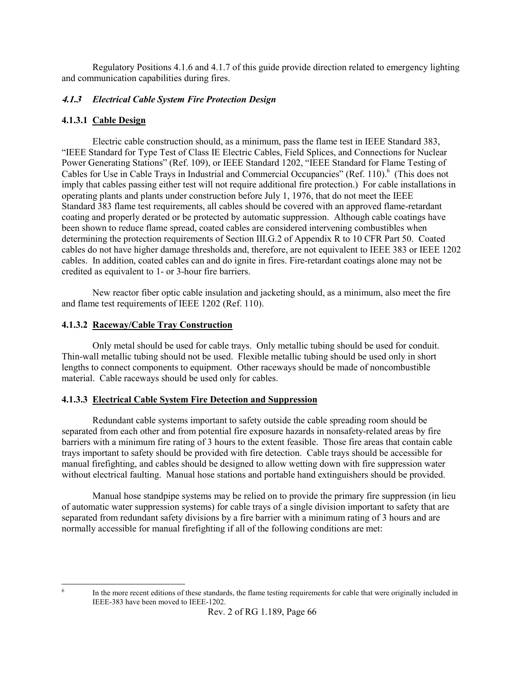Regulatory Positions 4.1.6 and 4.1.7 of this guide provide direction related to emergency lighting and communication capabilities during fires.

## **4.1.3** *Electrical Cable System Fire Protection Design*

## **4.1.3.1 Cable Design**

Electric cable construction should, as a minimum, pass the flame test in IEEE Standard 383, "IEEE Standard for Type Test of Class IE Electric Cables, Field Splices, and Connections for Nuclear Power Generating Stations" (Ref. 109), or IEEE Standard 1202, "IEEE Standard for Flame Testing of Cables for Use in Cable Trays in Industrial and Commercial Occupancies" (Ref. 110).<sup>6</sup> (This does not imply that cables passing either test will not require additional fire protection.) For cable installations in operating plants and plants under construction before July 1, 1976, that do not meet the IEEE Standard 383 flame test requirements, all cables should be covered with an approved flame-retardant coating and properly derated or be protected by automatic suppression. Although cable coatings have been shown to reduce flame spread, coated cables are considered intervening combustibles when determining the protection requirements of Section III.G.2 of Appendix R to 10 CFR Part 50. Coated cables do not have higher damage thresholds and, therefore, are not equivalent to IEEE 383 or IEEE 1202 cables. In addition, coated cables can and do ignite in fires. Fire-retardant coatings alone may not be credited as equivalent to 1- or 3-hour fire barriers.

New reactor fiber optic cable insulation and jacketing should, as a minimum, also meet the fire and flame test requirements of IEEE 1202 (Ref. 110).

### **4.1.3.2 Raceway/Cable Tray Construction**

Only metal should be used for cable trays. Only metallic tubing should be used for conduit. Thin-wall metallic tubing should not be used. Flexible metallic tubing should be used only in short lengths to connect components to equipment. Other raceways should be made of noncombustible material. Cable raceways should be used only for cables.

### **4.1.3.3 Electrical Cable System Fire Detection and Suppression**

Redundant cable systems important to safety outside the cable spreading room should be separated from each other and from potential fire exposure hazards in nonsafety-related areas by fire barriers with a minimum fire rating of 3 hours to the extent feasible. Those fire areas that contain cable trays important to safety should be provided with fire detection. Cable trays should be accessible for manual firefighting, and cables should be designed to allow wetting down with fire suppression water without electrical faulting. Manual hose stations and portable hand extinguishers should be provided.

Manual hose standpipe systems may be relied on to provide the primary fire suppression (in lieu of automatic water suppression systems) for cable trays of a single division important to safety that are separated from redundant safety divisions by a fire barrier with a minimum rating of 3 hours and are normally accessible for manual firefighting if all of the following conditions are met:

 $\frac{1}{6}$ 

In the more recent editions of these standards, the flame testing requirements for cable that were originally included in IEEE-383 have been moved to IEEE-1202.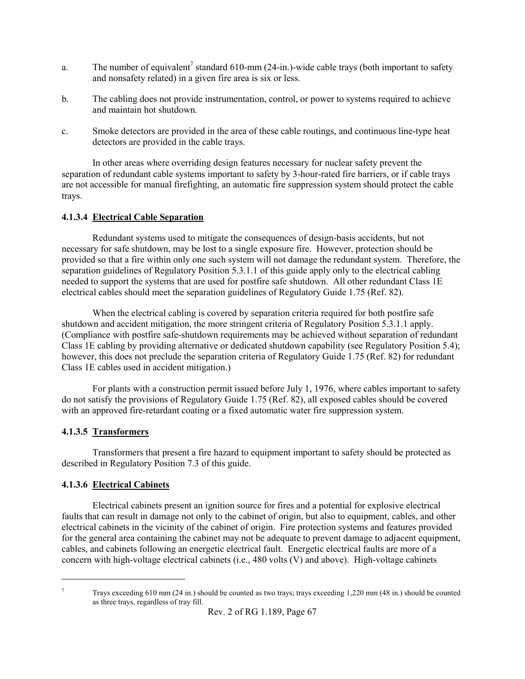- a. The number of equivalent<sup>7</sup> standard 610-mm (24-in.)-wide cable trays (both important to safety and nonsafety related) in a given fire area is six or less.
- b. The cabling does not provide instrumentation, control, or power to systems required to achieve and maintain hot shutdown.
- c. Smoke detectors are provided in the area of these cable routings, and continuous line-type heat detectors are provided in the cable trays.

In other areas where overriding design features necessary for nuclear safety prevent the separation of redundant cable systems important to safety by 3-hour-rated fire barriers, or if cable trays are not accessible for manual firefighting, an automatic fire suppression system should protect the cable trays.

# **4.1.3.4 Electrical Cable Separation**

Redundant systems used to mitigate the consequences of design-basis accidents, but not necessary for safe shutdown, may be lost to a single exposure fire. However, protection should be provided so that a fire within only one such system will not damage the redundant system. Therefore, the separation guidelines of Regulatory Position 5.3.1.1 of this guide apply only to the electrical cabling needed to support the systems that are used for postfire safe shutdown. All other redundant Class 1E electrical cables should meet the separation guidelines of Regulatory Guide 1.75 (Ref. 82).

When the electrical cabling is covered by separation criteria required for both postfire safe shutdown and accident mitigation, the more stringent criteria of Regulatory Position 5.3.1.1 apply. (Compliance with postfire safe-shutdown requirements may be achieved without separation of redundant Class 1E cabling by providing alternative or dedicated shutdown capability (see Regulatory Position 5.4); however, this does not preclude the separation criteria of Regulatory Guide 1.75 (Ref. 82) for redundant Class 1E cables used in accident mitigation.)

For plants with a construction permit issued before July 1, 1976, where cables important to safety do not satisfy the provisions of Regulatory Guide 1.75 (Ref. 82), all exposed cables should be covered with an approved fire-retardant coating or a fixed automatic water fire suppression system.

# **4.1.3.5 Transformers**

Transformers that present a fire hazard to equipment important to safety should be protected as described in Regulatory Position 7.3 of this guide.

# **4.1.3.6 Electrical Cabinets**

Electrical cabinets present an ignition source for fires and a potential for explosive electrical faults that can result in damage not only to the cabinet of origin, but also to equipment, cables, and other electrical cabinets in the vicinity of the cabinet of origin. Fire protection systems and features provided for the general area containing the cabinet may not be adequate to prevent damage to adjacent equipment, cables, and cabinets following an energetic electrical fault. Energetic electrical faults are more of a concern with high-voltage electrical cabinets (i.e., 480 volts (V) and above). High-voltage cabinets

<sup>1</sup> 7

Trays exceeding 610 mm (24 in.) should be counted as two trays; trays exceeding 1,220 mm (48 in.) should be counted as three trays, regardless of tray fill.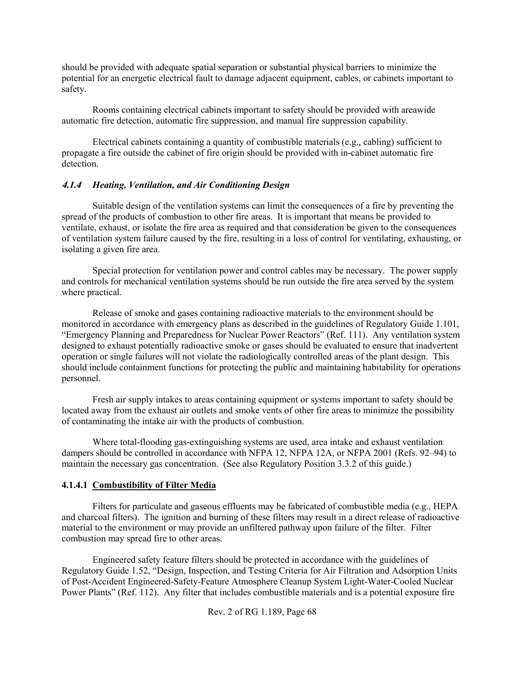should be provided with adequate spatial separation or substantial physical barriers to minimize the potential for an energetic electrical fault to damage adjacent equipment, cables, or cabinets important to safety.

Rooms containing electrical cabinets important to safety should be provided with areawide automatic fire detection, automatic fire suppression, and manual fire suppression capability.

Electrical cabinets containing a quantity of combustible materials (e.g., cabling) sufficient to propagate a fire outside the cabinet of fire origin should be provided with in-cabinet automatic fire detection.

### **4.1.4** *Heating, Ventilation, and Air Conditioning Design*

Suitable design of the ventilation systems can limit the consequences of a fire by preventing the spread of the products of combustion to other fire areas. It is important that means be provided to ventilate, exhaust, or isolate the fire area as required and that consideration be given to the consequences of ventilation system failure caused by the fire, resulting in a loss of control for ventilating, exhausting, or isolating a given fire area.

Special protection for ventilation power and control cables may be necessary. The power supply and controls for mechanical ventilation systems should be run outside the fire area served by the system where practical.

Release of smoke and gases containing radioactive materials to the environment should be monitored in accordance with emergency plans as described in the guidelines of Regulatory Guide 1.101, "Emergency Planning and Preparedness for Nuclear Power Reactors" (Ref. 111). Any ventilation system designed to exhaust potentially radioactive smoke or gases should be evaluated to ensure that inadvertent operation or single failures will not violate the radiologically controlled areas of the plant design. This should include containment functions for protecting the public and maintaining habitability for operations personnel.

Fresh air supply intakes to areas containing equipment or systems important to safety should be located away from the exhaust air outlets and smoke vents of other fire areas to minimize the possibility of contaminating the intake air with the products of combustion.

Where total-flooding gas-extinguishing systems are used, area intake and exhaust ventilation dampers should be controlled in accordance with NFPA 12, NFPA 12A, or NFPA 2001 (Refs. 92–94) to maintain the necessary gas concentration. (See also Regulatory Position 3.3.2 of this guide.)

## **4.1.4.1 Combustibility of Filter Media**

Filters for particulate and gaseous effluents may be fabricated of combustible media (e.g., HEPA and charcoal filters). The ignition and burning of these filters may result in a direct release of radioactive material to the environment or may provide an unfiltered pathway upon failure of the filter. Filter combustion may spread fire to other areas.

Engineered safety feature filters should be protected in accordance with the guidelines of Regulatory Guide 1.52, "Design, Inspection, and Testing Criteria for Air Filtration and Adsorption Units of Post-Accident Engineered-Safety-Feature Atmosphere Cleanup System Light-Water-Cooled Nuclear Power Plants" (Ref. 112). Any filter that includes combustible materials and is a potential exposure fire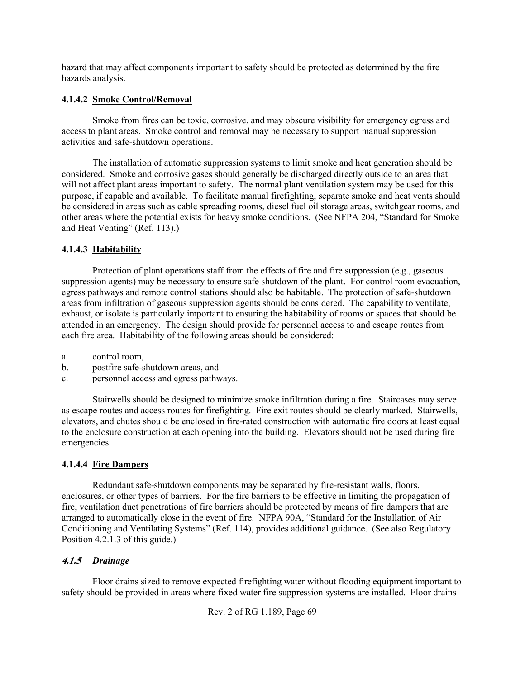hazard that may affect components important to safety should be protected as determined by the fire hazards analysis.

# **4.1.4.2 Smoke Control/Removal**

Smoke from fires can be toxic, corrosive, and may obscure visibility for emergency egress and access to plant areas. Smoke control and removal may be necessary to support manual suppression activities and safe-shutdown operations.

The installation of automatic suppression systems to limit smoke and heat generation should be considered. Smoke and corrosive gases should generally be discharged directly outside to an area that will not affect plant areas important to safety. The normal plant ventilation system may be used for this purpose, if capable and available. To facilitate manual firefighting, separate smoke and heat vents should be considered in areas such as cable spreading rooms, diesel fuel oil storage areas, switchgear rooms, and other areas where the potential exists for heavy smoke conditions. (See NFPA 204, "Standard for Smoke and Heat Venting" (Ref. 113).)

# **4.1.4.3 Habitability**

Protection of plant operations staff from the effects of fire and fire suppression (e.g., gaseous suppression agents) may be necessary to ensure safe shutdown of the plant. For control room evacuation, egress pathways and remote control stations should also be habitable. The protection of safe-shutdown areas from infiltration of gaseous suppression agents should be considered. The capability to ventilate, exhaust, or isolate is particularly important to ensuring the habitability of rooms or spaces that should be attended in an emergency. The design should provide for personnel access to and escape routes from each fire area. Habitability of the following areas should be considered:

- a. control room,
- b. postfire safe-shutdown areas, and
- c. personnel access and egress pathways.

Stairwells should be designed to minimize smoke infiltration during a fire. Staircases may serve as escape routes and access routes for firefighting. Fire exit routes should be clearly marked. Stairwells, elevators, and chutes should be enclosed in fire-rated construction with automatic fire doors at least equal to the enclosure construction at each opening into the building. Elevators should not be used during fire emergencies.

## **4.1.4.4 Fire Dampers**

Redundant safe-shutdown components may be separated by fire-resistant walls, floors, enclosures, or other types of barriers. For the fire barriers to be effective in limiting the propagation of fire, ventilation duct penetrations of fire barriers should be protected by means of fire dampers that are arranged to automatically close in the event of fire. NFPA 90A, "Standard for the Installation of Air Conditioning and Ventilating Systems" (Ref. 114), provides additional guidance. (See also Regulatory Position 4.2.1.3 of this guide.)

## **4.1.5** *Drainage*

Floor drains sized to remove expected firefighting water without flooding equipment important to safety should be provided in areas where fixed water fire suppression systems are installed. Floor drains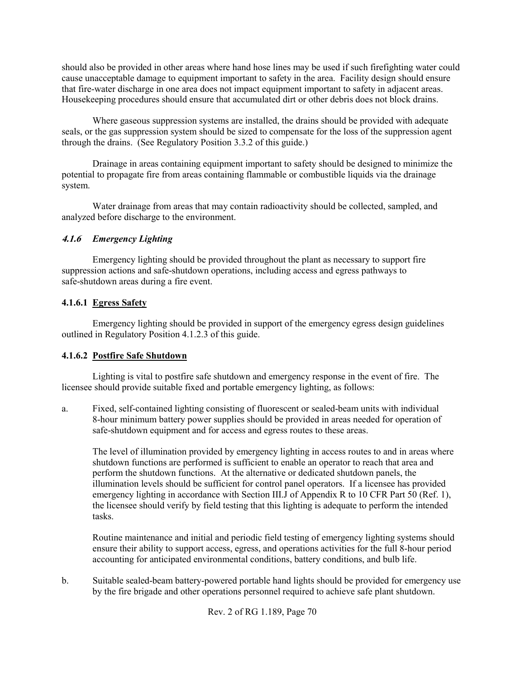should also be provided in other areas where hand hose lines may be used if such firefighting water could cause unacceptable damage to equipment important to safety in the area. Facility design should ensure that fire-water discharge in one area does not impact equipment important to safety in adjacent areas. Housekeeping procedures should ensure that accumulated dirt or other debris does not block drains.

Where gaseous suppression systems are installed, the drains should be provided with adequate seals, or the gas suppression system should be sized to compensate for the loss of the suppression agent through the drains. (See Regulatory Position 3.3.2 of this guide.)

Drainage in areas containing equipment important to safety should be designed to minimize the potential to propagate fire from areas containing flammable or combustible liquids via the drainage system.

Water drainage from areas that may contain radioactivity should be collected, sampled, and analyzed before discharge to the environment.

## **4.1.6** *Emergency Lighting*

Emergency lighting should be provided throughout the plant as necessary to support fire suppression actions and safe-shutdown operations, including access and egress pathways to safe-shutdown areas during a fire event.

### **4.1.6.1 Egress Safety**

Emergency lighting should be provided in support of the emergency egress design guidelines outlined in Regulatory Position 4.1.2.3 of this guide.

### **4.1.6.2 Postfire Safe Shutdown**

Lighting is vital to postfire safe shutdown and emergency response in the event of fire. The licensee should provide suitable fixed and portable emergency lighting, as follows:

a. Fixed, self-contained lighting consisting of fluorescent or sealed-beam units with individual 8-hour minimum battery power supplies should be provided in areas needed for operation of safe-shutdown equipment and for access and egress routes to these areas.

The level of illumination provided by emergency lighting in access routes to and in areas where shutdown functions are performed is sufficient to enable an operator to reach that area and perform the shutdown functions. At the alternative or dedicated shutdown panels, the illumination levels should be sufficient for control panel operators. If a licensee has provided emergency lighting in accordance with Section III.J of Appendix R to 10 CFR Part 50 (Ref. 1), the licensee should verify by field testing that this lighting is adequate to perform the intended tasks.

Routine maintenance and initial and periodic field testing of emergency lighting systems should ensure their ability to support access, egress, and operations activities for the full 8-hour period accounting for anticipated environmental conditions, battery conditions, and bulb life.

b. Suitable sealed-beam battery-powered portable hand lights should be provided for emergency use by the fire brigade and other operations personnel required to achieve safe plant shutdown.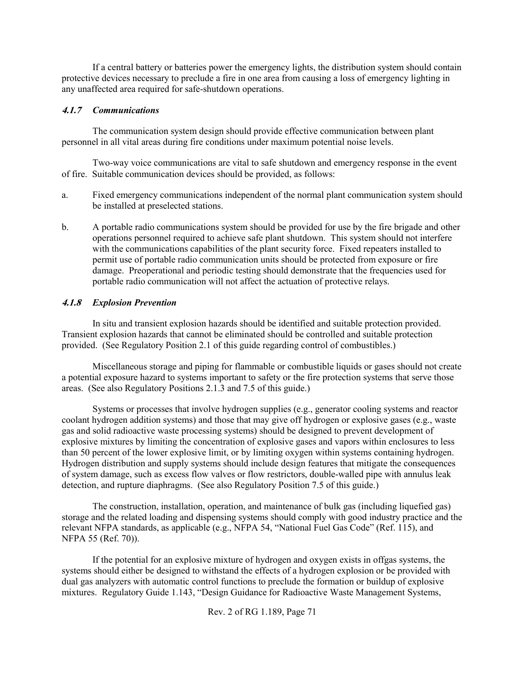If a central battery or batteries power the emergency lights, the distribution system should contain protective devices necessary to preclude a fire in one area from causing a loss of emergency lighting in any unaffected area required for safe-shutdown operations.

### **4.1.7** *Communications*

The communication system design should provide effective communication between plant personnel in all vital areas during fire conditions under maximum potential noise levels.

Two-way voice communications are vital to safe shutdown and emergency response in the event of fire. Suitable communication devices should be provided, as follows:

- a. Fixed emergency communications independent of the normal plant communication system should be installed at preselected stations.
- b. A portable radio communications system should be provided for use by the fire brigade and other operations personnel required to achieve safe plant shutdown. This system should not interfere with the communications capabilities of the plant security force. Fixed repeaters installed to permit use of portable radio communication units should be protected from exposure or fire damage. Preoperational and periodic testing should demonstrate that the frequencies used for portable radio communication will not affect the actuation of protective relays.

### **4.1.8** *Explosion Prevention*

In situ and transient explosion hazards should be identified and suitable protection provided. Transient explosion hazards that cannot be eliminated should be controlled and suitable protection provided. (See Regulatory Position 2.1 of this guide regarding control of combustibles.)

Miscellaneous storage and piping for flammable or combustible liquids or gases should not create a potential exposure hazard to systems important to safety or the fire protection systems that serve those areas. (See also Regulatory Positions 2.1.3 and 7.5 of this guide.)

Systems or processes that involve hydrogen supplies (e.g., generator cooling systems and reactor coolant hydrogen addition systems) and those that may give off hydrogen or explosive gases (e.g., waste gas and solid radioactive waste processing systems) should be designed to prevent development of explosive mixtures by limiting the concentration of explosive gases and vapors within enclosures to less than 50 percent of the lower explosive limit, or by limiting oxygen within systems containing hydrogen. Hydrogen distribution and supply systems should include design features that mitigate the consequences of system damage, such as excess flow valves or flow restrictors, double-walled pipe with annulus leak detection, and rupture diaphragms. (See also Regulatory Position 7.5 of this guide.)

The construction, installation, operation, and maintenance of bulk gas (including liquefied gas) storage and the related loading and dispensing systems should comply with good industry practice and the relevant NFPA standards, as applicable (e.g., NFPA 54, "National Fuel Gas Code" (Ref. 115), and NFPA 55 (Ref. 70)).

If the potential for an explosive mixture of hydrogen and oxygen exists in offgas systems, the systems should either be designed to withstand the effects of a hydrogen explosion or be provided with dual gas analyzers with automatic control functions to preclude the formation or buildup of explosive mixtures. Regulatory Guide 1.143, "Design Guidance for Radioactive Waste Management Systems,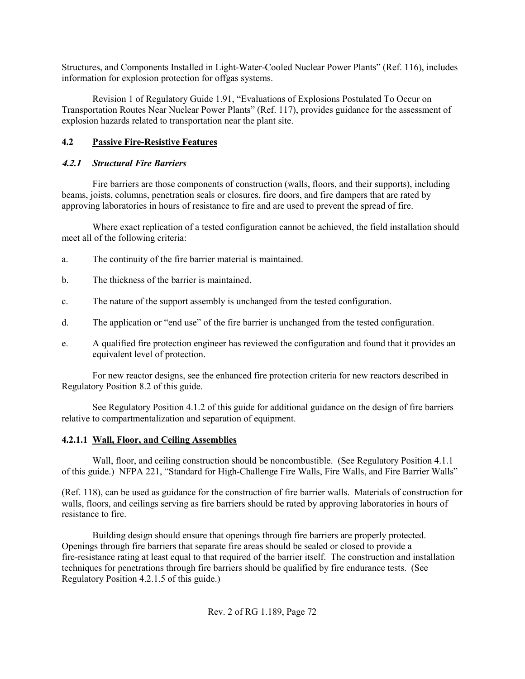Structures, and Components Installed in Light-Water-Cooled Nuclear Power Plants" (Ref. 116), includes information for explosion protection for offgas systems.

Revision 1 of Regulatory Guide 1.91, "Evaluations of Explosions Postulated To Occur on Transportation Routes Near Nuclear Power Plants" (Ref. 117), provides guidance for the assessment of explosion hazards related to transportation near the plant site.

# **4.2 Passive Fire-Resistive Features**

## **4.2.1** *Structural Fire Barriers*

Fire barriers are those components of construction (walls, floors, and their supports), including beams, joists, columns, penetration seals or closures, fire doors, and fire dampers that are rated by approving laboratories in hours of resistance to fire and are used to prevent the spread of fire.

Where exact replication of a tested configuration cannot be achieved, the field installation should meet all of the following criteria:

- a. The continuity of the fire barrier material is maintained.
- b. The thickness of the barrier is maintained.
- c. The nature of the support assembly is unchanged from the tested configuration.
- d. The application or "end use" of the fire barrier is unchanged from the tested configuration.
- e. A qualified fire protection engineer has reviewed the configuration and found that it provides an equivalent level of protection.

For new reactor designs, see the enhanced fire protection criteria for new reactors described in Regulatory Position 8.2 of this guide.

See Regulatory Position 4.1.2 of this guide for additional guidance on the design of fire barriers relative to compartmentalization and separation of equipment.

## **4.2.1.1 Wall, Floor, and Ceiling Assemblies**

Wall, floor, and ceiling construction should be noncombustible. (See Regulatory Position 4.1.1) of this guide.) NFPA 221, "Standard for High-Challenge Fire Walls, Fire Walls, and Fire Barrier Walls"

(Ref. 118), can be used as guidance for the construction of fire barrier walls. Materials of construction for walls, floors, and ceilings serving as fire barriers should be rated by approving laboratories in hours of resistance to fire.

Building design should ensure that openings through fire barriers are properly protected. Openings through fire barriers that separate fire areas should be sealed or closed to provide a fire-resistance rating at least equal to that required of the barrier itself. The construction and installation techniques for penetrations through fire barriers should be qualified by fire endurance tests. (See Regulatory Position 4.2.1.5 of this guide.)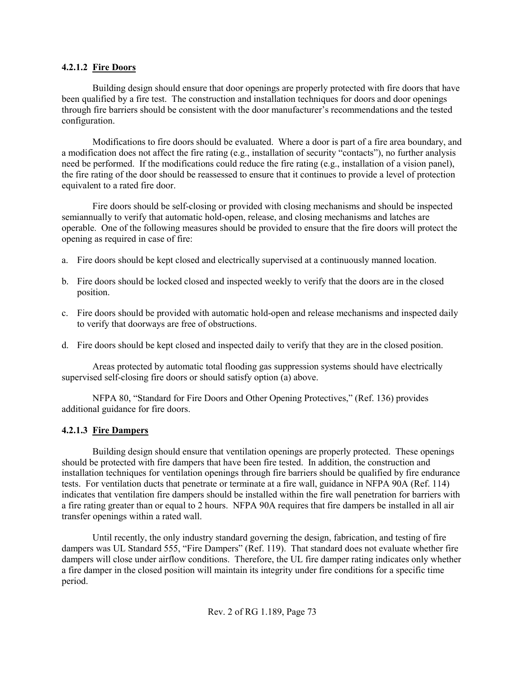#### **4.2.1.2 Fire Doors**

Building design should ensure that door openings are properly protected with fire doors that have been qualified by a fire test. The construction and installation techniques for doors and door openings through fire barriers should be consistent with the door manufacturer's recommendations and the tested configuration.

Modifications to fire doors should be evaluated. Where a door is part of a fire area boundary, and a modification does not affect the fire rating (e.g., installation of security "contacts"), no further analysis need be performed. If the modifications could reduce the fire rating (e.g., installation of a vision panel), the fire rating of the door should be reassessed to ensure that it continues to provide a level of protection equivalent to a rated fire door.

Fire doors should be self-closing or provided with closing mechanisms and should be inspected semiannually to verify that automatic hold-open, release, and closing mechanisms and latches are operable. One of the following measures should be provided to ensure that the fire doors will protect the opening as required in case of fire:

- a. Fire doors should be kept closed and electrically supervised at a continuously manned location.
- b. Fire doors should be locked closed and inspected weekly to verify that the doors are in the closed position.
- c. Fire doors should be provided with automatic hold-open and release mechanisms and inspected daily to verify that doorways are free of obstructions.
- d. Fire doors should be kept closed and inspected daily to verify that they are in the closed position.

Areas protected by automatic total flooding gas suppression systems should have electrically supervised self-closing fire doors or should satisfy option (a) above.

NFPA 80, "Standard for Fire Doors and Other Opening Protectives," (Ref. 136) provides additional guidance for fire doors.

## **4.2.1.3 Fire Dampers**

Building design should ensure that ventilation openings are properly protected. These openings should be protected with fire dampers that have been fire tested. In addition, the construction and installation techniques for ventilation openings through fire barriers should be qualified by fire endurance tests. For ventilation ducts that penetrate or terminate at a fire wall, guidance in NFPA 90A (Ref. 114) indicates that ventilation fire dampers should be installed within the fire wall penetration for barriers with a fire rating greater than or equal to 2 hours. NFPA 90A requires that fire dampers be installed in all air transfer openings within a rated wall.

Until recently, the only industry standard governing the design, fabrication, and testing of fire dampers was UL Standard 555, "Fire Dampers" (Ref. 119). That standard does not evaluate whether fire dampers will close under airflow conditions. Therefore, the UL fire damper rating indicates only whether a fire damper in the closed position will maintain its integrity under fire conditions for a specific time period.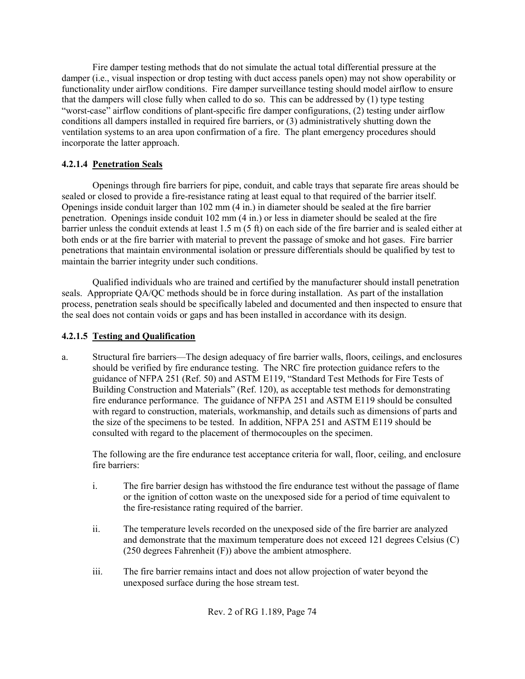Fire damper testing methods that do not simulate the actual total differential pressure at the damper (i.e., visual inspection or drop testing with duct access panels open) may not show operability or functionality under airflow conditions. Fire damper surveillance testing should model airflow to ensure that the dampers will close fully when called to do so. This can be addressed by (1) type testing "worst-case" airflow conditions of plant-specific fire damper configurations, (2) testing under airflow conditions all dampers installed in required fire barriers, or (3) administratively shutting down the ventilation systems to an area upon confirmation of a fire. The plant emergency procedures should incorporate the latter approach.

## **4.2.1.4 Penetration Seals**

Openings through fire barriers for pipe, conduit, and cable trays that separate fire areas should be sealed or closed to provide a fire-resistance rating at least equal to that required of the barrier itself. Openings inside conduit larger than 102 mm (4 in.) in diameter should be sealed at the fire barrier penetration. Openings inside conduit 102 mm (4 in.) or less in diameter should be sealed at the fire barrier unless the conduit extends at least 1.5 m (5 ft) on each side of the fire barrier and is sealed either at both ends or at the fire barrier with material to prevent the passage of smoke and hot gases. Fire barrier penetrations that maintain environmental isolation or pressure differentials should be qualified by test to maintain the barrier integrity under such conditions.

Qualified individuals who are trained and certified by the manufacturer should install penetration seals. Appropriate QA/QC methods should be in force during installation. As part of the installation process, penetration seals should be specifically labeled and documented and then inspected to ensure that the seal does not contain voids or gaps and has been installed in accordance with its design.

## **4.2.1.5 Testing and Qualification**

a. Structural fire barriers—The design adequacy of fire barrier walls, floors, ceilings, and enclosures should be verified by fire endurance testing. The NRC fire protection guidance refers to the guidance of NFPA 251 (Ref. 50) and ASTM E119, "Standard Test Methods for Fire Tests of Building Construction and Materials" (Ref. 120), as acceptable test methods for demonstrating fire endurance performance. The guidance of NFPA 251 and ASTM E119 should be consulted with regard to construction, materials, workmanship, and details such as dimensions of parts and the size of the specimens to be tested. In addition, NFPA 251 and ASTM E119 should be consulted with regard to the placement of thermocouples on the specimen.

The following are the fire endurance test acceptance criteria for wall, floor, ceiling, and enclosure fire barriers:

- i. The fire barrier design has withstood the fire endurance test without the passage of flame or the ignition of cotton waste on the unexposed side for a period of time equivalent to the fire-resistance rating required of the barrier.
- ii. The temperature levels recorded on the unexposed side of the fire barrier are analyzed and demonstrate that the maximum temperature does not exceed 121 degrees Celsius (C) (250 degrees Fahrenheit (F)) above the ambient atmosphere.
- iii. The fire barrier remains intact and does not allow projection of water beyond the unexposed surface during the hose stream test.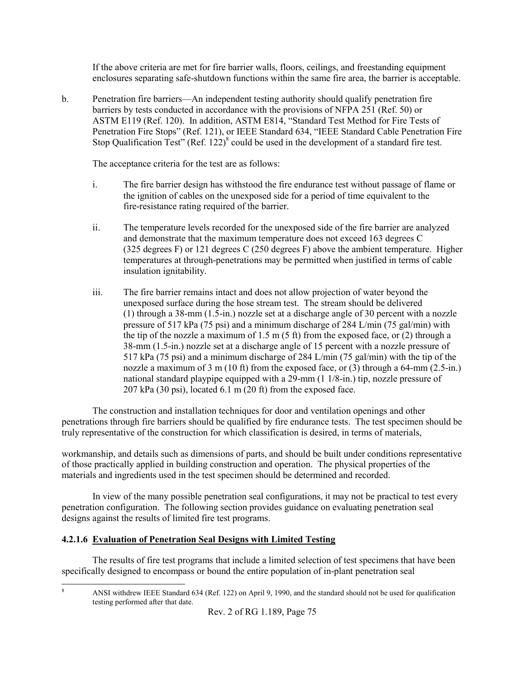If the above criteria are met for fire barrier walls, floors, ceilings, and freestanding equipment enclosures separating safe-shutdown functions within the same fire area, the barrier is acceptable.

b. Penetration fire barriers—An independent testing authority should qualify penetration fire barriers by tests conducted in accordance with the provisions of NFPA 251 (Ref. 50) or ASTM E119 (Ref. 120). In addition, ASTM E814, "Standard Test Method for Fire Tests of Penetration Fire Stops" (Ref. 121), or IEEE Standard 634, "IEEE Standard Cable Penetration Fire Stop Qualification Test" (Ref. 122)<sup>8</sup> could be used in the development of a standard fire test.

The acceptance criteria for the test are as follows:

- i. The fire barrier design has withstood the fire endurance test without passage of flame or the ignition of cables on the unexposed side for a period of time equivalent to the fire-resistance rating required of the barrier.
- ii. The temperature levels recorded for the unexposed side of the fire barrier are analyzed and demonstrate that the maximum temperature does not exceed 163 degrees C (325 degrees F) or 121 degrees C (250 degrees F) above the ambient temperature. Higher temperatures at through-penetrations may be permitted when justified in terms of cable insulation ignitability.
- iii. The fire barrier remains intact and does not allow projection of water beyond the unexposed surface during the hose stream test. The stream should be delivered (1) through a 38-mm (1.5-in.) nozzle set at a discharge angle of 30 percent with a nozzle pressure of 517 kPa (75 psi) and a minimum discharge of 284 L/min (75 gal/min) with the tip of the nozzle a maximum of 1.5 m (5 ft) from the exposed face, or (2) through a 38-mm (1.5-in.) nozzle set at a discharge angle of 15 percent with a nozzle pressure of 517 kPa (75 psi) and a minimum discharge of 284 L/min (75 gal/min) with the tip of the nozzle a maximum of 3 m (10 ft) from the exposed face, or (3) through a 64-mm (2.5-in.) national standard playpipe equipped with a 29-mm (1 1/8-in.) tip, nozzle pressure of 207 kPa (30 psi), located 6.1 m (20 ft) from the exposed face.

The construction and installation techniques for door and ventilation openings and other penetrations through fire barriers should be qualified by fire endurance tests. The test specimen should be truly representative of the construction for which classification is desired, in terms of materials,

workmanship, and details such as dimensions of parts, and should be built under conditions representative of those practically applied in building construction and operation. The physical properties of the materials and ingredients used in the test specimen should be determined and recorded.

In view of the many possible penetration seal configurations, it may not be practical to test every penetration configuration. The following section provides guidance on evaluating penetration seal designs against the results of limited fire test programs.

## **4.2.1.6 Evaluation of Penetration Seal Designs with Limited Testing**

The results of fire test programs that include a limited selection of test specimens that have been specifically designed to encompass or bound the entire population of in-plant penetration seal

1 8

ANSI withdrew IEEE Standard 634 (Ref. 122) on April 9, 1990, and the standard should not be used for qualification testing performed after that date.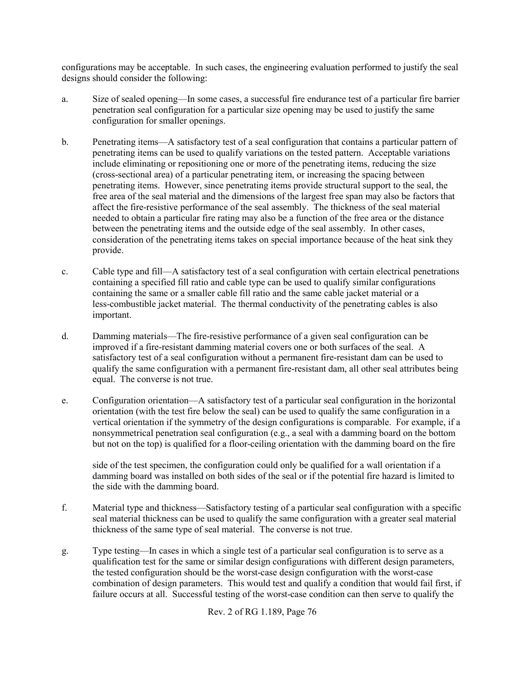configurations may be acceptable. In such cases, the engineering evaluation performed to justify the seal designs should consider the following:

- a. Size of sealed opening—In some cases, a successful fire endurance test of a particular fire barrier penetration seal configuration for a particular size opening may be used to justify the same configuration for smaller openings.
- b. Penetrating items—A satisfactory test of a seal configuration that contains a particular pattern of penetrating items can be used to qualify variations on the tested pattern. Acceptable variations include eliminating or repositioning one or more of the penetrating items, reducing the size (cross-sectional area) of a particular penetrating item, or increasing the spacing between penetrating items. However, since penetrating items provide structural support to the seal, the free area of the seal material and the dimensions of the largest free span may also be factors that affect the fire-resistive performance of the seal assembly. The thickness of the seal material needed to obtain a particular fire rating may also be a function of the free area or the distance between the penetrating items and the outside edge of the seal assembly. In other cases, consideration of the penetrating items takes on special importance because of the heat sink they provide.
- c. Cable type and fill—A satisfactory test of a seal configuration with certain electrical penetrations containing a specified fill ratio and cable type can be used to qualify similar configurations containing the same or a smaller cable fill ratio and the same cable jacket material or a less-combustible jacket material. The thermal conductivity of the penetrating cables is also important.
- d. Damming materials—The fire-resistive performance of a given seal configuration can be improved if a fire-resistant damming material covers one or both surfaces of the seal. A satisfactory test of a seal configuration without a permanent fire-resistant dam can be used to qualify the same configuration with a permanent fire-resistant dam, all other seal attributes being equal. The converse is not true.
- e. Configuration orientation—A satisfactory test of a particular seal configuration in the horizontal orientation (with the test fire below the seal) can be used to qualify the same configuration in a vertical orientation if the symmetry of the design configurations is comparable. For example, if a nonsymmetrical penetration seal configuration (e.g., a seal with a damming board on the bottom but not on the top) is qualified for a floor-ceiling orientation with the damming board on the fire

side of the test specimen, the configuration could only be qualified for a wall orientation if a damming board was installed on both sides of the seal or if the potential fire hazard is limited to the side with the damming board.

- f. Material type and thickness—Satisfactory testing of a particular seal configuration with a specific seal material thickness can be used to qualify the same configuration with a greater seal material thickness of the same type of seal material. The converse is not true.
- g. Type testing—In cases in which a single test of a particular seal configuration is to serve as a qualification test for the same or similar design configurations with different design parameters, the tested configuration should be the worst-case design configuration with the worst-case combination of design parameters. This would test and qualify a condition that would fail first, if failure occurs at all. Successful testing of the worst-case condition can then serve to qualify the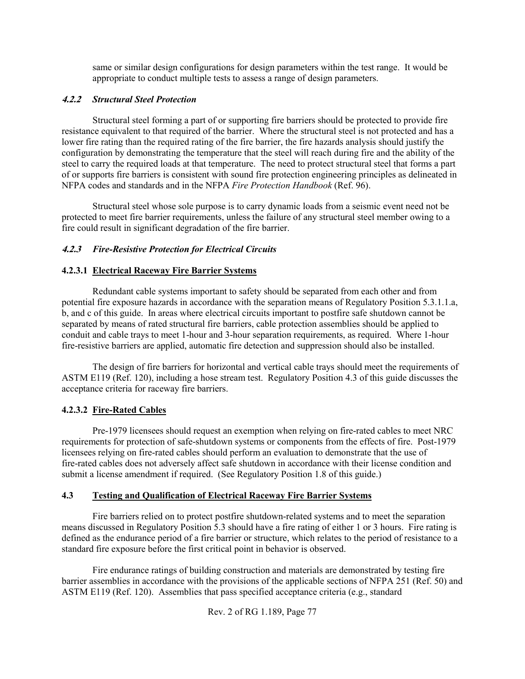same or similar design configurations for design parameters within the test range. It would be appropriate to conduct multiple tests to assess a range of design parameters.

## **4.2.2** *Structural Steel Protection*

Structural steel forming a part of or supporting fire barriers should be protected to provide fire resistance equivalent to that required of the barrier. Where the structural steel is not protected and has a lower fire rating than the required rating of the fire barrier, the fire hazards analysis should justify the configuration by demonstrating the temperature that the steel will reach during fire and the ability of the steel to carry the required loads at that temperature. The need to protect structural steel that forms a part of or supports fire barriers is consistent with sound fire protection engineering principles as delineated in NFPA codes and standards and in the NFPA *Fire Protection Handbook* (Ref. 96).

Structural steel whose sole purpose is to carry dynamic loads from a seismic event need not be protected to meet fire barrier requirements, unless the failure of any structural steel member owing to a fire could result in significant degradation of the fire barrier.

## **4.2.3** *Fire-Resistive Protection for Electrical Circuits*

## **4.2.3.1 Electrical Raceway Fire Barrier Systems**

Redundant cable systems important to safety should be separated from each other and from potential fire exposure hazards in accordance with the separation means of Regulatory Position 5.3.1.1.a, b, and c of this guide. In areas where electrical circuits important to postfire safe shutdown cannot be separated by means of rated structural fire barriers, cable protection assemblies should be applied to conduit and cable trays to meet 1-hour and 3-hour separation requirements, as required. Where 1-hour fire-resistive barriers are applied, automatic fire detection and suppression should also be installed.

The design of fire barriers for horizontal and vertical cable trays should meet the requirements of ASTM E119 (Ref. 120), including a hose stream test. Regulatory Position 4.3 of this guide discusses the acceptance criteria for raceway fire barriers.

## **4.2.3.2 Fire-Rated Cables**

Pre-1979 licensees should request an exemption when relying on fire-rated cables to meet NRC requirements for protection of safe-shutdown systems or components from the effects of fire. Post-1979 licensees relying on fire-rated cables should perform an evaluation to demonstrate that the use of fire-rated cables does not adversely affect safe shutdown in accordance with their license condition and submit a license amendment if required. (See Regulatory Position 1.8 of this guide.)

## **4.3 Testing and Qualification of Electrical Raceway Fire Barrier Systems**

Fire barriers relied on to protect postfire shutdown-related systems and to meet the separation means discussed in Regulatory Position 5.3 should have a fire rating of either 1 or 3 hours. Fire rating is defined as the endurance period of a fire barrier or structure, which relates to the period of resistance to a standard fire exposure before the first critical point in behavior is observed.

Fire endurance ratings of building construction and materials are demonstrated by testing fire barrier assemblies in accordance with the provisions of the applicable sections of NFPA 251 (Ref. 50) and ASTM E119 (Ref. 120). Assemblies that pass specified acceptance criteria (e.g., standard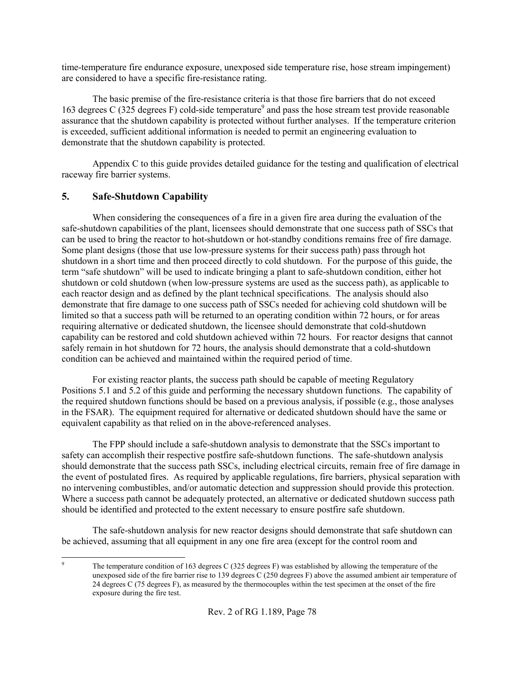time-temperature fire endurance exposure, unexposed side temperature rise, hose stream impingement) are considered to have a specific fire-resistance rating.

The basic premise of the fire-resistance criteria is that those fire barriers that do not exceed 163 degrees C (325 degrees F) cold-side temperature<sup>9</sup> and pass the hose stream test provide reasonable assurance that the shutdown capability is protected without further analyses. If the temperature criterion is exceeded, sufficient additional information is needed to permit an engineering evaluation to demonstrate that the shutdown capability is protected.

Appendix C to this guide provides detailed guidance for the testing and qualification of electrical raceway fire barrier systems.

## **5. Safe-Shutdown Capability**

When considering the consequences of a fire in a given fire area during the evaluation of the safe-shutdown capabilities of the plant, licensees should demonstrate that one success path of SSCs that can be used to bring the reactor to hot-shutdown or hot-standby conditions remains free of fire damage. Some plant designs (those that use low-pressure systems for their success path) pass through hot shutdown in a short time and then proceed directly to cold shutdown. For the purpose of this guide, the term "safe shutdown" will be used to indicate bringing a plant to safe-shutdown condition, either hot shutdown or cold shutdown (when low-pressure systems are used as the success path), as applicable to each reactor design and as defined by the plant technical specifications. The analysis should also demonstrate that fire damage to one success path of SSCs needed for achieving cold shutdown will be limited so that a success path will be returned to an operating condition within 72 hours, or for areas requiring alternative or dedicated shutdown, the licensee should demonstrate that cold-shutdown capability can be restored and cold shutdown achieved within 72 hours. For reactor designs that cannot safely remain in hot shutdown for 72 hours, the analysis should demonstrate that a cold-shutdown condition can be achieved and maintained within the required period of time.

For existing reactor plants, the success path should be capable of meeting Regulatory Positions 5.1 and 5.2 of this guide and performing the necessary shutdown functions. The capability of the required shutdown functions should be based on a previous analysis, if possible (e.g., those analyses in the FSAR). The equipment required for alternative or dedicated shutdown should have the same or equivalent capability as that relied on in the above-referenced analyses.

The FPP should include a safe-shutdown analysis to demonstrate that the SSCs important to safety can accomplish their respective postfire safe-shutdown functions. The safe-shutdown analysis should demonstrate that the success path SSCs, including electrical circuits, remain free of fire damage in the event of postulated fires. As required by applicable regulations, fire barriers, physical separation with no intervening combustibles, and/or automatic detection and suppression should provide this protection. Where a success path cannot be adequately protected, an alternative or dedicated shutdown success path should be identified and protected to the extent necessary to ensure postfire safe shutdown.

The safe-shutdown analysis for new reactor designs should demonstrate that safe shutdown can be achieved, assuming that all equipment in any one fire area (except for the control room and

<sup>-&</sup>lt;br>9 The temperature condition of 163 degrees C (325 degrees F) was established by allowing the temperature of the unexposed side of the fire barrier rise to 139 degrees C (250 degrees F) above the assumed ambient air temperature of 24 degrees C (75 degrees F), as measured by the thermocouples within the test specimen at the onset of the fire exposure during the fire test.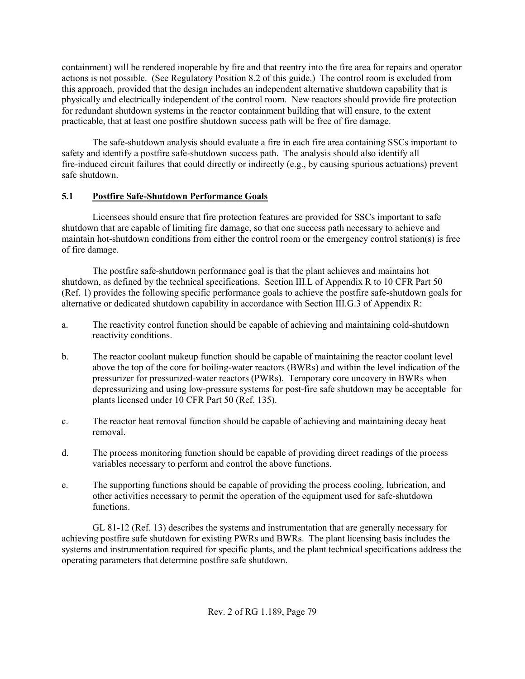containment) will be rendered inoperable by fire and that reentry into the fire area for repairs and operator actions is not possible. (See Regulatory Position 8.2 of this guide.) The control room is excluded from this approach, provided that the design includes an independent alternative shutdown capability that is physically and electrically independent of the control room. New reactors should provide fire protection for redundant shutdown systems in the reactor containment building that will ensure, to the extent practicable, that at least one postfire shutdown success path will be free of fire damage.

The safe-shutdown analysis should evaluate a fire in each fire area containing SSCs important to safety and identify a postfire safe-shutdown success path. The analysis should also identify all fire-induced circuit failures that could directly or indirectly (e.g., by causing spurious actuations) prevent safe shutdown.

## **5.1 Postfire Safe-Shutdown Performance Goals**

Licensees should ensure that fire protection features are provided for SSCs important to safe shutdown that are capable of limiting fire damage, so that one success path necessary to achieve and maintain hot-shutdown conditions from either the control room or the emergency control station(s) is free of fire damage.

The postfire safe-shutdown performance goal is that the plant achieves and maintains hot shutdown, as defined by the technical specifications. Section III.L of Appendix R to 10 CFR Part 50 (Ref. 1) provides the following specific performance goals to achieve the postfire safe-shutdown goals for alternative or dedicated shutdown capability in accordance with Section III.G.3 of Appendix R:

- a. The reactivity control function should be capable of achieving and maintaining cold-shutdown reactivity conditions.
- b. The reactor coolant makeup function should be capable of maintaining the reactor coolant level above the top of the core for boiling-water reactors (BWRs) and within the level indication of the pressurizer for pressurized-water reactors (PWRs). Temporary core uncovery in BWRs when depressurizing and using low-pressure systems for post-fire safe shutdown may be acceptable for plants licensed under 10 CFR Part 50 (Ref. 135).
- c. The reactor heat removal function should be capable of achieving and maintaining decay heat removal.
- d. The process monitoring function should be capable of providing direct readings of the process variables necessary to perform and control the above functions.
- e. The supporting functions should be capable of providing the process cooling, lubrication, and other activities necessary to permit the operation of the equipment used for safe-shutdown functions.

GL 81-12 (Ref. 13) describes the systems and instrumentation that are generally necessary for achieving postfire safe shutdown for existing PWRs and BWRs. The plant licensing basis includes the systems and instrumentation required for specific plants, and the plant technical specifications address the operating parameters that determine postfire safe shutdown.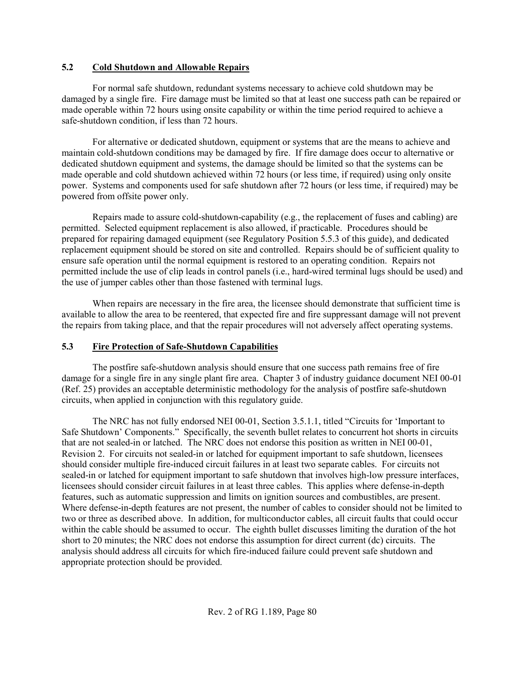#### **5.2 Cold Shutdown and Allowable Repairs**

For normal safe shutdown, redundant systems necessary to achieve cold shutdown may be damaged by a single fire. Fire damage must be limited so that at least one success path can be repaired or made operable within 72 hours using onsite capability or within the time period required to achieve a safe-shutdown condition, if less than 72 hours.

For alternative or dedicated shutdown, equipment or systems that are the means to achieve and maintain cold-shutdown conditions may be damaged by fire. If fire damage does occur to alternative or dedicated shutdown equipment and systems, the damage should be limited so that the systems can be made operable and cold shutdown achieved within 72 hours (or less time, if required) using only onsite power. Systems and components used for safe shutdown after 72 hours (or less time, if required) may be powered from offsite power only.

Repairs made to assure cold-shutdown-capability (e.g., the replacement of fuses and cabling) are permitted. Selected equipment replacement is also allowed, if practicable. Procedures should be prepared for repairing damaged equipment (see Regulatory Position 5.5.3 of this guide), and dedicated replacement equipment should be stored on site and controlled. Repairs should be of sufficient quality to ensure safe operation until the normal equipment is restored to an operating condition. Repairs not permitted include the use of clip leads in control panels (i.e., hard-wired terminal lugs should be used) and the use of jumper cables other than those fastened with terminal lugs.

When repairs are necessary in the fire area, the licensee should demonstrate that sufficient time is available to allow the area to be reentered, that expected fire and fire suppressant damage will not prevent the repairs from taking place, and that the repair procedures will not adversely affect operating systems.

## **5.3 Fire Protection of Safe-Shutdown Capabilities**

The postfire safe-shutdown analysis should ensure that one success path remains free of fire damage for a single fire in any single plant fire area. Chapter 3 of industry guidance document NEI 00-01 (Ref. 25) provides an acceptable deterministic methodology for the analysis of postfire safe-shutdown circuits, when applied in conjunction with this regulatory guide.

The NRC has not fully endorsed NEI 00-01, Section 3.5.1.1, titled "Circuits for 'Important to Safe Shutdown' Components." Specifically, the seventh bullet relates to concurrent hot shorts in circuits that are not sealed-in or latched. The NRC does not endorse this position as written in NEI 00-01, Revision 2. For circuits not sealed-in or latched for equipment important to safe shutdown, licensees should consider multiple fire-induced circuit failures in at least two separate cables. For circuits not sealed-in or latched for equipment important to safe shutdown that involves high-low pressure interfaces, licensees should consider circuit failures in at least three cables. This applies where defense-in-depth features, such as automatic suppression and limits on ignition sources and combustibles, are present. Where defense-in-depth features are not present, the number of cables to consider should not be limited to two or three as described above. In addition, for multiconductor cables, all circuit faults that could occur within the cable should be assumed to occur. The eighth bullet discusses limiting the duration of the hot short to 20 minutes; the NRC does not endorse this assumption for direct current (dc) circuits. The analysis should address all circuits for which fire-induced failure could prevent safe shutdown and appropriate protection should be provided.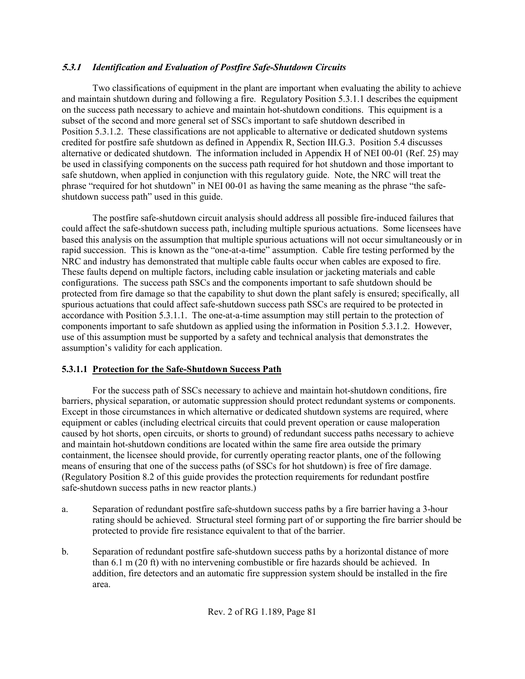## **5.3.1** *Identification and Evaluation of Postfire Safe-Shutdown Circuits*

Two classifications of equipment in the plant are important when evaluating the ability to achieve and maintain shutdown during and following a fire. Regulatory Position 5.3.1.1 describes the equipment on the success path necessary to achieve and maintain hot-shutdown conditions. This equipment is a subset of the second and more general set of SSCs important to safe shutdown described in Position 5.3.1.2. These classifications are not applicable to alternative or dedicated shutdown systems credited for postfire safe shutdown as defined in Appendix R, Section III.G.3. Position 5.4 discusses alternative or dedicated shutdown. The information included in Appendix H of NEI 00-01 (Ref. 25) may be used in classifying components on the success path required for hot shutdown and those important to safe shutdown, when applied in conjunction with this regulatory guide. Note, the NRC will treat the phrase "required for hot shutdown" in NEI 00-01 as having the same meaning as the phrase "the safeshutdown success path" used in this guide.

The postfire safe-shutdown circuit analysis should address all possible fire-induced failures that could affect the safe-shutdown success path, including multiple spurious actuations. Some licensees have based this analysis on the assumption that multiple spurious actuations will not occur simultaneously or in rapid succession. This is known as the "one-at-a-time" assumption. Cable fire testing performed by the NRC and industry has demonstrated that multiple cable faults occur when cables are exposed to fire. These faults depend on multiple factors, including cable insulation or jacketing materials and cable configurations. The success path SSCs and the components important to safe shutdown should be protected from fire damage so that the capability to shut down the plant safely is ensured; specifically, all spurious actuations that could affect safe-shutdown success path SSCs are required to be protected in accordance with Position 5.3.1.1. The one-at-a-time assumption may still pertain to the protection of components important to safe shutdown as applied using the information in Position 5.3.1.2. However, use of this assumption must be supported by a safety and technical analysis that demonstrates the assumption's validity for each application.

## **5.3.1.1 Protection for the Safe-Shutdown Success Path**

For the success path of SSCs necessary to achieve and maintain hot-shutdown conditions, fire barriers, physical separation, or automatic suppression should protect redundant systems or components. Except in those circumstances in which alternative or dedicated shutdown systems are required, where equipment or cables (including electrical circuits that could prevent operation or cause maloperation caused by hot shorts, open circuits, or shorts to ground) of redundant success paths necessary to achieve and maintain hot-shutdown conditions are located within the same fire area outside the primary containment, the licensee should provide, for currently operating reactor plants, one of the following means of ensuring that one of the success paths (of SSCs for hot shutdown) is free of fire damage. (Regulatory Position 8.2 of this guide provides the protection requirements for redundant postfire safe-shutdown success paths in new reactor plants.)

- a. Separation of redundant postfire safe-shutdown success paths by a fire barrier having a 3-hour rating should be achieved. Structural steel forming part of or supporting the fire barrier should be protected to provide fire resistance equivalent to that of the barrier.
- b. Separation of redundant postfire safe-shutdown success paths by a horizontal distance of more than 6.1 m (20 ft) with no intervening combustible or fire hazards should be achieved. In addition, fire detectors and an automatic fire suppression system should be installed in the fire area.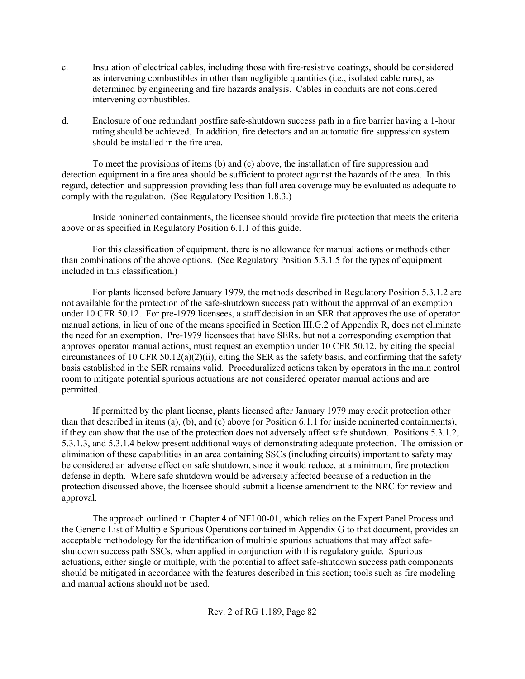- c. Insulation of electrical cables, including those with fire-resistive coatings, should be considered as intervening combustibles in other than negligible quantities (i.e., isolated cable runs), as determined by engineering and fire hazards analysis. Cables in conduits are not considered intervening combustibles.
- d. Enclosure of one redundant postfire safe-shutdown success path in a fire barrier having a 1-hour rating should be achieved. In addition, fire detectors and an automatic fire suppression system should be installed in the fire area.

To meet the provisions of items (b) and (c) above, the installation of fire suppression and detection equipment in a fire area should be sufficient to protect against the hazards of the area. In this regard, detection and suppression providing less than full area coverage may be evaluated as adequate to comply with the regulation. (See Regulatory Position 1.8.3.)

Inside noninerted containments, the licensee should provide fire protection that meets the criteria above or as specified in Regulatory Position 6.1.1 of this guide.

For this classification of equipment, there is no allowance for manual actions or methods other than combinations of the above options. (See Regulatory Position 5.3.1.5 for the types of equipment included in this classification.)

For plants licensed before January 1979, the methods described in Regulatory Position 5.3.1.2 are not available for the protection of the safe-shutdown success path without the approval of an exemption under 10 CFR 50.12. For pre-1979 licensees, a staff decision in an SER that approves the use of operator manual actions, in lieu of one of the means specified in Section III.G.2 of Appendix R, does not eliminate the need for an exemption. Pre-1979 licensees that have SERs, but not a corresponding exemption that approves operator manual actions, must request an exemption under 10 CFR 50.12, by citing the special circumstances of 10 CFR 50.12(a)(2)(ii), citing the SER as the safety basis, and confirming that the safety basis established in the SER remains valid. Proceduralized actions taken by operators in the main control room to mitigate potential spurious actuations are not considered operator manual actions and are permitted.

If permitted by the plant license, plants licensed after January 1979 may credit protection other than that described in items (a), (b), and (c) above (or Position 6.1.1 for inside noninerted containments), if they can show that the use of the protection does not adversely affect safe shutdown. Positions 5.3.1.2, 5.3.1.3, and 5.3.1.4 below present additional ways of demonstrating adequate protection. The omission or elimination of these capabilities in an area containing SSCs (including circuits) important to safety may be considered an adverse effect on safe shutdown, since it would reduce, at a minimum, fire protection defense in depth. Where safe shutdown would be adversely affected because of a reduction in the protection discussed above, the licensee should submit a license amendment to the NRC for review and approval.

The approach outlined in Chapter 4 of NEI 00-01, which relies on the Expert Panel Process and the Generic List of Multiple Spurious Operations contained in Appendix G to that document, provides an acceptable methodology for the identification of multiple spurious actuations that may affect safeshutdown success path SSCs, when applied in conjunction with this regulatory guide. Spurious actuations, either single or multiple, with the potential to affect safe-shutdown success path components should be mitigated in accordance with the features described in this section; tools such as fire modeling and manual actions should not be used.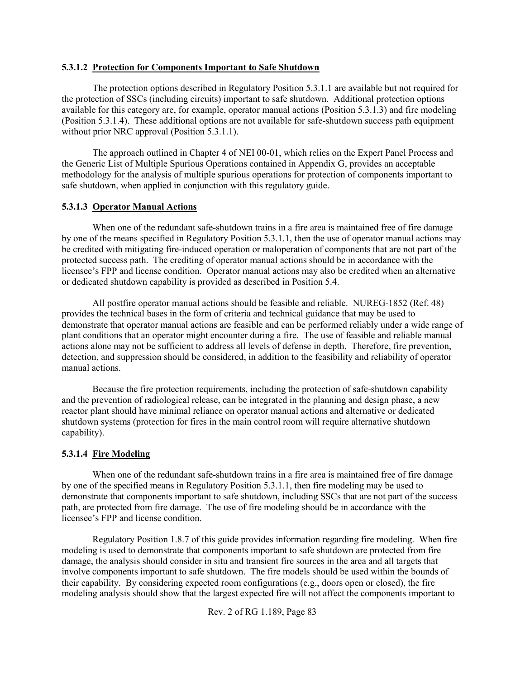#### **5.3.1.2 Protection for Components Important to Safe Shutdown**

The protection options described in Regulatory Position 5.3.1.1 are available but not required for the protection of SSCs (including circuits) important to safe shutdown. Additional protection options available for this category are, for example, operator manual actions (Position 5.3.1.3) and fire modeling (Position 5.3.1.4). These additional options are not available for safe-shutdown success path equipment without prior NRC approval (Position 5.3.1.1).

The approach outlined in Chapter 4 of NEI 00-01, which relies on the Expert Panel Process and the Generic List of Multiple Spurious Operations contained in Appendix G, provides an acceptable methodology for the analysis of multiple spurious operations for protection of components important to safe shutdown, when applied in conjunction with this regulatory guide.

#### **5.3.1.3 Operator Manual Actions**

When one of the redundant safe-shutdown trains in a fire area is maintained free of fire damage by one of the means specified in Regulatory Position 5.3.1.1, then the use of operator manual actions may be credited with mitigating fire-induced operation or maloperation of components that are not part of the protected success path. The crediting of operator manual actions should be in accordance with the licensee's FPP and license condition. Operator manual actions may also be credited when an alternative or dedicated shutdown capability is provided as described in Position 5.4.

All postfire operator manual actions should be feasible and reliable. NUREG-1852 (Ref. 48) provides the technical bases in the form of criteria and technical guidance that may be used to demonstrate that operator manual actions are feasible and can be performed reliably under a wide range of plant conditions that an operator might encounter during a fire. The use of feasible and reliable manual actions alone may not be sufficient to address all levels of defense in depth. Therefore, fire prevention, detection, and suppression should be considered, in addition to the feasibility and reliability of operator manual actions.

Because the fire protection requirements, including the protection of safe-shutdown capability and the prevention of radiological release, can be integrated in the planning and design phase, a new reactor plant should have minimal reliance on operator manual actions and alternative or dedicated shutdown systems (protection for fires in the main control room will require alternative shutdown capability).

#### **5.3.1.4 Fire Modeling**

When one of the redundant safe-shutdown trains in a fire area is maintained free of fire damage by one of the specified means in Regulatory Position 5.3.1.1, then fire modeling may be used to demonstrate that components important to safe shutdown, including SSCs that are not part of the success path, are protected from fire damage. The use of fire modeling should be in accordance with the licensee's FPP and license condition.

Regulatory Position 1.8.7 of this guide provides information regarding fire modeling. When fire modeling is used to demonstrate that components important to safe shutdown are protected from fire damage, the analysis should consider in situ and transient fire sources in the area and all targets that involve components important to safe shutdown. The fire models should be used within the bounds of their capability. By considering expected room configurations (e.g., doors open or closed), the fire modeling analysis should show that the largest expected fire will not affect the components important to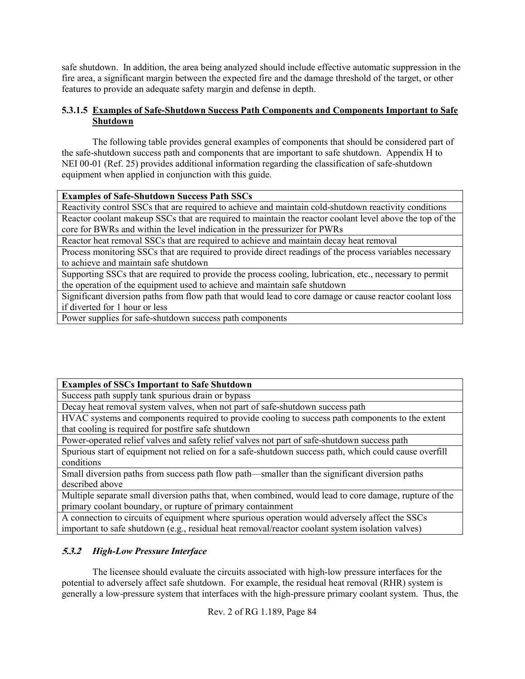safe shutdown. In addition, the area being analyzed should include effective automatic suppression in the fire area, a significant margin between the expected fire and the damage threshold of the target, or other features to provide an adequate safety margin and defense in depth.

## **5.3.1.5 Examples of Safe-Shutdown Success Path Components and Components Important to Safe Shutdown**

The following table provides general examples of components that should be considered part of the safe-shutdown success path and components that are important to safe shutdown. Appendix H to NEI 00-01 (Ref. 25) provides additional information regarding the classification of safe-shutdown equipment when applied in conjunction with this guide.

## **Examples of Safe-Shutdown Success Path SSCs**

Reactivity control SSCs that are required to achieve and maintain cold-shutdown reactivity conditions Reactor coolant makeup SSCs that are required to maintain the reactor coolant level above the top of the core for BWRs and within the level indication in the pressurizer for PWRs

Reactor heat removal SSCs that are required to achieve and maintain decay heat removal

Process monitoring SSCs that are required to provide direct readings of the process variables necessary to achieve and maintain safe shutdown

Supporting SSCs that are required to provide the process cooling, lubrication, etc., necessary to permit the operation of the equipment used to achieve and maintain safe shutdown

Significant diversion paths from flow path that would lead to core damage or cause reactor coolant loss if diverted for 1 hour or less

Power supplies for safe-shutdown success path components

## **Examples of SSCs Important to Safe Shutdown**

Success path supply tank spurious drain or bypass

Decay heat removal system valves, when not part of safe-shutdown success path

HVAC systems and components required to provide cooling to success path components to the extent that cooling is required for postfire safe shutdown

Power-operated relief valves and safety relief valves not part of safe-shutdown success path

Spurious start of equipment not relied on for a safe-shutdown success path, which could cause overfill conditions

Small diversion paths from success path flow path—smaller than the significant diversion paths described above

Multiple separate small diversion paths that, when combined, would lead to core damage, rupture of the primary coolant boundary, or rupture of primary containment

A connection to circuits of equipment where spurious operation would adversely affect the SSCs important to safe shutdown (e.g., residual heat removal/reactor coolant system isolation valves)

## **5.3.2** *High-Low Pressure Interface*

The licensee should evaluate the circuits associated with high-low pressure interfaces for the potential to adversely affect safe shutdown. For example, the residual heat removal (RHR) system is generally a low-pressure system that interfaces with the high-pressure primary coolant system. Thus, the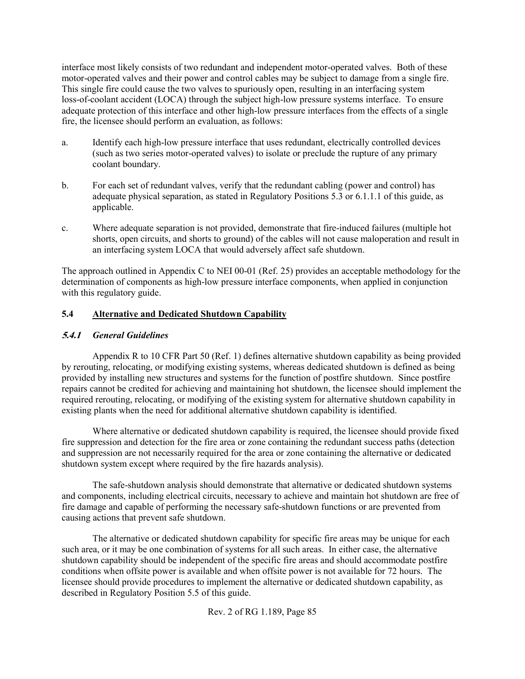interface most likely consists of two redundant and independent motor-operated valves. Both of these motor-operated valves and their power and control cables may be subject to damage from a single fire. This single fire could cause the two valves to spuriously open, resulting in an interfacing system loss-of-coolant accident (LOCA) through the subject high-low pressure systems interface. To ensure adequate protection of this interface and other high-low pressure interfaces from the effects of a single fire, the licensee should perform an evaluation, as follows:

- a. Identify each high-low pressure interface that uses redundant, electrically controlled devices (such as two series motor-operated valves) to isolate or preclude the rupture of any primary coolant boundary.
- b. For each set of redundant valves, verify that the redundant cabling (power and control) has adequate physical separation, as stated in Regulatory Positions 5.3 or 6.1.1.1 of this guide, as applicable.
- c. Where adequate separation is not provided, demonstrate that fire-induced failures (multiple hot shorts, open circuits, and shorts to ground) of the cables will not cause maloperation and result in an interfacing system LOCA that would adversely affect safe shutdown.

The approach outlined in Appendix C to NEI 00-01 (Ref. 25) provides an acceptable methodology for the determination of components as high-low pressure interface components, when applied in conjunction with this regulatory guide.

#### **5.4 Alternative and Dedicated Shutdown Capability**

#### **5.4.1** *General Guidelines*

Appendix R to 10 CFR Part 50 (Ref. 1) defines alternative shutdown capability as being provided by rerouting, relocating, or modifying existing systems, whereas dedicated shutdown is defined as being provided by installing new structures and systems for the function of postfire shutdown. Since postfire repairs cannot be credited for achieving and maintaining hot shutdown, the licensee should implement the required rerouting, relocating, or modifying of the existing system for alternative shutdown capability in existing plants when the need for additional alternative shutdown capability is identified.

Where alternative or dedicated shutdown capability is required, the licensee should provide fixed fire suppression and detection for the fire area or zone containing the redundant success paths (detection and suppression are not necessarily required for the area or zone containing the alternative or dedicated shutdown system except where required by the fire hazards analysis).

The safe-shutdown analysis should demonstrate that alternative or dedicated shutdown systems and components, including electrical circuits, necessary to achieve and maintain hot shutdown are free of fire damage and capable of performing the necessary safe-shutdown functions or are prevented from causing actions that prevent safe shutdown.

The alternative or dedicated shutdown capability for specific fire areas may be unique for each such area, or it may be one combination of systems for all such areas. In either case, the alternative shutdown capability should be independent of the specific fire areas and should accommodate postfire conditions when offsite power is available and when offsite power is not available for 72 hours. The licensee should provide procedures to implement the alternative or dedicated shutdown capability, as described in Regulatory Position 5.5 of this guide.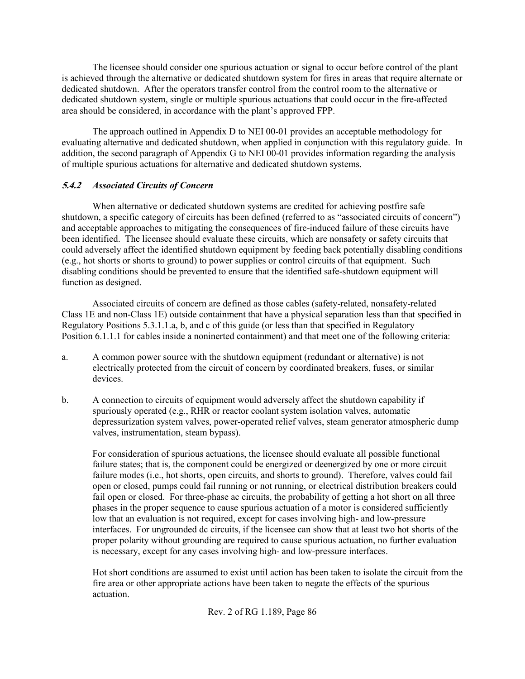The licensee should consider one spurious actuation or signal to occur before control of the plant is achieved through the alternative or dedicated shutdown system for fires in areas that require alternate or dedicated shutdown. After the operators transfer control from the control room to the alternative or dedicated shutdown system, single or multiple spurious actuations that could occur in the fire-affected area should be considered, in accordance with the plant's approved FPP.

The approach outlined in Appendix D to NEI 00-01 provides an acceptable methodology for evaluating alternative and dedicated shutdown, when applied in conjunction with this regulatory guide. In addition, the second paragraph of Appendix G to NEI 00-01 provides information regarding the analysis of multiple spurious actuations for alternative and dedicated shutdown systems.

## **5.4.2** *Associated Circuits of Concern*

When alternative or dedicated shutdown systems are credited for achieving postfire safe shutdown, a specific category of circuits has been defined (referred to as "associated circuits of concern") and acceptable approaches to mitigating the consequences of fire-induced failure of these circuits have been identified. The licensee should evaluate these circuits, which are nonsafety or safety circuits that could adversely affect the identified shutdown equipment by feeding back potentially disabling conditions (e.g., hot shorts or shorts to ground) to power supplies or control circuits of that equipment. Such disabling conditions should be prevented to ensure that the identified safe-shutdown equipment will function as designed.

Associated circuits of concern are defined as those cables (safety-related, nonsafety-related Class 1E and non-Class 1E) outside containment that have a physical separation less than that specified in Regulatory Positions 5.3.1.1.a, b, and c of this guide (or less than that specified in Regulatory Position 6.1.1.1 for cables inside a noninerted containment) and that meet one of the following criteria:

- a. A common power source with the shutdown equipment (redundant or alternative) is not electrically protected from the circuit of concern by coordinated breakers, fuses, or similar devices.
- b. A connection to circuits of equipment would adversely affect the shutdown capability if spuriously operated (e.g., RHR or reactor coolant system isolation valves, automatic depressurization system valves, power-operated relief valves, steam generator atmospheric dump valves, instrumentation, steam bypass).

For consideration of spurious actuations, the licensee should evaluate all possible functional failure states; that is, the component could be energized or deenergized by one or more circuit failure modes (i.e., hot shorts, open circuits, and shorts to ground). Therefore, valves could fail open or closed, pumps could fail running or not running, or electrical distribution breakers could fail open or closed. For three-phase ac circuits, the probability of getting a hot short on all three phases in the proper sequence to cause spurious actuation of a motor is considered sufficiently low that an evaluation is not required, except for cases involving high- and low-pressure interfaces. For ungrounded dc circuits, if the licensee can show that at least two hot shorts of the proper polarity without grounding are required to cause spurious actuation, no further evaluation is necessary, except for any cases involving high- and low-pressure interfaces.

Hot short conditions are assumed to exist until action has been taken to isolate the circuit from the fire area or other appropriate actions have been taken to negate the effects of the spurious actuation.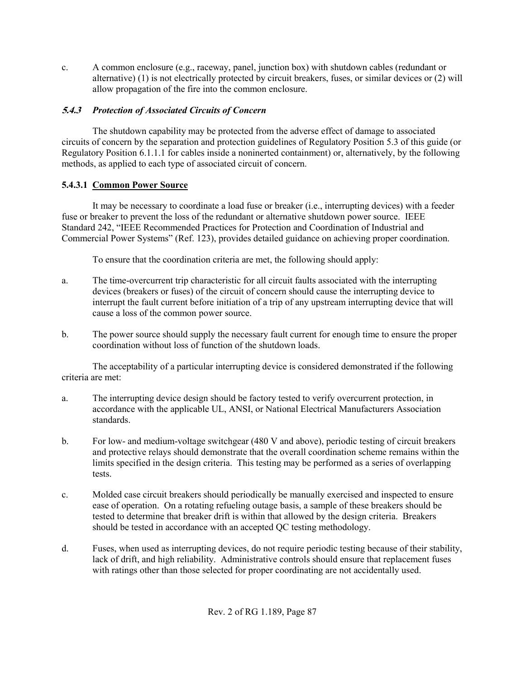c. A common enclosure (e.g., raceway, panel, junction box) with shutdown cables (redundant or alternative) (1) is not electrically protected by circuit breakers, fuses, or similar devices or (2) will allow propagation of the fire into the common enclosure.

## **5.4.3** *Protection of Associated Circuits of Concern*

The shutdown capability may be protected from the adverse effect of damage to associated circuits of concern by the separation and protection guidelines of Regulatory Position 5.3 of this guide (or Regulatory Position 6.1.1.1 for cables inside a noninerted containment) or, alternatively, by the following methods, as applied to each type of associated circuit of concern.

## **5.4.3.1 Common Power Source**

It may be necessary to coordinate a load fuse or breaker (i.e., interrupting devices) with a feeder fuse or breaker to prevent the loss of the redundant or alternative shutdown power source. IEEE Standard 242, "IEEE Recommended Practices for Protection and Coordination of Industrial and Commercial Power Systems" (Ref. 123), provides detailed guidance on achieving proper coordination.

To ensure that the coordination criteria are met, the following should apply:

- a. The time-overcurrent trip characteristic for all circuit faults associated with the interrupting devices (breakers or fuses) of the circuit of concern should cause the interrupting device to interrupt the fault current before initiation of a trip of any upstream interrupting device that will cause a loss of the common power source.
- b. The power source should supply the necessary fault current for enough time to ensure the proper coordination without loss of function of the shutdown loads.

The acceptability of a particular interrupting device is considered demonstrated if the following criteria are met:

- a. The interrupting device design should be factory tested to verify overcurrent protection, in accordance with the applicable UL, ANSI, or National Electrical Manufacturers Association standards.
- b. For low- and medium-voltage switchgear (480 V and above), periodic testing of circuit breakers and protective relays should demonstrate that the overall coordination scheme remains within the limits specified in the design criteria. This testing may be performed as a series of overlapping tests.
- c. Molded case circuit breakers should periodically be manually exercised and inspected to ensure ease of operation. On a rotating refueling outage basis, a sample of these breakers should be tested to determine that breaker drift is within that allowed by the design criteria. Breakers should be tested in accordance with an accepted QC testing methodology.
- d. Fuses, when used as interrupting devices, do not require periodic testing because of their stability, lack of drift, and high reliability. Administrative controls should ensure that replacement fuses with ratings other than those selected for proper coordinating are not accidentally used.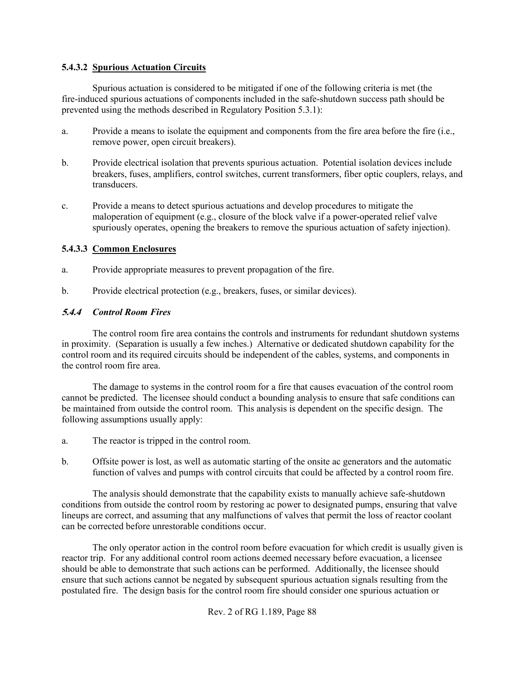### **5.4.3.2 Spurious Actuation Circuits**

Spurious actuation is considered to be mitigated if one of the following criteria is met (the fire-induced spurious actuations of components included in the safe-shutdown success path should be prevented using the methods described in Regulatory Position 5.3.1):

- a. Provide a means to isolate the equipment and components from the fire area before the fire (i.e., remove power, open circuit breakers).
- b. Provide electrical isolation that prevents spurious actuation. Potential isolation devices include breakers, fuses, amplifiers, control switches, current transformers, fiber optic couplers, relays, and transducers.
- c. Provide a means to detect spurious actuations and develop procedures to mitigate the maloperation of equipment (e.g., closure of the block valve if a power-operated relief valve spuriously operates, opening the breakers to remove the spurious actuation of safety injection).

#### **5.4.3.3 Common Enclosures**

- a. Provide appropriate measures to prevent propagation of the fire.
- b. Provide electrical protection (e.g., breakers, fuses, or similar devices).

#### **5.4.4** *Control Room Fires*

The control room fire area contains the controls and instruments for redundant shutdown systems in proximity. (Separation is usually a few inches.) Alternative or dedicated shutdown capability for the control room and its required circuits should be independent of the cables, systems, and components in the control room fire area.

The damage to systems in the control room for a fire that causes evacuation of the control room cannot be predicted. The licensee should conduct a bounding analysis to ensure that safe conditions can be maintained from outside the control room. This analysis is dependent on the specific design. The following assumptions usually apply:

- a. The reactor is tripped in the control room.
- b. Offsite power is lost, as well as automatic starting of the onsite ac generators and the automatic function of valves and pumps with control circuits that could be affected by a control room fire.

The analysis should demonstrate that the capability exists to manually achieve safe-shutdown conditions from outside the control room by restoring ac power to designated pumps, ensuring that valve lineups are correct, and assuming that any malfunctions of valves that permit the loss of reactor coolant can be corrected before unrestorable conditions occur.

The only operator action in the control room before evacuation for which credit is usually given is reactor trip. For any additional control room actions deemed necessary before evacuation, a licensee should be able to demonstrate that such actions can be performed. Additionally, the licensee should ensure that such actions cannot be negated by subsequent spurious actuation signals resulting from the postulated fire. The design basis for the control room fire should consider one spurious actuation or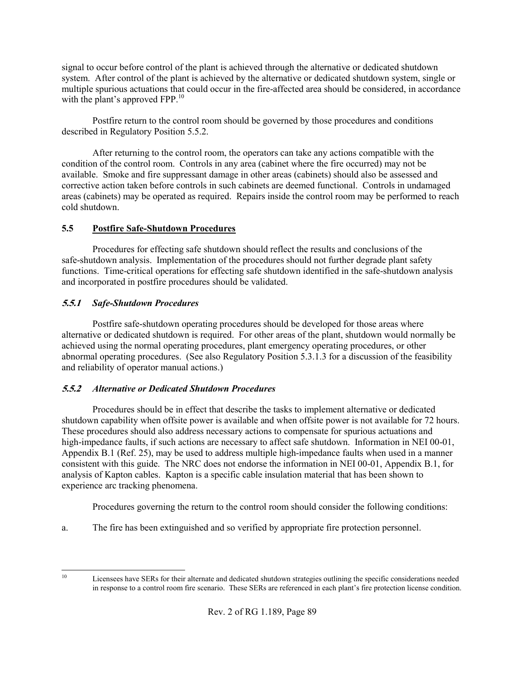signal to occur before control of the plant is achieved through the alternative or dedicated shutdown system. After control of the plant is achieved by the alternative or dedicated shutdown system, single or multiple spurious actuations that could occur in the fire-affected area should be considered, in accordance with the plant's approved FPP.<sup>10</sup>

Postfire return to the control room should be governed by those procedures and conditions described in Regulatory Position 5.5.2.

After returning to the control room, the operators can take any actions compatible with the condition of the control room. Controls in any area (cabinet where the fire occurred) may not be available. Smoke and fire suppressant damage in other areas (cabinets) should also be assessed and corrective action taken before controls in such cabinets are deemed functional. Controls in undamaged areas (cabinets) may be operated as required. Repairs inside the control room may be performed to reach cold shutdown.

## **5.5 Postfire Safe-Shutdown Procedures**

Procedures for effecting safe shutdown should reflect the results and conclusions of the safe-shutdown analysis. Implementation of the procedures should not further degrade plant safety functions. Time-critical operations for effecting safe shutdown identified in the safe-shutdown analysis and incorporated in postfire procedures should be validated.

## **5.5.1** *Safe-Shutdown Procedures*

Postfire safe-shutdown operating procedures should be developed for those areas where alternative or dedicated shutdown is required. For other areas of the plant, shutdown would normally be achieved using the normal operating procedures, plant emergency operating procedures, or other abnormal operating procedures. (See also Regulatory Position 5.3.1.3 for a discussion of the feasibility and reliability of operator manual actions.)

## **5.5.2** *Alternative or Dedicated Shutdown Procedures*

Procedures should be in effect that describe the tasks to implement alternative or dedicated shutdown capability when offsite power is available and when offsite power is not available for 72 hours. These procedures should also address necessary actions to compensate for spurious actuations and high-impedance faults, if such actions are necessary to affect safe shutdown. Information in NEI 00-01, Appendix B.1 (Ref. 25), may be used to address multiple high-impedance faults when used in a manner consistent with this guide. The NRC does not endorse the information in NEI 00-01, Appendix B.1, for analysis of Kapton cables. Kapton is a specific cable insulation material that has been shown to experience arc tracking phenomena.

Procedures governing the return to the control room should consider the following conditions:

a. The fire has been extinguished and so verified by appropriate fire protection personnel.

 $10<sup>10</sup>$ 

Licensees have SERs for their alternate and dedicated shutdown strategies outlining the specific considerations needed in response to a control room fire scenario. These SERs are referenced in each plant's fire protection license condition.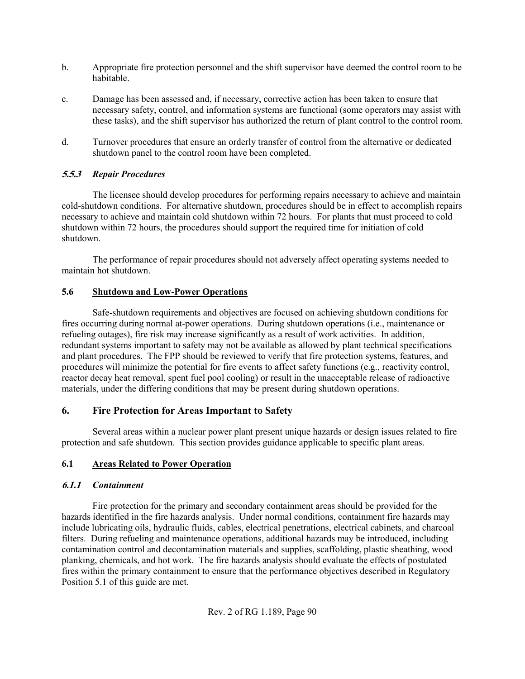- b. Appropriate fire protection personnel and the shift supervisor have deemed the control room to be habitable.
- c. Damage has been assessed and, if necessary, corrective action has been taken to ensure that necessary safety, control, and information systems are functional (some operators may assist with these tasks), and the shift supervisor has authorized the return of plant control to the control room.
- d. Turnover procedures that ensure an orderly transfer of control from the alternative or dedicated shutdown panel to the control room have been completed.

## **5.5.3** *Repair Procedures*

The licensee should develop procedures for performing repairs necessary to achieve and maintain cold-shutdown conditions. For alternative shutdown, procedures should be in effect to accomplish repairs necessary to achieve and maintain cold shutdown within 72 hours. For plants that must proceed to cold shutdown within 72 hours, the procedures should support the required time for initiation of cold shutdown.

The performance of repair procedures should not adversely affect operating systems needed to maintain hot shutdown.

## **5.6 Shutdown and Low-Power Operations**

Safe-shutdown requirements and objectives are focused on achieving shutdown conditions for fires occurring during normal at-power operations. During shutdown operations (i.e., maintenance or refueling outages), fire risk may increase significantly as a result of work activities. In addition, redundant systems important to safety may not be available as allowed by plant technical specifications and plant procedures. The FPP should be reviewed to verify that fire protection systems, features, and procedures will minimize the potential for fire events to affect safety functions (e.g., reactivity control, reactor decay heat removal, spent fuel pool cooling) or result in the unacceptable release of radioactive materials, under the differing conditions that may be present during shutdown operations.

## **6. Fire Protection for Areas Important to Safety**

Several areas within a nuclear power plant present unique hazards or design issues related to fire protection and safe shutdown. This section provides guidance applicable to specific plant areas.

## **6.1 Areas Related to Power Operation**

## **6.1.1** *Containment*

Fire protection for the primary and secondary containment areas should be provided for the hazards identified in the fire hazards analysis. Under normal conditions, containment fire hazards may include lubricating oils, hydraulic fluids, cables, electrical penetrations, electrical cabinets, and charcoal filters. During refueling and maintenance operations, additional hazards may be introduced, including contamination control and decontamination materials and supplies, scaffolding, plastic sheathing, wood planking, chemicals, and hot work. The fire hazards analysis should evaluate the effects of postulated fires within the primary containment to ensure that the performance objectives described in Regulatory Position 5.1 of this guide are met.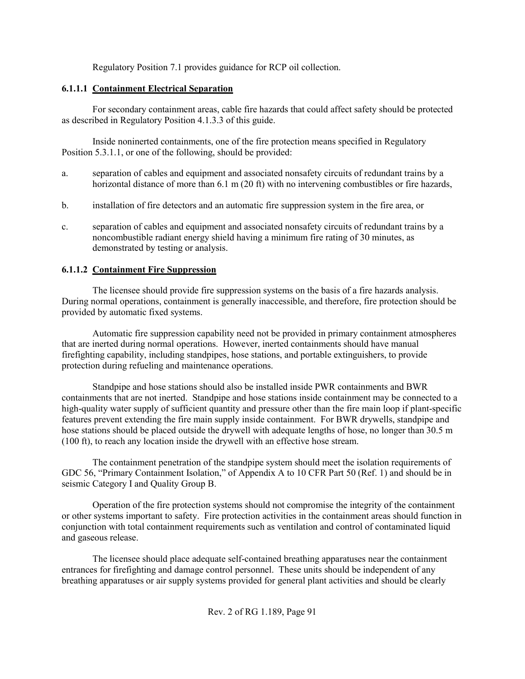Regulatory Position 7.1 provides guidance for RCP oil collection.

## **6.1.1.1 Containment Electrical Separation**

For secondary containment areas, cable fire hazards that could affect safety should be protected as described in Regulatory Position 4.1.3.3 of this guide.

Inside noninerted containments, one of the fire protection means specified in Regulatory Position 5.3.1.1, or one of the following, should be provided:

- a. separation of cables and equipment and associated nonsafety circuits of redundant trains by a horizontal distance of more than 6.1 m (20 ft) with no intervening combustibles or fire hazards,
- b. installation of fire detectors and an automatic fire suppression system in the fire area, or
- c. separation of cables and equipment and associated nonsafety circuits of redundant trains by a noncombustible radiant energy shield having a minimum fire rating of 30 minutes, as demonstrated by testing or analysis.

## **6.1.1.2 Containment Fire Suppression**

The licensee should provide fire suppression systems on the basis of a fire hazards analysis. During normal operations, containment is generally inaccessible, and therefore, fire protection should be provided by automatic fixed systems.

Automatic fire suppression capability need not be provided in primary containment atmospheres that are inerted during normal operations. However, inerted containments should have manual firefighting capability, including standpipes, hose stations, and portable extinguishers, to provide protection during refueling and maintenance operations.

Standpipe and hose stations should also be installed inside PWR containments and BWR containments that are not inerted. Standpipe and hose stations inside containment may be connected to a high-quality water supply of sufficient quantity and pressure other than the fire main loop if plant-specific features prevent extending the fire main supply inside containment. For BWR drywells, standpipe and hose stations should be placed outside the drywell with adequate lengths of hose, no longer than 30.5 m (100 ft), to reach any location inside the drywell with an effective hose stream.

The containment penetration of the standpipe system should meet the isolation requirements of GDC 56, "Primary Containment Isolation," of Appendix A to 10 CFR Part 50 (Ref. 1) and should be in seismic Category I and Quality Group B.

Operation of the fire protection systems should not compromise the integrity of the containment or other systems important to safety. Fire protection activities in the containment areas should function in conjunction with total containment requirements such as ventilation and control of contaminated liquid and gaseous release.

The licensee should place adequate self-contained breathing apparatuses near the containment entrances for firefighting and damage control personnel. These units should be independent of any breathing apparatuses or air supply systems provided for general plant activities and should be clearly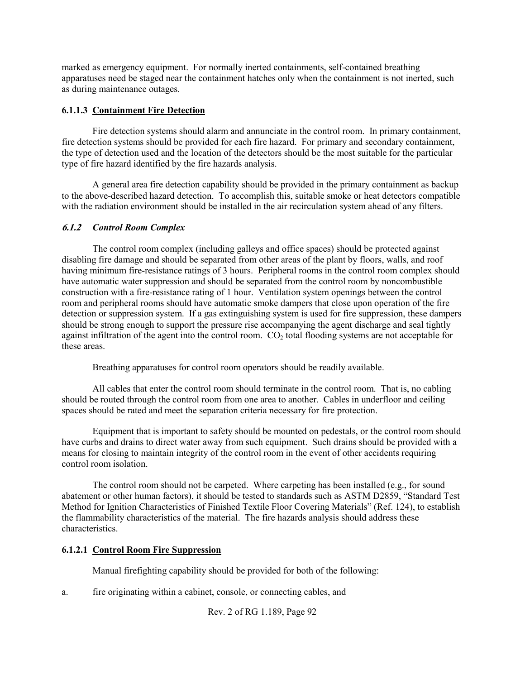marked as emergency equipment. For normally inerted containments, self-contained breathing apparatuses need be staged near the containment hatches only when the containment is not inerted, such as during maintenance outages.

### **6.1.1.3 Containment Fire Detection**

Fire detection systems should alarm and annunciate in the control room. In primary containment, fire detection systems should be provided for each fire hazard. For primary and secondary containment, the type of detection used and the location of the detectors should be the most suitable for the particular type of fire hazard identified by the fire hazards analysis.

A general area fire detection capability should be provided in the primary containment as backup to the above-described hazard detection. To accomplish this, suitable smoke or heat detectors compatible with the radiation environment should be installed in the air recirculation system ahead of any filters.

#### **6.1.2** *Control Room Complex*

The control room complex (including galleys and office spaces) should be protected against disabling fire damage and should be separated from other areas of the plant by floors, walls, and roof having minimum fire-resistance ratings of 3 hours. Peripheral rooms in the control room complex should have automatic water suppression and should be separated from the control room by noncombustible construction with a fire-resistance rating of 1 hour. Ventilation system openings between the control room and peripheral rooms should have automatic smoke dampers that close upon operation of the fire detection or suppression system. If a gas extinguishing system is used for fire suppression, these dampers should be strong enough to support the pressure rise accompanying the agent discharge and seal tightly against infiltration of the agent into the control room.  $CO<sub>2</sub>$  total flooding systems are not acceptable for these areas.

Breathing apparatuses for control room operators should be readily available.

All cables that enter the control room should terminate in the control room. That is, no cabling should be routed through the control room from one area to another. Cables in underfloor and ceiling spaces should be rated and meet the separation criteria necessary for fire protection.

Equipment that is important to safety should be mounted on pedestals, or the control room should have curbs and drains to direct water away from such equipment. Such drains should be provided with a means for closing to maintain integrity of the control room in the event of other accidents requiring control room isolation.

The control room should not be carpeted. Where carpeting has been installed (e.g., for sound abatement or other human factors), it should be tested to standards such as ASTM D2859, "Standard Test Method for Ignition Characteristics of Finished Textile Floor Covering Materials" (Ref. 124), to establish the flammability characteristics of the material. The fire hazards analysis should address these characteristics.

## **6.1.2.1 Control Room Fire Suppression**

Manual firefighting capability should be provided for both of the following:

a. fire originating within a cabinet, console, or connecting cables, and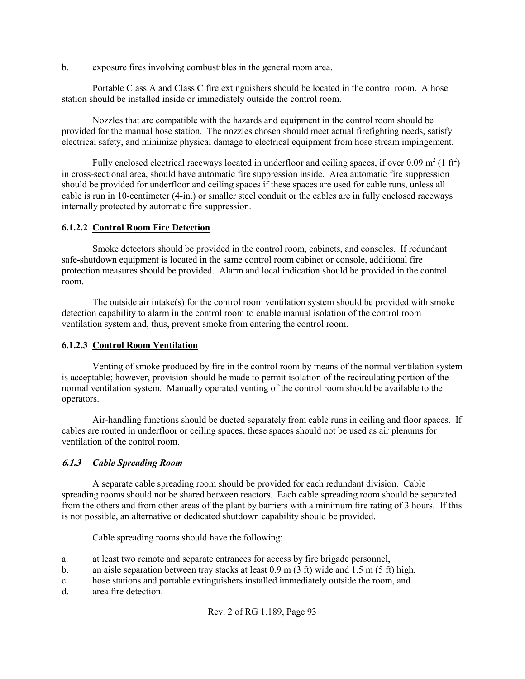b. exposure fires involving combustibles in the general room area.

Portable Class A and Class C fire extinguishers should be located in the control room. A hose station should be installed inside or immediately outside the control room.

Nozzles that are compatible with the hazards and equipment in the control room should be provided for the manual hose station. The nozzles chosen should meet actual firefighting needs, satisfy electrical safety, and minimize physical damage to electrical equipment from hose stream impingement.

Fully enclosed electrical raceways located in underfloor and ceiling spaces, if over 0.09 m<sup>2</sup> (1 ft<sup>2</sup>) in cross-sectional area, should have automatic fire suppression inside. Area automatic fire suppression should be provided for underfloor and ceiling spaces if these spaces are used for cable runs, unless all cable is run in 10-centimeter (4-in.) or smaller steel conduit or the cables are in fully enclosed raceways internally protected by automatic fire suppression.

#### **6.1.2.2 Control Room Fire Detection**

Smoke detectors should be provided in the control room, cabinets, and consoles. If redundant safe-shutdown equipment is located in the same control room cabinet or console, additional fire protection measures should be provided. Alarm and local indication should be provided in the control room.

The outside air intake(s) for the control room ventilation system should be provided with smoke detection capability to alarm in the control room to enable manual isolation of the control room ventilation system and, thus, prevent smoke from entering the control room.

## **6.1.2.3 Control Room Ventilation**

Venting of smoke produced by fire in the control room by means of the normal ventilation system is acceptable; however, provision should be made to permit isolation of the recirculating portion of the normal ventilation system. Manually operated venting of the control room should be available to the operators.

Air-handling functions should be ducted separately from cable runs in ceiling and floor spaces. If cables are routed in underfloor or ceiling spaces, these spaces should not be used as air plenums for ventilation of the control room.

## **6.1.3** *Cable Spreading Room*

A separate cable spreading room should be provided for each redundant division. Cable spreading rooms should not be shared between reactors. Each cable spreading room should be separated from the others and from other areas of the plant by barriers with a minimum fire rating of 3 hours. If this is not possible, an alternative or dedicated shutdown capability should be provided.

Cable spreading rooms should have the following:

- a. at least two remote and separate entrances for access by fire brigade personnel,
- b. an aisle separation between tray stacks at least  $0.9 \text{ m}$  (3 ft) wide and 1.5 m (5 ft) high,
- c. hose stations and portable extinguishers installed immediately outside the room, and d. area fire detection.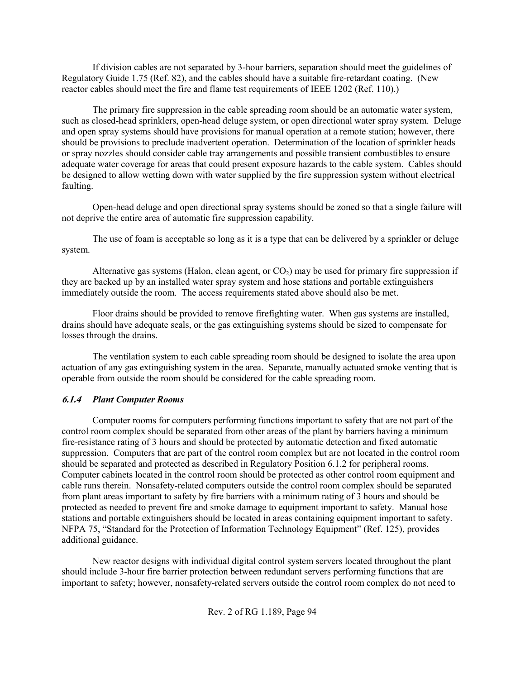If division cables are not separated by 3-hour barriers, separation should meet the guidelines of Regulatory Guide 1.75 (Ref. 82), and the cables should have a suitable fire-retardant coating. (New reactor cables should meet the fire and flame test requirements of IEEE 1202 (Ref. 110).)

The primary fire suppression in the cable spreading room should be an automatic water system, such as closed-head sprinklers, open-head deluge system, or open directional water spray system. Deluge and open spray systems should have provisions for manual operation at a remote station; however, there should be provisions to preclude inadvertent operation. Determination of the location of sprinkler heads or spray nozzles should consider cable tray arrangements and possible transient combustibles to ensure adequate water coverage for areas that could present exposure hazards to the cable system. Cables should be designed to allow wetting down with water supplied by the fire suppression system without electrical faulting.

Open-head deluge and open directional spray systems should be zoned so that a single failure will not deprive the entire area of automatic fire suppression capability.

The use of foam is acceptable so long as it is a type that can be delivered by a sprinkler or deluge system.

Alternative gas systems (Halon, clean agent, or  $CO<sub>2</sub>$ ) may be used for primary fire suppression if they are backed up by an installed water spray system and hose stations and portable extinguishers immediately outside the room. The access requirements stated above should also be met.

Floor drains should be provided to remove firefighting water. When gas systems are installed, drains should have adequate seals, or the gas extinguishing systems should be sized to compensate for losses through the drains.

The ventilation system to each cable spreading room should be designed to isolate the area upon actuation of any gas extinguishing system in the area. Separate, manually actuated smoke venting that is operable from outside the room should be considered for the cable spreading room.

#### **6.1.4** *Plant Computer Rooms*

Computer rooms for computers performing functions important to safety that are not part of the control room complex should be separated from other areas of the plant by barriers having a minimum fire-resistance rating of 3 hours and should be protected by automatic detection and fixed automatic suppression. Computers that are part of the control room complex but are not located in the control room should be separated and protected as described in Regulatory Position 6.1.2 for peripheral rooms. Computer cabinets located in the control room should be protected as other control room equipment and cable runs therein. Nonsafety-related computers outside the control room complex should be separated from plant areas important to safety by fire barriers with a minimum rating of 3 hours and should be protected as needed to prevent fire and smoke damage to equipment important to safety. Manual hose stations and portable extinguishers should be located in areas containing equipment important to safety. NFPA 75, "Standard for the Protection of Information Technology Equipment" (Ref. 125), provides additional guidance.

New reactor designs with individual digital control system servers located throughout the plant should include 3-hour fire barrier protection between redundant servers performing functions that are important to safety; however, nonsafety-related servers outside the control room complex do not need to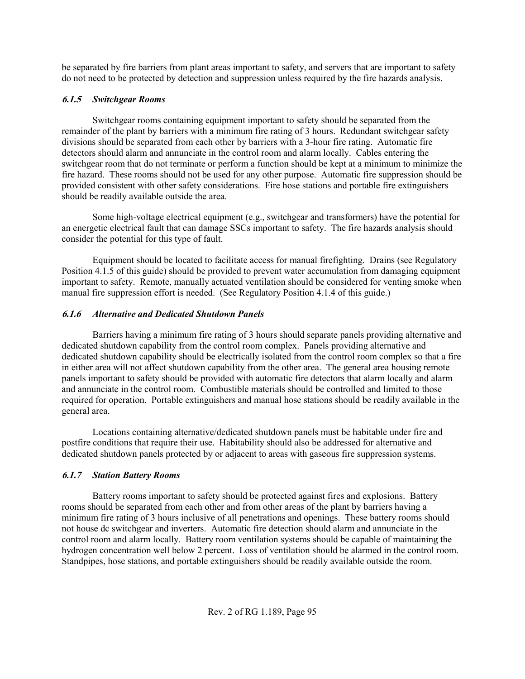be separated by fire barriers from plant areas important to safety, and servers that are important to safety do not need to be protected by detection and suppression unless required by the fire hazards analysis.

## **6.1.5** *Switchgear Rooms*

Switchgear rooms containing equipment important to safety should be separated from the remainder of the plant by barriers with a minimum fire rating of 3 hours. Redundant switchgear safety divisions should be separated from each other by barriers with a 3-hour fire rating. Automatic fire detectors should alarm and annunciate in the control room and alarm locally. Cables entering the switchgear room that do not terminate or perform a function should be kept at a minimum to minimize the fire hazard. These rooms should not be used for any other purpose. Automatic fire suppression should be provided consistent with other safety considerations. Fire hose stations and portable fire extinguishers should be readily available outside the area.

Some high-voltage electrical equipment (e.g., switchgear and transformers) have the potential for an energetic electrical fault that can damage SSCs important to safety. The fire hazards analysis should consider the potential for this type of fault.

Equipment should be located to facilitate access for manual firefighting. Drains (see Regulatory Position 4.1.5 of this guide) should be provided to prevent water accumulation from damaging equipment important to safety. Remote, manually actuated ventilation should be considered for venting smoke when manual fire suppression effort is needed. (See Regulatory Position 4.1.4 of this guide.)

## **6.1.6** *Alternative and Dedicated Shutdown Panels*

Barriers having a minimum fire rating of 3 hours should separate panels providing alternative and dedicated shutdown capability from the control room complex. Panels providing alternative and dedicated shutdown capability should be electrically isolated from the control room complex so that a fire in either area will not affect shutdown capability from the other area. The general area housing remote panels important to safety should be provided with automatic fire detectors that alarm locally and alarm and annunciate in the control room. Combustible materials should be controlled and limited to those required for operation. Portable extinguishers and manual hose stations should be readily available in the general area.

Locations containing alternative/dedicated shutdown panels must be habitable under fire and postfire conditions that require their use. Habitability should also be addressed for alternative and dedicated shutdown panels protected by or adjacent to areas with gaseous fire suppression systems.

## **6.1.7** *Station Battery Rooms*

Battery rooms important to safety should be protected against fires and explosions. Battery rooms should be separated from each other and from other areas of the plant by barriers having a minimum fire rating of 3 hours inclusive of all penetrations and openings. These battery rooms should not house dc switchgear and inverters. Automatic fire detection should alarm and annunciate in the control room and alarm locally. Battery room ventilation systems should be capable of maintaining the hydrogen concentration well below 2 percent. Loss of ventilation should be alarmed in the control room. Standpipes, hose stations, and portable extinguishers should be readily available outside the room.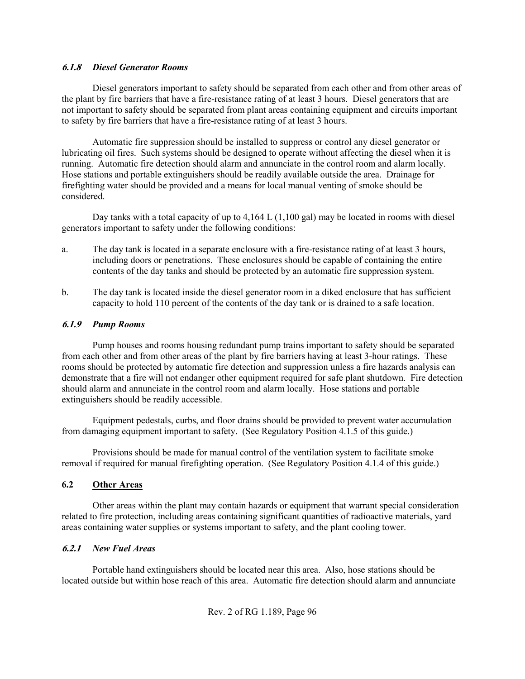#### **6.1.8** *Diesel Generator Rooms*

Diesel generators important to safety should be separated from each other and from other areas of the plant by fire barriers that have a fire-resistance rating of at least 3 hours. Diesel generators that are not important to safety should be separated from plant areas containing equipment and circuits important to safety by fire barriers that have a fire-resistance rating of at least 3 hours.

Automatic fire suppression should be installed to suppress or control any diesel generator or lubricating oil fires. Such systems should be designed to operate without affecting the diesel when it is running. Automatic fire detection should alarm and annunciate in the control room and alarm locally. Hose stations and portable extinguishers should be readily available outside the area. Drainage for firefighting water should be provided and a means for local manual venting of smoke should be considered.

Day tanks with a total capacity of up to 4,164 L (1,100 gal) may be located in rooms with diesel generators important to safety under the following conditions:

- a. The day tank is located in a separate enclosure with a fire-resistance rating of at least 3 hours, including doors or penetrations. These enclosures should be capable of containing the entire contents of the day tanks and should be protected by an automatic fire suppression system.
- b. The day tank is located inside the diesel generator room in a diked enclosure that has sufficient capacity to hold 110 percent of the contents of the day tank or is drained to a safe location.

## **6.1.9** *Pump Rooms*

Pump houses and rooms housing redundant pump trains important to safety should be separated from each other and from other areas of the plant by fire barriers having at least 3-hour ratings. These rooms should be protected by automatic fire detection and suppression unless a fire hazards analysis can demonstrate that a fire will not endanger other equipment required for safe plant shutdown. Fire detection should alarm and annunciate in the control room and alarm locally. Hose stations and portable extinguishers should be readily accessible.

Equipment pedestals, curbs, and floor drains should be provided to prevent water accumulation from damaging equipment important to safety. (See Regulatory Position 4.1.5 of this guide.)

Provisions should be made for manual control of the ventilation system to facilitate smoke removal if required for manual firefighting operation. (See Regulatory Position 4.1.4 of this guide.)

## **6.2 Other Areas**

Other areas within the plant may contain hazards or equipment that warrant special consideration related to fire protection, including areas containing significant quantities of radioactive materials, yard areas containing water supplies or systems important to safety, and the plant cooling tower.

## **6.2.1** *New Fuel Areas*

Portable hand extinguishers should be located near this area. Also, hose stations should be located outside but within hose reach of this area. Automatic fire detection should alarm and annunciate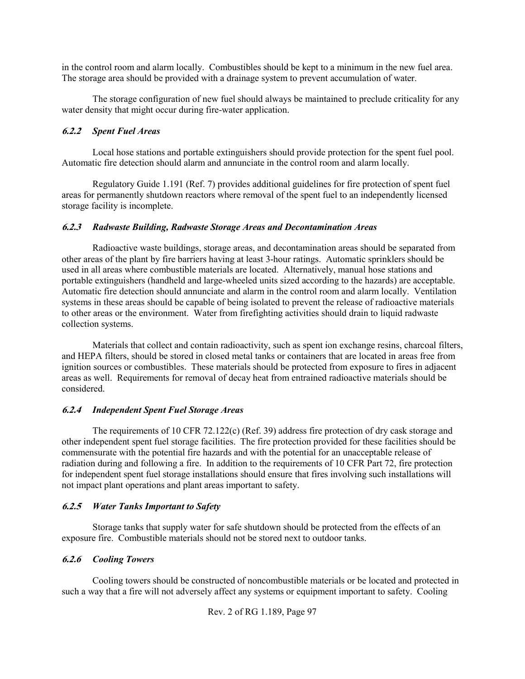in the control room and alarm locally. Combustibles should be kept to a minimum in the new fuel area. The storage area should be provided with a drainage system to prevent accumulation of water.

The storage configuration of new fuel should always be maintained to preclude criticality for any water density that might occur during fire-water application.

### **6.2.2** *Spent Fuel Areas*

Local hose stations and portable extinguishers should provide protection for the spent fuel pool. Automatic fire detection should alarm and annunciate in the control room and alarm locally.

Regulatory Guide 1.191 (Ref. 7) provides additional guidelines for fire protection of spent fuel areas for permanently shutdown reactors where removal of the spent fuel to an independently licensed storage facility is incomplete.

#### **6.2.3** *Radwaste Building, Radwaste Storage Areas and Decontamination Areas*

Radioactive waste buildings, storage areas, and decontamination areas should be separated from other areas of the plant by fire barriers having at least 3-hour ratings. Automatic sprinklers should be used in all areas where combustible materials are located. Alternatively, manual hose stations and portable extinguishers (handheld and large-wheeled units sized according to the hazards) are acceptable. Automatic fire detection should annunciate and alarm in the control room and alarm locally. Ventilation systems in these areas should be capable of being isolated to prevent the release of radioactive materials to other areas or the environment. Water from firefighting activities should drain to liquid radwaste collection systems.

Materials that collect and contain radioactivity, such as spent ion exchange resins, charcoal filters, and HEPA filters, should be stored in closed metal tanks or containers that are located in areas free from ignition sources or combustibles. These materials should be protected from exposure to fires in adjacent areas as well. Requirements for removal of decay heat from entrained radioactive materials should be considered.

#### **6.2.4** *Independent Spent Fuel Storage Areas*

The requirements of 10 CFR 72.122(c) (Ref. 39) address fire protection of dry cask storage and other independent spent fuel storage facilities. The fire protection provided for these facilities should be commensurate with the potential fire hazards and with the potential for an unacceptable release of radiation during and following a fire. In addition to the requirements of 10 CFR Part 72, fire protection for independent spent fuel storage installations should ensure that fires involving such installations will not impact plant operations and plant areas important to safety.

## **6.2.5** *Water Tanks Important to Safety*

Storage tanks that supply water for safe shutdown should be protected from the effects of an exposure fire. Combustible materials should not be stored next to outdoor tanks.

## **6.2.6** *Cooling Towers*

Cooling towers should be constructed of noncombustible materials or be located and protected in such a way that a fire will not adversely affect any systems or equipment important to safety. Cooling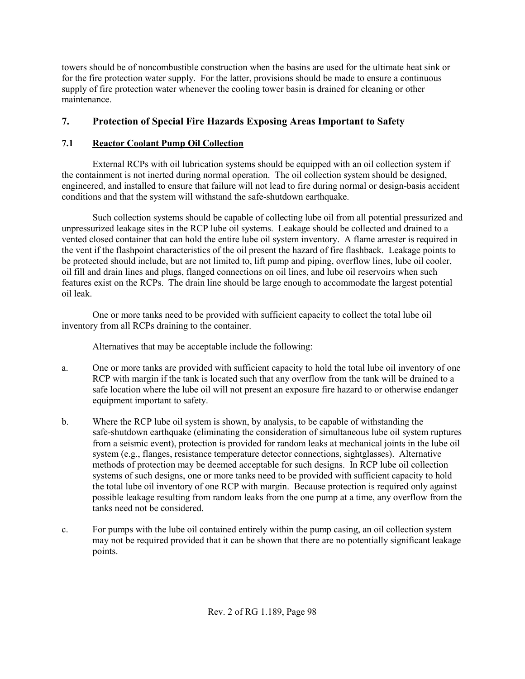towers should be of noncombustible construction when the basins are used for the ultimate heat sink or for the fire protection water supply. For the latter, provisions should be made to ensure a continuous supply of fire protection water whenever the cooling tower basin is drained for cleaning or other maintenance.

# **7. Protection of Special Fire Hazards Exposing Areas Important to Safety**

## **7.1 Reactor Coolant Pump Oil Collection**

External RCPs with oil lubrication systems should be equipped with an oil collection system if the containment is not inerted during normal operation. The oil collection system should be designed, engineered, and installed to ensure that failure will not lead to fire during normal or design-basis accident conditions and that the system will withstand the safe-shutdown earthquake.

Such collection systems should be capable of collecting lube oil from all potential pressurized and unpressurized leakage sites in the RCP lube oil systems. Leakage should be collected and drained to a vented closed container that can hold the entire lube oil system inventory. A flame arrester is required in the vent if the flashpoint characteristics of the oil present the hazard of fire flashback. Leakage points to be protected should include, but are not limited to, lift pump and piping, overflow lines, lube oil cooler, oil fill and drain lines and plugs, flanged connections on oil lines, and lube oil reservoirs when such features exist on the RCPs. The drain line should be large enough to accommodate the largest potential oil leak.

One or more tanks need to be provided with sufficient capacity to collect the total lube oil inventory from all RCPs draining to the container.

Alternatives that may be acceptable include the following:

- a. One or more tanks are provided with sufficient capacity to hold the total lube oil inventory of one RCP with margin if the tank is located such that any overflow from the tank will be drained to a safe location where the lube oil will not present an exposure fire hazard to or otherwise endanger equipment important to safety.
- b. Where the RCP lube oil system is shown, by analysis, to be capable of withstanding the safe-shutdown earthquake (eliminating the consideration of simultaneous lube oil system ruptures from a seismic event), protection is provided for random leaks at mechanical joints in the lube oil system (e.g., flanges, resistance temperature detector connections, sightglasses). Alternative methods of protection may be deemed acceptable for such designs. In RCP lube oil collection systems of such designs, one or more tanks need to be provided with sufficient capacity to hold the total lube oil inventory of one RCP with margin. Because protection is required only against possible leakage resulting from random leaks from the one pump at a time, any overflow from the tanks need not be considered.
- c. For pumps with the lube oil contained entirely within the pump casing, an oil collection system may not be required provided that it can be shown that there are no potentially significant leakage points.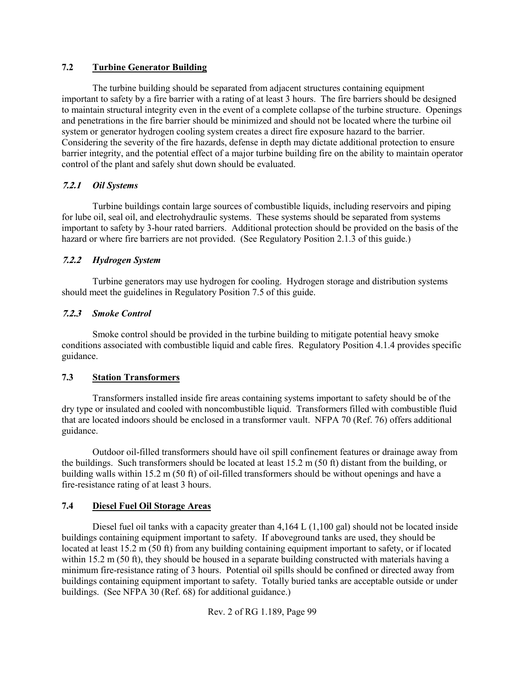## **7.2 Turbine Generator Building**

The turbine building should be separated from adjacent structures containing equipment important to safety by a fire barrier with a rating of at least 3 hours. The fire barriers should be designed to maintain structural integrity even in the event of a complete collapse of the turbine structure. Openings and penetrations in the fire barrier should be minimized and should not be located where the turbine oil system or generator hydrogen cooling system creates a direct fire exposure hazard to the barrier. Considering the severity of the fire hazards, defense in depth may dictate additional protection to ensure barrier integrity, and the potential effect of a major turbine building fire on the ability to maintain operator control of the plant and safely shut down should be evaluated.

## **7.2.1** *Oil Systems*

Turbine buildings contain large sources of combustible liquids, including reservoirs and piping for lube oil, seal oil, and electrohydraulic systems. These systems should be separated from systems important to safety by 3-hour rated barriers. Additional protection should be provided on the basis of the hazard or where fire barriers are not provided. (See Regulatory Position 2.1.3 of this guide.)

## **7.2.2** *Hydrogen System*

Turbine generators may use hydrogen for cooling. Hydrogen storage and distribution systems should meet the guidelines in Regulatory Position 7.5 of this guide.

## **7.2.3** *Smoke Control*

Smoke control should be provided in the turbine building to mitigate potential heavy smoke conditions associated with combustible liquid and cable fires. Regulatory Position 4.1.4 provides specific guidance.

## **7.3 Station Transformers**

Transformers installed inside fire areas containing systems important to safety should be of the dry type or insulated and cooled with noncombustible liquid. Transformers filled with combustible fluid that are located indoors should be enclosed in a transformer vault. NFPA 70 (Ref. 76) offers additional guidance.

Outdoor oil-filled transformers should have oil spill confinement features or drainage away from the buildings. Such transformers should be located at least 15.2 m (50 ft) distant from the building, or building walls within 15.2 m (50 ft) of oil-filled transformers should be without openings and have a fire-resistance rating of at least 3 hours.

## **7.4 Diesel Fuel Oil Storage Areas**

Diesel fuel oil tanks with a capacity greater than 4,164 L (1,100 gal) should not be located inside buildings containing equipment important to safety. If aboveground tanks are used, they should be located at least 15.2 m (50 ft) from any building containing equipment important to safety, or if located within 15.2 m (50 ft), they should be housed in a separate building constructed with materials having a minimum fire-resistance rating of 3 hours. Potential oil spills should be confined or directed away from buildings containing equipment important to safety. Totally buried tanks are acceptable outside or under buildings. (See NFPA 30 (Ref. 68) for additional guidance.)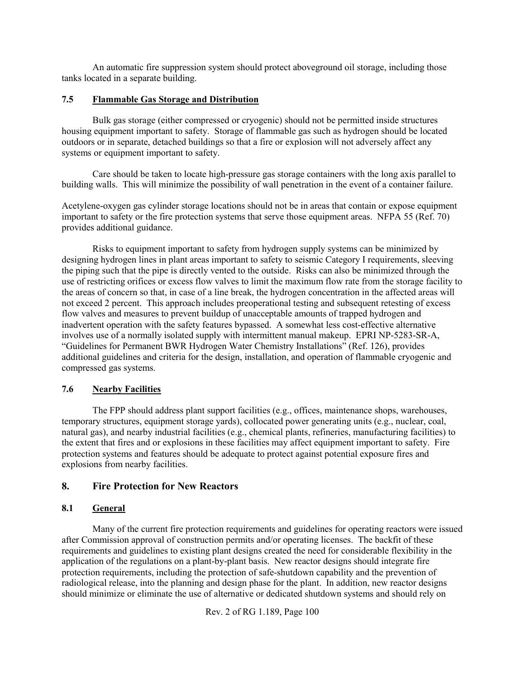An automatic fire suppression system should protect aboveground oil storage, including those tanks located in a separate building.

#### **7.5 Flammable Gas Storage and Distribution**

Bulk gas storage (either compressed or cryogenic) should not be permitted inside structures housing equipment important to safety. Storage of flammable gas such as hydrogen should be located outdoors or in separate, detached buildings so that a fire or explosion will not adversely affect any systems or equipment important to safety.

Care should be taken to locate high-pressure gas storage containers with the long axis parallel to building walls. This will minimize the possibility of wall penetration in the event of a container failure.

Acetylene-oxygen gas cylinder storage locations should not be in areas that contain or expose equipment important to safety or the fire protection systems that serve those equipment areas. NFPA 55 (Ref. 70) provides additional guidance.

Risks to equipment important to safety from hydrogen supply systems can be minimized by designing hydrogen lines in plant areas important to safety to seismic Category I requirements, sleeving the piping such that the pipe is directly vented to the outside. Risks can also be minimized through the use of restricting orifices or excess flow valves to limit the maximum flow rate from the storage facility to the areas of concern so that, in case of a line break, the hydrogen concentration in the affected areas will not exceed 2 percent. This approach includes preoperational testing and subsequent retesting of excess flow valves and measures to prevent buildup of unacceptable amounts of trapped hydrogen and inadvertent operation with the safety features bypassed. A somewhat less cost-effective alternative involves use of a normally isolated supply with intermittent manual makeup. EPRI NP-5283-SR-A, "Guidelines for Permanent BWR Hydrogen Water Chemistry Installations" (Ref. 126), provides additional guidelines and criteria for the design, installation, and operation of flammable cryogenic and compressed gas systems.

## **7.6 Nearby Facilities**

The FPP should address plant support facilities (e.g., offices, maintenance shops, warehouses, temporary structures, equipment storage yards), collocated power generating units (e.g., nuclear, coal, natural gas), and nearby industrial facilities (e.g., chemical plants, refineries, manufacturing facilities) to the extent that fires and or explosions in these facilities may affect equipment important to safety. Fire protection systems and features should be adequate to protect against potential exposure fires and explosions from nearby facilities.

## **8. Fire Protection for New Reactors**

## **8.1 General**

Many of the current fire protection requirements and guidelines for operating reactors were issued after Commission approval of construction permits and/or operating licenses. The backfit of these requirements and guidelines to existing plant designs created the need for considerable flexibility in the application of the regulations on a plant-by-plant basis. New reactor designs should integrate fire protection requirements, including the protection of safe-shutdown capability and the prevention of radiological release, into the planning and design phase for the plant. In addition, new reactor designs should minimize or eliminate the use of alternative or dedicated shutdown systems and should rely on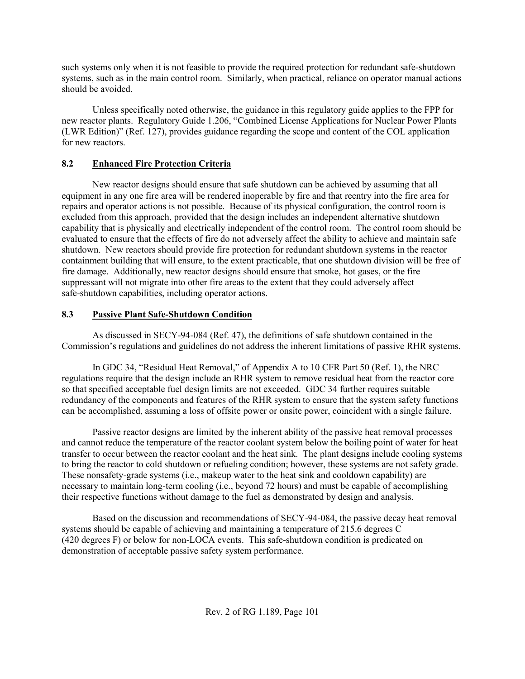such systems only when it is not feasible to provide the required protection for redundant safe-shutdown systems, such as in the main control room. Similarly, when practical, reliance on operator manual actions should be avoided.

Unless specifically noted otherwise, the guidance in this regulatory guide applies to the FPP for new reactor plants. Regulatory Guide 1.206, "Combined License Applications for Nuclear Power Plants (LWR Edition)" (Ref. 127), provides guidance regarding the scope and content of the COL application for new reactors.

## **8.2 Enhanced Fire Protection Criteria**

New reactor designs should ensure that safe shutdown can be achieved by assuming that all equipment in any one fire area will be rendered inoperable by fire and that reentry into the fire area for repairs and operator actions is not possible. Because of its physical configuration, the control room is excluded from this approach, provided that the design includes an independent alternative shutdown capability that is physically and electrically independent of the control room. The control room should be evaluated to ensure that the effects of fire do not adversely affect the ability to achieve and maintain safe shutdown. New reactors should provide fire protection for redundant shutdown systems in the reactor containment building that will ensure, to the extent practicable, that one shutdown division will be free of fire damage. Additionally, new reactor designs should ensure that smoke, hot gases, or the fire suppressant will not migrate into other fire areas to the extent that they could adversely affect safe-shutdown capabilities, including operator actions.

## **8.3 Passive Plant Safe-Shutdown Condition**

As discussed in SECY-94-084 (Ref. 47), the definitions of safe shutdown contained in the Commission's regulations and guidelines do not address the inherent limitations of passive RHR systems.

In GDC 34, "Residual Heat Removal," of Appendix A to 10 CFR Part 50 (Ref. 1), the NRC regulations require that the design include an RHR system to remove residual heat from the reactor core so that specified acceptable fuel design limits are not exceeded. GDC 34 further requires suitable redundancy of the components and features of the RHR system to ensure that the system safety functions can be accomplished, assuming a loss of offsite power or onsite power, coincident with a single failure.

Passive reactor designs are limited by the inherent ability of the passive heat removal processes and cannot reduce the temperature of the reactor coolant system below the boiling point of water for heat transfer to occur between the reactor coolant and the heat sink. The plant designs include cooling systems to bring the reactor to cold shutdown or refueling condition; however, these systems are not safety grade. These nonsafety-grade systems (i.e., makeup water to the heat sink and cooldown capability) are necessary to maintain long-term cooling (i.e., beyond 72 hours) and must be capable of accomplishing their respective functions without damage to the fuel as demonstrated by design and analysis.

Based on the discussion and recommendations of SECY-94-084, the passive decay heat removal systems should be capable of achieving and maintaining a temperature of 215.6 degrees C (420 degrees F) or below for non-LOCA events. This safe-shutdown condition is predicated on demonstration of acceptable passive safety system performance.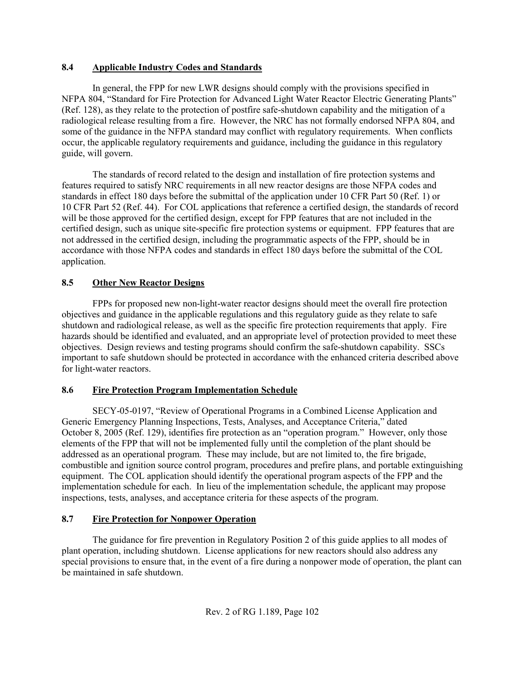### **8.4 Applicable Industry Codes and Standards**

In general, the FPP for new LWR designs should comply with the provisions specified in NFPA 804, "Standard for Fire Protection for Advanced Light Water Reactor Electric Generating Plants" (Ref. 128), as they relate to the protection of postfire safe-shutdown capability and the mitigation of a radiological release resulting from a fire. However, the NRC has not formally endorsed NFPA 804, and some of the guidance in the NFPA standard may conflict with regulatory requirements. When conflicts occur, the applicable regulatory requirements and guidance, including the guidance in this regulatory guide, will govern.

The standards of record related to the design and installation of fire protection systems and features required to satisfy NRC requirements in all new reactor designs are those NFPA codes and standards in effect 180 days before the submittal of the application under 10 CFR Part 50 (Ref. 1) or 10 CFR Part 52 (Ref. 44). For COL applications that reference a certified design, the standards of record will be those approved for the certified design, except for FPP features that are not included in the certified design, such as unique site-specific fire protection systems or equipment. FPP features that are not addressed in the certified design, including the programmatic aspects of the FPP, should be in accordance with those NFPA codes and standards in effect 180 days before the submittal of the COL application.

## **8.5 Other New Reactor Designs**

FPPs for proposed new non-light-water reactor designs should meet the overall fire protection objectives and guidance in the applicable regulations and this regulatory guide as they relate to safe shutdown and radiological release, as well as the specific fire protection requirements that apply. Fire hazards should be identified and evaluated, and an appropriate level of protection provided to meet these objectives. Design reviews and testing programs should confirm the safe-shutdown capability. SSCs important to safe shutdown should be protected in accordance with the enhanced criteria described above for light-water reactors.

## **8.6 Fire Protection Program Implementation Schedule**

SECY-05-0197, "Review of Operational Programs in a Combined License Application and Generic Emergency Planning Inspections, Tests, Analyses, and Acceptance Criteria," dated October 8, 2005 (Ref. 129), identifies fire protection as an "operation program." However, only those elements of the FPP that will not be implemented fully until the completion of the plant should be addressed as an operational program. These may include, but are not limited to, the fire brigade, combustible and ignition source control program, procedures and prefire plans, and portable extinguishing equipment. The COL application should identify the operational program aspects of the FPP and the implementation schedule for each. In lieu of the implementation schedule, the applicant may propose inspections, tests, analyses, and acceptance criteria for these aspects of the program.

## **8.7 Fire Protection for Nonpower Operation**

The guidance for fire prevention in Regulatory Position 2 of this guide applies to all modes of plant operation, including shutdown. License applications for new reactors should also address any special provisions to ensure that, in the event of a fire during a nonpower mode of operation, the plant can be maintained in safe shutdown.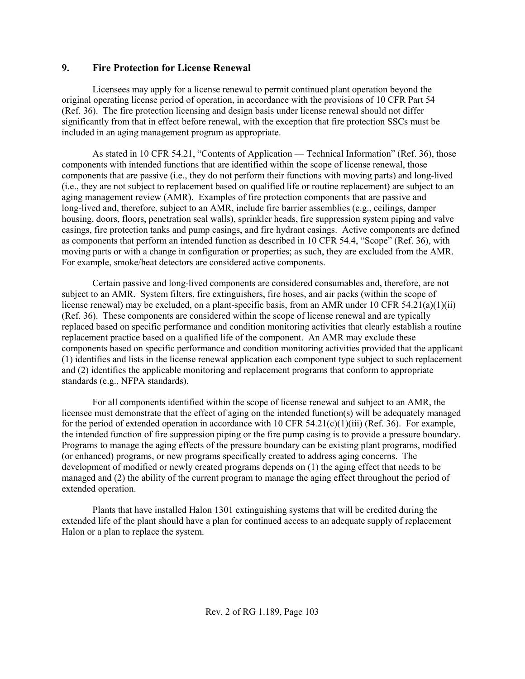## **9. Fire Protection for License Renewal**

Licensees may apply for a license renewal to permit continued plant operation beyond the original operating license period of operation, in accordance with the provisions of 10 CFR Part 54 (Ref. 36). The fire protection licensing and design basis under license renewal should not differ significantly from that in effect before renewal, with the exception that fire protection SSCs must be included in an aging management program as appropriate.

As stated in 10 CFR 54.21, "Contents of Application — Technical Information" (Ref. 36), those components with intended functions that are identified within the scope of license renewal, those components that are passive (i.e., they do not perform their functions with moving parts) and long-lived (i.e., they are not subject to replacement based on qualified life or routine replacement) are subject to an aging management review (AMR). Examples of fire protection components that are passive and long-lived and, therefore, subject to an AMR, include fire barrier assemblies (e.g., ceilings, damper housing, doors, floors, penetration seal walls), sprinkler heads, fire suppression system piping and valve casings, fire protection tanks and pump casings, and fire hydrant casings. Active components are defined as components that perform an intended function as described in 10 CFR 54.4, "Scope" (Ref. 36), with moving parts or with a change in configuration or properties; as such, they are excluded from the AMR. For example, smoke/heat detectors are considered active components.

Certain passive and long-lived components are considered consumables and, therefore, are not subject to an AMR. System filters, fire extinguishers, fire hoses, and air packs (within the scope of license renewal) may be excluded, on a plant-specific basis, from an AMR under 10 CFR  $54.21(a)(1)(ii)$ (Ref. 36). These components are considered within the scope of license renewal and are typically replaced based on specific performance and condition monitoring activities that clearly establish a routine replacement practice based on a qualified life of the component. An AMR may exclude these components based on specific performance and condition monitoring activities provided that the applicant (1) identifies and lists in the license renewal application each component type subject to such replacement and (2) identifies the applicable monitoring and replacement programs that conform to appropriate standards (e.g., NFPA standards).

For all components identified within the scope of license renewal and subject to an AMR, the licensee must demonstrate that the effect of aging on the intended function(s) will be adequately managed for the period of extended operation in accordance with 10 CFR  $54.21(c)(1)(iii)$  (Ref. 36). For example, the intended function of fire suppression piping or the fire pump casing is to provide a pressure boundary. Programs to manage the aging effects of the pressure boundary can be existing plant programs, modified (or enhanced) programs, or new programs specifically created to address aging concerns. The development of modified or newly created programs depends on (1) the aging effect that needs to be managed and (2) the ability of the current program to manage the aging effect throughout the period of extended operation.

Plants that have installed Halon 1301 extinguishing systems that will be credited during the extended life of the plant should have a plan for continued access to an adequate supply of replacement Halon or a plan to replace the system.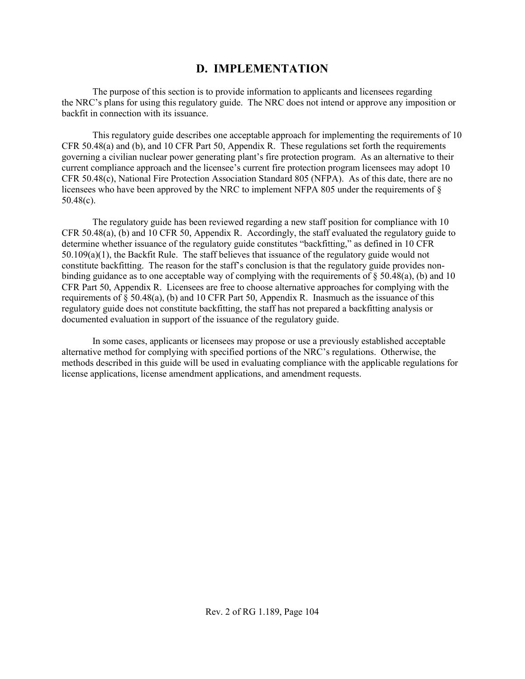## **D. IMPLEMENTATION**

The purpose of this section is to provide information to applicants and licensees regarding the NRC's plans for using this regulatory guide. The NRC does not intend or approve any imposition or backfit in connection with its issuance.

This regulatory guide describes one acceptable approach for implementing the requirements of 10 CFR 50.48(a) and (b), and 10 CFR Part 50, Appendix R. These regulations set forth the requirements governing a civilian nuclear power generating plant's fire protection program. As an alternative to their current compliance approach and the licensee's current fire protection program licensees may adopt 10 CFR 50.48(c), National Fire Protection Association Standard 805 (NFPA). As of this date, there are no licensees who have been approved by the NRC to implement NFPA 805 under the requirements of § 50.48(c).

The regulatory guide has been reviewed regarding a new staff position for compliance with 10 CFR 50.48(a), (b) and 10 CFR 50, Appendix R. Accordingly, the staff evaluated the regulatory guide to determine whether issuance of the regulatory guide constitutes "backfitting," as defined in 10 CFR 50.109(a)(1), the Backfit Rule. The staff believes that issuance of the regulatory guide would not constitute backfitting. The reason for the staff's conclusion is that the regulatory guide provides nonbinding guidance as to one acceptable way of complying with the requirements of  $\S 50.48(a)$ , (b) and 10 CFR Part 50, Appendix R. Licensees are free to choose alternative approaches for complying with the requirements of  $\S$  50.48(a), (b) and 10 CFR Part 50, Appendix R. Inasmuch as the issuance of this regulatory guide does not constitute backfitting, the staff has not prepared a backfitting analysis or documented evaluation in support of the issuance of the regulatory guide.

In some cases, applicants or licensees may propose or use a previously established acceptable alternative method for complying with specified portions of the NRC's regulations. Otherwise, the methods described in this guide will be used in evaluating compliance with the applicable regulations for license applications, license amendment applications, and amendment requests.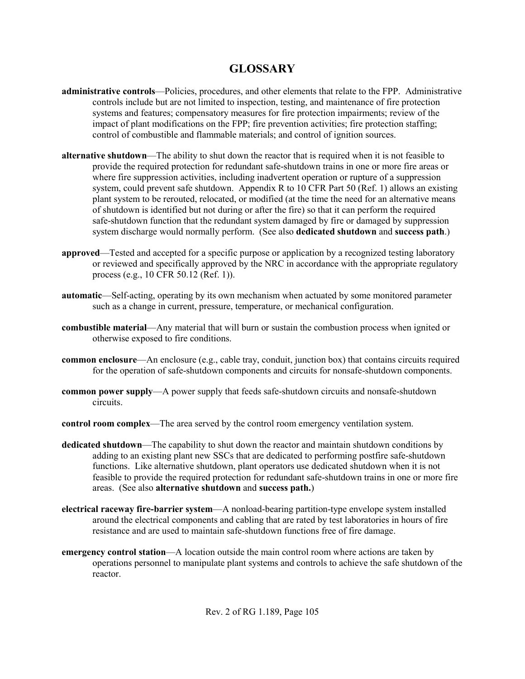# **GLOSSARY**

- **administrative controls**—Policies, procedures, and other elements that relate to the FPP. Administrative controls include but are not limited to inspection, testing, and maintenance of fire protection systems and features; compensatory measures for fire protection impairments; review of the impact of plant modifications on the FPP; fire prevention activities; fire protection staffing; control of combustible and flammable materials; and control of ignition sources.
- **alternative shutdown**—The ability to shut down the reactor that is required when it is not feasible to provide the required protection for redundant safe-shutdown trains in one or more fire areas or where fire suppression activities, including inadvertent operation or rupture of a suppression system, could prevent safe shutdown. Appendix R to 10 CFR Part 50 (Ref. 1) allows an existing plant system to be rerouted, relocated, or modified (at the time the need for an alternative means of shutdown is identified but not during or after the fire) so that it can perform the required safe-shutdown function that the redundant system damaged by fire or damaged by suppression system discharge would normally perform. (See also **dedicated shutdown** and **success path**.)
- **approved**—Tested and accepted for a specific purpose or application by a recognized testing laboratory or reviewed and specifically approved by the NRC in accordance with the appropriate regulatory process (e.g., 10 CFR 50.12 (Ref. 1)).
- **automatic**—Self-acting, operating by its own mechanism when actuated by some monitored parameter such as a change in current, pressure, temperature, or mechanical configuration.
- **combustible material**—Any material that will burn or sustain the combustion process when ignited or otherwise exposed to fire conditions.
- **common enclosure—An** enclosure (e.g., cable tray, conduit, junction box) that contains circuits required for the operation of safe-shutdown components and circuits for nonsafe-shutdown components.
- **common power supply**—A power supply that feeds safe-shutdown circuits and nonsafe-shutdown circuits.
- **control room complex**—The area served by the control room emergency ventilation system.
- **dedicated shutdown**—The capability to shut down the reactor and maintain shutdown conditions by adding to an existing plant new SSCs that are dedicated to performing postfire safe-shutdown functions. Like alternative shutdown, plant operators use dedicated shutdown when it is not feasible to provide the required protection for redundant safe-shutdown trains in one or more fire areas. (See also **alternative shutdown** and **success path.**)
- **electrical raceway fire-barrier system**—A nonload-bearing partition-type envelope system installed around the electrical components and cabling that are rated by test laboratories in hours of fire resistance and are used to maintain safe-shutdown functions free of fire damage.
- **emergency control station**—A location outside the main control room where actions are taken by operations personnel to manipulate plant systems and controls to achieve the safe shutdown of the reactor.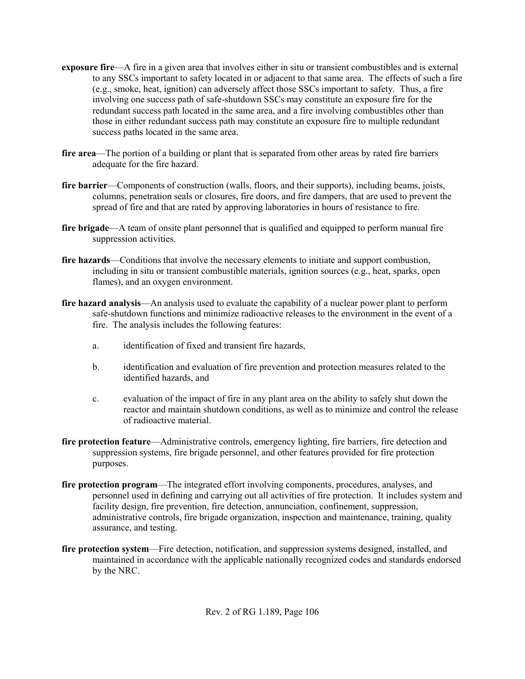- **exposure fire—A** fire in a given area that involves either in situ or transient combustibles and is external to any SSCs important to safety located in or adjacent to that same area. The effects of such a fire (e.g., smoke, heat, ignition) can adversely affect those SSCs important to safety. Thus, a fire involving one success path of safe-shutdown SSCs may constitute an exposure fire for the redundant success path located in the same area, and a fire involving combustibles other than those in either redundant success path may constitute an exposure fire to multiple redundant success paths located in the same area.
- **fire area**—The portion of a building or plant that is separated from other areas by rated fire barriers adequate for the fire hazard.
- **fire barrier**—Components of construction (walls, floors, and their supports), including beams, joists, columns, penetration seals or closures, fire doors, and fire dampers, that are used to prevent the spread of fire and that are rated by approving laboratories in hours of resistance to fire.
- **fire brigade**—A team of onsite plant personnel that is qualified and equipped to perform manual fire suppression activities.
- **fire hazards—Conditions that involve the necessary elements to initiate and support combustion,** including in situ or transient combustible materials, ignition sources (e.g., heat, sparks, open flames), and an oxygen environment.
- **fire hazard analysis—An** analysis used to evaluate the capability of a nuclear power plant to perform safe-shutdown functions and minimize radioactive releases to the environment in the event of a fire. The analysis includes the following features:
	- a. identification of fixed and transient fire hazards,
	- b. identification and evaluation of fire prevention and protection measures related to the identified hazards, and
	- c. evaluation of the impact of fire in any plant area on the ability to safely shut down the reactor and maintain shutdown conditions, as well as to minimize and control the release of radioactive material.
- **fire protection feature**—Administrative controls, emergency lighting, fire barriers, fire detection and suppression systems, fire brigade personnel, and other features provided for fire protection purposes.
- **fire protection program**—The integrated effort involving components, procedures, analyses, and personnel used in defining and carrying out all activities of fire protection. It includes system and facility design, fire prevention, fire detection, annunciation, confinement, suppression, administrative controls, fire brigade organization, inspection and maintenance, training, quality assurance, and testing.
- **fire protection system**—Fire detection, notification, and suppression systems designed, installed, and maintained in accordance with the applicable nationally recognized codes and standards endorsed by the NRC.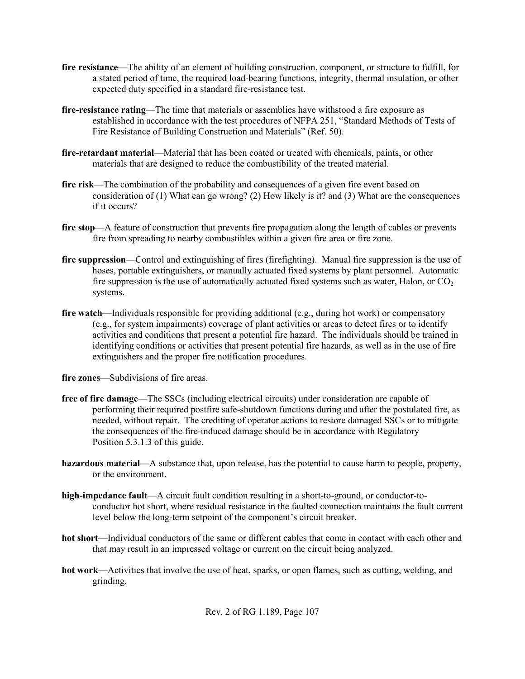- **fire resistance**—The ability of an element of building construction, component, or structure to fulfill, for a stated period of time, the required load-bearing functions, integrity, thermal insulation, or other expected duty specified in a standard fire-resistance test.
- **fire-resistance rating**—The time that materials or assemblies have withstood a fire exposure as established in accordance with the test procedures of NFPA 251, "Standard Methods of Tests of Fire Resistance of Building Construction and Materials" (Ref. 50).
- **fire-retardant material**—Material that has been coated or treated with chemicals, paints, or other materials that are designed to reduce the combustibility of the treated material.
- **fire risk**—The combination of the probability and consequences of a given fire event based on consideration of (1) What can go wrong? (2) How likely is it? and (3) What are the consequences if it occurs?
- **fire stop—A** feature of construction that prevents fire propagation along the length of cables or prevents fire from spreading to nearby combustibles within a given fire area or fire zone.
- **fire suppression**—Control and extinguishing of fires (firefighting). Manual fire suppression is the use of hoses, portable extinguishers, or manually actuated fixed systems by plant personnel. Automatic fire suppression is the use of automatically actuated fixed systems such as water, Halon, or  $CO<sub>2</sub>$ systems.
- **fire watch—Individuals responsible for providing additional (e.g., during hot work) or compensatory** (e.g., for system impairments) coverage of plant activities or areas to detect fires or to identify activities and conditions that present a potential fire hazard. The individuals should be trained in identifying conditions or activities that present potential fire hazards, as well as in the use of fire extinguishers and the proper fire notification procedures.
- **fire zones**—Subdivisions of fire areas.
- **free of fire damage**—The SSCs (including electrical circuits) under consideration are capable of performing their required postfire safe-shutdown functions during and after the postulated fire, as needed, without repair. The crediting of operator actions to restore damaged SSCs or to mitigate the consequences of the fire-induced damage should be in accordance with Regulatory Position 5.3.1.3 of this guide.
- **hazardous material**—A substance that, upon release, has the potential to cause harm to people, property, or the environment.
- **high-impedance fault**—A circuit fault condition resulting in a short-to-ground, or conductor-toconductor hot short, where residual resistance in the faulted connection maintains the fault current level below the long-term setpoint of the component's circuit breaker.
- **hot short**—Individual conductors of the same or different cables that come in contact with each other and that may result in an impressed voltage or current on the circuit being analyzed.
- **hot work**—Activities that involve the use of heat, sparks, or open flames, such as cutting, welding, and grinding.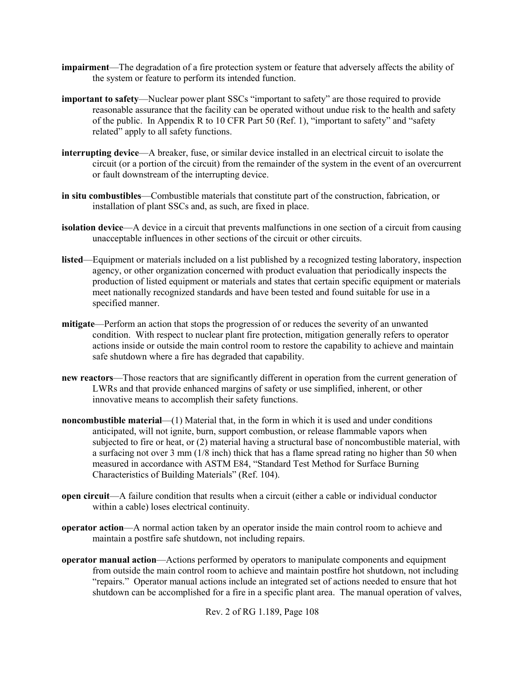- **impairment**—The degradation of a fire protection system or feature that adversely affects the ability of the system or feature to perform its intended function.
- **important to safety**—Nuclear power plant SSCs "important to safety" are those required to provide reasonable assurance that the facility can be operated without undue risk to the health and safety of the public. In Appendix R to 10 CFR Part 50 (Ref. 1), "important to safety" and "safety related" apply to all safety functions.
- **interrupting device**—A breaker, fuse, or similar device installed in an electrical circuit to isolate the circuit (or a portion of the circuit) from the remainder of the system in the event of an overcurrent or fault downstream of the interrupting device.
- **in situ combustibles**—Combustible materials that constitute part of the construction, fabrication, or installation of plant SSCs and, as such, are fixed in place.
- **isolation device—A** device in a circuit that prevents malfunctions in one section of a circuit from causing unacceptable influences in other sections of the circuit or other circuits.
- **listed**—Equipment or materials included on a list published by a recognized testing laboratory, inspection agency, or other organization concerned with product evaluation that periodically inspects the production of listed equipment or materials and states that certain specific equipment or materials meet nationally recognized standards and have been tested and found suitable for use in a specified manner.
- **mitigate**—Perform an action that stops the progression of or reduces the severity of an unwanted condition. With respect to nuclear plant fire protection, mitigation generally refers to operator actions inside or outside the main control room to restore the capability to achieve and maintain safe shutdown where a fire has degraded that capability.
- **new reactors—Those reactors that are significantly different in operation from the current generation of** LWRs and that provide enhanced margins of safety or use simplified, inherent, or other innovative means to accomplish their safety functions.
- **noncombustible material—(1)** Material that, in the form in which it is used and under conditions anticipated, will not ignite, burn, support combustion, or release flammable vapors when subjected to fire or heat, or (2) material having a structural base of noncombustible material, with a surfacing not over 3 mm (1/8 inch) thick that has a flame spread rating no higher than 50 when measured in accordance with ASTM E84, "Standard Test Method for Surface Burning Characteristics of Building Materials" (Ref. 104).
- **open circuit**—A failure condition that results when a circuit (either a cable or individual conductor within a cable) loses electrical continuity.
- **operator action**—A normal action taken by an operator inside the main control room to achieve and maintain a postfire safe shutdown, not including repairs.
- **operator manual action**—Actions performed by operators to manipulate components and equipment from outside the main control room to achieve and maintain postfire hot shutdown, not including "repairs." Operator manual actions include an integrated set of actions needed to ensure that hot shutdown can be accomplished for a fire in a specific plant area. The manual operation of valves,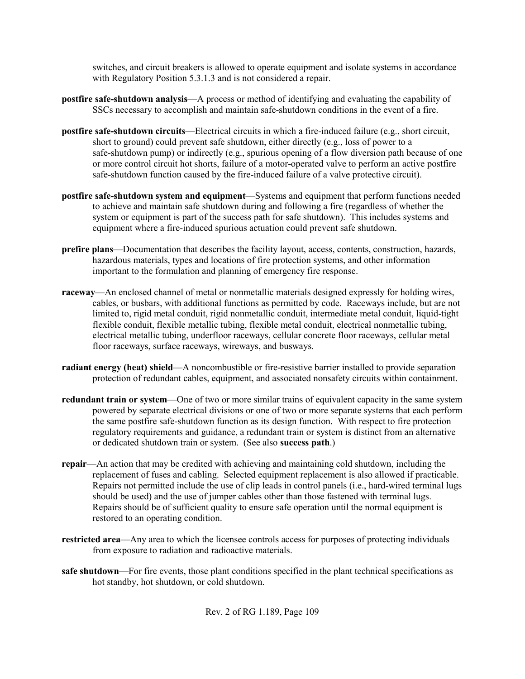switches, and circuit breakers is allowed to operate equipment and isolate systems in accordance with Regulatory Position 5.3.1.3 and is not considered a repair.

- **postfire safe-shutdown analysis**—A process or method of identifying and evaluating the capability of SSCs necessary to accomplish and maintain safe-shutdown conditions in the event of a fire.
- **postfire safe-shutdown circuits**—Electrical circuits in which a fire-induced failure (e.g., short circuit, short to ground) could prevent safe shutdown, either directly (e.g., loss of power to a safe-shutdown pump) or indirectly (e.g., spurious opening of a flow diversion path because of one or more control circuit hot shorts, failure of a motor-operated valve to perform an active postfire safe-shutdown function caused by the fire-induced failure of a valve protective circuit).
- **postfire safe-shutdown system and equipment**—Systems and equipment that perform functions needed to achieve and maintain safe shutdown during and following a fire (regardless of whether the system or equipment is part of the success path for safe shutdown). This includes systems and equipment where a fire-induced spurious actuation could prevent safe shutdown.
- **prefire plans**—Documentation that describes the facility layout, access, contents, construction, hazards, hazardous materials, types and locations of fire protection systems, and other information important to the formulation and planning of emergency fire response.
- **raceway**—An enclosed channel of metal or nonmetallic materials designed expressly for holding wires, cables, or busbars, with additional functions as permitted by code. Raceways include, but are not limited to, rigid metal conduit, rigid nonmetallic conduit, intermediate metal conduit, liquid-tight flexible conduit, flexible metallic tubing, flexible metal conduit, electrical nonmetallic tubing, electrical metallic tubing, underfloor raceways, cellular concrete floor raceways, cellular metal floor raceways, surface raceways, wireways, and busways.
- **radiant energy (heat) shield**—A noncombustible or fire-resistive barrier installed to provide separation protection of redundant cables, equipment, and associated nonsafety circuits within containment.
- **redundant train or system**—One of two or more similar trains of equivalent capacity in the same system powered by separate electrical divisions or one of two or more separate systems that each perform the same postfire safe-shutdown function as its design function. With respect to fire protection regulatory requirements and guidance, a redundant train or system is distinct from an alternative or dedicated shutdown train or system. (See also **success path**.)
- **repair**—An action that may be credited with achieving and maintaining cold shutdown, including the replacement of fuses and cabling. Selected equipment replacement is also allowed if practicable. Repairs not permitted include the use of clip leads in control panels (i.e., hard-wired terminal lugs should be used) and the use of jumper cables other than those fastened with terminal lugs. Repairs should be of sufficient quality to ensure safe operation until the normal equipment is restored to an operating condition.
- **restricted area**—Any area to which the licensee controls access for purposes of protecting individuals from exposure to radiation and radioactive materials.
- **safe shutdown—For fire events, those plant conditions specified in the plant technical specifications as** hot standby, hot shutdown, or cold shutdown.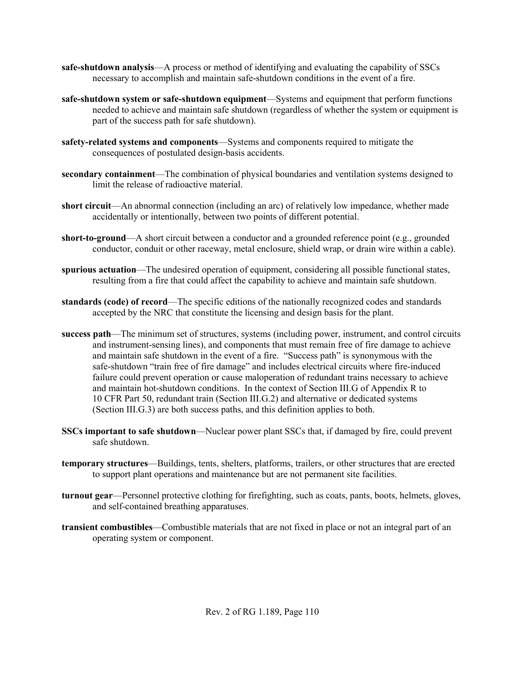- **safe-shutdown analysis**—A process or method of identifying and evaluating the capability of SSCs necessary to accomplish and maintain safe-shutdown conditions in the event of a fire.
- **safe-shutdown system or safe-shutdown equipment**—Systems and equipment that perform functions needed to achieve and maintain safe shutdown (regardless of whether the system or equipment is part of the success path for safe shutdown).
- **safety-related systems and components**—Systems and components required to mitigate the consequences of postulated design-basis accidents.
- **secondary containment**—The combination of physical boundaries and ventilation systems designed to limit the release of radioactive material.
- **short circuit**—An abnormal connection (including an arc) of relatively low impedance, whether made accidentally or intentionally, between two points of different potential.
- **short-to-ground**—A short circuit between a conductor and a grounded reference point (e.g., grounded conductor, conduit or other raceway, metal enclosure, shield wrap, or drain wire within a cable).
- **spurious actuation**—The undesired operation of equipment, considering all possible functional states, resulting from a fire that could affect the capability to achieve and maintain safe shutdown.
- **standards (code) of record**—The specific editions of the nationally recognized codes and standards accepted by the NRC that constitute the licensing and design basis for the plant.
- **success path**—The minimum set of structures, systems (including power, instrument, and control circuits and instrument-sensing lines), and components that must remain free of fire damage to achieve and maintain safe shutdown in the event of a fire. "Success path" is synonymous with the safe-shutdown "train free of fire damage" and includes electrical circuits where fire-induced failure could prevent operation or cause maloperation of redundant trains necessary to achieve and maintain hot-shutdown conditions. In the context of Section III.G of Appendix R to 10 CFR Part 50, redundant train (Section III.G.2) and alternative or dedicated systems (Section III.G.3) are both success paths, and this definition applies to both.
- **SSCs important to safe shutdown**—Nuclear power plant SSCs that, if damaged by fire, could prevent safe shutdown.
- **temporary structures**—Buildings, tents, shelters, platforms, trailers, or other structures that are erected to support plant operations and maintenance but are not permanent site facilities.
- **turnout gear**—Personnel protective clothing for firefighting, such as coats, pants, boots, helmets, gloves, and self-contained breathing apparatuses.
- **transient combustibles**—Combustible materials that are not fixed in place or not an integral part of an operating system or component.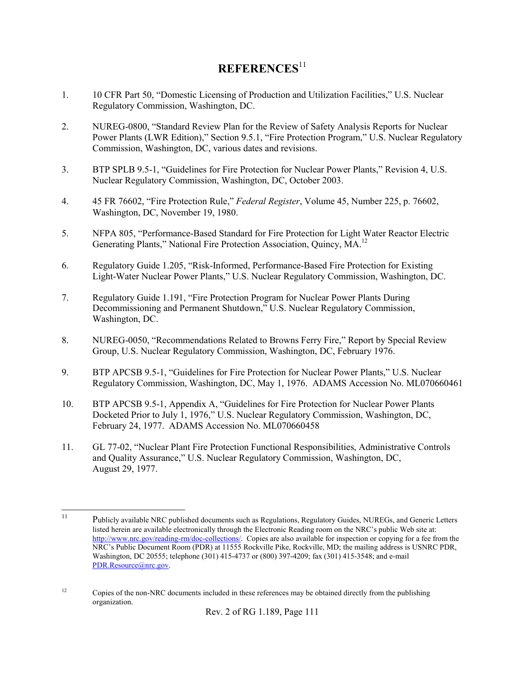# **REFERENCES**<sup>11</sup>

- 1. 10 CFR Part 50, "Domestic Licensing of Production and Utilization Facilities," U.S. Nuclear Regulatory Commission, Washington, DC.
- 2. NUREG-0800, "Standard Review Plan for the Review of Safety Analysis Reports for Nuclear Power Plants (LWR Edition)," Section 9.5.1, "Fire Protection Program," U.S. Nuclear Regulatory Commission, Washington, DC, various dates and revisions.
- 3. BTP SPLB 9.5-1, "Guidelines for Fire Protection for Nuclear Power Plants," Revision 4, U.S. Nuclear Regulatory Commission, Washington, DC, October 2003.
- 4. 45 FR 76602, "Fire Protection Rule," *Federal Register*, Volume 45, Number 225, p. 76602, Washington, DC, November 19, 1980.
- 5. NFPA 805, "Performance-Based Standard for Fire Protection for Light Water Reactor Electric Generating Plants," National Fire Protection Association, Quincy, MA.<sup>12</sup>
- 6. Regulatory Guide 1.205, "Risk-Informed, Performance-Based Fire Protection for Existing Light-Water Nuclear Power Plants," U.S. Nuclear Regulatory Commission, Washington, DC.
- 7. Regulatory Guide 1.191, "Fire Protection Program for Nuclear Power Plants During Decommissioning and Permanent Shutdown," U.S. Nuclear Regulatory Commission, Washington, DC.
- 8. NUREG-0050, "Recommendations Related to Browns Ferry Fire," Report by Special Review Group, U.S. Nuclear Regulatory Commission, Washington, DC, February 1976.
- 9. BTP APCSB 9.5-1, "Guidelines for Fire Protection for Nuclear Power Plants," U.S. Nuclear Regulatory Commission, Washington, DC, May 1, 1976. ADAMS Accession No. ML070660461
- 10. BTP APCSB 9.5-1, Appendix A, "Guidelines for Fire Protection for Nuclear Power Plants Docketed Prior to July 1, 1976," U.S. Nuclear Regulatory Commission, Washington, DC, February 24, 1977. ADAMS Accession No. ML070660458
- 11. GL 77-02, "Nuclear Plant Fire Protection Functional Responsibilities, Administrative Controls and Quality Assurance," U.S. Nuclear Regulatory Commission, Washington, DC, August 29, 1977.

 $11$ 11 Publicly available NRC published documents such as Regulations, Regulatory Guides, NUREGs, and Generic Letters listed herein are available electronically through the Electronic Reading room on the NRC's public Web site at: http://www.nrc.gov/reading-rm/doc-collections/. Copies are also available for inspection or copying for a fee from the NRC's Public Document Room (PDR) at 11555 Rockville Pike, Rockville, MD; the mailing address is USNRC PDR, Washington, DC 20555; telephone (301) 415-4737 or (800) 397-4209; fax (301) 415-3548; and e-mail PDR.Resource@nrc.gov.

<sup>&</sup>lt;sup>12</sup> Copies of the non-NRC documents included in these references may be obtained directly from the publishing organization.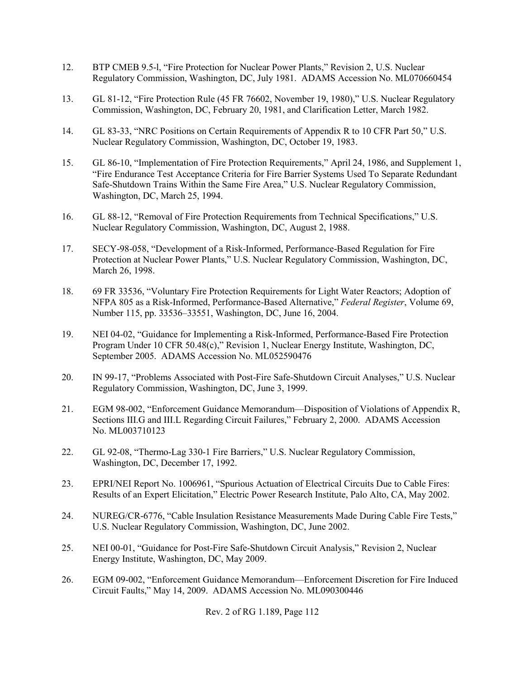- 12. BTP CMEB 9.5-l, "Fire Protection for Nuclear Power Plants," Revision 2, U.S. Nuclear Regulatory Commission, Washington, DC, July 1981. ADAMS Accession No. ML070660454
- 13. GL 81-12, "Fire Protection Rule (45 FR 76602, November 19, 1980)," U.S. Nuclear Regulatory Commission, Washington, DC, February 20, 1981, and Clarification Letter, March 1982.
- 14. GL 83-33, "NRC Positions on Certain Requirements of Appendix R to 10 CFR Part 50," U.S. Nuclear Regulatory Commission, Washington, DC, October 19, 1983.
- 15. GL 86-10, "Implementation of Fire Protection Requirements," April 24, 1986, and Supplement 1, "Fire Endurance Test Acceptance Criteria for Fire Barrier Systems Used To Separate Redundant Safe-Shutdown Trains Within the Same Fire Area," U.S. Nuclear Regulatory Commission, Washington, DC, March 25, 1994.
- 16. GL 88-12, "Removal of Fire Protection Requirements from Technical Specifications," U.S. Nuclear Regulatory Commission, Washington, DC, August 2, 1988.
- 17. SECY-98-058, "Development of a Risk-Informed, Performance-Based Regulation for Fire Protection at Nuclear Power Plants," U.S. Nuclear Regulatory Commission, Washington, DC, March 26, 1998.
- 18. 69 FR 33536, "Voluntary Fire Protection Requirements for Light Water Reactors; Adoption of NFPA 805 as a Risk-Informed, Performance-Based Alternative," *Federal Register*, Volume 69, Number 115, pp. 33536–33551, Washington, DC, June 16, 2004.
- 19. NEI 04-02, "Guidance for Implementing a Risk-Informed, Performance-Based Fire Protection Program Under 10 CFR 50.48(c)," Revision 1, Nuclear Energy Institute, Washington, DC, September 2005. ADAMS Accession No. ML052590476
- 20. IN 99-17, "Problems Associated with Post-Fire Safe-Shutdown Circuit Analyses," U.S. Nuclear Regulatory Commission, Washington, DC, June 3, 1999.
- 21. EGM 98-002, "Enforcement Guidance Memorandum—Disposition of Violations of Appendix R, Sections III.G and III.L Regarding Circuit Failures," February 2, 2000. ADAMS Accession No. ML003710123
- 22. GL 92-08, "Thermo-Lag 330-1 Fire Barriers," U.S. Nuclear Regulatory Commission, Washington, DC, December 17, 1992.
- 23. EPRI/NEI Report No. 1006961, "Spurious Actuation of Electrical Circuits Due to Cable Fires: Results of an Expert Elicitation," Electric Power Research Institute, Palo Alto, CA, May 2002.
- 24. NUREG/CR-6776, "Cable Insulation Resistance Measurements Made During Cable Fire Tests," U.S. Nuclear Regulatory Commission, Washington, DC, June 2002.
- 25. NEI 00-01, "Guidance for Post-Fire Safe-Shutdown Circuit Analysis," Revision 2, Nuclear Energy Institute, Washington, DC, May 2009.
- 26. EGM 09-002, "Enforcement Guidance Memorandum—Enforcement Discretion for Fire Induced Circuit Faults," May 14, 2009. ADAMS Accession No. ML090300446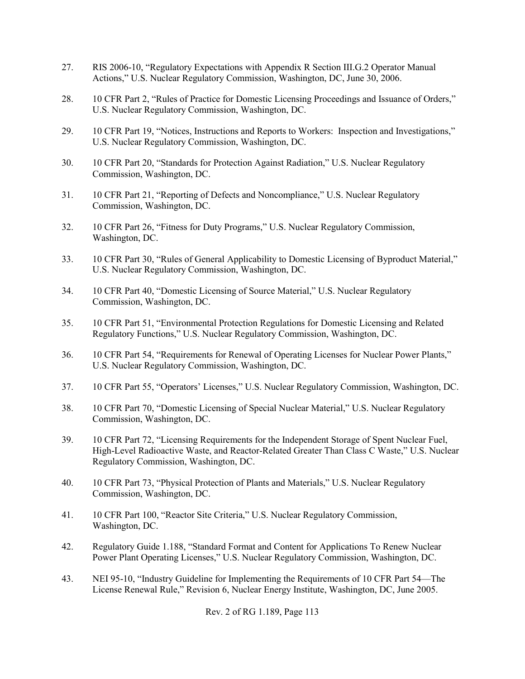- 27. RIS 2006-10, "Regulatory Expectations with Appendix R Section III.G.2 Operator Manual Actions," U.S. Nuclear Regulatory Commission, Washington, DC, June 30, 2006.
- 28. 10 CFR Part 2, "Rules of Practice for Domestic Licensing Proceedings and Issuance of Orders," U.S. Nuclear Regulatory Commission, Washington, DC.
- 29. 10 CFR Part 19, "Notices, Instructions and Reports to Workers: Inspection and Investigations," U.S. Nuclear Regulatory Commission, Washington, DC.
- 30. 10 CFR Part 20, "Standards for Protection Against Radiation," U.S. Nuclear Regulatory Commission, Washington, DC.
- 31. 10 CFR Part 21, "Reporting of Defects and Noncompliance," U.S. Nuclear Regulatory Commission, Washington, DC.
- 32. 10 CFR Part 26, "Fitness for Duty Programs," U.S. Nuclear Regulatory Commission, Washington, DC.
- 33. 10 CFR Part 30, "Rules of General Applicability to Domestic Licensing of Byproduct Material," U.S. Nuclear Regulatory Commission, Washington, DC.
- 34. 10 CFR Part 40, "Domestic Licensing of Source Material," U.S. Nuclear Regulatory Commission, Washington, DC.
- 35. 10 CFR Part 51, "Environmental Protection Regulations for Domestic Licensing and Related Regulatory Functions," U.S. Nuclear Regulatory Commission, Washington, DC.
- 36. 10 CFR Part 54, "Requirements for Renewal of Operating Licenses for Nuclear Power Plants," U.S. Nuclear Regulatory Commission, Washington, DC.
- 37. 10 CFR Part 55, "Operators' Licenses," U.S. Nuclear Regulatory Commission, Washington, DC.
- 38. 10 CFR Part 70, "Domestic Licensing of Special Nuclear Material," U.S. Nuclear Regulatory Commission, Washington, DC.
- 39. 10 CFR Part 72, "Licensing Requirements for the Independent Storage of Spent Nuclear Fuel, High-Level Radioactive Waste, and Reactor-Related Greater Than Class C Waste," U.S. Nuclear Regulatory Commission, Washington, DC.
- 40. 10 CFR Part 73, "Physical Protection of Plants and Materials," U.S. Nuclear Regulatory Commission, Washington, DC.
- 41. 10 CFR Part 100, "Reactor Site Criteria," U.S. Nuclear Regulatory Commission, Washington, DC.
- 42. Regulatory Guide 1.188, "Standard Format and Content for Applications To Renew Nuclear Power Plant Operating Licenses," U.S. Nuclear Regulatory Commission, Washington, DC.
- 43. NEI 95-10, "Industry Guideline for Implementing the Requirements of 10 CFR Part 54—The License Renewal Rule," Revision 6, Nuclear Energy Institute, Washington, DC, June 2005.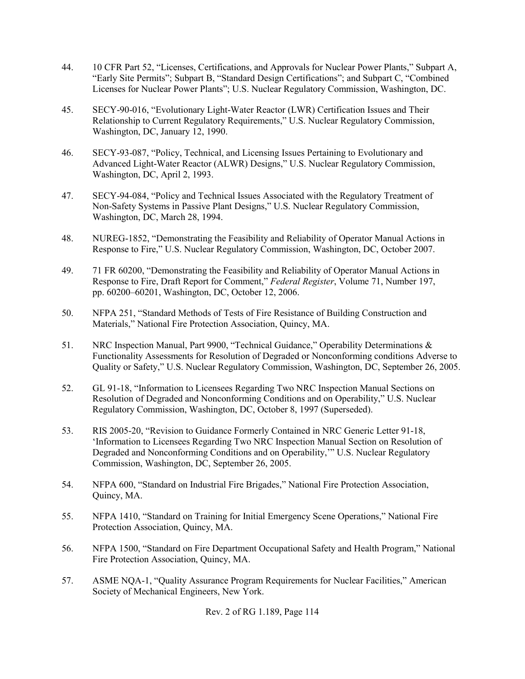- 44. 10 CFR Part 52, "Licenses, Certifications, and Approvals for Nuclear Power Plants," Subpart A, "Early Site Permits"; Subpart B, "Standard Design Certifications"; and Subpart C, "Combined Licenses for Nuclear Power Plants"; U.S. Nuclear Regulatory Commission, Washington, DC.
- 45. SECY-90-016, "Evolutionary Light-Water Reactor (LWR) Certification Issues and Their Relationship to Current Regulatory Requirements," U.S. Nuclear Regulatory Commission, Washington, DC, January 12, 1990.
- 46. SECY-93-087, "Policy, Technical, and Licensing Issues Pertaining to Evolutionary and Advanced Light-Water Reactor (ALWR) Designs," U.S. Nuclear Regulatory Commission, Washington, DC, April 2, 1993.
- 47. SECY-94-084, "Policy and Technical Issues Associated with the Regulatory Treatment of Non-Safety Systems in Passive Plant Designs," U.S. Nuclear Regulatory Commission, Washington, DC, March 28, 1994.
- 48. NUREG-1852, "Demonstrating the Feasibility and Reliability of Operator Manual Actions in Response to Fire," U.S. Nuclear Regulatory Commission, Washington, DC, October 2007.
- 49. 71 FR 60200, "Demonstrating the Feasibility and Reliability of Operator Manual Actions in Response to Fire, Draft Report for Comment," *Federal Register*, Volume 71, Number 197, pp. 60200–60201, Washington, DC, October 12, 2006.
- 50. NFPA 251, "Standard Methods of Tests of Fire Resistance of Building Construction and Materials," National Fire Protection Association, Quincy, MA.
- 51. NRC Inspection Manual, Part 9900, "Technical Guidance," Operability Determinations & Functionality Assessments for Resolution of Degraded or Nonconforming conditions Adverse to Quality or Safety," U.S. Nuclear Regulatory Commission, Washington, DC, September 26, 2005.
- 52. GL 91-18, "Information to Licensees Regarding Two NRC Inspection Manual Sections on Resolution of Degraded and Nonconforming Conditions and on Operability," U.S. Nuclear Regulatory Commission, Washington, DC, October 8, 1997 (Superseded).
- 53. RIS 2005-20, "Revision to Guidance Formerly Contained in NRC Generic Letter 91-18, 'Information to Licensees Regarding Two NRC Inspection Manual Section on Resolution of Degraded and Nonconforming Conditions and on Operability,'" U.S. Nuclear Regulatory Commission, Washington, DC, September 26, 2005.
- 54. NFPA 600, "Standard on Industrial Fire Brigades," National Fire Protection Association, Quincy, MA.
- 55. NFPA 1410, "Standard on Training for Initial Emergency Scene Operations," National Fire Protection Association, Quincy, MA.
- 56. NFPA 1500, "Standard on Fire Department Occupational Safety and Health Program," National Fire Protection Association, Quincy, MA.
- 57. ASME NQA-1, "Quality Assurance Program Requirements for Nuclear Facilities," American Society of Mechanical Engineers, New York.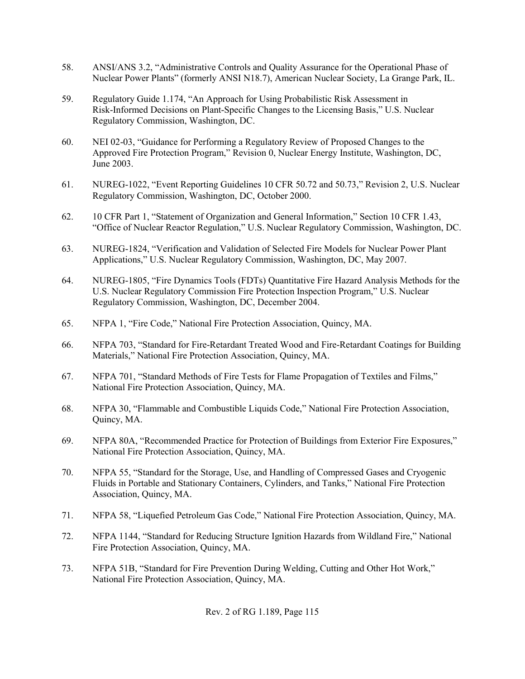- 58. ANSI/ANS 3.2, "Administrative Controls and Quality Assurance for the Operational Phase of Nuclear Power Plants" (formerly ANSI N18.7), American Nuclear Society, La Grange Park, IL.
- 59. Regulatory Guide 1.174, "An Approach for Using Probabilistic Risk Assessment in Risk-Informed Decisions on Plant-Specific Changes to the Licensing Basis," U.S. Nuclear Regulatory Commission, Washington, DC.
- 60. NEI 02-03, "Guidance for Performing a Regulatory Review of Proposed Changes to the Approved Fire Protection Program," Revision 0, Nuclear Energy Institute, Washington, DC, June 2003.
- 61. NUREG-1022, "Event Reporting Guidelines 10 CFR 50.72 and 50.73," Revision 2, U.S. Nuclear Regulatory Commission, Washington, DC, October 2000.
- 62. 10 CFR Part 1, "Statement of Organization and General Information," Section 10 CFR 1.43, "Office of Nuclear Reactor Regulation," U.S. Nuclear Regulatory Commission, Washington, DC.
- 63. NUREG-1824, "Verification and Validation of Selected Fire Models for Nuclear Power Plant Applications," U.S. Nuclear Regulatory Commission, Washington, DC, May 2007.
- 64. NUREG-1805, "Fire Dynamics Tools (FDTs) Quantitative Fire Hazard Analysis Methods for the U.S. Nuclear Regulatory Commission Fire Protection Inspection Program," U.S. Nuclear Regulatory Commission, Washington, DC, December 2004.
- 65. NFPA 1, "Fire Code," National Fire Protection Association, Quincy, MA.
- 66. NFPA 703, "Standard for Fire-Retardant Treated Wood and Fire-Retardant Coatings for Building Materials," National Fire Protection Association, Quincy, MA.
- 67. NFPA 701, "Standard Methods of Fire Tests for Flame Propagation of Textiles and Films," National Fire Protection Association, Quincy, MA.
- 68. NFPA 30, "Flammable and Combustible Liquids Code," National Fire Protection Association, Quincy, MA.
- 69. NFPA 80A, "Recommended Practice for Protection of Buildings from Exterior Fire Exposures," National Fire Protection Association, Quincy, MA.
- 70. NFPA 55, "Standard for the Storage, Use, and Handling of Compressed Gases and Cryogenic Fluids in Portable and Stationary Containers, Cylinders, and Tanks," National Fire Protection Association, Quincy, MA.
- 71. NFPA 58, "Liquefied Petroleum Gas Code," National Fire Protection Association, Quincy, MA.
- 72. NFPA 1144, "Standard for Reducing Structure Ignition Hazards from Wildland Fire," National Fire Protection Association, Quincy, MA.
- 73. NFPA 51B, "Standard for Fire Prevention During Welding, Cutting and Other Hot Work," National Fire Protection Association, Quincy, MA.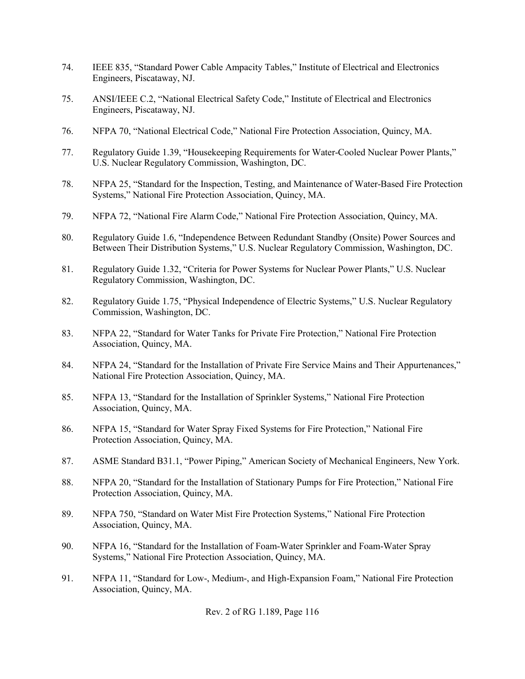- 74. IEEE 835, "Standard Power Cable Ampacity Tables," Institute of Electrical and Electronics Engineers, Piscataway, NJ.
- 75. ANSI/IEEE C.2, "National Electrical Safety Code," Institute of Electrical and Electronics Engineers, Piscataway, NJ.
- 76. NFPA 70, "National Electrical Code," National Fire Protection Association, Quincy, MA.
- 77. Regulatory Guide 1.39, "Housekeeping Requirements for Water-Cooled Nuclear Power Plants," U.S. Nuclear Regulatory Commission, Washington, DC.
- 78. NFPA 25, "Standard for the Inspection, Testing, and Maintenance of Water-Based Fire Protection Systems," National Fire Protection Association, Quincy, MA.
- 79. NFPA 72, "National Fire Alarm Code," National Fire Protection Association, Quincy, MA.
- 80. Regulatory Guide 1.6, "Independence Between Redundant Standby (Onsite) Power Sources and Between Their Distribution Systems," U.S. Nuclear Regulatory Commission, Washington, DC.
- 81. Regulatory Guide 1.32, "Criteria for Power Systems for Nuclear Power Plants," U.S. Nuclear Regulatory Commission, Washington, DC.
- 82. Regulatory Guide 1.75, "Physical Independence of Electric Systems," U.S. Nuclear Regulatory Commission, Washington, DC.
- 83. NFPA 22, "Standard for Water Tanks for Private Fire Protection," National Fire Protection Association, Quincy, MA.
- 84. NFPA 24, "Standard for the Installation of Private Fire Service Mains and Their Appurtenances," National Fire Protection Association, Quincy, MA.
- 85. NFPA 13, "Standard for the Installation of Sprinkler Systems," National Fire Protection Association, Quincy, MA.
- 86. NFPA 15, "Standard for Water Spray Fixed Systems for Fire Protection," National Fire Protection Association, Quincy, MA.
- 87. ASME Standard B31.1, "Power Piping," American Society of Mechanical Engineers, New York.
- 88. NFPA 20, "Standard for the Installation of Stationary Pumps for Fire Protection," National Fire Protection Association, Quincy, MA.
- 89. NFPA 750, "Standard on Water Mist Fire Protection Systems," National Fire Protection Association, Quincy, MA.
- 90. NFPA 16, "Standard for the Installation of Foam-Water Sprinkler and Foam-Water Spray Systems," National Fire Protection Association, Quincy, MA.
- 91. NFPA 11, "Standard for Low-, Medium-, and High-Expansion Foam," National Fire Protection Association, Quincy, MA.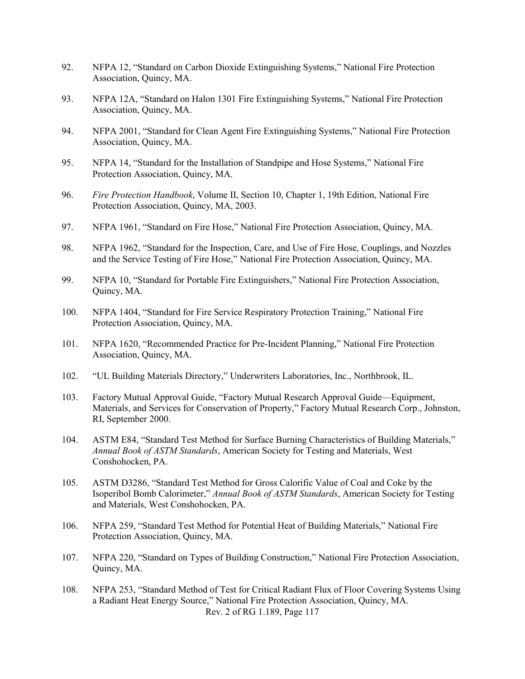- 92. NFPA 12, "Standard on Carbon Dioxide Extinguishing Systems," National Fire Protection Association, Quincy, MA.
- 93. NFPA 12A, "Standard on Halon 1301 Fire Extinguishing Systems," National Fire Protection Association, Quincy, MA.
- 94. NFPA 2001, "Standard for Clean Agent Fire Extinguishing Systems," National Fire Protection Association, Quincy, MA.
- 95. NFPA 14, "Standard for the Installation of Standpipe and Hose Systems," National Fire Protection Association, Quincy, MA.
- 96. *Fire Protection Handbook*, Volume II, Section 10, Chapter 1, 19th Edition, National Fire Protection Association, Quincy, MA, 2003.
- 97. NFPA 1961, "Standard on Fire Hose," National Fire Protection Association, Quincy, MA.
- 98. NFPA 1962, "Standard for the Inspection, Care, and Use of Fire Hose, Couplings, and Nozzles and the Service Testing of Fire Hose," National Fire Protection Association, Quincy, MA.
- 99. NFPA 10, "Standard for Portable Fire Extinguishers," National Fire Protection Association, Quincy, MA.
- 100. NFPA 1404, "Standard for Fire Service Respiratory Protection Training," National Fire Protection Association, Quincy, MA.
- 101. NFPA 1620, "Recommended Practice for Pre-Incident Planning," National Fire Protection Association, Quincy, MA.
- 102. "UL Building Materials Directory," Underwriters Laboratories, Inc., Northbrook, IL.
- 103. Factory Mutual Approval Guide, "Factory Mutual Research Approval Guide—Equipment, Materials, and Services for Conservation of Property," Factory Mutual Research Corp., Johnston, RI, September 2000.
- 104. ASTM E84, "Standard Test Method for Surface Burning Characteristics of Building Materials," *Annual Book of ASTM Standards*, American Society for Testing and Materials, West Conshohocken, PA.
- 105. ASTM D3286, "Standard Test Method for Gross Calorific Value of Coal and Coke by the Isoperibol Bomb Calorimeter," *Annual Book of ASTM Standards*, American Society for Testing and Materials, West Conshohocken, PA.
- 106. NFPA 259, "Standard Test Method for Potential Heat of Building Materials," National Fire Protection Association, Quincy, MA.
- 107. NFPA 220, "Standard on Types of Building Construction," National Fire Protection Association, Quincy, MA.
- Rev. 2 of RG 1.189, Page 117 108. NFPA 253, "Standard Method of Test for Critical Radiant Flux of Floor Covering Systems Using a Radiant Heat Energy Source," National Fire Protection Association, Quincy, MA.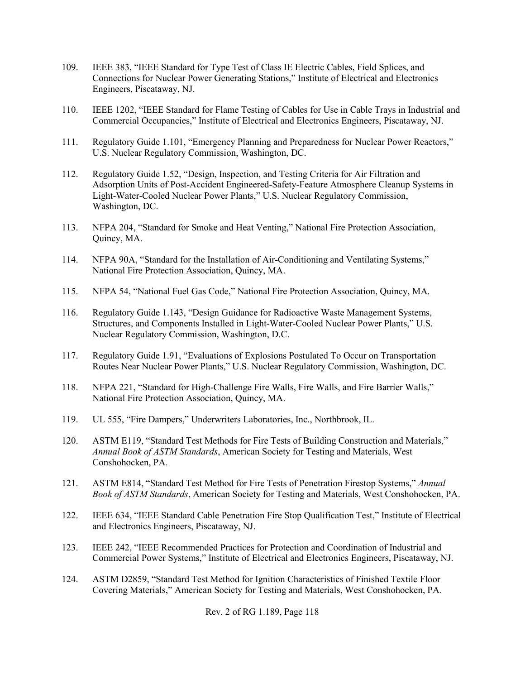- 109. IEEE 383, "IEEE Standard for Type Test of Class IE Electric Cables, Field Splices, and Connections for Nuclear Power Generating Stations," Institute of Electrical and Electronics Engineers, Piscataway, NJ.
- 110. IEEE 1202, "IEEE Standard for Flame Testing of Cables for Use in Cable Trays in Industrial and Commercial Occupancies," Institute of Electrical and Electronics Engineers, Piscataway, NJ.
- 111. Regulatory Guide 1.101, "Emergency Planning and Preparedness for Nuclear Power Reactors," U.S. Nuclear Regulatory Commission, Washington, DC.
- 112. Regulatory Guide 1.52, "Design, Inspection, and Testing Criteria for Air Filtration and Adsorption Units of Post-Accident Engineered-Safety-Feature Atmosphere Cleanup Systems in Light-Water-Cooled Nuclear Power Plants," U.S. Nuclear Regulatory Commission, Washington, DC.
- 113. NFPA 204, "Standard for Smoke and Heat Venting," National Fire Protection Association, Quincy, MA.
- 114. NFPA 90A, "Standard for the Installation of Air-Conditioning and Ventilating Systems," National Fire Protection Association, Quincy, MA.
- 115. NFPA 54, "National Fuel Gas Code," National Fire Protection Association, Quincy, MA.
- 116. Regulatory Guide 1.143, "Design Guidance for Radioactive Waste Management Systems, Structures, and Components Installed in Light-Water-Cooled Nuclear Power Plants," U.S. Nuclear Regulatory Commission, Washington, D.C.
- 117. Regulatory Guide 1.91, "Evaluations of Explosions Postulated To Occur on Transportation Routes Near Nuclear Power Plants," U.S. Nuclear Regulatory Commission, Washington, DC.
- 118. NFPA 221, "Standard for High-Challenge Fire Walls, Fire Walls, and Fire Barrier Walls," National Fire Protection Association, Quincy, MA.
- 119. UL 555, "Fire Dampers," Underwriters Laboratories, Inc., Northbrook, IL.
- 120. ASTM E119, "Standard Test Methods for Fire Tests of Building Construction and Materials," *Annual Book of ASTM Standards*, American Society for Testing and Materials, West Conshohocken, PA.
- 121. ASTM E814, "Standard Test Method for Fire Tests of Penetration Firestop Systems," *Annual Book of ASTM Standards*, American Society for Testing and Materials, West Conshohocken, PA.
- 122. IEEE 634, "IEEE Standard Cable Penetration Fire Stop Qualification Test," Institute of Electrical and Electronics Engineers, Piscataway, NJ.
- 123. IEEE 242, "IEEE Recommended Practices for Protection and Coordination of Industrial and Commercial Power Systems," Institute of Electrical and Electronics Engineers, Piscataway, NJ.
- 124. ASTM D2859, "Standard Test Method for Ignition Characteristics of Finished Textile Floor Covering Materials," American Society for Testing and Materials, West Conshohocken, PA.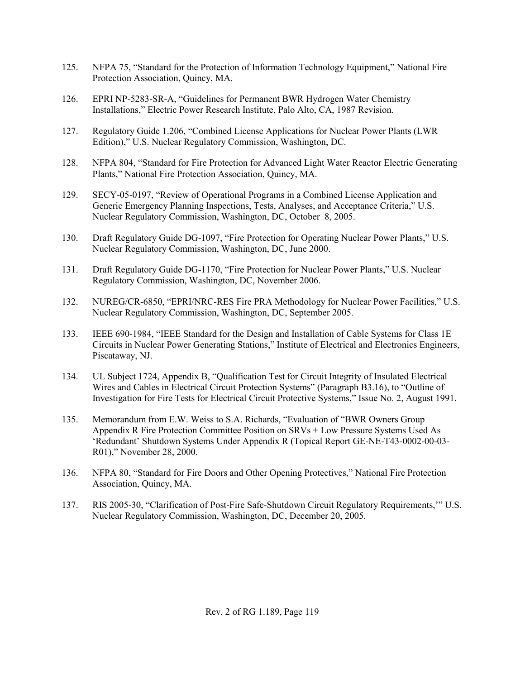- 125. NFPA 75, "Standard for the Protection of Information Technology Equipment," National Fire Protection Association, Quincy, MA.
- 126. EPRI NP-5283-SR-A, "Guidelines for Permanent BWR Hydrogen Water Chemistry Installations," Electric Power Research Institute, Palo Alto, CA, 1987 Revision.
- 127. Regulatory Guide 1.206, "Combined License Applications for Nuclear Power Plants (LWR Edition)," U.S. Nuclear Regulatory Commission, Washington, DC.
- 128. NFPA 804, "Standard for Fire Protection for Advanced Light Water Reactor Electric Generating Plants," National Fire Protection Association, Quincy, MA.
- 129. SECY-05-0197, "Review of Operational Programs in a Combined License Application and Generic Emergency Planning Inspections, Tests, Analyses, and Acceptance Criteria," U.S. Nuclear Regulatory Commission, Washington, DC, October 8, 2005.
- 130. Draft Regulatory Guide DG-1097, "Fire Protection for Operating Nuclear Power Plants," U.S. Nuclear Regulatory Commission, Washington, DC, June 2000.
- 131. Draft Regulatory Guide DG-1170, "Fire Protection for Nuclear Power Plants," U.S. Nuclear Regulatory Commission, Washington, DC, November 2006.
- 132. NUREG/CR-6850, "EPRI/NRC-RES Fire PRA Methodology for Nuclear Power Facilities," U.S. Nuclear Regulatory Commission, Washington, DC, September 2005.
- 133. IEEE 690-1984, "IEEE Standard for the Design and Installation of Cable Systems for Class 1E Circuits in Nuclear Power Generating Stations," Institute of Electrical and Electronics Engineers, Piscataway, NJ.
- 134. UL Subject 1724, Appendix B, "Qualification Test for Circuit Integrity of Insulated Electrical Wires and Cables in Electrical Circuit Protection Systems" (Paragraph B3.16), to "Outline of Investigation for Fire Tests for Electrical Circuit Protective Systems," Issue No. 2, August 1991.
- 135. Memorandum from E.W. Weiss to S.A. Richards, "Evaluation of "BWR Owners Group Appendix R Fire Protection Committee Position on SRVs + Low Pressure Systems Used As 'Redundant' Shutdown Systems Under Appendix R (Topical Report GE-NE-T43-0002-00-03- R01)," November 28, 2000.
- 136. NFPA 80, "Standard for Fire Doors and Other Opening Protectives," National Fire Protection Association, Quincy, MA.
- 137. RIS 2005-30, "Clarification of Post-Fire Safe-Shutdown Circuit Regulatory Requirements,'" U.S. Nuclear Regulatory Commission, Washington, DC, December 20, 2005.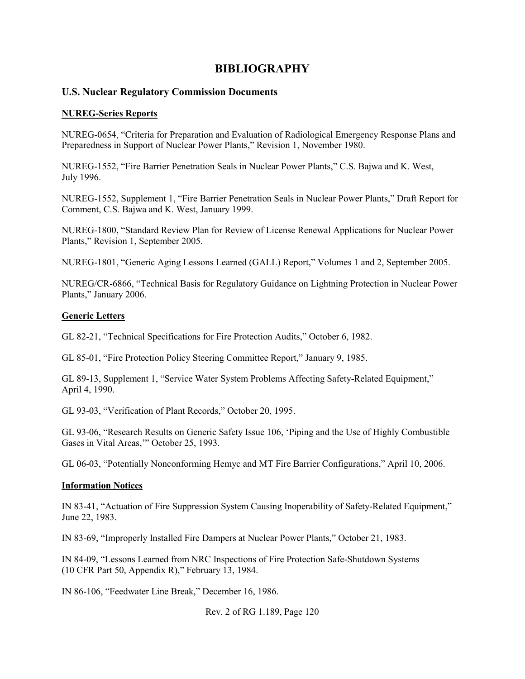# **BIBLIOGRAPHY**

## **U.S. Nuclear Regulatory Commission Documents**

### **NUREG-Series Reports**

NUREG-0654, "Criteria for Preparation and Evaluation of Radiological Emergency Response Plans and Preparedness in Support of Nuclear Power Plants," Revision 1, November 1980.

NUREG-1552, "Fire Barrier Penetration Seals in Nuclear Power Plants," C.S. Bajwa and K. West, July 1996.

NUREG-1552, Supplement 1, "Fire Barrier Penetration Seals in Nuclear Power Plants," Draft Report for Comment, C.S. Bajwa and K. West, January 1999.

NUREG-1800, "Standard Review Plan for Review of License Renewal Applications for Nuclear Power Plants," Revision 1, September 2005.

NUREG-1801, "Generic Aging Lessons Learned (GALL) Report," Volumes 1 and 2, September 2005.

NUREG/CR-6866, "Technical Basis for Regulatory Guidance on Lightning Protection in Nuclear Power Plants," January 2006.

#### **Generic Letters**

GL 82-21, "Technical Specifications for Fire Protection Audits," October 6, 1982.

GL 85-01, "Fire Protection Policy Steering Committee Report," January 9, 1985.

GL 89-13, Supplement 1, "Service Water System Problems Affecting Safety-Related Equipment," April 4, 1990.

GL 93-03, "Verification of Plant Records," October 20, 1995.

GL 93-06, "Research Results on Generic Safety Issue 106, 'Piping and the Use of Highly Combustible Gases in Vital Areas,'" October 25, 1993.

GL 06-03, "Potentially Nonconforming Hemyc and MT Fire Barrier Configurations," April 10, 2006.

### **Information Notices**

IN 83-41, "Actuation of Fire Suppression System Causing Inoperability of Safety-Related Equipment," June 22, 1983.

IN 83-69, "Improperly Installed Fire Dampers at Nuclear Power Plants," October 21, 1983.

IN 84-09, "Lessons Learned from NRC Inspections of Fire Protection Safe-Shutdown Systems (10 CFR Part 50, Appendix R)," February 13, 1984.

IN 86-106, "Feedwater Line Break," December 16, 1986.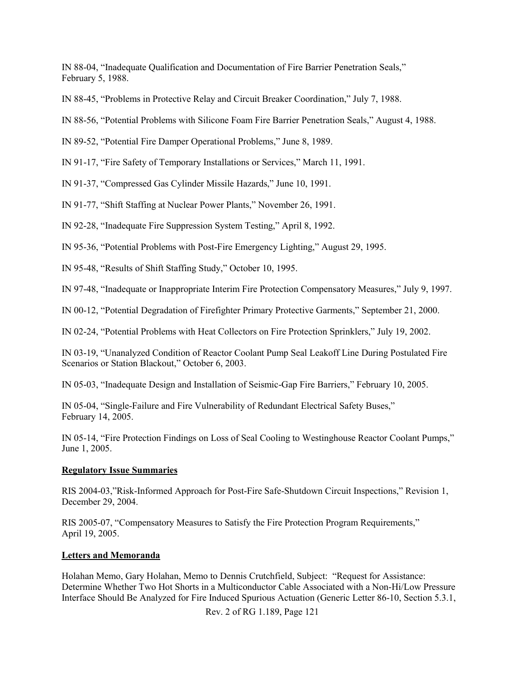IN 88-04, "Inadequate Qualification and Documentation of Fire Barrier Penetration Seals," February 5, 1988.

IN 88-45, "Problems in Protective Relay and Circuit Breaker Coordination," July 7, 1988.

IN 88-56, "Potential Problems with Silicone Foam Fire Barrier Penetration Seals," August 4, 1988.

IN 89-52, "Potential Fire Damper Operational Problems," June 8, 1989.

IN 91-17, "Fire Safety of Temporary Installations or Services," March 11, 1991.

IN 91-37, "Compressed Gas Cylinder Missile Hazards," June 10, 1991.

IN 91-77, "Shift Staffing at Nuclear Power Plants," November 26, 1991.

IN 92-28, "Inadequate Fire Suppression System Testing," April 8, 1992.

IN 95-36, "Potential Problems with Post-Fire Emergency Lighting," August 29, 1995.

IN 95-48, "Results of Shift Staffing Study," October 10, 1995.

IN 97-48, "Inadequate or Inappropriate Interim Fire Protection Compensatory Measures," July 9, 1997.

IN 00-12, "Potential Degradation of Firefighter Primary Protective Garments," September 21, 2000.

IN 02-24, "Potential Problems with Heat Collectors on Fire Protection Sprinklers," July 19, 2002.

IN 03-19, "Unanalyzed Condition of Reactor Coolant Pump Seal Leakoff Line During Postulated Fire Scenarios or Station Blackout," October 6, 2003.

IN 05-03, "Inadequate Design and Installation of Seismic-Gap Fire Barriers," February 10, 2005.

IN 05-04, "Single-Failure and Fire Vulnerability of Redundant Electrical Safety Buses," February 14, 2005.

IN 05-14, "Fire Protection Findings on Loss of Seal Cooling to Westinghouse Reactor Coolant Pumps," June 1, 2005.

## **Regulatory Issue Summaries**

RIS 2004-03,"Risk-Informed Approach for Post-Fire Safe-Shutdown Circuit Inspections," Revision 1, December 29, 2004.

RIS 2005-07, "Compensatory Measures to Satisfy the Fire Protection Program Requirements," April 19, 2005.

## **Letters and Memoranda**

Holahan Memo, Gary Holahan, Memo to Dennis Crutchfield, Subject: "Request for Assistance: Determine Whether Two Hot Shorts in a Multiconductor Cable Associated with a Non-Hi/Low Pressure Interface Should Be Analyzed for Fire Induced Spurious Actuation (Generic Letter 86-10, Section 5.3.1,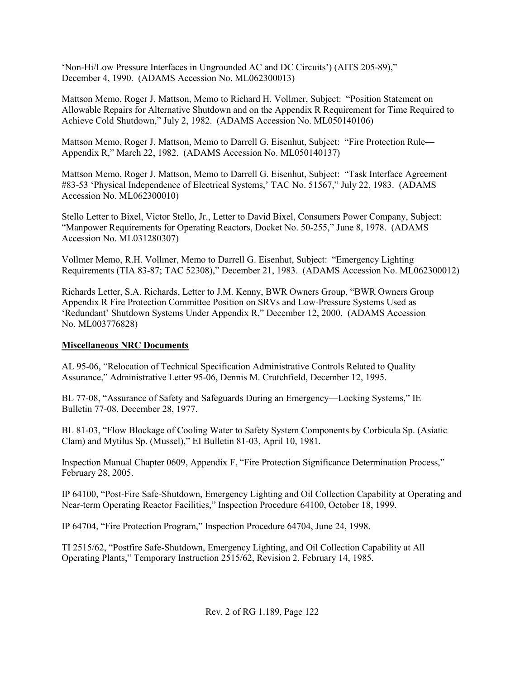'Non-Hi/Low Pressure Interfaces in Ungrounded AC and DC Circuits') (AITS 205-89)," December 4, 1990. (ADAMS Accession No. ML062300013)

Mattson Memo, Roger J. Mattson, Memo to Richard H. Vollmer, Subject: "Position Statement on Allowable Repairs for Alternative Shutdown and on the Appendix R Requirement for Time Required to Achieve Cold Shutdown," July 2, 1982. (ADAMS Accession No. ML050140106)

Mattson Memo, Roger J. Mattson, Memo to Darrell G. Eisenhut, Subject: "Fire Protection Rule— Appendix R," March 22, 1982. (ADAMS Accession No. ML050140137)

Mattson Memo, Roger J. Mattson, Memo to Darrell G. Eisenhut, Subject: "Task Interface Agreement #83-53 'Physical Independence of Electrical Systems,' TAC No. 51567," July 22, 1983. (ADAMS Accession No. ML062300010)

Stello Letter to Bixel, Victor Stello, Jr., Letter to David Bixel, Consumers Power Company, Subject: "Manpower Requirements for Operating Reactors, Docket No. 50-255," June 8, 1978. (ADAMS Accession No. ML031280307)

Vollmer Memo, R.H. Vollmer, Memo to Darrell G. Eisenhut, Subject: "Emergency Lighting Requirements (TIA 83-87; TAC 52308)," December 21, 1983. (ADAMS Accession No. ML062300012)

Richards Letter, S.A. Richards, Letter to J.M. Kenny, BWR Owners Group, "BWR Owners Group Appendix R Fire Protection Committee Position on SRVs and Low-Pressure Systems Used as 'Redundant' Shutdown Systems Under Appendix R," December 12, 2000. (ADAMS Accession No. ML003776828)

## **Miscellaneous NRC Documents**

AL 95-06, "Relocation of Technical Specification Administrative Controls Related to Quality Assurance," Administrative Letter 95-06, Dennis M. Crutchfield, December 12, 1995.

BL 77-08, "Assurance of Safety and Safeguards During an Emergency—Locking Systems," IE Bulletin 77-08, December 28, 1977.

BL 81-03, "Flow Blockage of Cooling Water to Safety System Components by Corbicula Sp. (Asiatic Clam) and Mytilus Sp. (Mussel)," EI Bulletin 81-03, April 10, 1981.

Inspection Manual Chapter 0609, Appendix F, "Fire Protection Significance Determination Process," February 28, 2005.

IP 64100, "Post-Fire Safe-Shutdown, Emergency Lighting and Oil Collection Capability at Operating and Near-term Operating Reactor Facilities," Inspection Procedure 64100, October 18, 1999.

IP 64704, "Fire Protection Program," Inspection Procedure 64704, June 24, 1998.

TI 2515/62, "Postfire Safe-Shutdown, Emergency Lighting, and Oil Collection Capability at All Operating Plants," Temporary Instruction 2515/62, Revision 2, February 14, 1985.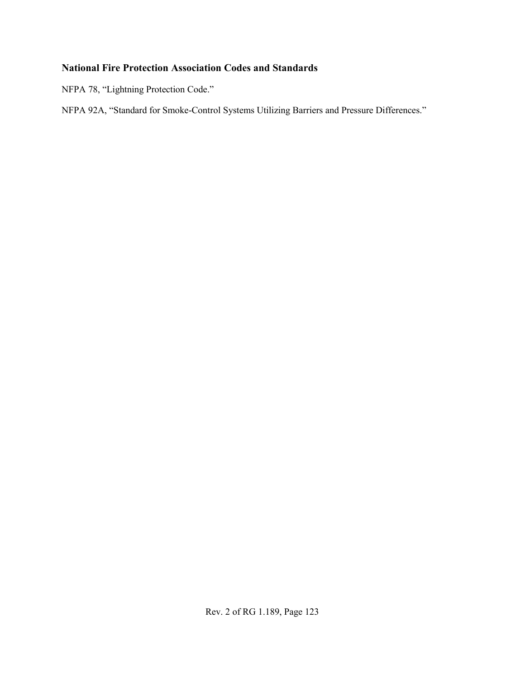# **National Fire Protection Association Codes and Standards**

NFPA 78, "Lightning Protection Code."

NFPA 92A, "Standard for Smoke-Control Systems Utilizing Barriers and Pressure Differences."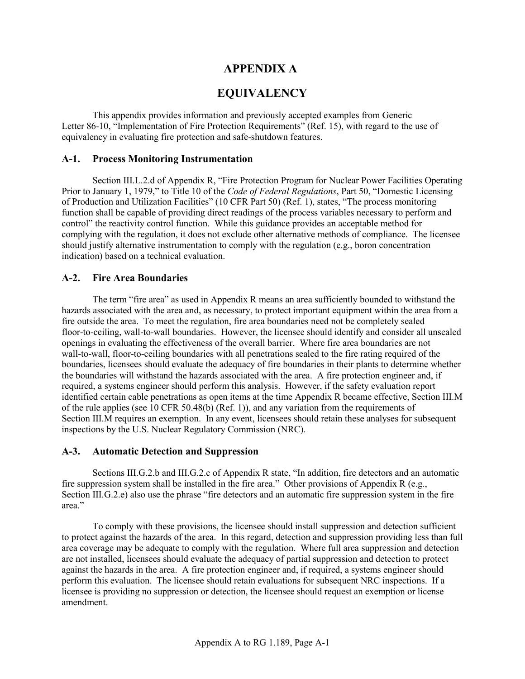# **APPENDIX A**

# **EQUIVALENCY**

This appendix provides information and previously accepted examples from Generic Letter 86-10, "Implementation of Fire Protection Requirements" (Ref. 15), with regard to the use of equivalency in evaluating fire protection and safe-shutdown features.

### **A-1. Process Monitoring Instrumentation**

Section III.L.2.d of Appendix R, "Fire Protection Program for Nuclear Power Facilities Operating Prior to January 1, 1979," to Title 10 of the *Code of Federal Regulations*, Part 50, "Domestic Licensing of Production and Utilization Facilities" (10 CFR Part 50) (Ref. 1), states, "The process monitoring function shall be capable of providing direct readings of the process variables necessary to perform and control" the reactivity control function. While this guidance provides an acceptable method for complying with the regulation, it does not exclude other alternative methods of compliance. The licensee should justify alternative instrumentation to comply with the regulation (e.g., boron concentration indication) based on a technical evaluation.

### **A-2. Fire Area Boundaries**

The term "fire area" as used in Appendix R means an area sufficiently bounded to withstand the hazards associated with the area and, as necessary, to protect important equipment within the area from a fire outside the area. To meet the regulation, fire area boundaries need not be completely sealed floor-to-ceiling, wall-to-wall boundaries. However, the licensee should identify and consider all unsealed openings in evaluating the effectiveness of the overall barrier. Where fire area boundaries are not wall-to-wall, floor-to-ceiling boundaries with all penetrations sealed to the fire rating required of the boundaries, licensees should evaluate the adequacy of fire boundaries in their plants to determine whether the boundaries will withstand the hazards associated with the area. A fire protection engineer and, if required, a systems engineer should perform this analysis. However, if the safety evaluation report identified certain cable penetrations as open items at the time Appendix R became effective, Section III.M of the rule applies (see 10 CFR 50.48(b) (Ref. 1)), and any variation from the requirements of Section III.M requires an exemption. In any event, licensees should retain these analyses for subsequent inspections by the U.S. Nuclear Regulatory Commission (NRC).

### **A-3. Automatic Detection and Suppression**

Sections III.G.2.b and III.G.2.c of Appendix R state, "In addition, fire detectors and an automatic fire suppression system shall be installed in the fire area." Other provisions of Appendix R (e.g., Section III.G.2.e) also use the phrase "fire detectors and an automatic fire suppression system in the fire area."

To comply with these provisions, the licensee should install suppression and detection sufficient to protect against the hazards of the area. In this regard, detection and suppression providing less than full area coverage may be adequate to comply with the regulation. Where full area suppression and detection are not installed, licensees should evaluate the adequacy of partial suppression and detection to protect against the hazards in the area. A fire protection engineer and, if required, a systems engineer should perform this evaluation. The licensee should retain evaluations for subsequent NRC inspections. If a licensee is providing no suppression or detection, the licensee should request an exemption or license amendment.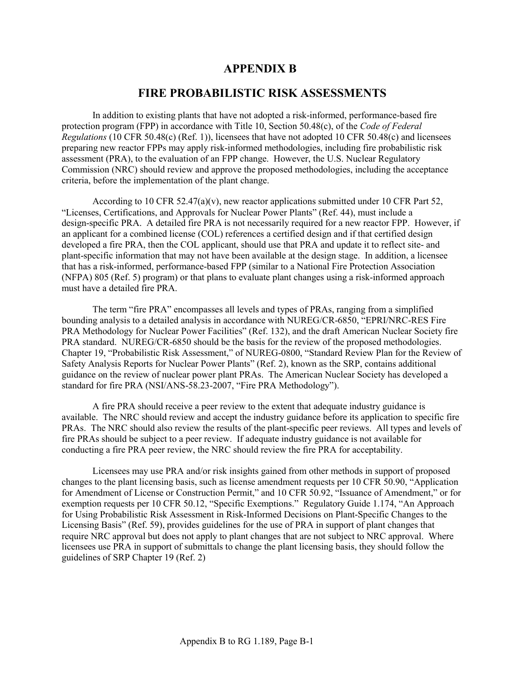# **APPENDIX B**

# **FIRE PROBABILISTIC RISK ASSESSMENTS**

In addition to existing plants that have not adopted a risk-informed, performance-based fire protection program (FPP) in accordance with Title 10, Section 50.48(c), of the *Code of Federal Regulations* (10 CFR 50.48(c) (Ref. 1)), licensees that have not adopted 10 CFR 50.48(c) and licensees preparing new reactor FPPs may apply risk-informed methodologies, including fire probabilistic risk assessment (PRA), to the evaluation of an FPP change. However, the U.S. Nuclear Regulatory Commission (NRC) should review and approve the proposed methodologies, including the acceptance criteria, before the implementation of the plant change.

According to 10 CFR 52.47(a)(v), new reactor applications submitted under 10 CFR Part 52, "Licenses, Certifications, and Approvals for Nuclear Power Plants" (Ref. 44), must include a design-specific PRA. A detailed fire PRA is not necessarily required for a new reactor FPP. However, if an applicant for a combined license (COL) references a certified design and if that certified design developed a fire PRA, then the COL applicant, should use that PRA and update it to reflect site- and plant-specific information that may not have been available at the design stage. In addition, a licensee that has a risk-informed, performance-based FPP (similar to a National Fire Protection Association (NFPA) 805 (Ref. 5) program) or that plans to evaluate plant changes using a risk-informed approach must have a detailed fire PRA.

The term "fire PRA" encompasses all levels and types of PRAs, ranging from a simplified bounding analysis to a detailed analysis in accordance with NUREG/CR-6850, "EPRI/NRC-RES Fire PRA Methodology for Nuclear Power Facilities" (Ref. 132), and the draft American Nuclear Society fire PRA standard. NUREG/CR-6850 should be the basis for the review of the proposed methodologies. Chapter 19, "Probabilistic Risk Assessment," of NUREG-0800, "Standard Review Plan for the Review of Safety Analysis Reports for Nuclear Power Plants" (Ref. 2), known as the SRP, contains additional guidance on the review of nuclear power plant PRAs. The American Nuclear Society has developed a standard for fire PRA (NSI/ANS-58.23-2007, "Fire PRA Methodology").

A fire PRA should receive a peer review to the extent that adequate industry guidance is available. The NRC should review and accept the industry guidance before its application to specific fire PRAs. The NRC should also review the results of the plant-specific peer reviews. All types and levels of fire PRAs should be subject to a peer review. If adequate industry guidance is not available for conducting a fire PRA peer review, the NRC should review the fire PRA for acceptability.

Licensees may use PRA and/or risk insights gained from other methods in support of proposed changes to the plant licensing basis, such as license amendment requests per 10 CFR 50.90, "Application for Amendment of License or Construction Permit," and 10 CFR 50.92, "Issuance of Amendment," or for exemption requests per 10 CFR 50.12, "Specific Exemptions." Regulatory Guide 1.174, "An Approach for Using Probabilistic Risk Assessment in Risk-Informed Decisions on Plant-Specific Changes to the Licensing Basis" (Ref. 59), provides guidelines for the use of PRA in support of plant changes that require NRC approval but does not apply to plant changes that are not subject to NRC approval. Where licensees use PRA in support of submittals to change the plant licensing basis, they should follow the guidelines of SRP Chapter 19 (Ref. 2)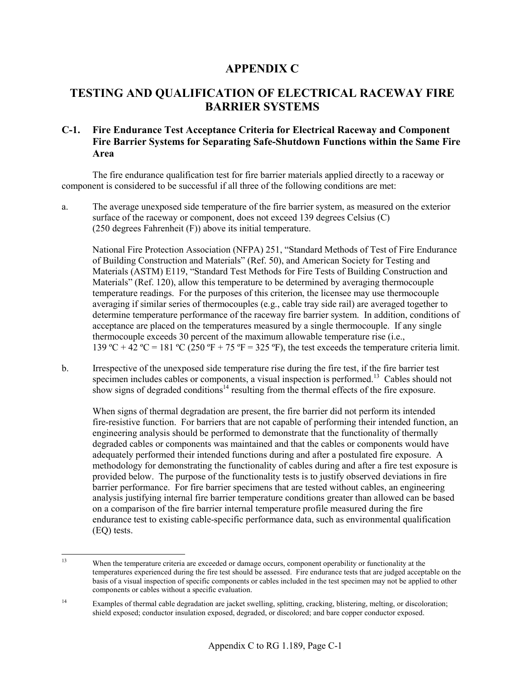# **APPENDIX C**

# **TESTING AND QUALIFICATION OF ELECTRICAL RACEWAY FIRE BARRIER SYSTEMS**

# **C-1. Fire Endurance Test Acceptance Criteria for Electrical Raceway and Component Fire Barrier Systems for Separating Safe-Shutdown Functions within the Same Fire Area**

The fire endurance qualification test for fire barrier materials applied directly to a raceway or component is considered to be successful if all three of the following conditions are met:

a. The average unexposed side temperature of the fire barrier system, as measured on the exterior surface of the raceway or component, does not exceed 139 degrees Celsius (C) (250 degrees Fahrenheit (F)) above its initial temperature.

National Fire Protection Association (NFPA) 251, "Standard Methods of Test of Fire Endurance of Building Construction and Materials" (Ref. 50), and American Society for Testing and Materials (ASTM) E119, "Standard Test Methods for Fire Tests of Building Construction and Materials" (Ref. 120), allow this temperature to be determined by averaging thermocouple temperature readings. For the purposes of this criterion, the licensee may use thermocouple averaging if similar series of thermocouples (e.g., cable tray side rail) are averaged together to determine temperature performance of the raceway fire barrier system. In addition, conditions of acceptance are placed on the temperatures measured by a single thermocouple. If any single thermocouple exceeds 30 percent of the maximum allowable temperature rise (i.e., 139 °C + 42 °C = 181 °C (250 °F + 75 °F = 325 °F), the test exceeds the temperature criteria limit.

b. Irrespective of the unexposed side temperature rise during the fire test, if the fire barrier test specimen includes cables or components, a visual inspection is performed.<sup>13</sup> Cables should not show signs of degraded conditions<sup>14</sup> resulting from the thermal effects of the fire exposure.

When signs of thermal degradation are present, the fire barrier did not perform its intended fire-resistive function. For barriers that are not capable of performing their intended function, an engineering analysis should be performed to demonstrate that the functionality of thermally degraded cables or components was maintained and that the cables or components would have adequately performed their intended functions during and after a postulated fire exposure. A methodology for demonstrating the functionality of cables during and after a fire test exposure is provided below. The purpose of the functionality tests is to justify observed deviations in fire barrier performance. For fire barrier specimens that are tested without cables, an engineering analysis justifying internal fire barrier temperature conditions greater than allowed can be based on a comparison of the fire barrier internal temperature profile measured during the fire endurance test to existing cable-specific performance data, such as environmental qualification (EQ) tests.

 $13$ When the temperature criteria are exceeded or damage occurs, component operability or functionality at the temperatures experienced during the fire test should be assessed. Fire endurance tests that are judged acceptable on the basis of a visual inspection of specific components or cables included in the test specimen may not be applied to other components or cables without a specific evaluation.

<sup>&</sup>lt;sup>14</sup> Examples of thermal cable degradation are jacket swelling, splitting, cracking, blistering, melting, or discoloration; shield exposed; conductor insulation exposed, degraded, or discolored; and bare copper conductor exposed.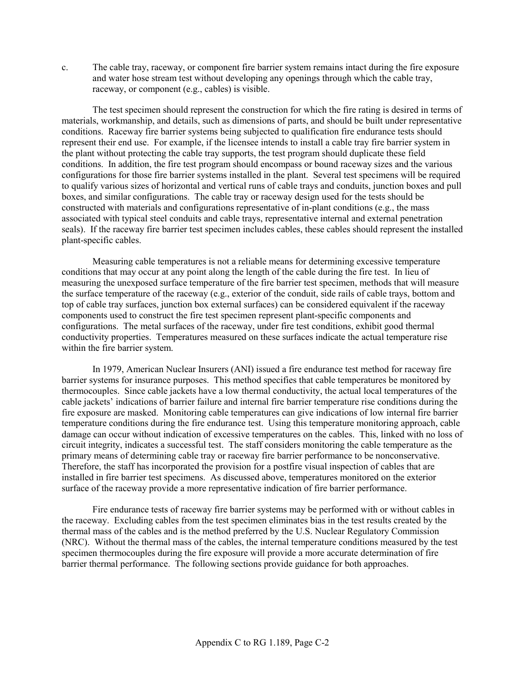c. The cable tray, raceway, or component fire barrier system remains intact during the fire exposure and water hose stream test without developing any openings through which the cable tray, raceway, or component (e.g., cables) is visible.

The test specimen should represent the construction for which the fire rating is desired in terms of materials, workmanship, and details, such as dimensions of parts, and should be built under representative conditions. Raceway fire barrier systems being subjected to qualification fire endurance tests should represent their end use. For example, if the licensee intends to install a cable tray fire barrier system in the plant without protecting the cable tray supports, the test program should duplicate these field conditions. In addition, the fire test program should encompass or bound raceway sizes and the various configurations for those fire barrier systems installed in the plant. Several test specimens will be required to qualify various sizes of horizontal and vertical runs of cable trays and conduits, junction boxes and pull boxes, and similar configurations. The cable tray or raceway design used for the tests should be constructed with materials and configurations representative of in-plant conditions (e.g., the mass associated with typical steel conduits and cable trays, representative internal and external penetration seals). If the raceway fire barrier test specimen includes cables, these cables should represent the installed plant-specific cables.

Measuring cable temperatures is not a reliable means for determining excessive temperature conditions that may occur at any point along the length of the cable during the fire test. In lieu of measuring the unexposed surface temperature of the fire barrier test specimen, methods that will measure the surface temperature of the raceway (e.g., exterior of the conduit, side rails of cable trays, bottom and top of cable tray surfaces, junction box external surfaces) can be considered equivalent if the raceway components used to construct the fire test specimen represent plant-specific components and configurations. The metal surfaces of the raceway, under fire test conditions, exhibit good thermal conductivity properties. Temperatures measured on these surfaces indicate the actual temperature rise within the fire barrier system.

In 1979, American Nuclear Insurers (ANI) issued a fire endurance test method for raceway fire barrier systems for insurance purposes. This method specifies that cable temperatures be monitored by thermocouples. Since cable jackets have a low thermal conductivity, the actual local temperatures of the cable jackets' indications of barrier failure and internal fire barrier temperature rise conditions during the fire exposure are masked. Monitoring cable temperatures can give indications of low internal fire barrier temperature conditions during the fire endurance test. Using this temperature monitoring approach, cable damage can occur without indication of excessive temperatures on the cables. This, linked with no loss of circuit integrity, indicates a successful test. The staff considers monitoring the cable temperature as the primary means of determining cable tray or raceway fire barrier performance to be nonconservative. Therefore, the staff has incorporated the provision for a postfire visual inspection of cables that are installed in fire barrier test specimens. As discussed above, temperatures monitored on the exterior surface of the raceway provide a more representative indication of fire barrier performance.

Fire endurance tests of raceway fire barrier systems may be performed with or without cables in the raceway. Excluding cables from the test specimen eliminates bias in the test results created by the thermal mass of the cables and is the method preferred by the U.S. Nuclear Regulatory Commission (NRC). Without the thermal mass of the cables, the internal temperature conditions measured by the test specimen thermocouples during the fire exposure will provide a more accurate determination of fire barrier thermal performance. The following sections provide guidance for both approaches.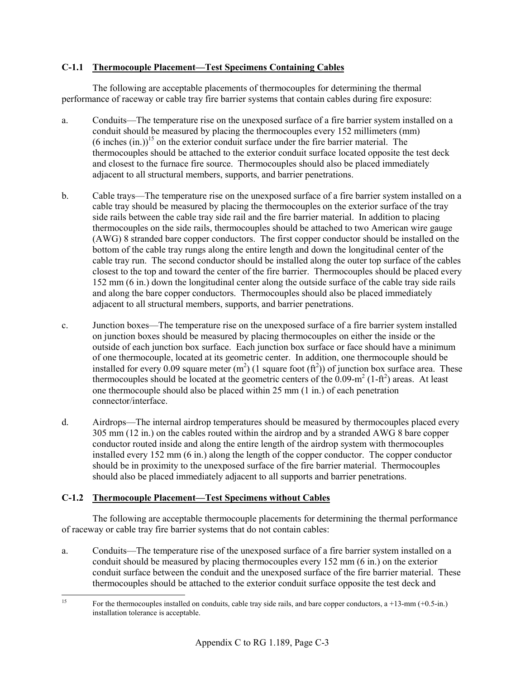## **C-1.1 Thermocouple Placement—Test Specimens Containing Cables**

The following are acceptable placements of thermocouples for determining the thermal performance of raceway or cable tray fire barrier systems that contain cables during fire exposure:

- a. Conduits—The temperature rise on the unexposed surface of a fire barrier system installed on a conduit should be measured by placing the thermocouples every 152 millimeters (mm)  $(6 \text{ inches } (in.))$ <sup>15</sup> on the exterior conduit surface under the fire barrier material. The thermocouples should be attached to the exterior conduit surface located opposite the test deck and closest to the furnace fire source. Thermocouples should also be placed immediately adjacent to all structural members, supports, and barrier penetrations.
- b. Cable trays—The temperature rise on the unexposed surface of a fire barrier system installed on a cable tray should be measured by placing the thermocouples on the exterior surface of the tray side rails between the cable tray side rail and the fire barrier material. In addition to placing thermocouples on the side rails, thermocouples should be attached to two American wire gauge (AWG) 8 stranded bare copper conductors. The first copper conductor should be installed on the bottom of the cable tray rungs along the entire length and down the longitudinal center of the cable tray run. The second conductor should be installed along the outer top surface of the cables closest to the top and toward the center of the fire barrier. Thermocouples should be placed every 152 mm (6 in.) down the longitudinal center along the outside surface of the cable tray side rails and along the bare copper conductors. Thermocouples should also be placed immediately adjacent to all structural members, supports, and barrier penetrations.
- c. Junction boxes—The temperature rise on the unexposed surface of a fire barrier system installed on junction boxes should be measured by placing thermocouples on either the inside or the outside of each junction box surface. Each junction box surface or face should have a minimum of one thermocouple, located at its geometric center. In addition, one thermocouple should be installed for every 0.09 square meter  $(m^2)$  (1 square foot  $(ft^2)$ ) of junction box surface area. These thermocouples should be located at the geometric centers of the  $0.09\text{-m}^2$  (1-ft<sup>2</sup>) areas. At least one thermocouple should also be placed within 25 mm (1 in.) of each penetration connector/interface.
- d. Airdrops—The internal airdrop temperatures should be measured by thermocouples placed every 305 mm (12 in.) on the cables routed within the airdrop and by a stranded AWG 8 bare copper conductor routed inside and along the entire length of the airdrop system with thermocouples installed every 152 mm (6 in.) along the length of the copper conductor. The copper conductor should be in proximity to the unexposed surface of the fire barrier material. Thermocouples should also be placed immediately adjacent to all supports and barrier penetrations.

## **C-1.2 Thermocouple Placement—Test Specimens without Cables**

The following are acceptable thermocouple placements for determining the thermal performance of raceway or cable tray fire barrier systems that do not contain cables:

a. Conduits—The temperature rise of the unexposed surface of a fire barrier system installed on a conduit should be measured by placing thermocouples every 152 mm (6 in.) on the exterior conduit surface between the conduit and the unexposed surface of the fire barrier material. These thermocouples should be attached to the exterior conduit surface opposite the test deck and

 $15$ 15 For the thermocouples installed on conduits, cable tray side rails, and bare copper conductors, a +13-mm (+0.5-in.) installation tolerance is acceptable.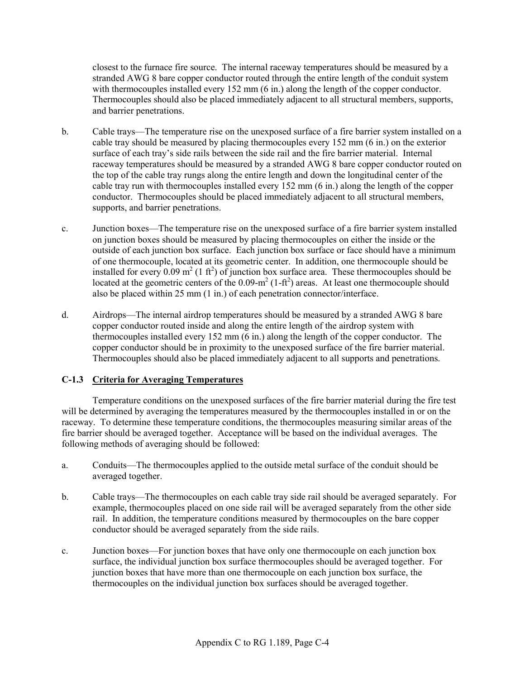closest to the furnace fire source. The internal raceway temperatures should be measured by a stranded AWG 8 bare copper conductor routed through the entire length of the conduit system with thermocouples installed every 152 mm (6 in.) along the length of the copper conductor. Thermocouples should also be placed immediately adjacent to all structural members, supports, and barrier penetrations.

- b. Cable trays—The temperature rise on the unexposed surface of a fire barrier system installed on a cable tray should be measured by placing thermocouples every 152 mm (6 in.) on the exterior surface of each tray's side rails between the side rail and the fire barrier material. Internal raceway temperatures should be measured by a stranded AWG 8 bare copper conductor routed on the top of the cable tray rungs along the entire length and down the longitudinal center of the cable tray run with thermocouples installed every 152 mm (6 in.) along the length of the copper conductor. Thermocouples should be placed immediately adjacent to all structural members, supports, and barrier penetrations.
- c. Junction boxes—The temperature rise on the unexposed surface of a fire barrier system installed on junction boxes should be measured by placing thermocouples on either the inside or the outside of each junction box surface. Each junction box surface or face should have a minimum of one thermocouple, located at its geometric center. In addition, one thermocouple should be installed for every  $0.09 \text{ m}^2$  (1 ft<sup>2</sup>) of junction box surface area. These thermocouples should be located at the geometric centers of the  $0.09 \text{-} m^2 (1 \text{-} ft^2)$  areas. At least one thermocouple should also be placed within 25 mm (1 in.) of each penetration connector/interface.
- d. Airdrops—The internal airdrop temperatures should be measured by a stranded AWG 8 bare copper conductor routed inside and along the entire length of the airdrop system with thermocouples installed every 152 mm (6 in.) along the length of the copper conductor. The copper conductor should be in proximity to the unexposed surface of the fire barrier material. Thermocouples should also be placed immediately adjacent to all supports and penetrations.

## **C-1.3 Criteria for Averaging Temperatures**

Temperature conditions on the unexposed surfaces of the fire barrier material during the fire test will be determined by averaging the temperatures measured by the thermocouples installed in or on the raceway. To determine these temperature conditions, the thermocouples measuring similar areas of the fire barrier should be averaged together. Acceptance will be based on the individual averages. The following methods of averaging should be followed:

- a. Conduits—The thermocouples applied to the outside metal surface of the conduit should be averaged together.
- b. Cable trays—The thermocouples on each cable tray side rail should be averaged separately. For example, thermocouples placed on one side rail will be averaged separately from the other side rail. In addition, the temperature conditions measured by thermocouples on the bare copper conductor should be averaged separately from the side rails.
- c. Junction boxes—For junction boxes that have only one thermocouple on each junction box surface, the individual junction box surface thermocouples should be averaged together. For junction boxes that have more than one thermocouple on each junction box surface, the thermocouples on the individual junction box surfaces should be averaged together.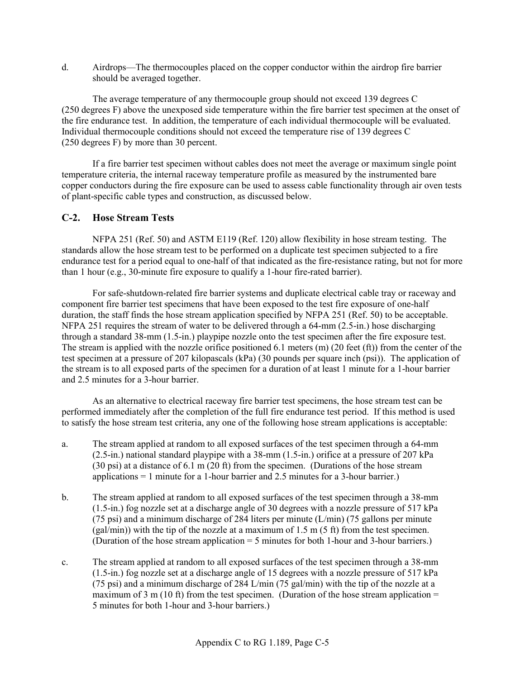d. Airdrops—The thermocouples placed on the copper conductor within the airdrop fire barrier should be averaged together.

The average temperature of any thermocouple group should not exceed 139 degrees C (250 degrees F) above the unexposed side temperature within the fire barrier test specimen at the onset of the fire endurance test. In addition, the temperature of each individual thermocouple will be evaluated. Individual thermocouple conditions should not exceed the temperature rise of 139 degrees C (250 degrees F) by more than 30 percent.

If a fire barrier test specimen without cables does not meet the average or maximum single point temperature criteria, the internal raceway temperature profile as measured by the instrumented bare copper conductors during the fire exposure can be used to assess cable functionality through air oven tests of plant-specific cable types and construction, as discussed below.

# **C-2. Hose Stream Tests**

NFPA 251 (Ref. 50) and ASTM E119 (Ref. 120) allow flexibility in hose stream testing. The standards allow the hose stream test to be performed on a duplicate test specimen subjected to a fire endurance test for a period equal to one-half of that indicated as the fire-resistance rating, but not for more than 1 hour (e.g., 30-minute fire exposure to qualify a 1-hour fire-rated barrier).

For safe-shutdown-related fire barrier systems and duplicate electrical cable tray or raceway and component fire barrier test specimens that have been exposed to the test fire exposure of one-half duration, the staff finds the hose stream application specified by NFPA 251 (Ref. 50) to be acceptable. NFPA 251 requires the stream of water to be delivered through a 64-mm (2.5-in.) hose discharging through a standard 38-mm (1.5-in.) playpipe nozzle onto the test specimen after the fire exposure test. The stream is applied with the nozzle orifice positioned 6.1 meters (m) (20 feet (ft)) from the center of the test specimen at a pressure of 207 kilopascals (kPa) (30 pounds per square inch (psi)). The application of the stream is to all exposed parts of the specimen for a duration of at least 1 minute for a 1-hour barrier and 2.5 minutes for a 3-hour barrier.

As an alternative to electrical raceway fire barrier test specimens, the hose stream test can be performed immediately after the completion of the full fire endurance test period. If this method is used to satisfy the hose stream test criteria, any one of the following hose stream applications is acceptable:

- a. The stream applied at random to all exposed surfaces of the test specimen through a 64-mm (2.5-in.) national standard playpipe with a 38-mm (1.5-in.) orifice at a pressure of 207 kPa (30 psi) at a distance of 6.1 m (20 ft) from the specimen. (Durations of the hose stream applications = 1 minute for a 1-hour barrier and 2.5 minutes for a 3-hour barrier.)
- b. The stream applied at random to all exposed surfaces of the test specimen through a 38-mm (1.5-in.) fog nozzle set at a discharge angle of 30 degrees with a nozzle pressure of 517 kPa (75 psi) and a minimum discharge of 284 liters per minute  $(L/min)$  (75 gallons per minute  $(gal/min)$ ) with the tip of the nozzle at a maximum of 1.5 m (5 ft) from the test specimen. (Duration of the hose stream application = 5 minutes for both 1-hour and 3-hour barriers.)
- c. The stream applied at random to all exposed surfaces of the test specimen through a 38-mm (1.5-in.) fog nozzle set at a discharge angle of 15 degrees with a nozzle pressure of 517 kPa (75 psi) and a minimum discharge of 284 L/min (75 gal/min) with the tip of the nozzle at a maximum of 3 m (10 ft) from the test specimen. (Duration of the hose stream application  $=$ 5 minutes for both 1-hour and 3-hour barriers.)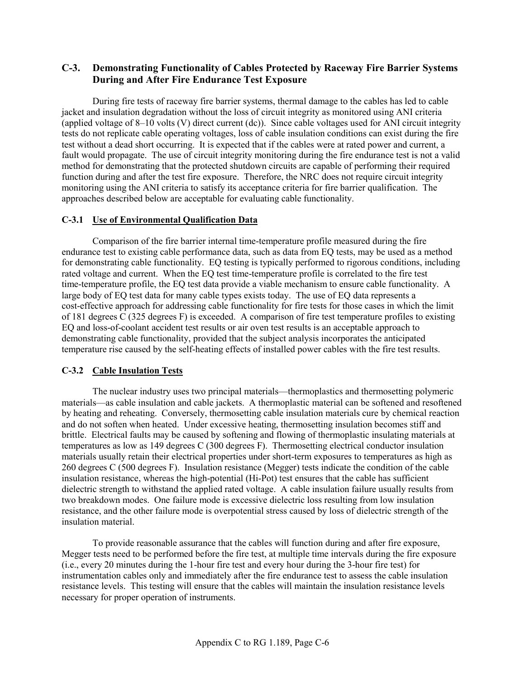## **C-3. Demonstrating Functionality of Cables Protected by Raceway Fire Barrier Systems During and After Fire Endurance Test Exposure**

During fire tests of raceway fire barrier systems, thermal damage to the cables has led to cable jacket and insulation degradation without the loss of circuit integrity as monitored using ANI criteria (applied voltage of 8–10 volts (V) direct current (dc)). Since cable voltages used for ANI circuit integrity tests do not replicate cable operating voltages, loss of cable insulation conditions can exist during the fire test without a dead short occurring. It is expected that if the cables were at rated power and current, a fault would propagate. The use of circuit integrity monitoring during the fire endurance test is not a valid method for demonstrating that the protected shutdown circuits are capable of performing their required function during and after the test fire exposure. Therefore, the NRC does not require circuit integrity monitoring using the ANI criteria to satisfy its acceptance criteria for fire barrier qualification. The approaches described below are acceptable for evaluating cable functionality.

### **C-3.1 Use of Environmental Qualification Data**

Comparison of the fire barrier internal time-temperature profile measured during the fire endurance test to existing cable performance data, such as data from EQ tests, may be used as a method for demonstrating cable functionality. EQ testing is typically performed to rigorous conditions, including rated voltage and current. When the EQ test time-temperature profile is correlated to the fire test time-temperature profile, the EQ test data provide a viable mechanism to ensure cable functionality. A large body of EQ test data for many cable types exists today. The use of EQ data represents a cost-effective approach for addressing cable functionality for fire tests for those cases in which the limit of 181 degrees C (325 degrees F) is exceeded. A comparison of fire test temperature profiles to existing EQ and loss-of-coolant accident test results or air oven test results is an acceptable approach to demonstrating cable functionality, provided that the subject analysis incorporates the anticipated temperature rise caused by the self-heating effects of installed power cables with the fire test results.

## **C-3.2 Cable Insulation Tests**

The nuclear industry uses two principal materials—thermoplastics and thermosetting polymeric materials—as cable insulation and cable jackets. A thermoplastic material can be softened and resoftened by heating and reheating. Conversely, thermosetting cable insulation materials cure by chemical reaction and do not soften when heated. Under excessive heating, thermosetting insulation becomes stiff and brittle. Electrical faults may be caused by softening and flowing of thermoplastic insulating materials at temperatures as low as 149 degrees C (300 degrees F). Thermosetting electrical conductor insulation materials usually retain their electrical properties under short-term exposures to temperatures as high as 260 degrees C (500 degrees F). Insulation resistance (Megger) tests indicate the condition of the cable insulation resistance, whereas the high-potential (Hi-Pot) test ensures that the cable has sufficient dielectric strength to withstand the applied rated voltage. A cable insulation failure usually results from two breakdown modes. One failure mode is excessive dielectric loss resulting from low insulation resistance, and the other failure mode is overpotential stress caused by loss of dielectric strength of the insulation material.

To provide reasonable assurance that the cables will function during and after fire exposure, Megger tests need to be performed before the fire test, at multiple time intervals during the fire exposure (i.e., every 20 minutes during the 1-hour fire test and every hour during the 3-hour fire test) for instrumentation cables only and immediately after the fire endurance test to assess the cable insulation resistance levels. This testing will ensure that the cables will maintain the insulation resistance levels necessary for proper operation of instruments.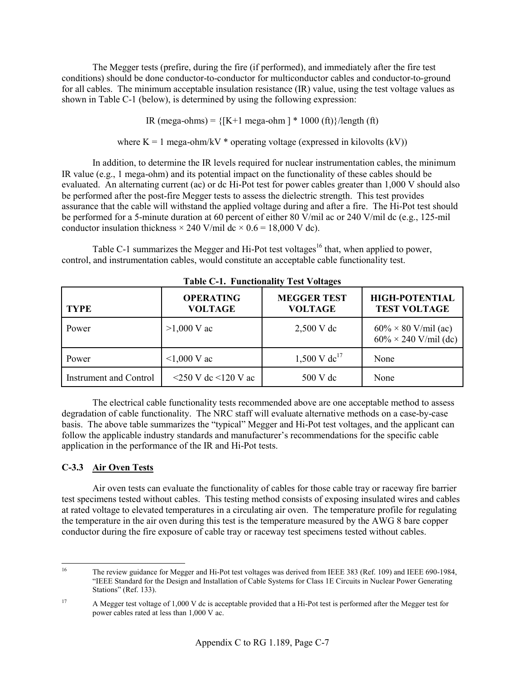The Megger tests (prefire, during the fire (if performed), and immediately after the fire test conditions) should be done conductor-to-conductor for multiconductor cables and conductor-to-ground for all cables. The minimum acceptable insulation resistance (IR) value, using the test voltage values as shown in Table C-1 (below), is determined by using the following expression:

IR (mega-ohms) =  ${K+1 \text{ mega-bhm}}$  \* 1000 (ft)}/length (ft)

where  $K = 1$  mega-ohm/kV  $*$  operating voltage (expressed in kilovolts (kV))

In addition, to determine the IR levels required for nuclear instrumentation cables, the minimum IR value (e.g., 1 mega-ohm) and its potential impact on the functionality of these cables should be evaluated. An alternating current (ac) or dc Hi-Pot test for power cables greater than 1,000 V should also be performed after the post-fire Megger tests to assess the dielectric strength. This test provides assurance that the cable will withstand the applied voltage during and after a fire. The Hi-Pot test should be performed for a 5-minute duration at 60 percent of either 80 V/mil ac or 240 V/mil dc (e.g., 125-mil conductor insulation thickness  $\times$  240 V/mil dc  $\times$  0.6 = 18,000 V dc).

Table C-1 summarizes the Megger and Hi-Pot test voltages<sup>16</sup> that, when applied to power, control, and instrumentation cables, would constitute an acceptable cable functionality test.

| <b>TYPE</b>                   | <b>OPERATING</b><br><b>VOLTAGE</b> | <b>MEGGER TEST</b><br><b>VOLTAGE</b>      | <b>HIGH-POTENTIAL</b><br><b>TEST VOLTAGE</b>                |
|-------------------------------|------------------------------------|-------------------------------------------|-------------------------------------------------------------|
| Power                         | $>1,000$ V ac                      | $2,500 \text{ V}$ dc                      | $60\% \times 80$ V/mil (ac)<br>$60\% \times 240$ V/mil (dc) |
| Power                         | $1,000$ V ac                       | $1,500 \text{ V} \text{ d} \text{c}^{17}$ | None                                                        |
| <b>Instrument and Control</b> | $\leq$ 250 V dc $\leq$ 120 V ac    | 500 V dc                                  | None                                                        |

**Table C-1. Functionality Test Voltages** 

The electrical cable functionality tests recommended above are one acceptable method to assess degradation of cable functionality. The NRC staff will evaluate alternative methods on a case-by-case basis. The above table summarizes the "typical" Megger and Hi-Pot test voltages, and the applicant can follow the applicable industry standards and manufacturer's recommendations for the specific cable application in the performance of the IR and Hi-Pot tests.

# **C-3.3 Air Oven Tests**

Air oven tests can evaluate the functionality of cables for those cable tray or raceway fire barrier test specimens tested without cables. This testing method consists of exposing insulated wires and cables at rated voltage to elevated temperatures in a circulating air oven. The temperature profile for regulating the temperature in the air oven during this test is the temperature measured by the AWG 8 bare copper conductor during the fire exposure of cable tray or raceway test specimens tested without cables.

 $16$ 16 The review guidance for Megger and Hi-Pot test voltages was derived from IEEE 383 (Ref. 109) and IEEE 690-1984, "IEEE Standard for the Design and Installation of Cable Systems for Class 1E Circuits in Nuclear Power Generating Stations" (Ref. 133).

<sup>&</sup>lt;sup>17</sup> A Megger test voltage of 1,000 V dc is acceptable provided that a Hi-Pot test is performed after the Megger test for power cables rated at less than 1,000 V ac.